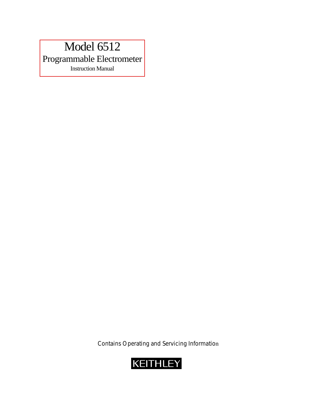### Model 6512 [Programmable Electrometer](#page-6-0) Instruction Manual

Contains Operating and Servicing Information

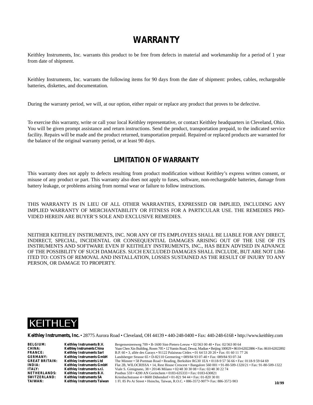### **WARRANTY**

Keithley Instruments, Inc. warrants this product to be free from defects in material and workmanship for a period of 1 year from date of shipment.

Keithley Instruments, Inc. warrants the following items for 90 days from the date of shipment: probes, cables, rechargeable batteries, diskettes, and documentation.

During the warranty period, we will, at our option, either repair or replace any product that proves to be defective.

To exercise this warranty, write or call your local Keithley representative, or contact Keithley headquarters in Cleveland, Ohio. You will be given prompt assistance and return instructions. Send the product, transportation prepaid, to the indicated service facility. Repairs will be made and the product returned, transportation prepaid. Repaired or replaced products are warranted for the balance of the original warranty period, or at least 90 days.

### **LIMITATION OF WARRANTY**

This warranty does not apply to defects resulting from product modification without Keithley's express written consent, or misuse of any product or part. This warranty also does not apply to fuses, software, non-rechargeable batteries, damage from battery leakage, or problems arising from normal wear or failure to follow instructions.

THIS WARRANTY IS IN LIEU OF ALL OTHER WARRANTIES, EXPRESSED OR IMPLIED, INCLUDING ANY IMPLIED WARRANTY OF MERCHANTABILITY OR FITNESS FOR A PARTICULAR USE. THE REMEDIES PRO-VIDED HEREIN ARE BUYER'S SOLE AND EXCLUSIVE REMEDIES.

NEITHER KEITHLEY INSTRUMENTS, INC. NOR ANY OF ITS EMPLOYEES SHALL BE LIABLE FOR ANY DIRECT, INDIRECT, SPECIAL, INCIDENTAL OR CONSEQUENTIAL DAMAGES ARISING OUT OF THE USE OF ITS INSTRUMENTS AND SOFTWARE EVEN IF KEITHLEY INSTRUMENTS, INC., HAS BEEN ADVISED IN ADVANCE OF THE POSSIBILITY OF SUCH DAMAGES. SUCH EXCLUDED DAMAGES SHALL INCLUDE, BUT ARE NOT LIM-ITED TO: COSTS OF REMOVAL AND INSTALLATION, LOSSES SUSTAINED AS THE RESULT OF INJURY TO ANY PERSON, OR DAMAGE TO PROPERTY.



**Keithley Instruments, Inc.** • 28775 Aurora Road • Cleveland, OH 44139 • 440-248-0400 • Fax: 440-248-6168 • http://www.keithley.com

| <b>BELGIUM:</b>       | <b>Keithley Instruments B.V.</b>   | Bergensesteenweg 709 • B-1600 Sint-Pieters-Leeuw • 02/363 00 40 • Fax: 02/363 00 64                                   |       |
|-----------------------|------------------------------------|-----------------------------------------------------------------------------------------------------------------------|-------|
| <b>CHINA:</b>         | <b>Keithley Instruments China</b>  | Yuan Chen Xin Building, Room 705 • 12 Yumin Road, Dewai, Madian • Beijing 100029 • 8610-62022886 • Fax: 8610-62022892 |       |
| <b>FRANCE:</b>        | <b>Keithley Instruments Sarl</b>   | B.P. 60 • 3, allée des Garays • 91122 Palaiseau Cédex • 01 64 53 20 20 • Fax: 01 60 11 77 26                          |       |
| <b>GERMANY:</b>       | <b>Keithley Instruments GmbH</b>   | Landsberger Strasse 65 • D-82110 Germering • 089/84 93 07-40 • Fax: 089/84 93 07-34                                   |       |
| <b>GREAT BRITAIN:</b> | <b>Keithley Instruments Ltd</b>    | The Minster • 58 Portman Road • Reading, Berkshire RG30 1EA • 0118-9 57 56 66 • Fax: 0118-9 59 64 69                  |       |
| <b>INDIA:</b>         | <b>Keithley Instruments GmbH</b>   | Flat 2B, WILOCRISSA • 14, Rest House Crescent • Bangalore 560 001 • 91-80-509-1320/21 • Fax: 91-80-509-1322           |       |
| <b>ITALY:</b>         | Keithley Instruments s.r.l.        | Viale S. Gimignano, $38 \cdot 20146$ Milano $\cdot$ 02/48 30 30 08 $\cdot$ Fax: 02/48 30 22 74                        |       |
| <b>NETHERLANDS:</b>   | <b>Keithley Instruments B.V.</b>   | Postbus 559 • 4200 AN Gorinchem • 0183-635333 • Fax: 0183-630821                                                      |       |
| <b>SWITZERLAND:</b>   | <b>Keithley Instruments SA</b>     | Kriesbachstrasse 4 • 8600 Dübendorf • 01-821 94 44 • Fax: 01-820 30 81                                                |       |
| <b>TAIWAN:</b>        | <b>Keithley Instruments Taiwan</b> | 1 Fl. 85 Po Ai Street • Hsinchu, Taiwan, R.O.C. • 886-3572-9077 • Fax: 886-3572-903                                   | 10/99 |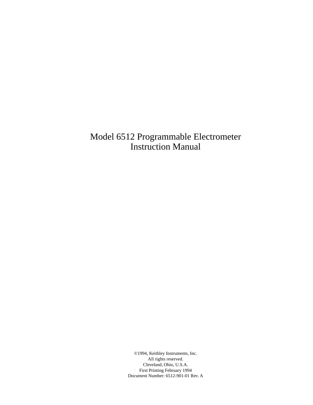### Model 6512 Programmable Electrometer Instruction Manual

©1994, Keithley Instruments, Inc. All rights reserved. Cleveland, Ohio, U.S.A. First Printing February 1994 Document Number: 6512-901-01 Rev. A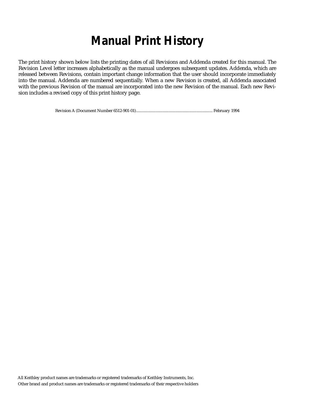### **Manual Print History**

The print history shown below lists the printing dates of all Revisions and Addenda created for this manual. The Revision Level letter increases alphabetically as the manual undergoes subsequent updates. Addenda, which are released between Revisions, contain important change information that the user should incorporate immediately into the manual. Addenda are numbered sequentially. When a new Revision is created, all Addenda associated with the previous Revision of the manual are incorporated into the new Revision of the manual. Each new Revision includes a revised copy of this print history page.

Revision A (Document Number 6512-901-01)........................................................................... February 1994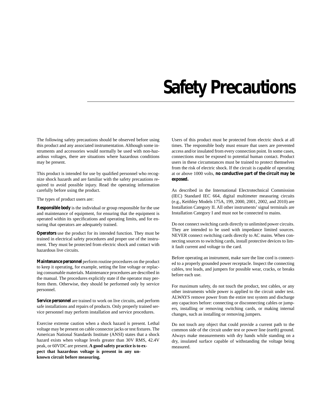## **Safety Precautions**

The following safety precautions should be observed before using this product and any associated instrumentation. Although some instruments and accessories would normally be used with non-hazardous voltages, there are situations where hazardous conditions may be present.

This product is intended for use by qualified personnel who recognize shock hazards and are familiar with the safety precautions required to avoid possible injury. Read the operating information carefully before using the product.

The types of product users are:

**Responsible body** is the individual or group responsible for the use and maintenance of equipment, for ensuring that the equipment is operated within its specifications and operating limits, and for ensuring that operators are adequately trained.

**Operators** use the product for its intended function. They must be trained in electrical safety procedures and proper use of the instrument. They must be protected from electric shock and contact with hazardous live circuits.

**Maintenance personnel** perform routine procedures on the product to keep it operating, for example, setting the line voltage or replacing consumable materials. Maintenance procedures are described in the manual. The procedures explicitly state if the operator may perform them. Otherwise, they should be performed only by service personnel.

**Service personnel** are trained to work on live circuits, and perform safe installations and repairs of products. Only properly trained service personnel may perform installation and service procedures.

Exercise extreme caution when a shock hazard is present. Lethal voltage may be present on cable connector jacks or test fixtures. The American National Standards Institute (ANSI) states that a shock hazard exists when voltage levels greater than 30V RMS, 42.4V peak, or 60VDC are present. **A good safety practice is to expect that hazardous voltage is present in any unknown circuit before measuring.**

Users of this product must be protected from electric shock at all times. The responsible body must ensure that users are prevented access and/or insulated from every connection point. In some cases, connections must be exposed to potential human contact. Product users in these circumstances must be trained to protect themselves from the risk of electric shock. If the circuit is capable of operating at or above 1000 volts, **no conductive part of the circuit may be exposed.**

As described in the International Electrotechnical Commission (IEC) Standard IEC 664, digital multimeter measuring circuits (e.g., Keithley Models 175A, 199, 2000, 2001, 2002, and 2010) are Installation Category II. All other instruments' signal terminals are Installation Category I and must not be connected to mains.

Do not connect switching cards directly to unlimited power circuits. They are intended to be used with impedance limited sources. NEVER connect switching cards directly to AC mains. When connecting sources to switching cards, install protective devices to limit fault current and voltage to the card.

Before operating an instrument, make sure the line cord is connected to a properly grounded power receptacle. Inspect the connecting cables, test leads, and jumpers for possible wear, cracks, or breaks before each use.

For maximum safety, do not touch the product, test cables, or any other instruments while power is applied to the circuit under test. ALWAYS remove power from the entire test system and discharge any capacitors before: connecting or disconnecting cables or jumpers, installing or removing switching cards, or making internal changes, such as installing or removing jumpers.

Do not touch any object that could provide a current path to the common side of the circuit under test or power line (earth) ground. Always make measurements with dry hands while standing on a dry, insulated surface capable of withstanding the voltage being measured.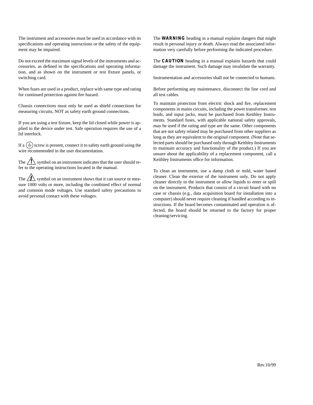The instrument and accessories must be used in accordance with its specifications and operating instructions or the safety of the equipment may be impaired.

Do not exceed the maximum signal levels of the instruments and accessories, as defined in the specifications and operating information, and as shown on the instrument or test fixture panels, or switching card.

When fuses are used in a product, replace with same type and rating for continued protection against fire hazard.

Chassis connections must only be used as shield connections for measuring circuits, NOT as safety earth ground connections.

If you are using a test fixture, keep the lid closed while power is applied to the device under test. Safe operation requires the use of a lid interlock.

If a  $(\frac{1}{x})$  screw is present, connect it to safety earth ground using the wire recommended in the user documentation.

The  $\sqrt{!}$  symbol on an instrument indicates that the user should refer to the operating instructions located in the manual.

The  $\angle f$  symbol on an instrument shows that it can source or measure 1000 volts or more, including the combined effect of normal and common mode voltages. Use standard safety precautions to avoid personal contact with these voltages.

The **WARNING** heading in a manual explains dangers that might result in personal injury or death. Always read the associated information very carefully before performing the indicated procedure.

The **CAUTION** heading in a manual explains hazards that could damage the instrument. Such damage may invalidate the warranty.

Instrumentation and accessories shall not be connected to humans.

Before performing any maintenance, disconnect the line cord and all test cables.

To maintain protection from electric shock and fire, replacement components in mains circuits, including the power transformer, test leads, and input jacks, must be purchased from Keithley Instruments. Standard fuses, with applicable national safety approvals, may be used if the rating and type are the same. Other components that are not safety related may be purchased from other suppliers as long as they are equivalent to the original component. (Note that selected parts should be purchased only through Keithley Instruments to maintain accuracy and functionality of the product.) If you are unsure about the applicability of a replacement component, call a Keithley Instruments office for information.

To clean an instrument, use a damp cloth or mild, water based cleaner. Clean the exterior of the instrument only. Do not apply cleaner directly to the instrument or allow liquids to enter or spill on the instrument. Products that consist of a circuit board with no case or chassis (e.g., data acquisition board for installation into a computer) should never require cleaning if handled according to instructions. If the board becomes contaminated and operation is affected, the board should be returned to the factory for proper cleaning/servicing.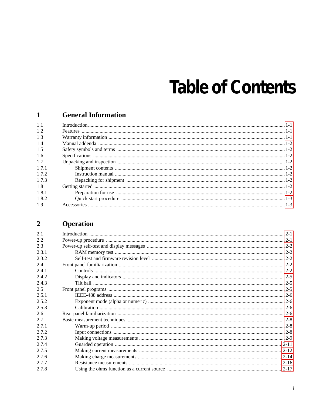## **Table of Contents**

#### <span id="page-6-0"></span> $\mathbf{1}$ **General Information**

| 1.1   |  |
|-------|--|
| 1.2   |  |
| 1.3   |  |
| 1.4   |  |
| 1.5   |  |
| 1.6   |  |
| 1.7   |  |
| 1.7.1 |  |
| 1.7.2 |  |
| 1.7.3 |  |
| 1.8   |  |
| 1.8.1 |  |
| 1.8.2 |  |
| 1.9   |  |

#### Operation  $\overline{2}$

| 2.1   |  |
|-------|--|
| 2.2   |  |
| 2.3   |  |
| 2.3.1 |  |
| 2.3.2 |  |
| 2.4   |  |
| 2.4.1 |  |
| 2.4.2 |  |
| 2.4.3 |  |
| 2.5   |  |
| 2.5.1 |  |
| 2.5.2 |  |
| 2.5.3 |  |
| 2.6   |  |
| 2.7   |  |
| 2.7.1 |  |
| 2.7.2 |  |
| 2.7.3 |  |
| 2.7.4 |  |
| 2.7.5 |  |
| 2.7.6 |  |
| 2.7.7 |  |
| 2.7.8 |  |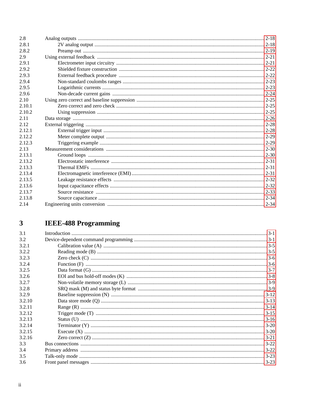| 2.8    |  |
|--------|--|
| 2.8.1  |  |
| 2.8.2  |  |
| 2.9    |  |
| 2.9.1  |  |
| 2.9.2  |  |
| 2.9.3  |  |
| 2.9.4  |  |
| 2.9.5  |  |
| 2.9.6  |  |
| 2.10   |  |
| 2.10.1 |  |
| 2.10.2 |  |
| 2.11   |  |
| 2.12   |  |
| 2.12.1 |  |
| 2.12.2 |  |
| 2.12.3 |  |
| 2.13   |  |
| 2.13.1 |  |
| 2.13.2 |  |
| 2.13.3 |  |
| 2.13.4 |  |
| 2.13.5 |  |
| 2.13.6 |  |
| 2.13.7 |  |
| 2.13.8 |  |
| 2.14   |  |
|        |  |

#### **IEEE-488 Programming**  $\overline{\mathbf{3}}$

| 3.1    |  |
|--------|--|
| 3.2    |  |
| 3.2.1  |  |
| 3.2.2  |  |
| 3.2.3  |  |
| 3.2.4  |  |
| 3.2.5  |  |
| 3.2.6  |  |
| 3.2.7  |  |
| 3.2.8  |  |
| 3.2.9  |  |
| 3.2.10 |  |
| 3.2.11 |  |
| 3.2.12 |  |
| 3.2.13 |  |
| 3.2.14 |  |
| 3.2.15 |  |
| 3.2.16 |  |
| 3.3    |  |
| 3.4    |  |
| 3.5    |  |
| 3.6    |  |
|        |  |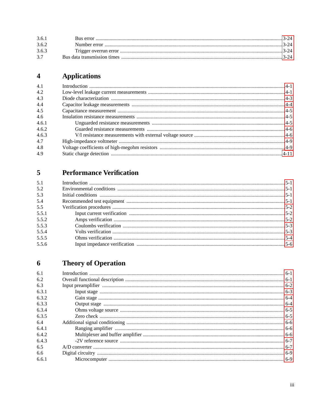| 3.6.1 |  |
|-------|--|
| 3.6.2 |  |
| 3.6.3 |  |
| 37    |  |

#### **Applications**  $\overline{\mathbf{4}}$

| 4.1   |  |
|-------|--|
| 4.2   |  |
| 4.3   |  |
| 4.4   |  |
| 4.5   |  |
| 4.6   |  |
| 4.6.1 |  |
| 4.6.2 |  |
| 4.6.3 |  |
| 4.7   |  |
| 4.8   |  |
| 4.9   |  |

#### **Performance Verification**  $\overline{\mathbf{5}}$

| 5.1   |  |
|-------|--|
| 5.2   |  |
| 5.3   |  |
| 5.4   |  |
| 5.5   |  |
| 5.5.1 |  |
| 5.5.2 |  |
| 5.5.3 |  |
| 5.5.4 |  |
| 5.5.5 |  |
| 5.5.6 |  |
|       |  |

#### $\boldsymbol{6}$ **Theory of Operation**

| 6.1   |  |
|-------|--|
| 6.2   |  |
| 6.3   |  |
| 6.3.1 |  |
| 6.3.2 |  |
| 6.3.3 |  |
| 6.3.4 |  |
| 6.3.5 |  |
| 6.4   |  |
| 6.4.1 |  |
| 6.4.2 |  |
| 6.4.3 |  |
| 6.5   |  |
| 6.6   |  |
| 6.6.1 |  |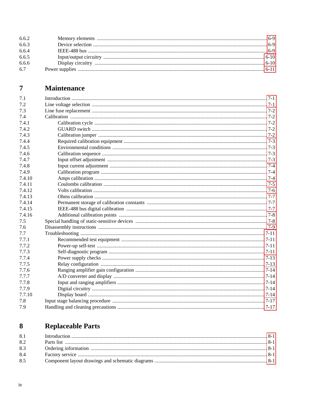| 6.6.2 |  |
|-------|--|
| 6.6.3 |  |
| 6.6.4 |  |
| 6.6.5 |  |
| 6.6.6 |  |
| 6.7   |  |

#### $\overline{7}$ **Maintenance**

| 7.1    |  |
|--------|--|
| 7.2    |  |
| 7.3    |  |
| 7.4    |  |
| 7.4.1  |  |
| 7.4.2  |  |
| 7.4.3  |  |
| 7.4.4  |  |
| 7.4.5  |  |
| 7.4.6  |  |
| 7.4.7  |  |
| 7.4.8  |  |
| 7.4.9  |  |
| 7.4.10 |  |
| 7.4.11 |  |
| 7.4.12 |  |
| 7.4.13 |  |
| 7.4.14 |  |
| 7.4.15 |  |
| 7.4.16 |  |
| 7.5    |  |
| 7.6    |  |
| 7.7    |  |
| 7.7.1  |  |
| 7.7.2  |  |
| 7.7.3  |  |
| 7.7.4  |  |
| 7.7.5  |  |
| 7.7.6  |  |
| 7.7.7  |  |
| 7.7.8  |  |
| 7.7.9  |  |
| 7.7.10 |  |
| 7.8    |  |
| 7.9    |  |

#### 8 **Replaceable Parts**

| 8.1 |  |
|-----|--|
| 8.2 |  |
| 8.3 |  |
| 8.4 |  |
| 8.5 |  |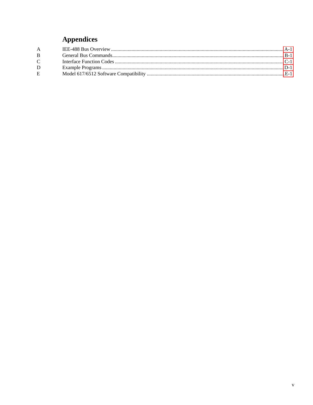### **Appendices**

| $\mathbf{A}$ |  |
|--------------|--|
| <sup>R</sup> |  |
| $C =$        |  |
| D            |  |
| $E_{\rm}$    |  |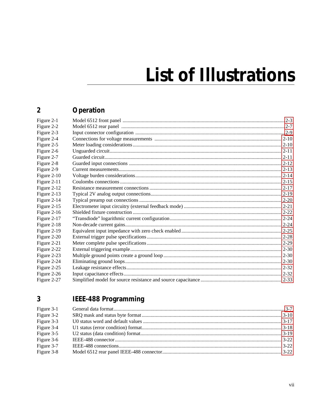# **List of Illustrations**

#### Operation  $\overline{2}$

| Figure 2-1  |  |
|-------------|--|
| Figure 2-2  |  |
| Figure 2-3  |  |
| Figure 2-4  |  |
| Figure 2-5  |  |
| Figure 2-6  |  |
| Figure 2-7  |  |
| Figure 2-8  |  |
| Figure 2-9  |  |
| Figure 2-10 |  |
| Figure 2-11 |  |
| Figure 2-12 |  |
| Figure 2-13 |  |
| Figure 2-14 |  |
| Figure 2-15 |  |
| Figure 2-16 |  |
| Figure 2-17 |  |
| Figure 2-18 |  |
| Figure 2-19 |  |
| Figure 2-20 |  |
| Figure 2-21 |  |
| Figure 2-22 |  |
| Figure 2-23 |  |
| Figure 2-24 |  |
| Figure 2-25 |  |
| Figure 2-26 |  |
| Figure 2-27 |  |

#### IEEE-488 Programming  $\overline{3}$

| Figure 3-1 |  |
|------------|--|
| Figure 3-2 |  |
| Figure 3-3 |  |
| Figure 3-4 |  |
| Figure 3-5 |  |
| Figure 3-6 |  |
| Figure 3-7 |  |
| Figure 3-8 |  |
|            |  |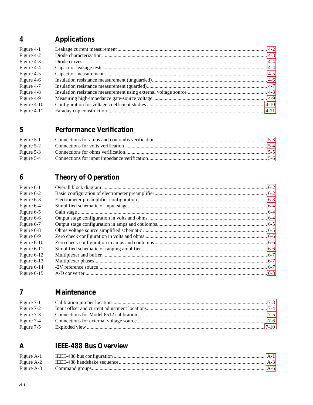#### **Applications**  $\overline{4}$

| Figure 4-1  |  |
|-------------|--|
| Figure 4-2  |  |
| Figure 4-3  |  |
| Figure 4-4  |  |
| Figure 4-5  |  |
| Figure 4-6  |  |
| Figure 4-7  |  |
| Figure 4-8  |  |
| Figure 4-9  |  |
| Figure 4-10 |  |
| Figure 4-11 |  |

#### **Performance Verification** 5

| Figure 5-1 |  |
|------------|--|
| Figure 5-2 |  |
| Figure 5-3 |  |
| Figure 5-4 |  |

#### **Theory of Operation**  $\boldsymbol{6}$

| Figure 6-1    |  |
|---------------|--|
| Figure 6-2    |  |
| Figure 6-3    |  |
| Figure 6-4    |  |
| Figure 6-5    |  |
| Figure 6-6    |  |
| Figure 6-7    |  |
| Figure 6-8    |  |
| Figure 6-9    |  |
| Figure $6-10$ |  |
| Figure $6-11$ |  |
| Figure $6-12$ |  |
| Figure 6-13   |  |
| Figure 6-14   |  |
| Figure 6-15   |  |

#### $\overline{7}$ Maintenance

| Figure 7-1 |  |
|------------|--|
| Figure 7-2 |  |
| Figure 7-3 |  |
| Figure 7-4 |  |
| Figure 7-5 |  |

#### $\mathsf{A}$ **IEEE-488 Bus Overview**

| Figure A-3 |  |
|------------|--|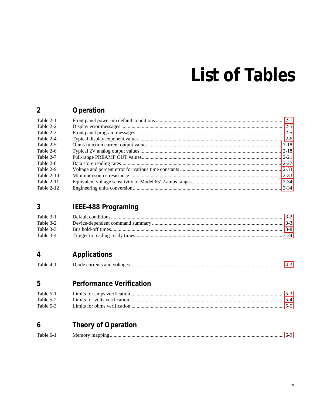# **List of Tables**

#### Operation  $\overline{2}$

| Table 2-1  |  |
|------------|--|
| Table 2-2  |  |
| Table 2-3  |  |
| Table 2-4  |  |
| Table 2-5  |  |
| Table 2-6  |  |
| Table 2-7  |  |
| Table 2-8  |  |
| Table 2-9  |  |
| Table 2-10 |  |
| Table 2-11 |  |
| Table 2-12 |  |

#### **IEEE-488 Programing**  $\overline{3}$

| Table 3-1 |  |
|-----------|--|
| Table 3-2 |  |
| Table 3-3 |  |
| Table 3-4 |  |

#### **Applications**  $\overline{\mathbf{4}}$

| Table 4- | currents and<br>. node c |  |
|----------|--------------------------|--|
| .        |                          |  |

#### **Performance Verification** 5

| Table 5-2 |  |
|-----------|--|
| Table 5-3 |  |

#### **Theory of Operation**  $\boldsymbol{6}$

| Table 6- | <b>NETHOL</b><br>maddin |  |  |
|----------|-------------------------|--|--|
|----------|-------------------------|--|--|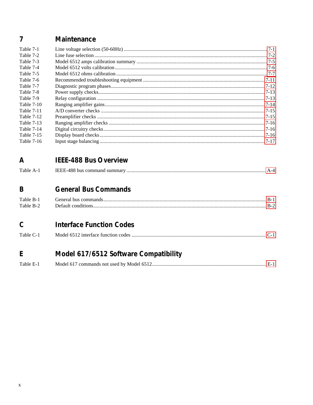| $\overline{7}$ | Maintenance                           |  |
|----------------|---------------------------------------|--|
| Table 7-1      |                                       |  |
| Table 7-2      |                                       |  |
| Table 7-3      |                                       |  |
| Table 7-4      |                                       |  |
| Table 7-5      |                                       |  |
| Table 7-6      |                                       |  |
| Table 7-7      |                                       |  |
| Table 7-8      |                                       |  |
| Table 7-9      |                                       |  |
| Table 7-10     |                                       |  |
| Table 7-11     |                                       |  |
| Table 7-12     |                                       |  |
| Table 7-13     |                                       |  |
| Table 7-14     |                                       |  |
| Table 7-15     |                                       |  |
| Table 7-16     |                                       |  |
| A              | <b>IEEE-488 Bus Overview</b>          |  |
| Table A-1      |                                       |  |
| B              | <b>General Bus Commands</b>           |  |
| Table B-1      |                                       |  |
| Table B-2      |                                       |  |
| $\mathsf C$    | <b>Interface Function Codes</b>       |  |
| Table C-1      |                                       |  |
|                |                                       |  |
| E              | Model 617/6512 Software Compatibility |  |
| Table E-1      |                                       |  |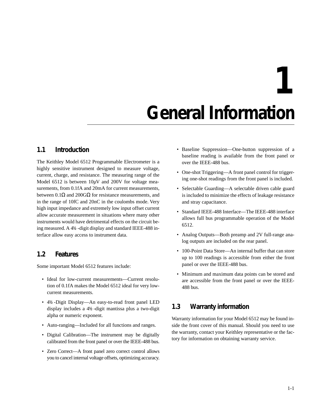# **1 General Information**

### <span id="page-15-0"></span>**1.1 Introduction**

The Keithley Model 6512 Programmable Electrometer is a highly sensitive instrument designed to measure voltage, current, charge, and resistance. The measuring range of the Model 6512 is between  $10\mu$ V and 200V for voltage measurements, from 0.1fA and 20mA for current measurements, between  $0.1\Omega$  and  $200\Omega$  for resistance measurements, and in the range of 10fC and 20nC in the coulombs mode. Very high input impedance and extremely low input offset current allow accurate measurement in situations where many other instruments would have detrimental effects on the circuit being measured. A 4½ -digit display and standard IEEE-488 interface allow easy access to instrument data.

### **1.2 Features**

Some important Model 6512 features include:

- Ideal for low-current measurements—Current resolution of 0.1fA makes the Model 6512 ideal for very lowcurrent measurements.
- 4½ -Digit Display—An easy-to-read front panel LED display includes a 4½ -digit mantissa plus a two-digit alpha or numeric exponent.
- Auto-ranging—Included for all functions and ranges.
- Digital Calibration—The instrument may be digitally calibrated from the front panel or over the IEEE-488 bus.
- Zero Correct—A front panel zero correct control allows you to cancel internal voltage offsets, optimizing accuracy.
- Baseline Suppression—One-button suppression of a baseline reading is available from the front panel or over the IEEE-488 bus.
- One-shot Triggering—A front panel control for triggering one-shot readings from the front panel is included.
- Selectable Guarding—A selectable driven cable guard is included to minimize the effects of leakage resistance and stray capacitance.
- Standard IEEE-488 Interface—The IEEE-488 interface allows full bus programmable operation of the Model 6512.
- Analog Outputs—Both preamp and 2V full-range analog outputs are included on the rear panel.
- 100-Point Data Store—An internal buffer that can store up to 100 readings is accessible from either the front panel or over the IEEE-488 bus.
- Minimum and maximum data points can be stored and are accessible from the front panel or over the IEEE-488 bus.

### **1.3 Warranty information**

Warranty information for your Model 6512 may be found inside the front cover of this manual. Should you need to use the warranty, contact your Keithley representative or the factory for information on obtaining warranty service.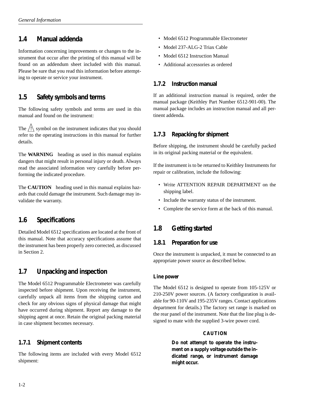### <span id="page-16-0"></span>**1.4 Manual addenda**

Information concerning improvements or changes to the instrument that occur after the printing of this manual will be found on an addendum sheet included with this manual. Please be sure that you read this information before attempting to operate or service your instrument.

### **1.5 Safety symbols and terms**

The following safety symbols and terms are used in this manual and found on the instrument:

The  $\left|\frac{1}{x}\right|$  symbol on the instrument indicates that you should refer to the operating instructions in this manual for further details.

The **WARNING** heading as used in this manual explains dangers that might result in personal injury or death. Always read the associated information very carefully before performing the indicated procedure.

The **CAUTION** heading used in this manual explains hazards that could damage the instrument. Such damage may invalidate the warranty.

### **1.6 Specifications**

Detailed Model 6512 specifications are located at the front of this manual. Note that accuracy specifications assume that the instrument has been properly zero corrected, as discussed in Section 2.

### **1.7 Unpacking and inspection**

The Model 6512 Programmable Electrometer was carefully inspected before shipment. Upon receiving the instrument, carefully unpack all items from the shipping carton and check for any obvious signs of physical damage that might have occurred during shipment. Report any damage to the shipping agent at once. Retain the original packing material in case shipment becomes necessary.

### **1.7.1 Shipment contents**

The following items are included with every Model 6512 shipment:

- Model 6512 Programmable Electrometer
- Model 237-ALG-2 Triax Cable
- Model 6512 Instruction Manual
- Additional accessories as ordered

### **1.7.2 Instruction manual**

If an additional instruction manual is required, order the manual package (Keithley Part Number 6512-901-00). The manual package includes an instruction manual and all pertinent addenda.

### **1.7.3 Repacking for shipment**

Before shipping, the instrument should be carefully packed in its original packing material or the equivalent.

If the instrument is to be returned to Keithley Instruments for repair or calibration, include the following:

- Write ATTENTION REPAIR DEPARTMENT on the shipping label.
- Include the warranty status of the instrument.
- Complete the service form at the back of this manual.

### **1.8 Getting started**

### **1.8.1 Preparation for use**

Once the instrument is unpacked, it must be connected to an appropriate power source as described below.

### **Line power**

The Model 6512 is designed to operate from 105-125V or 210-250V power sources. (A factory configuration is available for 90-110V and 195-235V ranges. Contact applications department for details.) The factory set range is marked on the rear panel of the instrument. Note that the line plug is designed to mate with the supplied 3-wire power cord.

### **CAUTION**

**Do not attempt to operate the instrument on a supply voltage outside the indicated range, or instrument damage might occur.**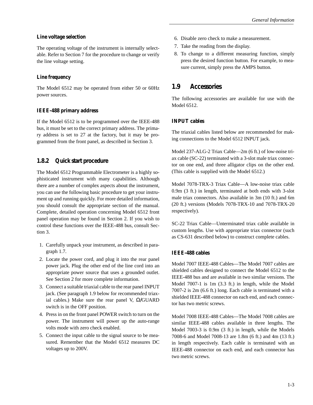### <span id="page-17-0"></span>**Line voltage selection**

The operating voltage of the instrument is internally selectable. Refer to Section 7 for the procedure to change or verify the line voltage setting.

### **Line frequency**

The Model 6512 may be operated from either 50 or 60Hz power sources.

### **IEEE-488 primary address**

If the Model 6512 is to be programmed over the IEEE-488 bus, it must be set to the correct primary address. The primary address is set to 27 at the factory, but it may be programmed from the front panel, as described in Section 3.

### **1.8.2 Quick start procedure**

The Model 6512 Programmable Electrometer is a highly sophisticated instrument with many capabilities. Although there are a number of complex aspects about the instrument, you can use the following basic procedure to get your instrument up and running quickly. For more detailed information, you should consult the appropriate section of the manual. Complete, detailed operation concerning Model 6512 front panel operation may be found in Section 2. If you wish to control these functions over the IEEE-488 bus, consult Section 3.

- 1. Carefully unpack your instrument, as described in paragraph 1.7.
- 2. Locate the power cord, and plug it into the rear panel power jack. Plug the other end of the line cord into an appropriate power source that uses a grounded outlet. See Section 2 for more complete information.
- 3. Connect a suitable triaxial cable to the rear panel INPUT jack. (See paragraph 1.9 below for recommended triaxial cables.) Make sure the rear panel V, Ω/GUARD switch is in the OFF position.
- 4. Press in on the front panel POWER switch to turn on the power. The instrument will power up the auto-range volts mode with zero check enabled.
- 5. Connect the input cable to the signal source to be measured. Remember that the Model 6512 measures DC voltages up to 200V.
- 6. Disable zero check to make a measurement.
- 7. Take the reading from the display.
- 8. To change to a different measuring function, simply press the desired function button. For example, to measure current, simply press the AMPS button.

### **1.9 Accessories**

The following accessories are available for use with the Model 6512.

### **INPUT cables**

The triaxial cables listed below are recommended for making connections to the Model 6512 INPUT jack.

Model 237-ALG-2 Triax Cable—2m (6 ft.) of low-noise triax cable (SC-22) terminated with a 3-slot male triax connector on one end, and three alligator clips on the other end. (This cable is supplied with the Model 6512.)

Model 7078-TRX-3 Triax Cable—A low-noise triax cable 0.9m (3 ft.) in length, terminated at both ends with 3-slot male triax connectors. Also available in 3m (10 ft.) and 6m (20 ft.) versions (Models 7078-TRX-10 and 7078-TRX-20 respectively).

SC-22 Triax Cable—Unterminated triax cable available in custom lengths. Use with appropriate triax connector (such as CS-631 described below) to construct complete cables.

### **IEEE-488 cables**

Model 7007 IEEE-488 Cables—The Model 7007 cables are shielded cables designed to connect the Model 6512 to the IEEE-488 bus and are available in two similar versions. The Model 7007-1 is 1m (3.3 ft.) in length, while the Model 7007-2 is 2m (6.6 ft.) long. Each cable is terminated with a shielded IEEE-488 connector on each end, and each connector has two metric screws.

Model 7008 IEEE-488 Cables—The Model 7008 cables are similar IEEE-488 cables available in three lengths. The Model 7003-3 is 0.9m (3 ft.) in length, while the Models 7008-6 and Model 7008-13 are 1.8m (6 ft.) and 4m (13 ft.) in length respectively. Each cable is terminated with an IEEE-488 connector on each end, and each connector has two metric screws.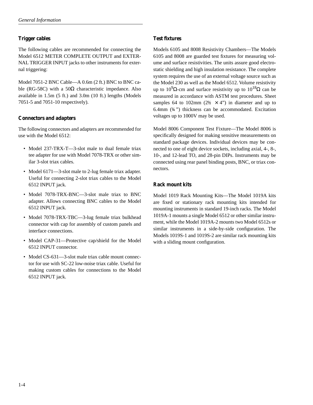### **Trigger cables**

The following cables are recommended for connecting the Model 6512 METER COMPLETE OUTPUT and EXTER-NAL TRIGGER INPUT jacks to other instruments for external triggering:

Model 7051-2 BNC Cable—A 0.6m (2 ft.) BNC to BNC cable (RG-58C) with a  $50\Omega$  characteristic impedance. Also available in 1.5m (5 ft.) and 3.0m (10 ft.) lengths (Models 7051-5 and 7051-10 respectively).

### **Connectors and adapters**

The following connectors and adapters are recommended for use with the Model 6512:

- Model 237-TRX-T-3-slot male to dual female triax tee adapter for use with Model 7078-TRX or other similar 3-slot triax cables.
- Model 6171—3-slot male to 2-lug female triax adapter. Useful for connecting 2-slot triax cables to the Model 6512 INPUT jack.
- Model 7078-TRX-BNC—3-slot male triax to BNC adapter. Allows connecting BNC cables to the Model 6512 INPUT jack.
- Model 7078-TRX-TBC—3-lug female triax bulkhead connector with cap for assembly of custom panels and interface connections.
- Model CAP-31—Protective cap/shield for the Model 6512 INPUT connector.
- Model CS-631—3-slot male triax cable mount connector for use with SC-22 low-noise triax cable. Useful for making custom cables for connections to the Model 6512 INPUT jack.

### **Test fixtures**

Models 6105 and 8008 Resistivity Chambers—The Models 6105 and 8008 are guarded test fixtures for measuring volume and surface resistivities. The units assure good electrostatic shielding and high insulation resistance. The complete system requires the use of an external voltage source such as the Model 230 as well as the Model 6512. Volume resistivity up to 10<sup>9</sup>Ω-cm and surface resistivity up to 10<sup>18</sup>Ω can be measured in accordance with ASTM test procedures. Sheet samples 64 to 102mm ( $2\frac{1}{2} \times 4$ ") in diameter and up to 6.4mm (¼ ") thickness can be accommodated. Excitation voltages up to 1000V may be used.

Model 8006 Component Test Fixture—The Model 8006 is specifically designed for making sensitive measurements on standard package devices. Individual devices may be connected to one of eight device sockets, including axial, 4-, 8-, 10-, and 12-lead TO, and 28-pin DIPs. Instruments may be connected using rear panel binding posts, BNC, or triax connectors.

### **Rack mount kits**

Model 1019 Rack Mounting Kits—The Model 1019A kits are fixed or stationary rack mounting kits intended for mounting instruments in standard 19-inch racks. The Model 1019A-1 mounts a single Model 6512 or other similar instrument, while the Model 1019A-2 mounts two Model 6512s or similar instruments in a side-by-side configuration. The Models 1019S-1 and 1019S-2 are similar rack mounting kits with a sliding mount configuration.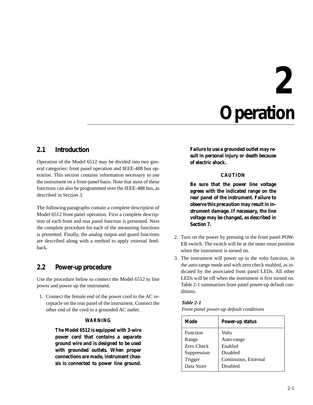# **2 Operation**

### <span id="page-19-0"></span>**2.1 Introduction**

Operation of the Model 6512 may be divided into two general categories: front panel operation and IEEE-488 bus operation. This section contains information necessary to use the instrument on a front-panel basis. Note that most of these functions can also be programmed over the IEEE-488 bus, as described in Section 3.

The following paragraphs contain a complete description of Model 6512 front panel operation. First a complete description of each front and rear panel function is presented. Next the complete procedure for each of the measuring functions is presented. Finally, the analog output and guard functions are described along with a method to apply external feedback.

### **2.2 Power-up procedure**

Use the procedure below to connect the Model 6512 to line power and power up the instrument.

1. Connect the female end of the power cord to the AC receptacle on the rear panel of the instrument. Connect the other end of the cord to a grounded AC outlet.

### **WARNING**

**The Model 6512 is equipped with 3-wire power cord that contains a separate ground wire and is designed to be used with grounded outlets. When proper connections are made, instrument chassis is connected to power line ground.**

**Failure to use a grounded outlet may result in personal injury or death because of electric shock.**

### **CAUTION**

**Be sure that the power line voltage agrees with the indicated range on the rear panel of the instrument. Failure to observe this precaution may result in instrument damage. If necessary, the line voltage may be changed, as described in Section 7.**

- 2. Turn on the power by pressing in the front panel POW-ER switch. The switch will be at the inner most position when the instrument is turned on.
- 3. The instrument will power up in the volts function, in the auto-range mode and with zero check enabled, as indicated by the associated front panel LEDs. All other LEDs will be off when the instrument is first turned on. Table 2-1 summarizes front panel power-up default conditions.

### *Table 2-1*

| Front panel power-up default conditions |  |  |
|-----------------------------------------|--|--|
|                                         |  |  |

| <b>Power-up status</b> |  |  |
|------------------------|--|--|
| Volts                  |  |  |
| Auto-range             |  |  |
| Enabled                |  |  |
| Disabled               |  |  |
| Continuous, External   |  |  |
| Disabled               |  |  |
|                        |  |  |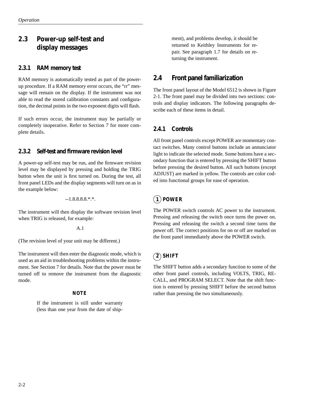### <span id="page-20-0"></span>**2.3 Power-up self-test and display messages**

### **2.3.1 RAM memory test**

RAM memory is automatically tested as part of the powerup procedure. If a RAM memory error occurs, the "rr" message will remain on the display. If the instrument was not able to read the stored calibration constants and configuration, the decimal points in the two exponent digits will flash.

If such errors occur, the instrument may be partially or completely inoperative. Refer to Section 7 for more complete details.

### **2.3.2 Self-test and firmware revision level**

A power-up self-test may be run, and the firmware revision level may be displayed by pressing and holding the TRIG button when the unit is first turned on. During the test, all front panel LEDs and the display segments will turn on as in the example below:

 $-1.8.8.8.8.*.*.$ 

The instrument will then display the software revision level when TRIG is released, for example:

A.1

(The revision level of your unit may be different.)

The instrument will then enter the diagnostic mode, which is used as an aid in troubleshooting problems within the instrument. See Section 7 for details. Note that the power must be turned off to remove the instrument from the diagnostic mode.

### **NOTE**

If the instrument is still under warranty (less than one year from the date of shipment), and problems develop, it should be returned to Keithley Instruments for repair. See paragraph 1.7 for details on returning the instrument.

### **2.4 Front panel familiarization**

The front panel layout of the Model 6512 is shown in Figure 2-1. The front panel may be divided into two sections: controls and display indicators. The following paragraphs describe each of these items in detail.

### **2.4.1 Controls**

All front panel controls except POWER are momentary contact switches. Many control buttons include an annunciator light to indicate the selected mode. Some buttons have a secondary function that is entered by pressing the SHIFT button before pressing the desired button. All such buttons (except ADJUST) are marked in yellow. The controls are color coded into functional groups for ease of operation.

### **1 POWER**

The POWER switch controls AC power to the instrument. Pressing and releasing the switch once turns the power on. Pressing and releasing the switch a second time turns the power off. The correct positions for on or off are marked on the front panel immediately above the POWER switch.

### $\mathbf{\widehat{2}}$  **SHIFT**

The SHIFT button adds a secondary function to some of the other front panel controls, including VOLTS, TRIG, RE-CALL, and PROGRAM SELECT. Note that the shift function is entered by pressing SHIFT before the second button rather than pressing the two simultaneously.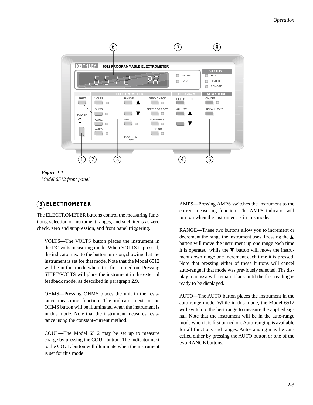<span id="page-21-0"></span>

*Figure 2-1 Model 6512 front panel*

### **3 ELECTROMETER**

The ELECTROMETER buttons control the measuring functions, selection of instrument ranges, and such items as zero check, zero and suppression, and front panel triggering.

VOLTS—The VOLTS button places the instrument in the DC volts measuring mode. When VOLTS is pressed, the indicator next to the button turns on, showing that the instrument is set for that mode. Note that the Model 6512 will be in this mode when it is first turned on. Pressing SHIFT/VOLTS will place the instrument in the external feedback mode, as described in paragraph 2.9.

OHMS—Pressing OHMS places the unit in the resistance measuring function. The indicator next to the OHMS button will be illuminated when the instrument is in this mode. Note that the instrument measures resistance using the constant-current method.

COUL—The Model 6512 may be set up to measure charge by pressing the COUL button. The indicator next to the COUL button will illuminate when the instrument is set for this mode.

AMPS—Pressing AMPS switches the instrument to the current-measuring function. The AMPS indicator will turn on when the instrument is in this mode.

RANGE—These two buttons allow you to increment or decrement the range the instrument uses. Pressing the **▲** button will move the instrument up one range each time it is operated, while the  $\nabla$  button will move the instrument down range one increment each time it is pressed. Note that pressing either of these buttons will cancel auto-range if that mode was previously selected. The display mantissa will remain blank until the first reading is ready to be displayed.

AUTO—The AUTO button places the instrument in the auto-range mode. While in this mode, the Model 6512 will switch to the best range to measure the applied signal. Note that the instrument will be in the auto-range mode when it is first turned on. Auto-ranging is available for all functions and ranges. Auto-ranging may be cancelled either by pressing the AUTO button or one of the two RANGE buttons.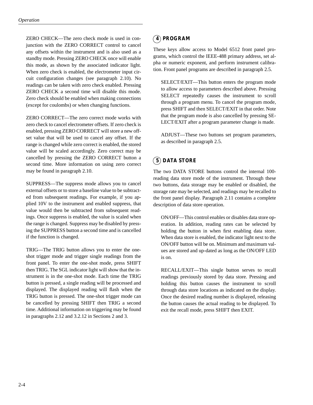ZERO CHECK—The zero check mode is used in conjunction with the ZERO CORRECT control to cancel any offsets within the instrument and is also used as a standby mode. Pressing ZERO CHECK once will enable this mode, as shown by the associated indicator light. When zero check is enabled, the electrometer input circuit configuration changes (see paragraph 2.10). No readings can be taken with zero check enabled. Pressing ZERO CHECK a second time will disable this mode. Zero check should be enabled when making connections (except for coulombs) or when changing functions.

ZERO CORRECT—The zero correct mode works with zero check to cancel electrometer offsets. If zero check is enabled, pressing ZERO CORRECT will store a new offset value that will be used to cancel any offset. If the range is changed while zero correct is enabled, the stored value will be scaled accordingly. Zero correct may be cancelled by pressing the ZERO CORRECT button a second time. More information on using zero correct may be found in paragraph 2.10.

SUPPRESS—The suppress mode allows you to cancel external offsets or to store a baseline value to be subtracted from subsequent readings. For example, if you applied 10V to the instrument and enabled suppress, that value would then be subtracted from subsequent readings. Once suppress is enabled, the value is scaled when the range is changed. Suppress may be disabled by pressing the SUPPRESS button a second time and is cancelled if the function is changed.

TRIG—The TRIG button allows you to enter the oneshot trigger mode and trigger single readings from the front panel. To enter the one-shot mode, press SHIFT then TRIG. The SGL indicator light will show that the instrument is in the one-shot mode. Each time the TRIG button is pressed, a single reading will be processed and displayed. The displayed reading will flash when the TRIG button is pressed. The one-shot trigger mode can be cancelled by pressing SHIFT then TRIG a second time. Additional information on triggering may be found in paragraphs 2.12 and 3.2.12 in Sections 2 and 3.

### **4 PROGRAM**

These keys allow access to Model 6512 front panel programs, which control the IEEE-488 primary address, set alpha or numeric exponent, and perform instrument calibration. Front panel programs are described in paragraph 2.5.

SELECT/EXIT—This button enters the program mode to allow access to parameters described above. Pressing SELECT repeatedly causes the instrument to scroll through a program menu. To cancel the program mode, press SHIFT and then SELECT/EXIT in that order. Note that the program mode is also cancelled by pressing SE-LECT/EXIT after a program parameter change is made.

ADJUST—These two buttons set program parameters, as described in paragraph 2.5.

### **5 DATA STORE**

The two DATA STORE buttons control the internal 100 reading data store mode of the instrument. Through these two buttons, data storage may be enabled or disabled, the storage rate may be selected, and readings may be recalled to the front panel display. Paragraph 2.11 contains a complete description of data store operation.

ON/OFF—This control enables or disables data store operation. In addition, reading rates can be selected by holding the button in when first enabling data store. When data store is enabled, the indicator light next to the ON/OFF button will be on. Minimum and maximum values are stored and up-dated as long as the ON/OFF LED is on.

RECALL/EXIT—This single button serves to recall readings previously stored by data store. Pressing and holding this button causes the instrument to scroll through data store locations as indicated on the display. Once the desired reading number is displayed, releasing the button causes the actual reading to be displayed. To exit the recall mode, press SHIFT then EXIT.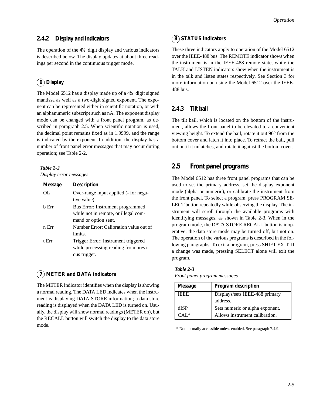### <span id="page-23-0"></span>**2.4.2 Display and indicators**

The operation of the 4½ digit display and various indicators is described below. The display updates at about three readings per second in the continuous trigger mode.

### **6 Display**

The Model 6512 has a display made up of a 4½ digit signed mantissa as well as a two-digit signed exponent. The exponent can be represented either in scientific notation, or with an alphanumeric subscript such as nA. The exponent display mode can be changed with a front panel program, as described in paragraph 2.5. When scientific notation is used, the decimal point remains fixed as in 1.9999, and the range is indicated by the exponent. In addition, the display has a number of front panel error messages that may occur during operation; see Table 2-2.

### *Table 2-2*

*Display error messages*

| Message | <b>Description</b>                     |  |
|---------|----------------------------------------|--|
| OL      | Over-range input applied (- for nega-  |  |
|         | tive value).                           |  |
| b Err   | Bus Error: Instrument programmed       |  |
|         | while not in remote, or illegal com-   |  |
|         | mand or option sent.                   |  |
| n Err   | Number Error: Calibration value out of |  |
|         | limits.                                |  |
| t Err   | Trigger Error: Instrument triggered    |  |
|         | while processing reading from previ-   |  |
|         | ous trigger.                           |  |

### **7 METER and DATA indicators**

The METER indicator identifies when the display is showing a normal reading. The DATA LED indicates when the instrument is displaying DATA STORE information; a data store reading is displayed when the DATA LED is turned on. Usually, the display will show normal readings (METER on), but the RECALL button will switch the display to the data store mode.

### **8 STATUS indicators**

These three indicators apply to operation of the Model 6512 over the IEEE-488 bus. The REMOTE indicator shows when the instrument is in the IEEE-488 remote state, while the TALK and LISTEN indicators show when the instrument is in the talk and listen states respectively. See Section 3 for more information on using the Model 6512 over the IEEE-488 bus.

### **2.4.3 Tilt bail**

The tilt bail, which is located on the bottom of the instrument, allows the front panel to be elevated to a convenient viewing height. To extend the bail, rotate it out 90° from the bottom cover and latch it into place. To retract the bail, pull out until it unlatches, and rotate it against the bottom cover.

### **2.5 Front panel programs**

The Model 6512 has three front panel programs that can be used to set the primary address, set the display exponent mode (alpha or numeric), or calibrate the instrument from the front panel. To select a program, press PROGRAM SE-LECT button repeatedly while observing the display. The instrument will scroll through the available programs with identifying messages, as shown in Table 2-3. When in the program mode, the DATA STORE RECALL button is inoperative; the data store mode may be turned off, but not on. The operation of the various programs is described in the following paragraphs. To exit a program, press SHIFT EXIT. If a change was made, pressing SELECT alone will exit the program.

### *Table 2-3*

*Front panel program messages*

| <b>Message</b>      | <b>Program description</b>                                        |
|---------------------|-------------------------------------------------------------------|
| <b>IEEE</b>         | Displays/sets IEEE-488 primary<br>address.                        |
| dISP<br>$CAI$ . $*$ | Sets numeric or alpha exponent.<br>Allows instrument calibration. |

\* Not normally accessible unless enabled. See paragraph 7.4.9.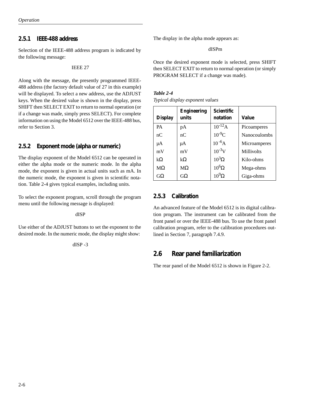### <span id="page-24-0"></span>**2.5.1 IEEE-488 address**

Selection of the IEEE-488 address program is indicated by the following message:

### IEEE 27

Along with the message, the presently programmed IEEE-488 address (the factory default value of 27 in this example) will be displayed. To select a new address, use the ADJUST keys. When the desired value is shown in the display, press SHIFT then SELECT EXIT to return to normal operation (or if a change was made, simply press SELECT). For complete information on using the Model 6512 over the IEEE-488 bus, refer to Section 3.

### **2.5.2 Exponent mode (alpha or numeric)**

The display exponent of the Model 6512 can be operated in either the alpha mode or the numeric mode. In the alpha mode, the exponent is given in actual units such as mA. In the numeric mode, the exponent is given in scientific notation. Table 2-4 gives typical examples, including units.

To select the exponent program, scroll through the program menu until the following message is displayed:

dISP

Use either of the ADJUST buttons to set the exponent to the desired mode. In the numeric mode, the display might show:

dISP -3

The display in the alpha mode appears as:

#### dISPm

Once the desired exponent mode is selected, press SHIFT then SELECT EXIT to return to normal operation (or simply PROGRAM SELECT if a change was made).

### *Table 2-4*

*Typical display exponent values*

| <b>Display</b> | <b>Engineering</b><br>units | <b>Scientific</b><br>notation | Value               |
|----------------|-----------------------------|-------------------------------|---------------------|
| <b>PA</b>      | рA                          | $10^{-12}A$                   | Picoamperes         |
| nC             | nC                          | $10^{-9}$ C                   | <b>Nanocoulombs</b> |
| μA             | μA                          | $10^{-6}A$                    | Microamperes        |
| mV             | mV                          | $10^{-3}$ V                   | Millivolts          |
| $k\Omega$      | $k\Omega$                   | $10^3\Omega$                  | Kilo-ohms           |
| $M\Omega$      | $M\Omega$                   | $10^6\Omega$                  | Mega-ohms           |
| $G\Omega$      | $G\Omega$                   | $10^9\Omega$                  | Giga-ohms           |

### **2.5.3 Calibration**

An advanced feature of the Model 6512 is its digital calibration program. The instrument can be calibrated from the front panel or over the IEEE-488 bus. To use the front panel calibration program, refer to the calibration procedures outlined in Section 7, paragraph 7.4.9.

### **2.6 Rear panel familiarization**

The rear panel of the Model 6512 is shown in Figure 2-2.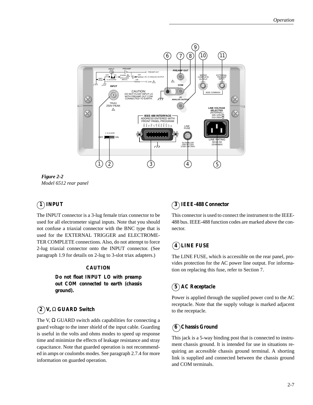<span id="page-25-0"></span>

*Figure 2-2 Model 6512 rear panel*

### $(1)$  **INPUT**

The INPUT connector is a 3-lug female triax connector to be used for all electrometer signal inputs. Note that you should not confuse a triaxial connector with the BNC type that is used for the EXTERNAL TRIGGER and ELECTROME-TER COMPLETE connections. Also, do not attempt to force 2-lug triaxial connector onto the INPUT connector. (See paragraph 1.9 for details on 2-lug to 3-slot triax adapters.)

### **CAUTION**

**Do not float INPUT LO with preamp out COM connected to earth (chassis ground).**

### **2 V,** Ω **GUARD Switch**

The V,  $\Omega$  GUARD switch adds capabilities for connecting a guard voltage to the inner shield of the input cable. Guarding is useful in the volts and ohms modes to speed up response time and minimize the effects of leakage resistance and stray capacitance. Note that guarded operation is not recommended in amps or coulombs modes. See paragraph 2.7.4 for more information on guarded operation.

### **3 IEEE-488 Connector**

This connector is used to connect the instrument to the IEEE-488 bus. IEEE-488 function codes are marked above the connector.

### **4 LINE FUSE**

The LINE FUSE, which is accessible on the rear panel, provides protection for the AC power line output. For information on replacing this fuse, refer to Section 7.

### **5 AC Receptacle**

Power is applied through the supplied power cord to the AC receptacle. Note that the supply voltage is marked adjacent to the receptacle.

### **6 Chassis Ground**

This jack is a 5-way binding post that is connected to instrument chassis ground. It is intended for use in situations requiring an accessible chassis ground terminal. A shorting link is supplied and connected between the chassis ground and COM terminals.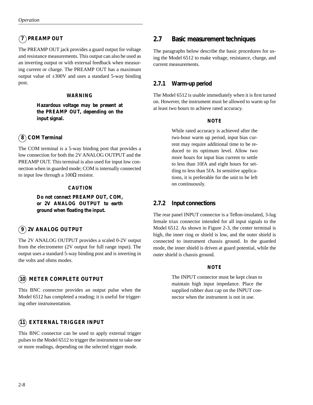### <span id="page-26-0"></span> **7 PREAMP OUT**

The PREAMP OUT jack provides a guard output for voltage and resistance measurements. This output can also be used as an inverting output or with external feedback when measuring current or charge. The PREAMP OUT has a maximum output value of  $\pm 300V$  and uses a standard 5-way binding post.

### **WARNING**

**Hazardous voltage may be present at the PREAMP OUT, depending on the input signal.**

### **8 COM Terminal**

The COM terminal is a 5-way binding post that provides a low connection for both the 2V ANALOG OUTPUT and the PREAMP OUT. This terminal is also used for input low connection when in guarded mode; COM is internally connected to input low through a  $100\Omega$  resistor.

### **CAUTION**

**Do not connect PREAMP OUT, COM, or 2V ANALOG OUTPUT to earth ground when floating the input.** 

### **9 2V ANALOG OUTPUT**

The 2V ANALOG OUTPUT provides a scaled 0-2V output from the electrometer (2V output for full range input). The output uses a standard 5-way binding post and is inverting in the volts and ohms modes.

### **10 METER COMPLETE OUTPUT**

This BNC connector provides an output pulse when the Model 6512 has completed a reading; it is useful for triggering other instrumentation.

### **11 EXTERNAL TRIGGER INPUT**

This BNC connector can be used to apply external trigger pulses to the Model 6512 to trigger the instrument to take one or more readings, depending on the selected trigger mode.

### **2.7 Basic measurement techniques**

The paragraphs below describe the basic procedures for using the Model 6512 to make voltage, resistance, charge, and current measurements.

### **2.7.1 Warm-up period**

The Model 6512 is usable immediately when it is first turned on. However, the instrument must be allowed to warm up for at least two hours to achieve rated accuracy.

### **NOTE**

While rated accuracy is achieved after the two-hour warm up period, input bias current may require additional time to be reduced to its optimum level. Allow two more hours for input bias current to settle to less than 10fA and eight hours for settling to less than 5fA. In sensitive applications, it is preferable for the unit to be left on continuously.

### **2.7.2 Input connections**

The rear panel INPUT connector is a Teflon-insulated, 3-lug female triax connector intended for all input signals to the Model 6512. As shown in Figure 2-3, the center terminal is high, the inner ring or shield is low, and the outer shield is connected to instrument chassis ground. In the guarded mode, the inner shield is driven at guard potential, while the outer shield is chassis ground.

### **NOTE**

The INPUT connector must be kept clean to maintain high input impedance. Place the supplied rubber dust cap on the INPUT connector when the instrument is not in use.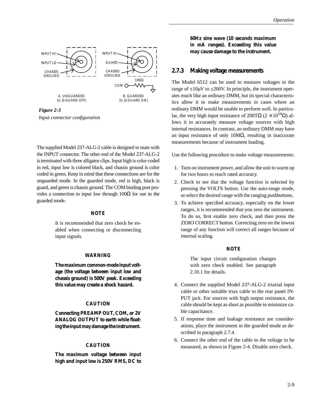<span id="page-27-0"></span>

*Figure 2-3 Input connector configuration*

The supplied Model 237-ALG-2 cable is designed to mate with the INPUT connector. The other end of the Model 237-ALG-2 is terminated with three alligator clips. Input high is color coded in red, input low is colored black, and chassis ground is color coded in green. Keep in mind that these connections are for the unguarded mode. In the guarded mode, red is high, black is guard, and green is chassis ground. The COM binding post provides a connection to input low through 100Ω for use in the guarded mode.

#### **NOTE**

It is recommended that zero check be enabled when connecting or disconnecting input signals.

#### **WARNING**

**The maximum common-mode input voltage (the voltage between input low and chassis ground) is 500V peak. Exceeding this value may create a shock hazard.** 

### **CAUTION**

**Connecting PREAMP OUT, COM, or 2V ANALOG OUTPUT to earth while floating the input may damage the instrument.** 

### **CAUTION**

**The maximum voltage between input high and input low is 250V RMS, DC to**

### **60Hz sine wave (10 seconds maximum in mA ranges). Exceeding this value may cause damage to the instrument.**

### **2.7.3 Making voltage measurements**

The Model 6512 can be used to measure voltages in the range of  $\pm 10\mu$ V to  $\pm 200$ V. In principle, the instrument operates much like an ordinary DMM, but its special characteristics allow it to make measurements in cases where an ordinary DMM would be unable to perform well. In particular, the very high input resistance of 200TΩ ( $2 \times 10^{14}$ Ω) allows it to accurately measure voltage sources with high internal resistances. In contrast, an ordinary DMM may have an input resistance of only 10MΩ, resulting in inaccurate measurements because of instrument loading.

Use the following procedure to make voltage measurements:

- 1. Turn on instrument power, and allow the unit to warm up for two hours to reach rated accuracy.
- 2. Check to see that the voltage function is selected by pressing the VOLTS button. Use the auto-range mode, or select the desired range with the ranging pushbuttons.
- 3. To achieve specified accuracy, especially on the lower ranges, it is recommended that you zero the instrument. To do so, first enable zero check, and then press the ZERO CORRECT button. Correcting zero on the lowest range of any function will correct all ranges because of internal scaling.

### **NOTE**

The input circuit configuration changes with zero check enabled. See paragraph 2.10.1 for details.

- 4. Connect the supplied Model 237-ALG-2 triaxial input cable or other suitable triax cable to the rear panel IN-PUT jack. For sources with high output resistance, the cable should be kept as short as possible to minimize cable capacitance.
- 5. If response time and leakage resistance are considerations, place the instrument in the guarded mode as described in paragraph 2.7.4.
- 6. Connect the other end of the cable to the voltage to be measured, as shown in Figure 2-4. Disable zero check.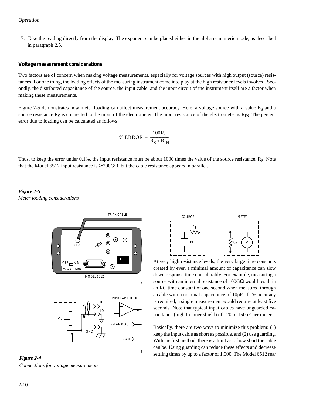<span id="page-28-0"></span>7. Take the reading directly from the display. The exponent can be placed either in the alpha or numeric mode, as described in paragraph 2.5.

#### **Voltage measurement considerations**

Two factors are of concern when making voltage measurements, especially for voltage sources with high output (source) resistances. For one thing, the loading effects of the measuring instrument come into play at the high resistance levels involved. Secondly, the distributed capacitance of the source, the input cable, and the input circuit of the instrument itself are a factor when making these measurements.

Figure 2-5 demonstrates how meter loading can affect measurement accuracy. Here, a voltage source with a value  $E_S$  and a source resistance  $R_S$  is connected to the input of the electrometer. The input resistance of the electrometer is  $R_{IN}$ . The percent error due to loading can be calculated as follows:

$$
\% \text{ ERROR} = \frac{100 \text{R}_{\text{S}}}{\text{R}_{\text{S}} + \text{R}_{\text{IN}}}
$$

Thus, to keep the error under  $0.1\%$ , the input resistance must be about 1000 times the value of the source resistance,  $R_S$ . Note that the Model 6512 input resistance is  $\geq$  200GΩ, but the cable resistance appears in parallel.





*Figure 2-4 Connections for voltage measurements*



At very high resistance levels, the very large time constants created by even a minimal amount of capacitance can slow down response time considerably. For example, measuring a source with an internal resistance of 100GΩ would result in an RC time constant of one second when measured through a cable with a nominal capacitance of 10pF. If 1% accuracy is required, a single measurement would require at least five seconds. Note that typical input cables have unguarded capacitance (high to inner shield) of 120 to 150pF per meter.

Basically, there are two ways to minimize this problem: (1) keep the input cable as short as possible, and (2) use guarding. With the first method, there is a limit as to how short the cable can be. Using guarding can reduce these effects and decrease settling times by up to a factor of 1,000. The Model 6512 rear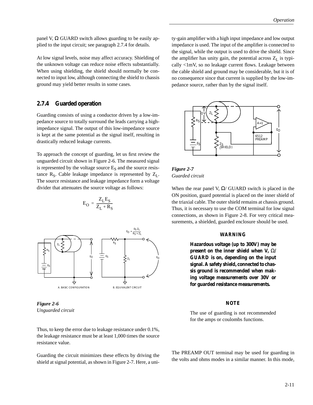<span id="page-29-0"></span>panel V,  $\Omega$  GUARD switch allows guarding to be easily applied to the input circuit; see paragraph 2.7.4 for details.

At low signal levels, noise may affect accuracy. Shielding of the unknown voltage can reduce noise effects substantially. When using shielding, the shield should normally be connected to input low, although connecting the shield to chassis ground may yield better results in some cases.

### **2.7.4 Guarded operation**

Guarding consists of using a conductor driven by a low-impedance source to totally surround the leads carrying a highimpedance signal. The output of this low-impedance source is kept at the same potential as the signal itself, resulting in drastically reduced leakage currents.

To approach the concept of guarding, let us first review the unguarded circuit shown in Figure 2-6. The measured signal is represented by the voltage source  $E<sub>S</sub>$  and the source resistance  $R_S$ . Cable leakage impedance is represented by  $Z_L$ . The source resistance and leakage impedance form a voltage divider that attenuates the source voltage as follows:

$$
E_O = \frac{Z_L E_S}{Z_L + R_S}
$$



*Figure 2-6 Unguarded circuit*

Thus, to keep the error due to leakage resistance under 0.1%, the leakage resistance must be at least 1,000 times the source resistance value.

Guarding the circuit minimizes these effects by driving the shield at signal potential, as shown in Figure 2-7. Here, a unity-gain amplifier with a high input impedance and low output impedance is used. The input of the amplifier is connected to the signal, while the output is used to drive the shield. Since the amplifier has unity gain, the potential across  $Z_L$  is typically <1mV, so no leakage current flows. Leakage between the cable shield and ground may be considerable, but it is of no consequence since that current is supplied by the low-impedance source, rather than by the signal itself.



*Figure 2-7 Guarded circuit*

When the rear panel V,  $\Omega$ / GUARD switch is placed in the ON position, guard potential is placed on the inner shield of the triaxial cable. The outer shield remains at chassis ground. Thus, it is necessary to use the COM terminal for low signal connections, as shown in Figure 2-8. For very critical measurements, a shielded, guarded enclosure should be used.

#### **WARNING**

**Hazardous voltage (up to 300V) may be present on the inner shield when V,** Ω**/ GUARD is on, depending on the input signal. A safety shield, connected to chassis ground is recommended when making voltage measurements over 30V or for guarded resistance measurements.** 

#### **NOTE**

The use of guarding is not recommended for the amps or coulombs functions.

The PREAMP OUT terminal may be used for guarding in the volts and ohms modes in a similar manner. In this mode,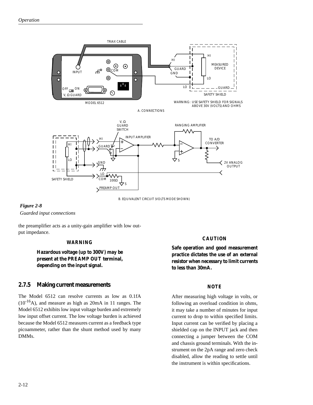<span id="page-30-0"></span>

B. EQUIVALENT CIRCUIT (VOLTS MODE SHOWN)

### *Figure 2-8*

*Guarded input connections*

the preamplifier acts as a unity-gain amplifier with low output impedance.

#### **WARNING**

### **Hazardous voltage (up to 300V) may be present at the PREAMP OUT terminal, depending on the input signal.**

### **2.7.5 Making current measurements**

The Model 6512 can resolve currents as low as 0.1fA  $(10^{-16}A)$ , and measure as high as 20mA in 11 ranges. The Model 6512 exhibits low input voltage burden and extremely low input offset current. The low voltage burden is achieved because the Model 6512 measures current as a feedback type picoammeter, rather than the shunt method used by many DMMs.

#### **CAUTION**

**Safe operation and good measurement practice dictates the use of an external resistor when necessary to limit currents to less than 30mA.**

#### **NOTE**

After measuring high voltage in volts, or following an overload condition in ohms, it may take a number of minutes for input current to drop to within specified limits. Input current can be verified by placing a shielded cap on the INPUT jack and then connecting a jumper between the COM and chassis ground terminals. With the instrument on the 2pA range and zero check disabled, allow the reading to settle until the instrument is within specifications.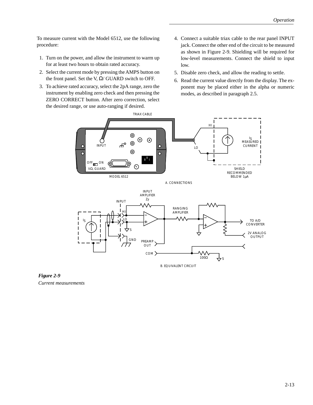<span id="page-31-0"></span>To measure current with the Model 6512, use the following procedure:

- 1. Turn on the power, and allow the instrument to warm up for at least two hours to obtain rated accuracy.
- 2. Select the current mode by pressing the AMPS button on the front panel. Set the V,  $\Omega$ / GUARD switch to OFF.
- 3. To achieve rated accuracy, select the 2pA range, zero the instrument by enabling zero check and then pressing the ZERO CORRECT button. After zero correction, select the desired range, or use auto-ranging if desired.
- 4. Connect a suitable triax cable to the rear panel INPUT jack. Connect the other end of the circuit to be measured as shown in Figure 2-9. Shielding will be required for low-level measurements. Connect the shield to input low.
- 5. Disable zero check, and allow the reading to settle.
- 6. Read the current value directly from the display. The exponent may be placed either in the alpha or numeric modes, as described in paragraph 2.5.





B. EQUIVALENT CIRCUIT

*Figure 2-9 Current measurements*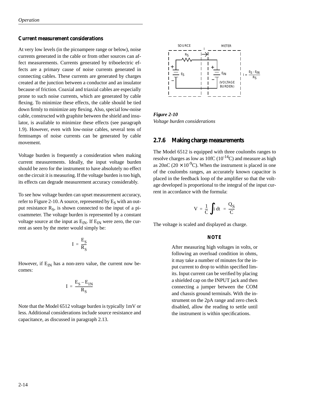#### <span id="page-32-0"></span>**Current measurement considerations**

At very low levels (in the picoampere range or below), noise currents generated in the cable or from other sources can affect measurements. Currents generated by triboelectric effects are a primary cause of noise currents generated in connecting cables. These currents are generated by charges created at the junction between a conductor and an insulator because of friction. Coaxial and triaxial cables are especially prone to such noise currents, which are generated by cable flexing. To minimize these effects, the cable should be tied down firmly to minimize any flexing. Also, special low-noise cable, constructed with graphite between the shield and insulator, is available to minimize these effects (see paragraph 1.9). However, even with low-noise cables, several tens of femtoamps of noise currents can be generated by cable movement.

Voltage burden is frequently a consideration when making current measurements. Ideally, the input voltage burden should be zero for the instrument to have absolutely no effect on the circuit it is measuring. If the voltage burden is too high, its effects can degrade measurement accuracy considerably.

To see how voltage burden can upset measurement accuracy, refer to Figure 2-10. A source, represented by  $E<sub>S</sub>$  with an output resistance  $R<sub>S</sub>$ , is shown connected to the input of a picoammeter. The voltage burden is represented by a constant voltage source at the input as  $E_{IN}$ . If  $E_{IN}$  were zero, the current as seen by the meter would simply be:

$$
I\,=\,\frac{E_S}{R_S}
$$

However, if  $E_{IN}$  has a non-zero value, the current now becomes:

$$
I\ =\ \frac{E_S-E_{IN}}{R_S}
$$

Note that the Model 6512 voltage burden is typically 1mV or less. Additional considerations include source resistance and capacitance, as discussed in paragraph 2.13.



*Figure 2-10 Voltage burden considerations*

### **2.7.6 Making charge measurements**

The Model 6512 is equipped with three coulombs ranges to resolve charges as low as 10fC ( $10^{-14}$ C) and measure as high as  $20nC (20 \times 10^{-9}C)$ . When the instrument is placed in one of the coulombs ranges, an accurately known capacitor is placed in the feedback loop of the amplifier so that the voltage developed is proportional to the integral of the input current in accordance with the formula:

$$
V = \frac{1}{C} \int i \, dt = \frac{Q_S}{C}
$$

The voltage is scaled and displayed as charge.

#### **NOTE**

After measuring high voltages in volts, or following an overload condition in ohms, it may take a number of minutes for the input current to drop to within specified limits. Input current can be verified by placing a shielded cap on the INPUT jack and then connecting a jumper between the COM and chassis ground terminals. With the instrument on the 2pA range and zero check disabled, allow the reading to settle until the instrument is within specifications.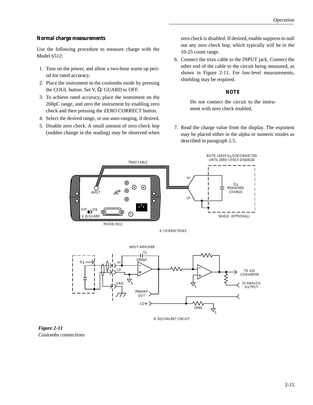### <span id="page-33-0"></span>**Normal charge measurements**

Use the following procedure to measure charge with the Model 6512:

- 1. Turn on the power, and allow a two-hour warm up period for rated accuracy.
- 2. Place the instrument in the coulombs mode by pressing the COUL button. Set V,  $\Omega$ / GUARD to OFF.
- 3. To achieve rated accuracy, place the instrument on the 200pC range, and zero the instrument by enabling zero check and then pressing the ZERO CORRECT button.
- 4. Select the desired range, or use auto-ranging, if desired.
- 5. Disable zero check. A small amount of zero check hop (sudden change in the reading) may be observed when

zero check is disabled. If desired, enable suppress to null out any zero check hop, which typically will be in the 10-25 count range.

6. Connect the triax cable to the INPUT jack. Connect the other end of the cable to the circuit being measured, as shown in Figure 2-11. For low-level measurements, shielding may be required.

### **NOTE**

Do not connect the circuit to the instrument with zero check enabled.

7. Read the charge value from the display. The exponent may be placed either in the alpha or numeric modes as described in paragraph 2.5.







B. EQUIVALENT CIRCUIT

*Figure 2-11 Coulombs connections*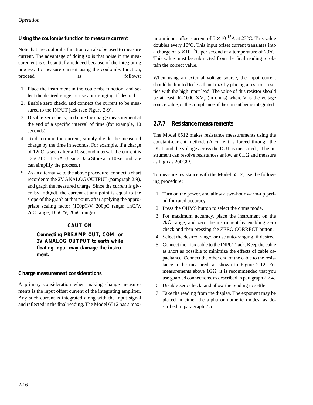### <span id="page-34-0"></span>**Using the coulombs function to measure current**

Note that the coulombs function can also be used to measure current. The advantage of doing so is that noise in the measurement is substantially reduced because of the integrating process. To measure current using the coulombs function, proceed as follows:

- 1. Place the instrument in the coulombs function, and select the desired range, or use auto-ranging, if desired.
- 2. Enable zero check, and connect the current to be measured to the INPUT jack (see Figure 2-9).
- 3. Disable zero check, and note the charge measurement at the end of a specific interval of time (for example, 10 seconds).
- 4. To determine the current, simply divide the measured charge by the time in seconds. For example, if a charge of 12nC is seen after a 10-second interval, the current is  $12nC/10 = 1.2nA$ . (Using Data Store at a 10-second rate can simplify the process.)
- 5. As an alternative to the above procedure, connect a chart recorder to the 2V ANALOG OUTPUT (paragraph 2.9), and graph the measured charge. Since the current is given by I=dQ/dt, the current at any point is equal to the slope of the graph at that point, after applying the appropriate scaling factor (100pC/V, 200pC range; 1nC/V, 2nC range; 10nC/V, 20nC range).

### **CAUTION**

### **Connecting PREAMP OUT, COM, or 2V ANALOG OUTPUT to earth while floating input may damage the instrument.**

### **Charge measurement considerations**

A primary consideration when making change measurements is the input offset current of the integrating amplifier. Any such current is integrated along with the input signal and reflected in the final reading. The Model 6512 has a maximum input offset current of  $5 \times 10^{-15}$ A at 23°C. This value doubles every 10°C. This input offset current translates into a charge of  $5 \times 10^{-15}$ C per second at a temperature of 23<sup>o</sup>C. This value must be subtracted from the final reading to obtain the correct value.

When using an external voltage source, the input current should be limited to less than 1mA by placing a resistor in series with the high input lead. The value of this resistor should be at least:  $R=1000 \times V_S$  (in ohms) where V is the voltage source value, or the compliance of the current being integrated.

### **2.7.7 Resistance measurements**

The Model 6512 makes resistance measurements using the constant-current method. (A current is forced through the DUT, and the voltage across the DUT is measured.). The instrument can resolve resistances as low as  $0.1\Omega$  and measure as high as  $200$ GΩ.

To measure resistance with the Model 6512, use the following procedure:

- 1. Turn on the power, and allow a two-hour warm-up period for rated accuracy.
- 2. Press the OHMS button to select the ohms mode.
- 3. For maximum accuracy, place the instrument on the 2k $\Omega$  range, and zero the instrument by enabling zero check and then pressing the ZERO CORRECT button.
- 4. Select the desired range, or use auto-ranging, if desired.
- 5. Connect the triax cable to the INPUT jack. Keep the cable as short as possible to minimize the effects of cable capacitance. Connect the other end of the cable to the resistance to be measured, as shown in Figure 2-12. For measurements above 1G $\Omega$ , it is recommended that you use guarded connections, as described in paragraph 2.7.4.
- 6. Disable zero check, and allow the reading to settle.
- 7. Take the reading from the display. The exponent may be placed in either the alpha or numeric modes, as described in paragraph 2.5.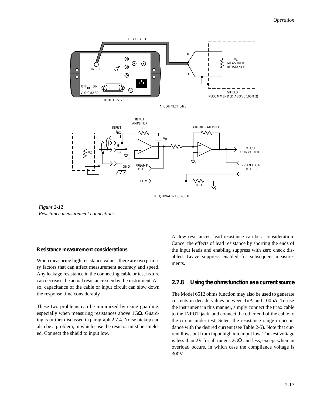<span id="page-35-0"></span>





*Figure 2-12 Resistance measurement connections*

#### **Resistance measurement considerations**

When measuring high resistance values, there are two primary factors that can affect measurement accuracy and speed. Any leakage resistance in the connecting cable or test fixture can decrease the actual resistance seen by the instrument. Also, capacitance of the cable or input circuit can slow down the response time considerably.

These two problems can be minimized by using guarding, especially when measuring resistances above 1GΩ. Guarding is further discussed in paragraph 2.7.4. Noise pickup can also be a problem, in which case the resistor must be shielded. Connect the shield to input low.

At low resistances, lead resistance can be a consideration. Cancel the effects of lead resistance by shorting the ends of the input leads and enabling suppress with zero check disabled. Leave suppress enabled for subsequent measurements.

### **2.7.8 Using the ohms function as a current source**

The Model 6512 ohms function may also be used to generate currents in decade values between 1nA and 100µA. To use the instrument in this manner, simply connect the triax cable to the INPUT jack, and connect the other end of the cable to the circuit under test. Select the resistance range in accordance with the desired current (see Table 2-5). Note that current flows out from input high into input low. The test voltage is less than 2V for all ranges  $2G\Omega$  and less, except when an overload occurs, in which case the compliance voltage is 300V.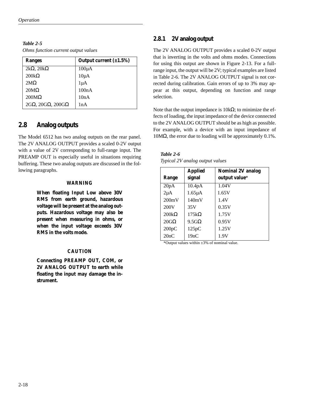## *Table 2-5 Ohms function current output values*

| <b>Ranges</b>                           | Output current $(\pm 1.5\%)$ |
|-----------------------------------------|------------------------------|
| $2k\Omega$ , $20k\Omega$                | $100\mu A$                   |
| $200k\Omega$                            | $10\mu A$                    |
| $2\text{M}\Omega$                       | 1μA                          |
| $20M\Omega$                             | 100nA                        |
| $200M\Omega$                            | 10nA                         |
| $2G\Omega$ , $20G\Omega$ , $200G\Omega$ | 1nA                          |

# **2.8 Analog outputs**

The Model 6512 has two analog outputs on the rear panel. The 2V ANALOG OUTPUT provides a scaled 0-2V output with a value of 2V corresponding to full-range input. The PREAMP OUT is especially useful in situations requiring buffering. These two analog outputs are discussed in the following paragraphs.

## **WARNING**

**When floating Input Low above 30V RMS from earth ground, hazardous voltage will be present at the analog outputs. Hazardous voltage may also be present when measuring in ohms, or when the input voltage exceeds 30V RMS in the volts mode.**

## **CAUTION**

**Connecting PREAMP OUT, COM, or 2V ANALOG OUTPUT to earth while floating the input may damage the instrument.**

## **2.8.1 2V analog output**

The 2V ANALOG OUTPUT provides a scaled 0-2V output that is inverting in the volts and ohms modes. Connections for using this output are shown in Figure 2-13. For a fullrange input, the output will be 2V; typical examples are listed in Table 2-6. The 2V ANALOG OUTPUT signal is not corrected during calibration. Gain errors of up to 3% may appear at this output, depending on function and range selection.

Note that the output impedance is  $10kΩ$ ; to minimize the effects of loading, the input impedance of the device connected to the 2V ANALOG OUTPUT should be as high as possible. For example, with a device with an input impedance of 10MΩ, the error due to loading will be approximately  $0.1\%$ .

## *Table 2-6*

*Typical 2V analog output values*

| Range        | <b>Applied</b><br>signal | <b>Nominal 2V analog</b><br>output value* |
|--------------|--------------------------|-------------------------------------------|
| 20pA         | 10.4 <sub>p</sub> A      | 1.04V                                     |
| $2\mu A$     | $1.65\mu A$              | 1.65V                                     |
| 200mV        | 140mV                    | 1.4V                                      |
| 200V         | 35V                      | 0.35V                                     |
| $200k\Omega$ | $175k\Omega$             | 1.75V                                     |
| $20G\Omega$  | $9.5G\Omega$             | 0.95V                                     |
| 200pC        | 125pC                    | 1.25V                                     |
| 20nC         | 19nC                     | 1.9V                                      |

\*Output values within  $\pm 3\%$  of nominal value.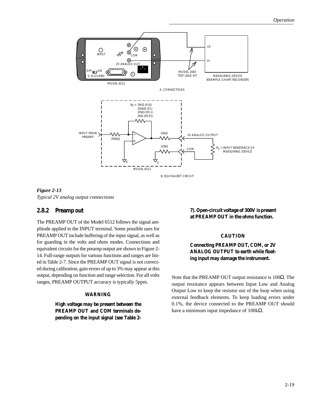

*Figure 2-13 Typical 2V analog output connections*

## **2.8.2 Preamp out**

The PREAMP OUT of the Model 6512 follows the signal amplitude applied to the INPUT terminal. Some possible uses for PREAMP OUT include buffering of the input signal, as well as for guarding in the volts and ohms modes. Connections and equivalent circuits for the preamp output are shown in Figure 2- 14. Full-range outputs for various functions and ranges are listed in Table 2-7. Since the PREAMP OUT signal is not corrected during calibration, gain errors of up to 3% may appear at this output, depending on function and range selection. For all volts ranges, PREAMP OUTPUT accuracy is typically 5ppm.

## **WARNING**

**High voltage may be present between the PREAMP OUT and COM terminals depending on the input signal (see Table 2-** **7). Open-circuit voltage of 300V is present at PREAMP OUT in the ohms function.** 

## **CAUTION**

## **Connecting PREAMP OUT, COM, or 2V ANALOG OUTPUT to earth while floating input may damage the instrument.**

Note that the PREAMP OUT output resistance is  $100Ω$ . The output resistance appears between Input Low and Analog Output Low to keep the resistor out of the loop when using external feedback elements. To keep loading errors under 0.1%, the device connected to the PREAMP OUT should have a minimum input impedance of  $100<sub>k</sub>Ω$ .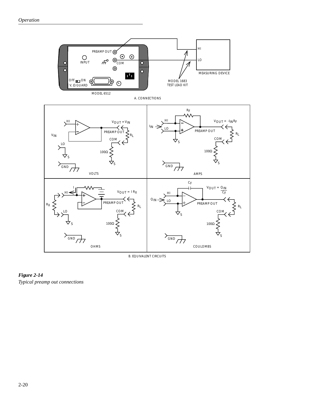

B. EQUIVALENT CIRCUITS

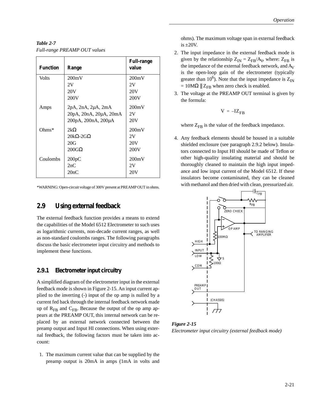#### *Table 2-7 Full-range PREAMP OUT values*

| <b>Function</b> | Range                  | <b>Full-range</b><br>value |
|-----------------|------------------------|----------------------------|
| Volts           | 200mV                  | 200mV                      |
|                 | 2V                     | 2V                         |
|                 | 20V                    | 20V                        |
|                 | 200V                   | 200V                       |
| Amps            | 2pA, 2nA, 2µA, 2mA     | 200mV                      |
|                 | 20pA, 20nA, 20µA, 20mA | 2V                         |
|                 | 200pA, 200nA, 200µA    | 20V                        |
| Ohms*           | $2k\Omega$             | 200mV                      |
|                 | $20k\Omega - 2G\Omega$ | 2V                         |
|                 | 20G                    | 20 <sub>V</sub>            |
|                 | $200G\Omega$           | 200V                       |
| Coulombs        | 200pC                  | 200mV                      |
|                 | 2nC                    | 2V                         |
|                 | 20nC                   | 20V                        |

\*WARNING: Open-circuit voltage of 300V present at PREAMP OUT in ohms.

# **2.9 Using external feedback**

The external feedback function provides a means to extend the capabilities of the Model 6512 Electrometer to such uses as logarithmic currents, non-decade current ranges, as well as non-standard coulombs ranges. The following paragraphs discuss the basic electrometer input circuitry and methods to implement these functions.

## **2.9.1 Electrometer input circuitry**

A simplified diagram of the electrometer input in the external feedback mode is shown in Figure 2-15. An input current applied to the inverting (-) input of the op amp is nulled by a current fed back through the internal feedback network made up of  $R_{FR}$  and  $C_{FR}$ . Because the output of the op amp appears at the PREAMP OUT, this internal network can be replaced by an external network connected between the preamp output and Input HI connections. When using external feedback, the following factors must be taken into account:

1. The maximum current value that can be supplied by the preamp output is 20mA in amps (1mA in volts and ohms). The maximum voltage span in external feedback is  $\pm 20V$ .

- 2. The input impedance in the external feedback mode is given by the relationship  $Z_{IN} = Z_{FB}/A_V$ , where:  $Z_{FB}$  is the impedance of the external feedback network, and  $A_V$ is the open-loop gain of the electrometer (typically greater than 10<sup>6</sup>). Note that the input impedance is  $Z_{IN}$ = 10M $\Omega$  ||  $Z_{FB}$  when zero check is enabled.
- 3. The voltage at the PREAMP OUT terminal is given by the formula:

$$
V\,=\,-I Z_{FB}
$$

where  $Z_{FB}$  is the value of the feedback impedance.

4. Any feedback elements should be housed in a suitable shielded enclosure (see paragraph 2.9.2 below). Insulators connected to Input HI should be made of Teflon or other high-quality insulating material and should be thoroughly cleaned to maintain the high input impedance and low input current of the Model 6512. If these insulators become contaminated, they can be cleaned with methanol and then dried with clean, pressurized air.



*Figure 2-15 Electrometer input circuitry (external feedback mode)*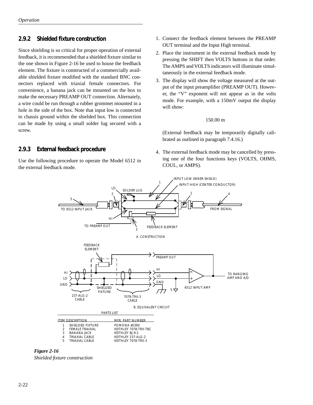## **2.9.2 Shielded fixture construction**

Since shielding is so critical for proper operation of external feedback, it is recommended that a shielded fixture similar to the one shown in Figure 2-16 be used to house the feedback element. The fixture is constructed of a commercially available shielded fixture modified with the standard BNC connectors replaced with triaxial female connectors. For convenience, a banana jack can be mounted on the box to make the necessary PREAMP OUT connection. Alternately, a wire could be run through a rubber grommet mounted in a hole in the side of the box. Note that input low is connected to chassis ground within the shielded box. This connection can be made by using a small solder lug secured with a screw.

## **2.9.3 External feedback procedure**

Use the following procedure to operate the Model 6512 in the external feedback mode.

- 1. Connect the feedback element between the PREAMP OUT terminal and the Input High terminal.
- 2. Place the instrument in the external feedback mode by pressing the SHIFT then VOLTS buttons in that order. The AMPS and VOLTS indicators will illuminate simultaneously in the external feedback mode.
- 3. The display will show the voltage measured at the output of the input preamplifier (PREAMP OUT). However, the "V" exponent will not appear as in the volts mode. For example, with a 150mV output the display will show:

#### 150.00 m

(External feedback may be temporarily digitally calibrated as outlined in paragraph 7.4.16.)

4. The external feedback mode may be cancelled by pressing one of the four functions keys (VOLTS, OHMS, COUL, or AMPS).



5 TRIAXIAL CABLE KEITHLEY 7078-TRX-3

*Figure 2-16*

*Shielded fixture construction*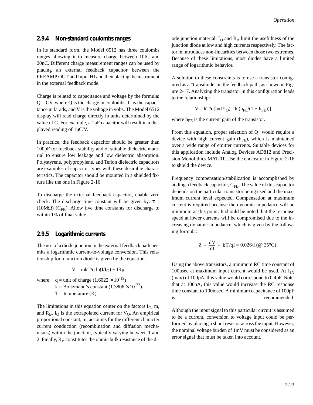## **2.9.4 Non-standard coulombs ranges**

In its standard form, the Model 6512 has three coulombs ranges allowing it to measure charge between 10fC and 20nC. Different charge measurement ranges can be used by placing an external feedback capacitor between the PREAMP OUT and Input HI and then placing the instrument in the external feedback mode.

Charge is related to capacitance and voltage by the formula:  $Q = CV$ , where Q is the charge in coulombs, C is the capacitance in farads, and V is the voltage in volts. The Model 6512 display will read charge directly in units determined by the value of C. For example, a 1µF capacitor will result in a displayed reading of 1µC/V.

In practice, the feedback capacitor should be greater than 100pF for feedback stability and of suitable dielectric material to ensure low leakage and low dielectric absorption. Polystyrene, polypropylene, and Teflon dielectric capacitors are examples of capacitor types with these desirable characteristics. The capacitor should be mounted in a shielded fixture like the one in Figure 2-16.

To discharge the external feedback capacitor, enable zero check. The discharge time constant will be given by:  $\tau =$ (10M $\Omega$ ) (C<sub>FB</sub>). Allow five time constants for discharge to within 1% of final value.

## **2.9.5 Logarithmic currents**

The use of a diode junction in the external feedback path permits a logarithmic current-to-voltage conversion. This relationship for a junction diode is given by the equation:

$$
V = mkT/q \ ln(I/I_O) + IR_B
$$

where:  $q =$  unit of charge  $(1.6022 \times 10^{-19})$ k = Boltzmann's constant  $(1.3806 \times 10^{-23})$  $T =$  temperature  $(K)$ .

The limitations in this equation center on the factors  $I<sub>O</sub>$ , m, and  $R_B$ . I<sub>O</sub> is the extrapolated current for  $V_O$ . An empirical proportional constant, m, accounts for the different character current conduction (recombination and diffusion mechanisms) within the junction, typically varying between 1 and 2. Finally,  $R_B$  constitutes the ohmic bulk resistance of the di-

ode junction material.  $I_{O}$  and  $R_{B}$  limit the usefulness of the junction diode at low and high currents respectively. The factor m introduces non-linearities between those two extremes. Because of these limitations, most diodes have a limited range of logarithmic behavior.

A solution to these constraints is to use a transistor configured as a "transdiode" in the feedback path, as shown in Figure 2-17. Analyzing the transistor in this configuration leads to the relationship:

$$
V = kT/q[\ln(I/I_O) - \ln(h_{FE}/(1 + h_{FE}))]
$$

where  $h_{FE}$  is the current gain of the transistor.

From this equation, proper selection of  $Q_1$  would require a device with high current gain  $(h_{\text{FE}})$ , which is maintained over a wide range of emitter currents. Suitable devices for this application include Analog Devices AD812 and Precision Monolithics MAT-01. Use the enclosure in Figure 2-16 to shield the device.

Frequency compensation/stabilization is accomplished by adding a feedback capacitor,  $C_{FB}$ . The value of this capacitor depends on the particular transistor being used and the maximum current level expected. Compensation at maximum current is required because the dynamic impedance will be minimum at this point. It should be noted that the response speed at lower currents will be compromised due to the increasing dynamic impedance, which is given by the following formula:

$$
Z = \frac{dV}{dI} = kT/qI = 0.026/I (@ 25°C)
$$

Using the above transistors, a minimum RC time constant of 100 $\mu$ sec at maximum input current would be used. At  $I_{IN}$ (max) of 100µA, this value would correspond to 0.4µF. Note that at 100nA, this value would increase the RC response time constant to 100msec. A minimum capacitance of 100pF is recommended.

Although the input signal to this particular circuit is assumed to be a current, conversion to voltage input could be performed by placing a shunt resistor across the input. However, the nominal voltage burden of 1mV must be considered as an error signal that must be taken into account.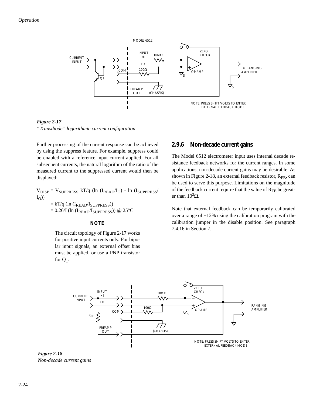

#### *Figure 2-17*

*"Transdiode" logarithmic current configuration*

Further processing of the current response can be achieved by using the suppress feature. For example, suppress could be enabled with a reference input current applied. For all subsequent currents, the natural logarithm of the ratio of the measured current to the suppressed current would then be displayed:

 $V_{\text{DISP}} = V_{\text{SUPPRESS}}$  kT/q (ln  $(I_{\text{READ}}/I_{\text{O}})$  - ln  $(I_{\text{SUPPRESS}}/I_{\text{O}})$  $I_{\Omega}$ )

 $=$  kT/q (ln (I<sub>READ</sub>/I<sub>SUPPRESS</sub>))

 $= 0.26$ /I (ln (I<sub>READ</sub>/I<sub>SUPPRESS</sub>)) @ 25<sup>o</sup>C

#### **NOTE**

The circuit topology of Figure 2-17 works for positive input currents only. For bipolar input signals, an external offset bias must be applied, or use a PNP transistor for  $Q_1$ .

## **2.9.6 Non-decade current gains**

The Model 6512 electrometer input uses internal decade resistance feedback networks for the current ranges. In some applications, non-decade current gains may be desirable. As shown in Figure 2-18, an external feedback resistor,  $R_{FB}$ , can be used to serve this purpose. Limitations on the magnitude of the feedback current require that the value of  $R_{FB}$  be greater than  $10^2$ Ω.

Note that external feedback can be temporarily calibrated over a range of  $\pm 12\%$  using the calibration program with the calibration jumper in the disable position. See paragraph 7.4.16 in Section 7.



*Figure 2-18 Non-decade current gains*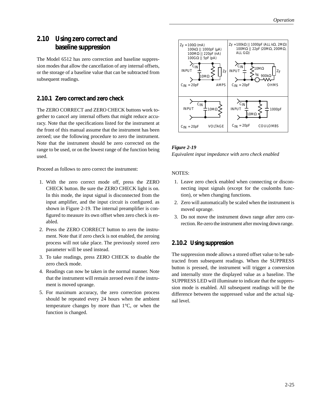# **2.10 Using zero correct and baseline suppression**

The Model 6512 has zero correction and baseline suppression modes that allow the cancellation of any internal offsets, or the storage of a baseline value that can be subtracted from subsequent readings.

## **2.10.1 Zero correct and zero check**

The ZERO CORRECT and ZERO CHECK buttons work together to cancel any internal offsets that might reduce accuracy. Note that the specifications listed for the instrument at the front of this manual assume that the instrument has been zeroed; use the following procedure to zero the instrument. Note that the instrument should be zero corrected on the range to be used, or on the lowest range of the function being used.

Proceed as follows to zero correct the instrument:

- 1. With the zero correct mode off, press the ZERO CHECK button. Be sure the ZERO CHECK light is on. In this mode, the input signal is disconnected from the input amplifier, and the input circuit is configured. as shown in Figure 2-19. The internal preamplifier is configured to measure its own offset when zero check is enabled.
- 2. Press the ZERO CORRECT button to zero the instrument. Note that if zero check is not enabled, the zeroing process will not take place. The previously stored zero parameter will be used instead.
- 3. To take readings, press ZERO CHECK to disable the zero check mode.
- 4. Readings can now be taken in the normal manner. Note that the instrument will remain zeroed even if the instrument is moved uprange.
- 5. For maximum accuracy, the zero correction process should be repeated every 24 hours when the ambient temperature changes by more than 1°C, or when the function is changed.



*Figure 2-19*

*Equivalent input impedance with zero check enabled*

#### NOTES:

- 1. Leave zero check enabled when connecting or disconnecting input signals (except for the coulombs function), or when changing functions.
- 2. Zero will automatically be scaled when the instrument is moved uprange.
- 3. Do not move the instrument down range after zero correction. Re-zero the instrument after moving down range.

## **2.10.2 Using suppression**

The suppression mode allows a stored offset value to be subtracted from subsequent readings. When the SUPPRESS button is pressed, the instrument will trigger a conversion and internally store the displayed value as a baseline. The SUPPRESS LED will illuminate to indicate that the suppression mode is enabled. All subsequent readings will be the difference between the suppressed value and the actual signal level.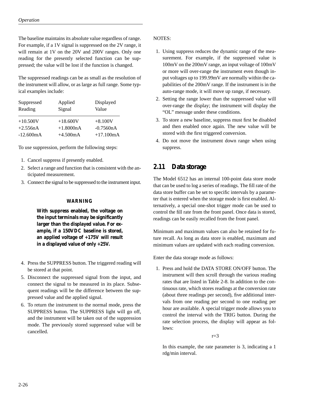The baseline maintains its absolute value regardless of range. For example, if a 1V signal is suppressed on the 2V range, it will remain at 1V on the 20V and 200V ranges. Only one reading for the presently selected function can be suppressed; the value will be lost if the function is changed.

The suppressed readings can be as small as the resolution of the instrument will allow, or as large as full range. Some typical examples include:

| Suppressed  | Applied     | Displayed   |
|-------------|-------------|-------------|
| Reading     | Signal      | Value       |
| $+10.500V$  | $+18.600V$  | $+8.100V$   |
| $+2.556nA$  | $+1.8000nA$ | $-0.7560nA$ |
| $-12.600mA$ | $+4.500mA$  | $+17.100mA$ |

To use suppression, perform the following steps:

- 1. Cancel suppress if presently enabled.
- 2. Select a range and function that is consistent with the anticipated measurement.
- 3. Connect the signal to be suppressed to the instrument input.

#### **WARNING**

**With suppress enabled, the voltage on the input terminals may be significantly larger than the displayed value. For example, if a 150VDC baseline is stored, an applied voltage of +175V will result in a displayed value of only +25V.**

- 4. Press the SUPPRESS button. The triggered reading will be stored at that point.
- 5. Disconnect the suppressed signal from the input, and connect the signal to be measured in its place. Subsequent readings will be the difference between the suppressed value and the applied signal.
- 6. To return the instrument to the normal mode, press the SUPPRESS button. The SUPPRESS light will go off, and the instrument will be taken out of the suppression mode. The previously stored suppressed value will be cancelled.

#### NOTES:

- 1. Using suppress reduces the dynamic range of the measurement. For example, if the suppressed value is 100mV on the 200mV range, an input voltage of 100mV or more will over-range the instrument even though input voltages up to 199.99mV are normally within the capabilities of the 200mV range. If the instrument is in the auto-range mode, it will move up range, if necessary.
- 2. Setting the range lower than the suppressed value will over-range the display; the instrument will display the "OL" message under these conditions.
- 3. To store a new baseline, suppress must first be disabled and then enabled once again. The new value will be stored with the first triggered conversion.
- 4. Do not move the instrument down range when using suppress.

# **2.11 Data storage**

The Model 6512 has an internal 100-point data store mode that can be used to log a series of readings. The fill rate of the data store buffer can be set to specific intervals by a parameter that is entered when the storage mode is first enabled. Alternatively, a special one-shot trigger mode can be used to control the fill rate from the front panel. Once data is stored, readings can be easily recalled from the front panel.

Minimum and maximum values can also be retained for future recall. As long as data store is enabled, maximum and minimum values are updated with each reading conversion.

Enter the data storage mode as follows:

1. Press and hold the DATA STORE ON/OFF button. The instrument will then scroll through the various reading rates that are listed in Table 2-8. In addition to the continuous rate, which stores readings at the conversion rate (about three readings per second), five additional intervals from one reading per second to one reading per hour are available. A special trigger mode allows you to control the interval with the TRIG button. During the rate selection process, the display will appear as follows:

 $r=3$ 

In this example, the rate parameter is 3, indicating a 1 rdg/min interval.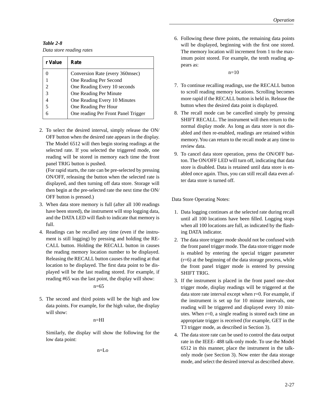#### *Table 2-8*

*Data store reading rates*

| r Value  | Rate                                |
|----------|-------------------------------------|
| $\Omega$ | Conversion Rate (every 360msec)     |
|          | One Reading Per Second              |
| 2        | One Reading Every 10 seconds        |
| 3        | One Reading Per Minute              |
| 4        | One Reading Every 10 Minutes        |
| 5        | One Reading Per Hour                |
| 6        | One reading Per Front Panel Trigger |
|          |                                     |

2. To select the desired interval, simply release the ON/ OFF button when the desired rate appears in the display. The Model 6512 will then begin storing readings at the selected rate. If you selected the triggered mode, one reading will be stored in memory each time the front panel TRIG button is pushed.

(For rapid starts, the rate can be pre-selected by pressing ON/OFF, releasing the button when the selected rate is displayed, and then turning off data store. Storage will then begin at the pre-selected rate the next time the ON/ OFF button is pressed.)

- 3. When data store memory is full (after all 100 readings have been stored), the instrument will stop logging data, and the DATA LED will flash to indicate that memory is full.
- 4. Readings can be recalled any time (even if the instrument is still logging) by pressing and holding the RE-CALL button. Holding the RECALL button in causes the reading memory location number to be displayed. Releasing the RECALL button causes the reading at that location to be displayed. The first data point to be displayed will be the last reading stored. For example, if reading #65 was the last point, the display will show:

#### n=65

5. The second and third points will be the high and low data points. For example, for the high value, the display will show:

#### n=HI

Similarly, the display will show the following for the low data point:

#### n=Lo

6. Following these three points, the remaining data points will be displayed, beginning with the first one stored. The memory location will increment from 1 to the maximum point stored. For example, the tenth reading appears as:

n=10

- 7. To continue recalling readings, use the RECALL button to scroll reading memory locations. Scrolling becomes more rapid if the RECALL button is held in. Release the button when the desired data point is displayed.
- 8. The recall mode can be cancelled simply by pressing SHIFT RECALL. The instrument will then return to the normal display mode. As long as data store is not disabled and then re-enabled, readings are retained within memory. You can return to the recall mode at any time to review data.
- 9. To cancel data store operation, press the ON/OFF button. The ON/OFF LED will turn off, indicating that data store is disabled. Data is retained until data store is enabled once again. Thus, you can still recall data even after data store is turned off.

Data Store Operating Notes:

- 1. Data logging continues at the selected rate during recall until all 100 locations have been filled. Logging stops when all 100 locations are full, as indicated by the flashing DATA indicator.
- 2. The data store trigger mode should not be confused with the front panel trigger mode. The data store trigger mode is enabled by entering the special trigger parameter (r=6) at the beginning of the data storage process, while the front panel trigger mode is entered by pressing SHIFT TRIG.
- 3. If the instrument is placed in the front panel one-shot trigger mode, display readings will be triggered at the data store rate interval except when r=0. For example, if the instrument is set up for 10 minute intervals, one reading will be triggered and displayed every 10 minutes. When r=0, a single reading is stored each time an appropriate trigger is received (for example, GET in the T3 trigger mode, as described in Section 3).
- 4. The data store rate can be used to control the data output rate in the IEEE- 488 talk-only mode. To use the Model 6512 in this manner, place the instrument in the talkonly mode (see Section 3). Now enter the data storage mode, and select the desired interval as described above.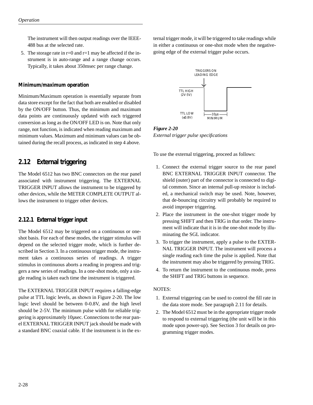The instrument will then output readings over the IEEE-488 bus at the selected rate.

5. The storage rate in  $r=0$  and  $r=1$  may be affected if the instrument is in auto-range and a range change occurs. Typically, it takes about 350msec per range change.

### **Minimum/maximum operation**

Minimum/Maximum operation is essentially separate from data store except for the fact that both are enabled or disabled by the ON/OFF button. Thus, the minimum and maximum data points are continuously updated with each triggered conversion as long as the ON/OFF LED is on. Note that only range, not function, is indicated when reading maximum and minimum values. Maximum and minimum values can be obtained during the recall process, as indicated in step 4 above.

# **2.12 External triggering**

The Model 6512 has two BNC connectors on the rear panel associated with instrument triggering. The EXTERNAL TRIGGER INPUT allows the instrument to be triggered by other devices, while the METER COMPLETE OUTPUT allows the instrument to trigger other devices.

## **2.12.1 External trigger input**

The Model 6512 may be triggered on a continuous or oneshot basis. For each of these modes, the trigger stimulus will depend on the selected trigger mode, which is further described in Section 3. In a continuous trigger mode, the instrument takes a continuous series of readings. A trigger stimulus in continuous aborts a reading in progress and triggers a new series of readings. In a one-shot mode, only a single reading is taken each time the instrument is triggered.

The EXTERNAL TRIGGER INPUT requires a falling-edge pulse at TTL logic levels, as shown in Figure 2-20. The low logic level should be between 0-0.8V, and the high level should be 2-5V. The minimum pulse width for reliable triggering is approximately 10µsec. Connections to the rear panel EXTERNAL TRIGGER INPUT jack should be made with a standard BNC coaxial cable. If the instrument is in the external trigger mode, it will be triggered to take readings while in either a continuous or one-shot mode when the negativegoing edge of the external trigger pulse occurs.



*Figure 2-20 External trigger pulse specifications*

To use the external triggering, proceed as follows:

- 1. Connect the external trigger source to the rear panel BNC EXTERNAL TRIGGER INPUT connector. The shield (outer) part of the connector is connected to digital common. Since an internal pull-up resistor is included, a mechanical switch may be used. Note, however, that de-bouncing circuitry will probably be required to avoid improper triggering.
- 2. Place the instrument in the one-shot trigger mode by pressing SHIFT and then TRlG in that order. The instrument will indicate that it is in the one-shot mode by illuminating the SGL indicator.
- 3. To trigger the instrument, apply a pulse to the EXTER-NAL TRIGGER INPUT. The instrument will process a single reading each time the pulse is applied. Note that the instrument may also be triggered by pressing TRIG.
- 4. To return the instrument to the continuous mode, press the SHIFT and TRIG buttons in sequence.

#### NOTES:

- 1. External triggering can be used to control the fill rate in the data store mode. See paragraph 2.11 for details.
- 2. The Model 6512 must be in the appropriate trigger mode to respond to external triggering (the unit will be in this mode upon power-up). See Section 3 for details on programming trigger modes.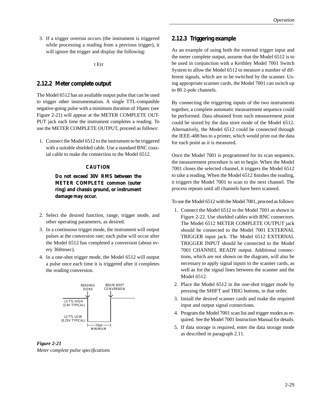3. If a trigger overrun occurs (the instrument is triggered while processing a reading from a previous trigger), it will ignore the trigger and display the following:

t Err

## **2.12.2 Meter complete output**

The Model 6512 has an available output pulse that can be used to trigger other instrumentation. A single TTL-compatible negative-going pulse with a minimum duration of 10µsec (see Figure 2-21) will appear at the METER COMPLETE OUT-PUT jack each time the instrument completes a reading. To use the METER COMPLETE OUTPUT, proceed as follows:

1. Connect the Model 6512 to the instrument to be triggered with a suitable shielded cable. Use a standard BNC coaxial cable to make the connection to the Model 6512.

#### **CAUTION**

**Do not exceed 30V RMS between the METER COMPLETE common (outer ring) and chassis ground, or instrument damage may occur.**

- 2. Select the desired function, range, trigger mode, and other operating parameters, as desired.
- 3. In a continuous trigger mode, the instrument will output pulses at the conversion rate; each pulse will occur after the Model 6512 has completed a conversion (about every 360msec).
- 4. In a one-shot trigger mode, the Model 6512 will output a pulse once each time it is triggered after it completes the reading conversion.



*Figure 2-21 Meter complete pulse specifications*

## **2.12.3 Triggering example**

As an example of using both the external trigger input and the meter complete output, assume that the Model 6512 is to be used in conjunction with a Keithley Model 7001 Switch System to allow the Model 6512 to measure a number of different signals, which are to be switched by the scanner. Using appropriate scanner cards, the Model 7001 can switch up to 80 2-pole channels.

By connecting the triggering inputs of the two instruments together, a complete automatic measurement sequence could be performed. Data obtained from each measurement point could be stored by the data store mode of the Model 6512. Alternatively, the Model 6512 could be connected through the IEEE-488 bus to a printer, which would print out the data for each point as it is measured.

Once the Model 7001 is programmed for its scan sequence, the measurement procedure is set to begin. When the Model 7001 closes the selected channel, it triggers the Model 6512 to take a reading. When the Model 6512 finishes the reading, it triggers the Model 7001 to scan to the next channel. The process repeats until all channels have been scanned.

To use the Model 6512 with the Model 7001, proceed as follows:

- 1. Connect the Model 6512 to the Model 7001 as shown in Figure 2-22. Use shielded cables with BNC connectors. The Model 6512 METER COMPLETE OUTPUT jack should be connected to the Model 7001 EXTERNAL TRIGGER input jack. The Model 6512 EXTERNAL TRIGGER INPUT should be connected to the Model 7001 CHANNEL READY output. Additional connections, which are not shown on the diagram, will also be necessary to apply signal inputs to the scanner cards, as well as for the signal lines between the scanner and the Model 6512.
- 2. Place the Model 6512 in the one-shot trigger mode by pressing the SHIFT and TRIG buttons, in that order.
- 3. Install the desired scanner cards and make the required input and output signal connections.
- 4. Program the Model 7001 scan list and trigger modes as required. See the Model 7001 Instruction Manual for details.
- 5. If data storage is required, enter the data storage mode as described in paragraph 2.11.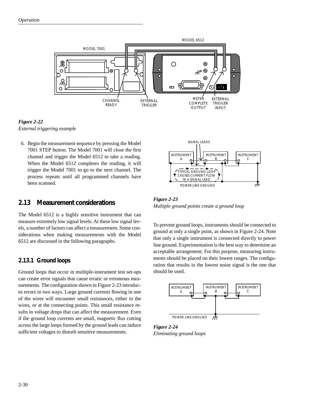



*External triggering example* 

6. Begin the measurement sequence by pressing the Model 7001 STEP button. The Model 7001 will close the first channel and trigger the Model 6512 to take a reading. When the Model 6512 completes the reading, it will trigger the Model 7001 to go to the next channel. The process repeats until all programmed channels have been scanned.

## **2.13 Measurement considerations**

The Model 6512 is a highly sensitive instrument that can measure extremely low signal levels. At these low signal levels, a number of factors can affect a measurement. Some considerations when making measurements with the Model 6512 are discussed in the following paragraphs.

## **2.13.1 Ground loops**

Ground loops that occur in multiple-instrument test set-ups can create error signals that cause erratic or erroneous measurements. The configuration shown in Figure 2-23 introduces errors in two ways. Large ground currents flowing in one of the wires will encounter small resistances, either in the wires, or at the connecting points. This small resistance results in voltage drops that can affect the measurement. Even if the ground loop currents are small, magnetic flux cutting across the large loops formed by the ground leads can induce sufficient voltages to disturb sensitive measurements.



*Figure 2-23 Multiple ground points create a ground loop*

To prevent ground loops, instruments should be connected to ground at only a single point, as shown in Figure 2-24. Note that only a single instrument is connected directly to power line ground. Experimentation is the best way to determine an acceptable arrangement. For this purpose, measuring instruments should be placed on their lowest ranges. The configuration that results in the lowest noise signal is the one that should be used.



*Figure 2-24 Eliminating ground loops*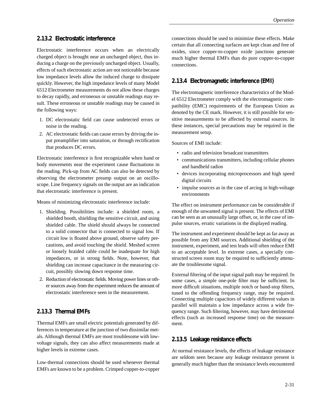## **2.13.2 EIectrostatic interference**

Electrostatic interference occurs when an electrically charged object is brought near an uncharged object, thus inducing a charge on the previously uncharged object. Usually, effects of such electrostatic action are not noticeable because low impedance levels allow the induced charge to dissipate quickly. However, the high impedance levels of many Model 6512 Electrometer measurements do not allow these charges to decay rapidly, and erroneous or unstable readings may result. These erroneous or unstable readings may be caused in the following ways:

- 1. DC electrostatic field can cause undetected errors or noise in the reading.
- 2. AC electrostatic fields can cause errors by driving the input preamplifier into saturation, or through rectification that produces DC errors.

Electrostatic interference is first recognizable when hand or body movements near the experiment cause fluctuations in the reading. Pick-up from AC fields can also be detected by observing the electrometer preamp output on an oscilloscope. Line frequency signals on the output are an indication that electrostatic interference is present.

Means of minimizing electrostatic interference include:

- 1. Shielding. Possibilities include: a shielded room, a shielded booth, shielding the sensitive circuit, and using shielded cable. The shield should always be connected to a solid connector that is connected to signal low. If circuit low is floated above ground, observe safety precautions, and avoid touching the shield. Meshed screen or loosely braided cable could be inadequate for high impedances, or in strong fields. Note, however, that shielding can increase capacitance in the measuring circuit, possibly slowing down response time.
- 2. Reduction of electrostatic fields. Moving power lines or other sources away from the experiment reduces the amount of electrostatic interference seen in the measurement.

## **2.13.3 Thermal EMFs**

Thermal EMFs are small electric potentials generated by differences in temperature at the junction of two dissimilar metals. Although thermal EMFs are most troublesome with lowvoltage signals, they can also affect measurements made at higher levels in extreme cases.

Low-thermal connections should be used whenever thermal EMFs are known to be a problem. Crimped copper-to-copper connections should be used to minimize these effects. Make certain that all connecting surfaces are kept clean and free of oxides, since copper-to-copper oxide junctions generate much higher thermal EMFs than do pure copper-to-copper connections.

## **2.13.4 Electromagnetic interference (EMI)**

The electromagnetic interference characteristics of the Model 6512 Electrometer comply with the electromagnetic compatibility (EMC) requirements of the European Union as denoted by the CE mark. However, it is still possible for sensitive measurements to be affected by external sources. In these instances, special precautions may be required in the measurement setup.

Sources of EMI include:

- radio and television broadcast transmitters
- communications transmitters, including cellular phones and handheld radios
- devices incorporating microprocessors and high speed digital circuits
- impulse sources as in the case of arcing in high-voltage environments

The effect on instrument performance can be considerable if enough of the unwanted signal is present. The effects of EMI can be seen as an unusually large offset, or, in the case of impulse sources, erratic variations in the displayed reading.

The instrument and experiment should be kept as far away as possible from any EMI sources. Additional shielding of the instrument, experiment, and test leads will often reduce EMI to an acceptable level. In extreme cases, a specially constructed screen room may be required to sufficiently attenuate the troublesome signal.

External filtering of the input signal path may be required. In some cases, a simple one-pole filter may be sufficient. In more difficult situations, multiple notch or band-stop filters, tuned to the offending frequency range, may be required. Connecting multiple capacitors of widely different values in parallel will maintain a low impedance across a wide frequency range. Such filtering, however, may have detrimental effects (such as increased response time) on the measurement.

## **2.13.5 Leakage resistance effects**

At normal resistance levels, the effects of leakage resistance are seldom seen because any leakage resistance present is generally much higher than the resistance levels encountered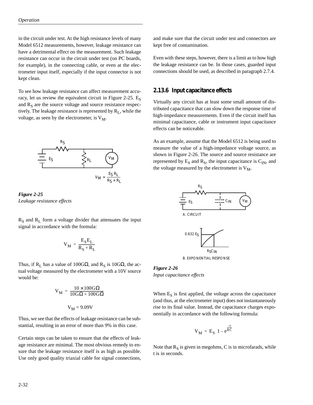in the circuit under test. At the high resistance levels of many Model 6512 measurements, however, leakage resistance can have a detrimental effect on the measurement. Such leakage resistance can occur in the circuit under test (on PC boards, for example), in the connecting cable, or even at the electrometer input itself, especially if the input connector is not kept clean.

To see how leakage resistance can affect measurement accuracy, let us review the equivalent circuit in Figure 2-25.  $E_S$ and  $R<sub>S</sub>$  are the source voltage and source resistance respectively. The leakage resistance is represented by  $R_L$ , while the voltage, as seen by the electrometer, is  $V_M$ .



*Figure 2-25 Leakage resistance effects*

 $R<sub>S</sub>$  and  $R<sub>L</sub>$  form a voltage divider that attenuates the input signal in accordance with the formula:

$$
V_M\,=\,\frac{E_S E_L}{R_S+R_L}
$$

Thus, if R<sub>L</sub> has a value of 100G $\Omega$ , and R<sub>S</sub> is 10G $\Omega$ , the actual voltage measured by the electrometer with a 10V source would be:

$$
V_{\text{M}} = \frac{10 \times 100 \text{G} \Omega}{10 \text{G} \Omega + 100 \text{G} \Omega}
$$

$$
V_{\text{M}} = 9.09 V
$$

Thus, we see that the effects of leakage resistance can be substantial, resulting in an error of more than 9% in this case.

Certain steps can be taken to ensure that the effects of leakage resistance are minimal. The most obvious remedy to ensure that the leakage resistance itself is as high as possible. Use only good quality triaxial cable for signal connections, and make sure that the circuit under test and connectors are kept free of contamination.

Even with these steps, however, there is a limit as to how high the leakage resistance can be. In those cases, guarded input connections should be used, as described in paragraph 2.7.4.

## **2.13.6 Input capacitance effects**

Virtually any circuit has at least some small amount of distributed capacitance that can slow down the response time of high-impedance measurements. Even if the circuit itself has minimal capacitance, cable or instrument input capacitance effects can be noticeable.

As an example, assume that the Model 6512 is being used to measure the value of a high-impedance voltage source, as shown in Figure 2-26. The source and source resistance are represented by  $E_S$  and  $R_S$ , the input capacitance is  $C_{IN}$ , and the voltage measured by the electrometer is  $V_M$ .



*Figure 2-26 Input capacitance effects*

When  $E<sub>S</sub>$  is first applied, the voltage across the capacitance (and thus, at the electrometer input) does not instantaneously rise to its final value. Instead, the capacitance charges exponentially in accordance with the following formula:

$$
V_M = E_S \left( 1 - e^{\frac{-t}{RC}} \right)
$$

Note that  $R<sub>S</sub>$  is given in megohms, C is in microfarads, while t is in seconds.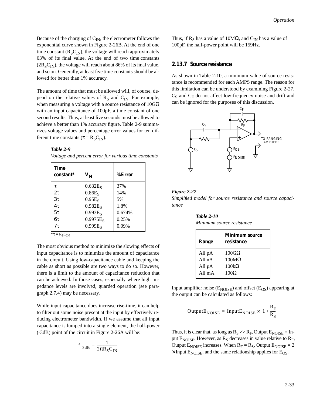Because of the charging of  $C_{\text{IN}}$ , the electrometer follows the exponential curve shown in Figure 2-26B. At the end of one time constant  $(R_S C_{IN})$ , the voltage will reach approximately 63% of its final value. At the end of two time constants  $(2R_SC_{IN})$ , the voltage will reach about 86% of its final value, and so on. Generally, at least five time constants should be allowed for better than 1% accuracy.

The amount of time that must be allowed will, of course, depend on the relative values of  $R<sub>S</sub>$  and  $C<sub>IN</sub>$ . For example, when measuring a voltage with a source resistance of  $10G\Omega$ with an input capacitance of 100pF, a time constant of one second results. Thus, at least five seconds must be allowed to achieve a better than 1% accuracy figure. Table 2-9 summarizes voltage values and percentage error values for ten different time constants ( $\tau = R_S C_{IN}$ ).

#### *Table 2-9*

| Voltage and percent error for various time constants |  |  |  |  |
|------------------------------------------------------|--|--|--|--|
|------------------------------------------------------|--|--|--|--|

| <b>Time</b><br>constant* | $\mathbf{V}_{\mathbf{M}}$ | %Error |
|--------------------------|---------------------------|--------|
| τ                        | $0.632E_S$                | 37%    |
| $2\tau$                  | $0.86E_S$                 | 14%    |
| $3\tau$                  | $0.95E_S$                 | 5%     |
| $4\tau$                  | $0.982E_S$                | 1.8%   |
| 5τ                       | $0.993E_S$                | 0.674% |
| $6\tau$                  | $0.9975E_S$               | 0.25%  |
| $7\tau$                  | $0.999E_S$                | 0.09%  |
| * $\tau = R_S C_{IN}$    |                           |        |

The most obvious method to minimize the slowing effects of input capacitance is to minimize the amount of capacitance in the circuit. Using low-capacitance cable and keeping the cable as short as possible are two ways to do so. However, there is a limit to the amount of capacitance reduction that can be achieved. In those cases, especially where high impedance levels are involved, guarded operation (see paragraph 2.7.4) may be necessary.

While input capacitance does increase rise-time, it can help to filter out some noise present at the input by effectively reducing electrometer bandwidth. If we assume that all input capacitance is lumped into a single element, the half-power (-3dB) point of the circuit in Figure 2-26A will be:

$$
f_{-3dB} = \frac{1}{2\pi R_S C_{IN}}
$$

Thus, if R<sub>S</sub> has a value of 10M $\Omega$ , and C<sub>IN</sub> has a value of 100pF, the half-power point will be 159Hz.

#### **2.13.7 Source resistance**

As shown in Table 2-10, a minimum value of source resistance is recommended for each AMPS range. The reason for this limitation can be understood by examining Figure 2-27.  $C_S$  and  $C_F$  do not affect low-frequency noise and drift and can be ignored for the purposes of this discussion.



#### *Figure 2-27*

*Simplified model for source resistance and source capacitance*

#### *Table 2-10*

*Minimum source resistance*

| Range    | <b>Minimum source</b><br>resistance |
|----------|-------------------------------------|
| All pA   | $100 \text{G}\Omega$                |
| All $nA$ | $100M\Omega$                        |
| All µA   | $100k\Omega$                        |
| All $mA$ | $100\Omega$                         |

Input amplifier noise  $(E_{\text{NOISE}})$  and offset  $(E_{\text{OS}})$  appearing at the output can be calculated as follows:

$$
OutputE_{NOISE} = InputE_{NOISE} \times \left(1 + \frac{R_F}{R_S}\right)
$$

Thus, it is clear that, as long as  $R_S \gg R_E$ , Output  $E_{\text{NOISE}} = \text{In-}$ put  $E_{\text{NOISE}}$ . However, as  $R_{\text{S}}$  decreases in value relative to  $R_{\text{F}}$ , Output  $E_{\text{NOISE}}$  increases. When  $R_F = R_S$ , Output  $E_{\text{NOISE}} = 2$  $\times$  Input E<sub>NOISE</sub>, and the same relationship applies for E<sub>OS</sub>.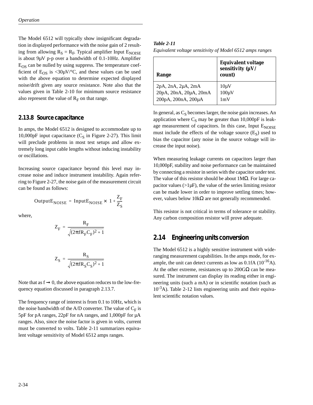The Model 6512 will typically show insignificant degradation in displayed performance with the noise gain of 2 resulting from allowing  $R_S = R_F$ . Typical amplifier Input  $E_{NOISE}$ is about 9µV p-p over a bandwidth of 0.1-10Hz. Amplifier  $E_{OS}$  can be nulled by using suppress. The temperature coefficient of  $E_{OS}$  is <30 $\mu$ V/°C, and these values can be used with the above equation to determine expected displayed noise/drift given any source resistance. Note also that the values given in Table 2-10 for minimum source resistance also represent the value of  $R_F$  on that range.

### **2.13.8 Source capacitance**

In amps, the Model 6512 is designed to accommodate up to 10,000pF input capacitance  $(C<sub>S</sub>$  in Figure 2-27). This limit will preclude problems in most test setups and allow extremely long input cable lengths without inducing instability or oscillations.

Increasing source capacitance beyond this level may increase noise and induce instrument instability. Again referring to Figure 2-27, the noise gain of the measurement circuit can be found as follows:

$$
OutputE_{NOISE} = InputE_{NOISE} \times \left(1 + \frac{Z_F}{Z_S}\right)
$$

where,

$$
Z_F\,=\,\frac{R_F}{\sqrt{(2\pi f R_F C_F)^2+1}}
$$

$$
Z_{\rm S} = \frac{R_{\rm S}}{\sqrt{(2\pi f R_{\rm S} C_{\rm S})^2 + 1}}
$$

Note that as  $f \rightarrow 0$ , the above equation reduces to the low-frequency equation discussed in paragraph 2.13.7.

The frequency range of interest is from 0.1 to 10Hz, which is the noise bandwidth of the A/D converter. The value of  $C_F$  is 5pF for pA ranges, 22pF for nA ranges, and 1,000pF for µA ranges. Also, since the noise factor is given in volts, current must be converted to volts. Table 2-11 summarizes equivalent voltage sensitivity of Model 6512 amps ranges.

#### *Table 2-11*

*Equivalent voltage sensitivity of Model 6512 amps ranges*

| Range                  | <b>Equivalent voltage</b><br>sensitivity $(\mu V/$<br>count) |
|------------------------|--------------------------------------------------------------|
| 2pA, 2nA, 2µA, 2mA     | $10\mu$ V                                                    |
| 20pA, 20nA, 20µA, 20mA | $100\mu V$                                                   |
| 200pA, 200nA, 200µA    | 1mV                                                          |

In general, as  $C_S$  becomes larger, the noise gain increases. An application where  $C_S$  may be greater than 10,000pF is leakage measurement of capacitors. In this case, Input ENOISE must include the effects of the voltage source  $(E<sub>S</sub>)$  used to bias the capacitor (any noise in the source voltage will increase the input noise).

When measuring leakage currents on capacitors larger than 10,000pF, stability and noise performance can be maintained by connecting a resistor in series with the capacitor under test. The value of this resistor should be about 1M $\Omega$ . For large capacitor values ( $>1\mu$ F), the value of the series limiting resistor can be made lower in order to improve settling times; however, values below  $10$ kΩ are not generally recommended.

This resistor is not critical in terms of tolerance or stability. Any carbon composition resistor will prove adequate.

## **2.14 Engineering units conversion**

The Model 6512 is a highly sensitive instrument with wideranging measurement capabilities. In the amps mode, for example, the unit can detect currents as low as  $0.1$ fA  $(10^{-16}A)$ . At the other extreme, resistances up to  $200G\Omega$  can be measured. The instrument can display its reading either in engineering units (such a mA) or in scientific notation (such as  $10^{-3}$ A). Table 2-12 lists engineering units and their equivalent scientific notation values.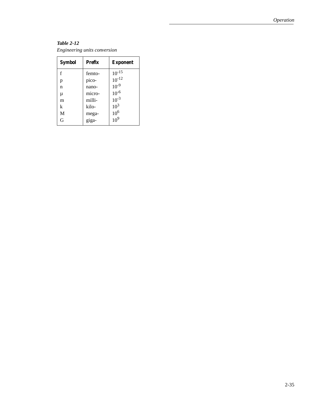*Table 2-12 Engineering units conversion*

| <b>Symbol</b> | Prefix | <b>Exponent</b>           |
|---------------|--------|---------------------------|
| f             | femto- | $10^{-15}$                |
| p             | pico-  | $10^{-12}$                |
| n             | nano-  | $10^{-9}$                 |
| μ             | micro- | $\frac{10^{-6}}{10^{-3}}$ |
| m             | milli- |                           |
| k             | kilo-  | 10 <sup>3</sup>           |
| M             | mega-  | $10^{6}$                  |
| G             | giga-  | $10^9$                    |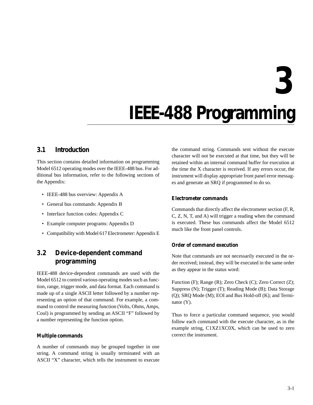# **3 IEEE-488 Programming**

# **3.1 Introduction**

This section contains detailed information on programming Model 6512 operating modes over the IEEE-488 bus. For additional bus information, refer to the following sections of the Appendix:

- IEEE-488 bus overview: Appendix A
- General bus commands: Appendix B
- Interface function codes: Appendix C
- Example computer programs: Appendix D
- Compatibility with Model 617 Electrometer: Appendix E

# **3.2 Device-dependent command programming**

IEEE-488 device-dependent commands are used with the Model 6512 to control various operating modes such as function, range, trigger mode, and data format. Each command is made up of a single ASCII letter followed by a number representing an option of that command. For example, a command to control the measuring function (Volts, Ohms, Amps, Coul) is programmed by sending an ASCII "F" followed by a number representing the function option.

#### **Multiple commands**

A number of commands may be grouped together in one string. A command string is usually terminated with an ASCII "X" character, which tells the instrument to execute

the command string. Commands sent without the execute character will not be executed at that time, but they will be retained within an internal command buffer for execution at the time the X character is received. If any errors occur, the instrument will display appropriate front panel error messages and generate an SRQ if programmed to do so.

#### **Electrometer commands**

Commands that directly affect the electrometer section (F, R, C, Z, N, T, and A) will trigger a reading when the command is executed. These bus commands affect the Model 6512 much like the front panel controls.

## **Order of command execution**

Note that commands are not necessarily executed in the order received; instead, they will be executed in the same order as they appear in the status word:

Function (F); Range (R); Zero Check (C); Zero Correct (Z); Suppress (N); Trigger (T); Reading Mode (B); Data Storage (Q); SRQ Mode (M); EOI and Bus Hold-off (K); and Terminator  $(Y)$ .

Thus to force a particular command sequence, you would follow each command with the execute character, as in the example string, C1XZ1XC0X, which can be used to zero correct the instrument.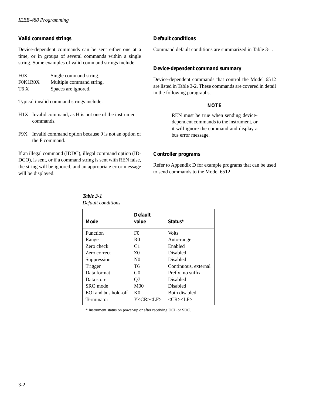#### **Valid command strings**

Device-dependent commands can be sent either one at a time, or in groups of several commands within a single string. Some examples of valid command strings include:

| F <sub>0</sub> X | Single command string.   |
|------------------|--------------------------|
| F0K1R0X          | Multiple command string. |
| T6 X             | Spaces are ignored.      |

Typical invalid command strings include:

- H1X Invalid command, as H is not one of the instrument commands.
- F9X Invalid command option because 9 is not an option of the F command.

If an illegal command (IDDC), illegal command option (ID-DCO), is sent, or if a command string is sent with REN false, the string will be ignored, and an appropriate error message will be displayed.

#### **Default conditions**

Command default conditions are summarized in Table 3-1.

#### **Device-dependent command summary**

Device-dependent commands that control the Model 6512 are listed in Table 3-2. These commands are covered in detail in the following paragraphs.

#### **NOTE**

REN must be true when sending devicedependent commands to the instrument, or it will ignore the command and display a bus error message.

#### **Controller programs**

Refer to Appendix D for example programs that can be used to send commands to the Model 6512.

| Mode                 | <b>Default</b><br>value | Status*              |
|----------------------|-------------------------|----------------------|
| Function             | F <sub>0</sub>          | Volts                |
| Range                | R <sub>0</sub>          | Auto-range           |
| Zero check           | C <sub>1</sub>          | Enabled              |
| Zero correct         | Z0                      | Disabled             |
| Suppression          | N <sub>0</sub>          | Disabled             |
| Trigger              | T6                      | Continuous, external |
| Data format          | G0                      | Prefix, no suffix    |
| Data store           | O7                      | Disabled             |
| SRQ mode             | M <sub>00</sub>         | Disabled             |
| EOI and bus hold-off | K <sub>0</sub>          | Both disabled        |
| Terminator           | Y <cr><lf></lf></cr>    | <cr><lf></lf></cr>   |

*Table 3-1 Default conditions*

\* Instrument status on power-up or after receiving DCL or SDC.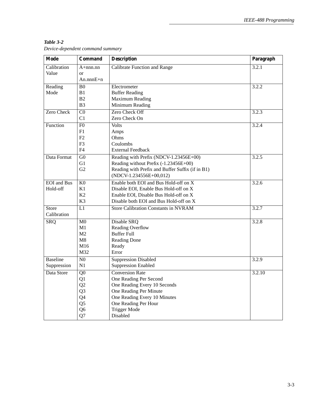*Device-dependent command summary* 

| <b>Mode</b>        | <b>Command</b>  | <b>Description</b>                               | Paragraph |
|--------------------|-----------------|--------------------------------------------------|-----------|
| Calibration        | $A+nnnnn$       | <b>Calibrate Function and Range</b>              | 3.2.1     |
| Value              | <sub>or</sub>   |                                                  |           |
|                    | $AnnnnE+n$      |                                                  |           |
| Reading            | $\overline{B0}$ | Electrometer                                     | 3.2.2     |
| Mode               | B1              | <b>Buffer Reading</b>                            |           |
|                    | B2              | <b>Maximum Reading</b>                           |           |
|                    | B <sub>3</sub>  | Minimum Reading                                  |           |
| Zero Check         | $\overline{C}0$ | Zero Check Off                                   | 3.2.3     |
|                    | C <sub>1</sub>  | Zero Check On                                    |           |
| Function           | $\overline{F0}$ | <b>Volts</b>                                     | 3.2.4     |
|                    | F1              | Amps                                             |           |
|                    | F2              | Ohms                                             |           |
|                    | F <sub>3</sub>  | Coulombs                                         |           |
|                    | F <sub>4</sub>  | <b>External Feedback</b>                         |           |
| Data Format        | $\overline{G0}$ | Reading with Prefix (NDCV-1.23456E+00)           | 3.2.5     |
|                    | G1              | Reading without Prefix (-1.23456E+00)            |           |
|                    | G2              | Reading with Prefix and Buffer Suffix (if in B1) |           |
|                    |                 | (NDCV-1.234556E+00,012)                          |           |
| <b>EOI</b> and Bus | K <sub>0</sub>  | Enable both EOI and Bus Hold-off on X            | 3.2.6     |
| Hold-off           | K1              | Disable EOI, Enable Bus Hold-off on X            |           |
|                    | K <sub>2</sub>  | Enable EOI, Disable Bus Hold-off on X            |           |
|                    | K <sub>3</sub>  | Disable both EOI and Bus Hold-off on X           |           |
| Store              | $\overline{L1}$ | <b>Store Calibration Constants in NVRAM</b>      | 3.2.7     |
| Calibration        |                 |                                                  |           |
| <b>SRQ</b>         | $\overline{M0}$ | Disable SRQ                                      | 3.2.8     |
|                    | M1              | Reading Overflow                                 |           |
|                    | Μ2              | <b>Buffer Full</b>                               |           |
|                    | M8              | <b>Reading Done</b>                              |           |
|                    | M16             | Ready                                            |           |
|                    | M32             | Error                                            |           |
| <b>Baseline</b>    | $\overline{N0}$ | <b>Suppression Disabled</b>                      | 3.2.9     |
| Suppression        | N1              | <b>Suppression Enabled</b>                       |           |
| Data Store         | $\overline{Q0}$ | <b>Conversion Rate</b>                           | 3.2.10    |
|                    | Q1              | One Reading Per Second                           |           |
|                    | Q <sub>2</sub>  | One Reading Every 10 Seconds                     |           |
|                    | Q <sub>3</sub>  | One Reading Per Minute                           |           |
|                    | Q4              | One Reading Every 10 Minutes                     |           |
|                    | Q <sub>5</sub>  | One Reading Per Hour                             |           |
|                    | Q <sub>6</sub>  | <b>Trigger Mode</b>                              |           |
|                    | Q7              | Disabled                                         |           |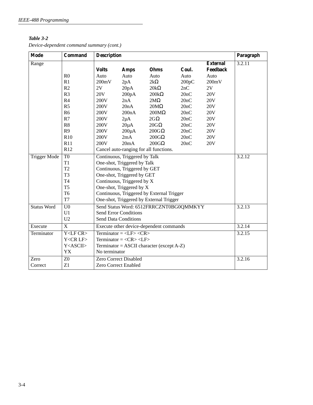## *Table 3-2*

*Device-dependent command summary (cont.)*

| <b>Mode</b>        | <b>Command</b>        | <b>Description</b> |                                                      |                                                    |       |                                    | Paragraph |
|--------------------|-----------------------|--------------------|------------------------------------------------------|----------------------------------------------------|-------|------------------------------------|-----------|
| Range              |                       | <b>Volts</b>       | <b>Amps</b>                                          | Ohms                                               | Coul. | <b>External</b><br><b>Feedback</b> | 3.2.11    |
|                    | R <sub>0</sub>        | Auto               | Auto                                                 | Auto                                               | Auto  | Auto                               |           |
|                    | R1                    | 200mV              | 2pA                                                  | $2k\Omega$                                         | 200pC | 200mV                              |           |
|                    | R2                    | 2V                 | 20pA                                                 | $20k\Omega$                                        | 2nC   | 2V                                 |           |
|                    | R <sub>3</sub>        | 20V                | 200pA                                                | $200k\Omega$                                       | 20nC  | 20V                                |           |
|                    | R <sub>4</sub>        | 200V               | 2nA                                                  | $2M\Omega$                                         | 20nC  | 20V                                |           |
|                    | R <sub>5</sub>        | 200V               | 20nA                                                 | $20M\Omega$                                        | 20nC  | 20V                                |           |
|                    | R <sub>6</sub>        | 200V               | 200nA                                                | $200M\Omega$                                       | 20nC  | 20V                                |           |
|                    | R7                    | 200V               | $2\mu A$                                             | $2G\Omega$                                         | 20nC  | 20V                                |           |
|                    | R8                    | 200V               | $20\mu A$                                            | $20G\Omega$                                        | 20nC  | 20V                                |           |
|                    | R <sub>9</sub>        | 200V               | $200\mu A$                                           | $200 \text{G} \Omega$                              | 20nC  | 20V                                |           |
|                    | R10                   | 200V               | 2mA                                                  | $200G\Omega$                                       | 20nC  | 20V                                |           |
|                    | R11                   | 200V               | 20mA                                                 | $200G\Omega$                                       | 20nC  | 20V                                |           |
|                    | R <sub>12</sub>       |                    |                                                      | Cancel auto-ranging for all functions.             |       |                                    |           |
| Trigger Mode       | T <sub>0</sub>        |                    | Continuous, Triggered by Talk                        |                                                    |       |                                    | 3.2.12    |
|                    | T1                    |                    | One-shot, Triggered by Talk                          |                                                    |       |                                    |           |
|                    | T <sub>2</sub>        |                    | Continuous, Triggered by GET                         |                                                    |       |                                    |           |
|                    | T <sub>3</sub>        |                    | One-shot, Triggered by GET                           |                                                    |       |                                    |           |
|                    | T <sub>4</sub>        |                    | Continuous, Triggered by X                           |                                                    |       |                                    |           |
|                    | T <sub>5</sub>        |                    | One-shot, Triggered by X                             |                                                    |       |                                    |           |
|                    | T <sub>6</sub>        |                    |                                                      | Continuous, Triggered by External Trigger          |       |                                    |           |
|                    | T7                    |                    |                                                      | One-shot, Triggered by External Trigger            |       |                                    |           |
| <b>Status Word</b> | $\overline{U0}$       |                    |                                                      | Send Status Word: 6512FRRCZNT0BG0QMMKYY            |       |                                    | 3.2.13    |
|                    | U <sub>1</sub>        |                    | <b>Send Error Conditions</b>                         |                                                    |       |                                    |           |
|                    | U <sub>2</sub>        |                    | <b>Send Data Conditions</b>                          |                                                    |       |                                    |           |
| Execute            | $\overline{\text{X}}$ |                    |                                                      | Execute other device-dependent commands            |       |                                    | 3.2.14    |
| Terminator         | $Y<$ LF CR>           |                    | Terminator = $\langle LF \rangle \langle CR \rangle$ |                                                    |       |                                    | 3.2.15    |
|                    | Y <crlf></crlf>       |                    | Terminator = $\langle CR \rangle \langle LF \rangle$ |                                                    |       |                                    |           |
|                    | Y <ascii></ascii>     |                    |                                                      | Terminator = $\text{ASCII character}$ (except A-Z) |       |                                    |           |
|                    | YX                    | No terminator      |                                                      |                                                    |       |                                    |           |
| Zero               | $\overline{Z0}$       |                    | Zero Correct Disabled                                |                                                    |       |                                    | 3.2.16    |
| Correct            | Z <sub>1</sub>        |                    | <b>Zero Correct Enabled</b>                          |                                                    |       |                                    |           |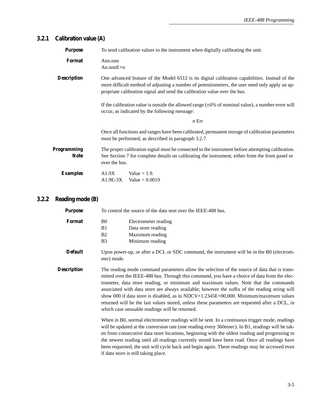| <b>Purpose</b>                    | To send calibration values to the instrument when digitally calibrating the unit.                                                                                                                                                                                             |  |  |  |  |
|-----------------------------------|-------------------------------------------------------------------------------------------------------------------------------------------------------------------------------------------------------------------------------------------------------------------------------|--|--|--|--|
| Format                            | Ann.nnn<br>$AnnE+n$                                                                                                                                                                                                                                                           |  |  |  |  |
| <b>Description</b>                | One advanced feature of the Model 6512 is its digital calibration capabilities. Instead of the<br>more difficult method of adjusting a number of potentiometers, the user need only apply an ap-<br>propriate calibration signal and send the calibration value over the bus. |  |  |  |  |
|                                   | If the calibration value is outside the allowed range $(\pm 6\%$ of nominal value), a number error will<br>occur, as indicated by the following message:                                                                                                                      |  |  |  |  |
|                                   | n Err                                                                                                                                                                                                                                                                         |  |  |  |  |
|                                   | Once all functions and ranges have been calibrated, permanent storage of calibration parameters<br>must be performed, as described in paragraph 3.2.7.                                                                                                                        |  |  |  |  |
| <b>Programming</b><br><b>Note</b> | The proper calibration signal must be connected to the instrument before attempting calibration.<br>See Section 7 for complete details on calibrating the instrument, either from the front panel or<br>over the bus.                                                         |  |  |  |  |
| <b>Examples</b>                   | Value $= 1.9$ .<br>A1.9X<br>$A1.9E-3X$ Value = 0.0019                                                                                                                                                                                                                         |  |  |  |  |

## **3.2.1 Calibration value (A)**

# **3.2.2 Reading mode (B)**

| <b>Purpose</b>     | To control the source of the data sent over the IEEE-488 bus.                                                                                                                                                                                                                                                                                                                                                                                                                                                                                                                                                                         |  |  |
|--------------------|---------------------------------------------------------------------------------------------------------------------------------------------------------------------------------------------------------------------------------------------------------------------------------------------------------------------------------------------------------------------------------------------------------------------------------------------------------------------------------------------------------------------------------------------------------------------------------------------------------------------------------------|--|--|
| Format             | B <sub>0</sub><br>Electrometer reading<br>B1<br>Data store reading<br>B <sub>2</sub><br>Maximum reading<br>Minimum reading<br>B <sub>3</sub>                                                                                                                                                                                                                                                                                                                                                                                                                                                                                          |  |  |
| <b>Default</b>     | Upon power-up, or after a DCL or SDC command, the instrument will be in the B0 (electrom-<br>eter) mode.                                                                                                                                                                                                                                                                                                                                                                                                                                                                                                                              |  |  |
| <b>Description</b> | The reading mode command parameters allow the selection of the source of data that is trans-<br>mitted over the IEEE-488 bus. Through this command, you have a choice of data from the elec-<br>trometer, data store reading, or minimum and maximum values. Note that the commands<br>associated with data store are always available; however the suffix of the reading string will<br>show 000 if data store is disabled, as in $NDCV+1.2345E+00,000$ . Minimum/maximum values<br>returned will be the last values stored, unless these parameters are requested after a DCL, in<br>which case unusable readings will be returned. |  |  |
|                    | When in B0, normal electrometer readings will be sent. In a continuous trigger mode, readings<br>will be updated at the conversion rate (one reading every 360msec). In B1, readings will be tak-<br>en from consecutive data store locations, beginning with the oldest reading and progressing to<br>the newest reading until all readings currently stored have been read. Once all readings have<br>been requested, the unit will cycle back and begin again. These readings may be accessed even<br>if data store is still taking place.                                                                                         |  |  |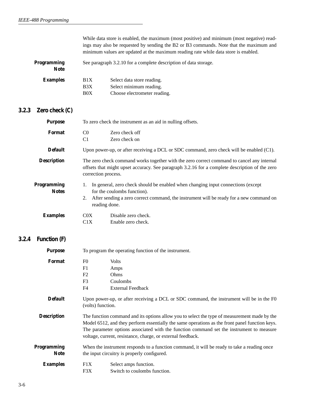|       |                                   | While data store is enabled, the maximum (most positive) and minimum (most negative) read-<br>ings may also be requested by sending the B2 or B3 commands. Note that the maximum and<br>minimum values are updated at the maximum reading rate while data store is enabled.<br>See paragraph 3.2.10 for a complete description of data storage.           |                                                                                                                                                                                                                             |  |  |
|-------|-----------------------------------|-----------------------------------------------------------------------------------------------------------------------------------------------------------------------------------------------------------------------------------------------------------------------------------------------------------------------------------------------------------|-----------------------------------------------------------------------------------------------------------------------------------------------------------------------------------------------------------------------------|--|--|
|       | <b>Programming</b><br><b>Note</b> |                                                                                                                                                                                                                                                                                                                                                           |                                                                                                                                                                                                                             |  |  |
|       | <b>Examples</b>                   | B1X<br>B3X<br><b>BOX</b>                                                                                                                                                                                                                                                                                                                                  | Select data store reading.<br>Select minimum reading.<br>Choose electrometer reading.                                                                                                                                       |  |  |
| 3.2.3 | Zero check (C)                    |                                                                                                                                                                                                                                                                                                                                                           |                                                                                                                                                                                                                             |  |  |
|       | <b>Purpose</b>                    |                                                                                                                                                                                                                                                                                                                                                           | To zero check the instrument as an aid in nulling offsets.                                                                                                                                                                  |  |  |
|       | <b>Format</b>                     | C <sub>0</sub><br>C1                                                                                                                                                                                                                                                                                                                                      | Zero check off<br>Zero check on                                                                                                                                                                                             |  |  |
|       | <b>Default</b>                    |                                                                                                                                                                                                                                                                                                                                                           | Upon power-up, or after receiving a DCL or SDC command, zero check will be enabled (C1).                                                                                                                                    |  |  |
|       | <b>Description</b>                | The zero check command works together with the zero correct command to cancel any internal<br>offsets that might upset accuracy. See paragraph 3.2.16 for a complete description of the zero<br>correction process.                                                                                                                                       |                                                                                                                                                                                                                             |  |  |
|       | Programming<br><b>Notes</b>       | 1.<br>2.                                                                                                                                                                                                                                                                                                                                                  | In general, zero check should be enabled when changing input connections (except<br>for the coulombs function).<br>After sending a zero correct command, the instrument will be ready for a new command on<br>reading done. |  |  |
|       | <b>Examples</b>                   | COX<br>C1X                                                                                                                                                                                                                                                                                                                                                | Disable zero check.<br>Enable zero check.                                                                                                                                                                                   |  |  |
| 3.2.4 | Function (F)                      |                                                                                                                                                                                                                                                                                                                                                           |                                                                                                                                                                                                                             |  |  |
|       | <b>Purpose</b>                    | To program the operating function of the instrument.                                                                                                                                                                                                                                                                                                      |                                                                                                                                                                                                                             |  |  |
|       | <b>Format</b>                     | F <sub>0</sub><br>F1<br>F <sub>2</sub><br>F <sub>3</sub><br>F4                                                                                                                                                                                                                                                                                            | <b>Volts</b><br>Amps<br>Ohms<br>Coulombs<br><b>External Feedback</b>                                                                                                                                                        |  |  |
|       | <b>Default</b>                    | Upon power-up, or after receiving a DCL or SDC command, the instrument will be in the F0<br>(volts) function.                                                                                                                                                                                                                                             |                                                                                                                                                                                                                             |  |  |
|       | <b>Description</b>                | The function command and its options allow you to select the type of measurement made by the<br>Model 6512, and they perform essentially the same operations as the front panel function keys.<br>The parameter options associated with the function command set the instrument to measure<br>voltage, current, resistance, charge, or external feedback. |                                                                                                                                                                                                                             |  |  |
|       | Programming<br><b>Note</b>        | When the instrument responds to a function command, it will be ready to take a reading once<br>the input circuitry is properly configured.                                                                                                                                                                                                                |                                                                                                                                                                                                                             |  |  |
|       | <b>Examples</b>                   | F1X<br>F3X                                                                                                                                                                                                                                                                                                                                                | Select amps function.<br>Switch to coulombs function.                                                                                                                                                                       |  |  |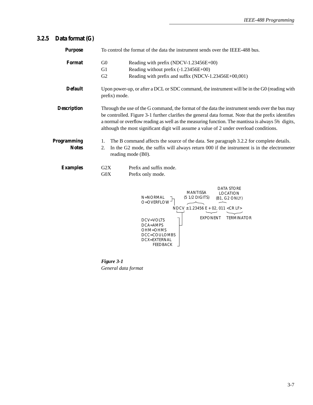# **3.2.5 Data format (G)**

| <b>Purpose</b>              | To control the format of the data the instrument sends over the IEEE-488 bus.                                                                                                                                                                                                                                                                                                                                      |                                                                                                                                                                                                                                                                                     |  |  |
|-----------------------------|--------------------------------------------------------------------------------------------------------------------------------------------------------------------------------------------------------------------------------------------------------------------------------------------------------------------------------------------------------------------------------------------------------------------|-------------------------------------------------------------------------------------------------------------------------------------------------------------------------------------------------------------------------------------------------------------------------------------|--|--|
| <b>Format</b>               | G <sub>0</sub><br>G <sub>1</sub>                                                                                                                                                                                                                                                                                                                                                                                   | Reading with prefix (NDCV-1.23456E+00)<br>Reading without prefix (-1.23456E+00)                                                                                                                                                                                                     |  |  |
|                             | G2                                                                                                                                                                                                                                                                                                                                                                                                                 | Reading with prefix and suffix (NDCV-1.23456E+00,001)                                                                                                                                                                                                                               |  |  |
| <b>Default</b>              | Upon power-up, or after a DCL or SDC command, the instrument will be in the G0 (reading with<br>prefix) mode.                                                                                                                                                                                                                                                                                                      |                                                                                                                                                                                                                                                                                     |  |  |
| <b>Description</b>          | Through the use of the G command, the format of the data the instrument sends over the bus may<br>be controlled. Figure 3-1 further clarifies the general data format. Note that the prefix identifies<br>a normal or overflow reading as well as the measuring function. The mantissa is always $5\frac{1}{2}$ digits,<br>although the most significant digit will assume a value of 2 under overload conditions. |                                                                                                                                                                                                                                                                                     |  |  |
| Programming<br><b>Notes</b> | 1.<br>2.                                                                                                                                                                                                                                                                                                                                                                                                           | The B command affects the source of the data. See paragraph 3.2.2 for complete details.<br>In the G2 mode, the suffix will always return 000 if the instrument is in the electrometer<br>reading mode (B0).                                                                         |  |  |
| <b>Examples</b>             | G2X<br>G0X                                                                                                                                                                                                                                                                                                                                                                                                         | Prefix and suffix mode.<br>Prefix only mode.                                                                                                                                                                                                                                        |  |  |
|                             |                                                                                                                                                                                                                                                                                                                                                                                                                    | <b>DATA STORE</b><br><b>MANTISSA</b><br>LOCATION<br>(5 1/2 DIGITS)<br>N=NORMAL<br>(B1, G2 ONLY)<br>O=OVERFLOW<br>NDCV ± 1.23456 E + 02, 011 < CRLF><br><b>EXPONENT</b><br><b>TERMINATOR</b><br>DCV=VOLTS<br>DCA=AMPS<br>OHM=OHMS<br>DCC=COULOMBS<br>DCX=EXTERNAL<br><b>FEEDBACK</b> |  |  |

*Figure 3-1 General data format*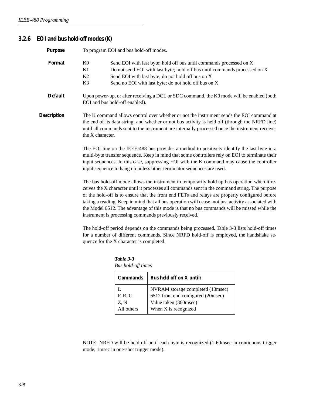## **3.2.6 EOI and bus hold-off modes (K)**

| <b>Purpose</b> | To program EOI and bus hold-off modes.                                                                                                                                                                                                                                                                                                                                                                                                                                                                                                                          |  |  |  |
|----------------|-----------------------------------------------------------------------------------------------------------------------------------------------------------------------------------------------------------------------------------------------------------------------------------------------------------------------------------------------------------------------------------------------------------------------------------------------------------------------------------------------------------------------------------------------------------------|--|--|--|
| <b>Format</b>  | K <sub>0</sub><br>Send EOI with last byte; hold off bus until commands processed on X<br>Do not send EOI with last byte; hold off bus until commands processed on X<br>K1<br>K2<br>Send EOI with last byte; do not hold off bus on X<br>K <sub>3</sub><br>Send no EOI with last byte; do not hold off bus on X                                                                                                                                                                                                                                                  |  |  |  |
| <b>Default</b> | Upon power-up, or after receiving a DCL or SDC command, the K0 mode will be enabled (both<br>EOI and bus hold-off enabled).                                                                                                                                                                                                                                                                                                                                                                                                                                     |  |  |  |
| Description    | The K command allows control over whether or not the instrument sends the EOI command at<br>the end of its data string, and whether or not bus activity is held off (through the NRFD line)<br>until all commands sent to the instrument are internally processed once the instrument receives<br>the X character.                                                                                                                                                                                                                                              |  |  |  |
|                | The EOI line on the IEEE-488 bus provides a method to positively identify the last byte in a<br>multi-byte transfer sequence. Keep in mind that some controllers rely on EOI to terminate their<br>input sequences. In this case, suppressing EOI with the K command may cause the controller<br>input sequence to hang up unless other terminator sequences are used.                                                                                                                                                                                          |  |  |  |
|                | The bus hold-off mode allows the instrument to temporarily hold up bus operation when it re-<br>ceives the X character until it processes all commands sent in the command string. The purpose<br>of the hold-off is to ensure that the front end FETs and relays are properly configured before<br>taking a reading. Keep in mind that all bus operation will cease-not just activity associated with<br>the Model 6512. The advantage of this mode is that no bus commands will be missed while the<br>instrument is processing commands previously received. |  |  |  |
|                | The hold-off period depends on the commands being processed. Table 3-3 lists hold-off times                                                                                                                                                                                                                                                                                                                                                                                                                                                                     |  |  |  |

The hold-off period depends on the commands being processed. Table 3-3 lists hold-off times for a number of different commands. Since NRFD hold-off is employed, the handshake sequence for the X character is completed.

*Table 3-3*

|  | Bus hold-off times |
|--|--------------------|
|--|--------------------|

| <b>Commands</b>               | <b>Bus held off on X until:</b>                                                                                         |
|-------------------------------|-------------------------------------------------------------------------------------------------------------------------|
| F, R, C<br>Z, N<br>All others | NVRAM storage completed (13msec)<br>6512 front end configured (20msec)<br>Value taken (360msec)<br>When X is recognized |

NOTE: NRFD will be held off until each byte is recognized (1-60msec in continuous trigger mode; 1msec in one-shot trigger mode).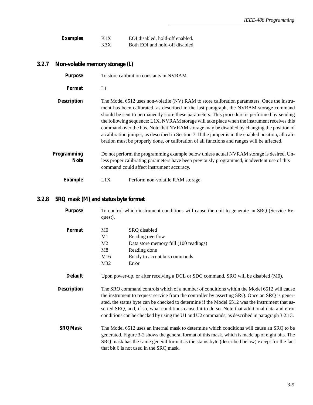| <b>Examples</b> | K1X | EOI disabled, hold-off enabled. |
|-----------------|-----|---------------------------------|
|                 | K3X | Both EOI and hold-off disabled. |

# **3.2.7 Non-volatile memory storage (L)**

| <b>Purpose</b>             | To store calibration constants in NVRAM. |                                                                                                                                                                                                                                                                                                                                                                                                                                                                                                                                                                                                                                                                                            |
|----------------------------|------------------------------------------|--------------------------------------------------------------------------------------------------------------------------------------------------------------------------------------------------------------------------------------------------------------------------------------------------------------------------------------------------------------------------------------------------------------------------------------------------------------------------------------------------------------------------------------------------------------------------------------------------------------------------------------------------------------------------------------------|
| Format                     | L1                                       |                                                                                                                                                                                                                                                                                                                                                                                                                                                                                                                                                                                                                                                                                            |
| <b>Description</b>         |                                          | The Model 6512 uses non-volatile (NV) RAM to store calibration parameters. Once the instru-<br>ment has been calibrated, as described in the last paragraph, the NVRAM storage command<br>should be sent to permanently store these parameters. This procedure is performed by sending<br>the following sequence: L1X. NVRAM storage will take place when the instrument receives this<br>command over the bus. Note that NVRAM storage may be disabled by changing the position of<br>a calibration jumper, as described in Section 7. If the jumper is in the enabled position, all cali-<br>bration must be properly done, or calibration of all functions and ranges will be affected. |
| Programming<br><b>Note</b> |                                          | Do not perform the programming example below unless actual NVRAM storage is desired. Un-<br>less proper calibrating parameters have been previously programmed, inadvertent use of this<br>command could affect instrument accuracy.                                                                                                                                                                                                                                                                                                                                                                                                                                                       |
| <b>Example</b>             | L1X                                      | Perform non-volatile RAM storage.                                                                                                                                                                                                                                                                                                                                                                                                                                                                                                                                                                                                                                                          |

# **3.2.8 SRQ mask (M) and status byte format**

| <b>Purpose</b>     | quest).        | To control which instrument conditions will cause the unit to generate an SRQ (Service Re-                                                                                                                                                                                                                                                                                                                                                                                                       |  |  |  |  |
|--------------------|----------------|--------------------------------------------------------------------------------------------------------------------------------------------------------------------------------------------------------------------------------------------------------------------------------------------------------------------------------------------------------------------------------------------------------------------------------------------------------------------------------------------------|--|--|--|--|
| Format             | M <sub>0</sub> | SRQ disabled                                                                                                                                                                                                                                                                                                                                                                                                                                                                                     |  |  |  |  |
|                    | M1             | Reading overflow                                                                                                                                                                                                                                                                                                                                                                                                                                                                                 |  |  |  |  |
|                    | M <sub>2</sub> | Data store memory full (100 readings)                                                                                                                                                                                                                                                                                                                                                                                                                                                            |  |  |  |  |
|                    | M8             | Reading done                                                                                                                                                                                                                                                                                                                                                                                                                                                                                     |  |  |  |  |
|                    | M16            | Ready to accept bus commands                                                                                                                                                                                                                                                                                                                                                                                                                                                                     |  |  |  |  |
|                    | M32            | Error                                                                                                                                                                                                                                                                                                                                                                                                                                                                                            |  |  |  |  |
| <b>Default</b>     |                | Upon power-up, or after receiving a DCL or SDC command, SRQ will be disabled (M0).                                                                                                                                                                                                                                                                                                                                                                                                               |  |  |  |  |
| <b>Description</b> |                | The SRQ command controls which of a number of conditions within the Model 6512 will cause<br>the instrument to request service from the controller by asserting SRQ. Once an SRQ is gener-<br>ated, the status byte can be checked to determine if the Model 6512 was the instrument that as-<br>serted SRQ, and, if so, what conditions caused it to do so. Note that additional data and error<br>conditions can be checked by using the U1 and U2 commands, as described in paragraph 3.2.13. |  |  |  |  |
| <b>SRQ</b> Mask    |                | The Model 6512 uses an internal mask to determine which conditions will cause an SRQ to be<br>generated. Figure 3-2 shows the general format of this mask, which is made up of eight bits. The<br>SRQ mask has the same general format as the status byte (described below) except for the fact<br>that bit 6 is not used in the SRQ mask.                                                                                                                                                       |  |  |  |  |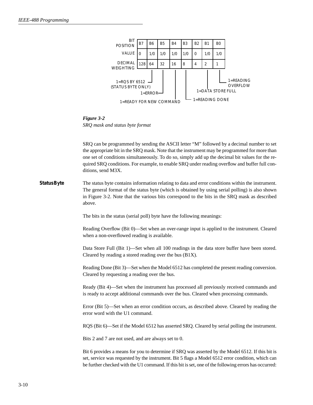

*Figure 3-2*

*SRQ mask and status byte format* 

SRQ can be programmed by sending the ASCII letter "M" followed by a decimal number to set the appropriate bit in the SRQ mask. Note that the instrument may be programmed for more than one set of conditions simultaneously. To do so, simply add up the decimal bit values for the required SRQ conditions. For example, to enable SRQ under reading overflow and buffer full conditions, send M3X.

**Status Byte** The status byte contains information relating to data and error conditions within the instrument. The general format of the status byte (which is obtained by using serial polling) is also shown in Figure 3-2. Note that the various bits correspond to the bits in the SRQ mask as described above.

The bits in the status (serial poll) byte have the following meanings:

Reading Overflow (Bit 0)—Set when an over-range input is applied to the instrument. Cleared when a non-overflowed reading is available.

Data Store Full (Bit 1)—Set when all 100 readings in the data store buffer have been stored. Cleared by reading a stored reading over the bus (B1X).

Reading Done (Bit 3)—Set when the Model 6512 has completed the present reading conversion. Cleared by requesting a reading over the bus.

Ready (Bit 4)—Set when the instrument has processed all previously received commands and is ready to accept additional commands over the bus. Cleared when processing commands.

Error (Bit 5)—Set when an error condition occurs, as described above. Cleared by reading the error word with the U1 command.

RQS (Bit 6)—Set if the Model 6512 has asserted SRQ. Cleared by serial polling the instrument.

Bits 2 and 7 are not used, and are always set to 0.

Bit 6 provides a means for you to determine if SRQ was asserted by the Model 6512. If this bit is set, service was requested by the instrument. Bit 5 flags a Model 6512 error condition, which can be further checked with the U1 command. If this bit is set, one of the following errors has occurred: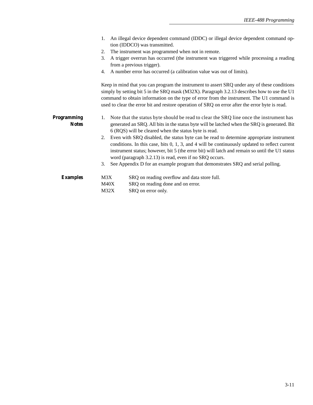|                             | 1.<br>2.<br>3.                                                                                                                                                                                                                                                                                                                                                                                                                                                                                                                                                                                                                                                                                                                                                                                                                                                                                                                                                                                                                                                                                                | An illegal device dependent command (IDDC) or illegal device dependent command op-<br>tion (IDDCO) was transmitted.<br>The instrument was programmed when not in remote.<br>A trigger overrun has occurred (the instrument was triggered while processing a reading<br>from a previous trigger). |  |  |  |
|-----------------------------|---------------------------------------------------------------------------------------------------------------------------------------------------------------------------------------------------------------------------------------------------------------------------------------------------------------------------------------------------------------------------------------------------------------------------------------------------------------------------------------------------------------------------------------------------------------------------------------------------------------------------------------------------------------------------------------------------------------------------------------------------------------------------------------------------------------------------------------------------------------------------------------------------------------------------------------------------------------------------------------------------------------------------------------------------------------------------------------------------------------|--------------------------------------------------------------------------------------------------------------------------------------------------------------------------------------------------------------------------------------------------------------------------------------------------|--|--|--|
|                             |                                                                                                                                                                                                                                                                                                                                                                                                                                                                                                                                                                                                                                                                                                                                                                                                                                                                                                                                                                                                                                                                                                               | 4. A number error has occurred (a calibration value was out of limits).                                                                                                                                                                                                                          |  |  |  |
|                             | Keep in mind that you can program the instrument to assert SRQ under any of these conditions<br>simply by setting bit 5 in the SRQ mask (M32X). Paragraph 3.2.13 describes how to use the U1<br>command to obtain information on the type of error from the instrument. The U1 command is<br>used to clear the error bit and restore operation of SRQ on error after the error byte is read.<br>Note that the status byte should be read to clear the SRQ line once the instrument has<br>1.<br>generated an SRQ. All bits in the status byte will be latched when the SRQ is generated. Bit<br>6 (RQS) will be cleared when the status byte is read.<br>Even with SRQ disabled, the status byte can be read to determine appropriate instrument<br>2.<br>conditions. In this case, bits 0, 1, 3, and 4 will be continuously updated to reflect current<br>instrument status; however, bit 5 (the error bit) will latch and remain so until the U1 status<br>word (paragraph 3.2.13) is read, even if no SRQ occurs.<br>See Appendix D for an example program that demonstrates SRQ and serial polling.<br>3. |                                                                                                                                                                                                                                                                                                  |  |  |  |
| Programming<br><b>Notes</b> |                                                                                                                                                                                                                                                                                                                                                                                                                                                                                                                                                                                                                                                                                                                                                                                                                                                                                                                                                                                                                                                                                                               |                                                                                                                                                                                                                                                                                                  |  |  |  |
| <b>Examples</b>             | M3X                                                                                                                                                                                                                                                                                                                                                                                                                                                                                                                                                                                                                                                                                                                                                                                                                                                                                                                                                                                                                                                                                                           | SRQ on reading overflow and data store full.                                                                                                                                                                                                                                                     |  |  |  |
|                             | M40X                                                                                                                                                                                                                                                                                                                                                                                                                                                                                                                                                                                                                                                                                                                                                                                                                                                                                                                                                                                                                                                                                                          | SRQ on reading done and on error.                                                                                                                                                                                                                                                                |  |  |  |
|                             | M32X                                                                                                                                                                                                                                                                                                                                                                                                                                                                                                                                                                                                                                                                                                                                                                                                                                                                                                                                                                                                                                                                                                          | SRQ on error only.                                                                                                                                                                                                                                                                               |  |  |  |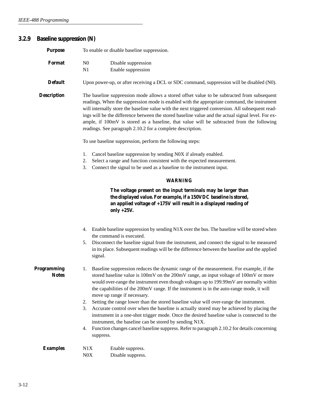# **3.2.9 Baseline suppression (N)**

| <b>Purpose</b>              | To enable or disable baseline suppression.                                                                                                                                                                                                                                                                                                                                                                                                                                                                                                                       |                                                                                                                                                                                                                                                                                                                                                                                                                                                                                                                                                                                                                                                                                                                                                                                                                                                           |  |  |  |  |  |
|-----------------------------|------------------------------------------------------------------------------------------------------------------------------------------------------------------------------------------------------------------------------------------------------------------------------------------------------------------------------------------------------------------------------------------------------------------------------------------------------------------------------------------------------------------------------------------------------------------|-----------------------------------------------------------------------------------------------------------------------------------------------------------------------------------------------------------------------------------------------------------------------------------------------------------------------------------------------------------------------------------------------------------------------------------------------------------------------------------------------------------------------------------------------------------------------------------------------------------------------------------------------------------------------------------------------------------------------------------------------------------------------------------------------------------------------------------------------------------|--|--|--|--|--|
| <b>Format</b>               | N <sub>0</sub><br>Disable suppression<br>N1<br>Enable suppression                                                                                                                                                                                                                                                                                                                                                                                                                                                                                                |                                                                                                                                                                                                                                                                                                                                                                                                                                                                                                                                                                                                                                                                                                                                                                                                                                                           |  |  |  |  |  |
| <b>Default</b>              |                                                                                                                                                                                                                                                                                                                                                                                                                                                                                                                                                                  | Upon power-up, or after receiving a DCL or SDC command, suppression will be disabled (N0).                                                                                                                                                                                                                                                                                                                                                                                                                                                                                                                                                                                                                                                                                                                                                                |  |  |  |  |  |
| <b>Description</b>          | The baseline suppression mode allows a stored offset value to be subtracted from subsequent<br>readings. When the suppression mode is enabled with the appropriate command, the instrument<br>will internally store the baseline value with the next triggered conversion. All subsequent read-<br>ings will be the difference between the stored baseline value and the actual signal level. For ex-<br>ample, if 100mV is stored as a baseline, that value will be subtracted from the following<br>readings. See paragraph 2.10.2 for a complete description. |                                                                                                                                                                                                                                                                                                                                                                                                                                                                                                                                                                                                                                                                                                                                                                                                                                                           |  |  |  |  |  |
|                             | To use baseline suppression, perform the following steps:                                                                                                                                                                                                                                                                                                                                                                                                                                                                                                        |                                                                                                                                                                                                                                                                                                                                                                                                                                                                                                                                                                                                                                                                                                                                                                                                                                                           |  |  |  |  |  |
|                             | 1.<br>2.<br>3.                                                                                                                                                                                                                                                                                                                                                                                                                                                                                                                                                   | Cancel baseline suppression by sending N0X if already enabled.<br>Select a range and function consistent with the expected measurement.<br>Connect the signal to be used as a baseline to the instrument input.                                                                                                                                                                                                                                                                                                                                                                                                                                                                                                                                                                                                                                           |  |  |  |  |  |
|                             | <b>WARNING</b>                                                                                                                                                                                                                                                                                                                                                                                                                                                                                                                                                   |                                                                                                                                                                                                                                                                                                                                                                                                                                                                                                                                                                                                                                                                                                                                                                                                                                                           |  |  |  |  |  |
|                             |                                                                                                                                                                                                                                                                                                                                                                                                                                                                                                                                                                  | The voltage present on the input terminals may be larger than<br>the displayed value. For example, if a 150VDC baseline is stored,<br>an applied voltage of $+175V$ will result in a displayed reading of<br>only $+25V$ .                                                                                                                                                                                                                                                                                                                                                                                                                                                                                                                                                                                                                                |  |  |  |  |  |
|                             | 4.<br>5.<br>signal.                                                                                                                                                                                                                                                                                                                                                                                                                                                                                                                                              | Enable baseline suppression by sending N1X over the bus. The baseline will be stored when<br>the command is executed.<br>Disconnect the baseline signal from the instrument, and connect the signal to be measured<br>in its place. Subsequent readings will be the difference between the baseline and the applied                                                                                                                                                                                                                                                                                                                                                                                                                                                                                                                                       |  |  |  |  |  |
| Programming<br><b>Notes</b> | 1.<br>2.<br>3.<br>4.                                                                                                                                                                                                                                                                                                                                                                                                                                                                                                                                             | Baseline suppression reduces the dynamic range of the measurement. For example, if the<br>stored baseline value is $100mV$ on the $200mV$ range, an input voltage of $100mV$ or more<br>would over-range the instrument even though voltages up to 199.99mV are normally within<br>the capabilities of the 200mV range. If the instrument is in the auto-range mode, it will<br>move up range if necessary.<br>Setting the range lower than the stored baseline value will over-range the instrument.<br>Accurate control over when the baseline is actually stored may be achieved by placing the<br>instrument in a one-shot trigger mode. Once the desired baseline value is connected to the<br>instrument, the baseline can be stored by sending N1X.<br>Function changes cancel baseline suppress. Refer to paragraph 2.10.2 for details concerning |  |  |  |  |  |
|                             |                                                                                                                                                                                                                                                                                                                                                                                                                                                                                                                                                                  | suppress.                                                                                                                                                                                                                                                                                                                                                                                                                                                                                                                                                                                                                                                                                                                                                                                                                                                 |  |  |  |  |  |
| <b>Examples</b>             | N1X<br>N0X                                                                                                                                                                                                                                                                                                                                                                                                                                                                                                                                                       | Enable suppress.<br>Disable suppress.                                                                                                                                                                                                                                                                                                                                                                                                                                                                                                                                                                                                                                                                                                                                                                                                                     |  |  |  |  |  |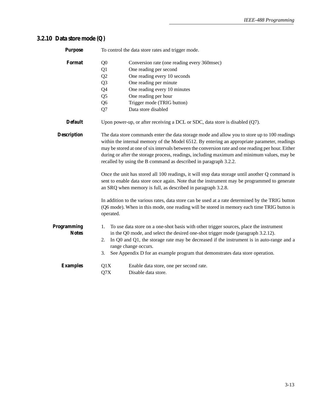# **3.2.10 Data store mode (Q)**

| <b>Purpose</b>              | To control the data store rates and trigger mode.                                                                                                                                                                                                               |                                                                                                                                                                                                                                                                                                                                                                                                                                                                        |  |  |  |  |  |
|-----------------------------|-----------------------------------------------------------------------------------------------------------------------------------------------------------------------------------------------------------------------------------------------------------------|------------------------------------------------------------------------------------------------------------------------------------------------------------------------------------------------------------------------------------------------------------------------------------------------------------------------------------------------------------------------------------------------------------------------------------------------------------------------|--|--|--|--|--|
| <b>Format</b>               | Q <sub>0</sub><br>Q1<br>Q <sub>2</sub><br>Q <sub>3</sub><br>Q4<br>Q <sub>5</sub><br>Q <sub>6</sub>                                                                                                                                                              | Conversion rate (one reading every 360msec)<br>One reading per second<br>One reading every 10 seconds<br>One reading per minute<br>One reading every 10 minutes<br>One reading per hour<br>Trigger mode (TRIG button)                                                                                                                                                                                                                                                  |  |  |  |  |  |
| <b>Default</b>              | Q7                                                                                                                                                                                                                                                              | Data store disabled<br>Upon power-up, or after receiving a DCL or SDC, data store is disabled (Q7).                                                                                                                                                                                                                                                                                                                                                                    |  |  |  |  |  |
| <b>Description</b>          |                                                                                                                                                                                                                                                                 | The data store commands enter the data storage mode and allow you to store up to 100 readings<br>within the internal memory of the Model 6512. By entering an appropriate parameter, readings<br>may be stored at one of six intervals between the conversion rate and one reading per hour. Either<br>during or after the storage process, readings, including maximum and minimum values, may be<br>recalled by using the B command as described in paragraph 3.2.2. |  |  |  |  |  |
|                             | Once the unit has stored all 100 readings, it will stop data storage until another Q command is<br>sent to enable data store once again. Note that the instrument may be programmed to generate<br>an SRQ when memory is full, as described in paragraph 3.2.8. |                                                                                                                                                                                                                                                                                                                                                                                                                                                                        |  |  |  |  |  |
|                             | In addition to the various rates, data store can be used at a rate determined by the TRIG button<br>(Q6 mode). When in this mode, one reading will be stored in memory each time TRIG button is<br>operated.                                                    |                                                                                                                                                                                                                                                                                                                                                                                                                                                                        |  |  |  |  |  |
| Programming<br><b>Notes</b> | 1.<br>2.<br>3.                                                                                                                                                                                                                                                  | To use data store on a one-shot basis with other trigger sources, place the instrument<br>in the Q0 mode, and select the desired one-shot trigger mode (paragraph 3.2.12).<br>In Q0 and Q1, the storage rate may be decreased if the instrument is in auto-range and a<br>range change occurs.<br>See Appendix D for an example program that demonstrates data store operation.                                                                                        |  |  |  |  |  |
| <b>Examples</b>             | Q1X<br>Q7X                                                                                                                                                                                                                                                      | Enable data store, one per second rate.<br>Disable data store.                                                                                                                                                                                                                                                                                                                                                                                                         |  |  |  |  |  |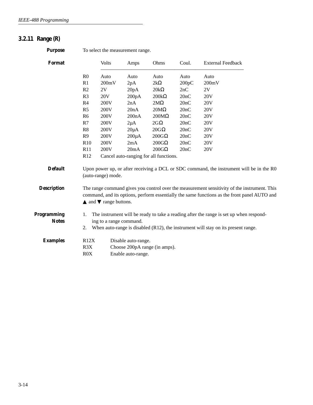# **3.2.11 Range (R)**

| <b>Format</b>               |                                                                                                                                                                                                                       | <b>Volts</b>                                 | Amps                                      | Ohms                                   | Coul. | <b>External Feedback</b>                                                                                                                                                                     |
|-----------------------------|-----------------------------------------------------------------------------------------------------------------------------------------------------------------------------------------------------------------------|----------------------------------------------|-------------------------------------------|----------------------------------------|-------|----------------------------------------------------------------------------------------------------------------------------------------------------------------------------------------------|
|                             | R <sub>0</sub>                                                                                                                                                                                                        | Auto                                         | Auto                                      | Auto                                   | Auto  | Auto                                                                                                                                                                                         |
|                             | R <sub>1</sub>                                                                                                                                                                                                        | 200mV                                        | 2pA                                       | $2k\Omega$                             | 200pC | 200mV                                                                                                                                                                                        |
|                             | R2                                                                                                                                                                                                                    | 2V                                           | 20pA                                      | $20k\Omega$                            | 2nC   | 2V                                                                                                                                                                                           |
|                             | R <sub>3</sub>                                                                                                                                                                                                        | 20V                                          | 200pA                                     | $200k\Omega$                           | 20nC  | 20V                                                                                                                                                                                          |
|                             | R <sub>4</sub>                                                                                                                                                                                                        | 200V                                         | 2nA                                       | $2M\Omega$                             | 20nC  | 20V                                                                                                                                                                                          |
|                             | R <sub>5</sub>                                                                                                                                                                                                        | 200V                                         | 20nA                                      | $20M\Omega$                            | 20nC  | 20V                                                                                                                                                                                          |
|                             | R <sub>6</sub>                                                                                                                                                                                                        | 200V                                         | 200nA                                     | $200M\Omega$                           | 20nC  | 20V                                                                                                                                                                                          |
|                             | R7                                                                                                                                                                                                                    | 200V                                         | $2\mu A$                                  | $2G\Omega$                             | 20nC  | 20V                                                                                                                                                                                          |
|                             | R <sub>8</sub>                                                                                                                                                                                                        | 200V                                         | $20\mu A$                                 | $20G\Omega$                            | 20nC  | 20V                                                                                                                                                                                          |
|                             | R9                                                                                                                                                                                                                    | 200V                                         | $200\mu A$                                | $200G\Omega$                           | 20nC  | 20V                                                                                                                                                                                          |
|                             | R10                                                                                                                                                                                                                   | 200V                                         | 2mA                                       | $200G\Omega$                           | 20nC  | 20V                                                                                                                                                                                          |
|                             | R11                                                                                                                                                                                                                   | 200V                                         | 20mA                                      | $200G\Omega$                           | 20nC  | 20V                                                                                                                                                                                          |
|                             | R12                                                                                                                                                                                                                   |                                              |                                           | Cancel auto-ranging for all functions. |       |                                                                                                                                                                                              |
| <b>Default</b>              |                                                                                                                                                                                                                       | (auto-range) mode.                           |                                           |                                        |       | Upon power up, or after receiving a DCL or SDC command, the instrument will be in the R0                                                                                                     |
| <b>Description</b>          |                                                                                                                                                                                                                       | $\blacktriangle$ and $\nabla$ range buttons. |                                           |                                        |       | The range command gives you control over the measurement sensitivity of the instrument. This<br>command, and its options, perform essentially the same functions as the front panel AUTO and |
| Programming<br><b>Notes</b> | The instrument will be ready to take a reading after the range is set up when respond-<br>1.<br>ing to a range command.<br>When auto-range is disabled $(R12)$ , the instrument will stay on its present range.<br>2. |                                              |                                           |                                        |       |                                                                                                                                                                                              |
| <b>Examples</b>             | R12X<br>R3X<br>R0X                                                                                                                                                                                                    |                                              | Disable auto-range.<br>Enable auto-range. | Choose 200pA range (in amps).          |       |                                                                                                                                                                                              |

**Purpose** To select the measurement range.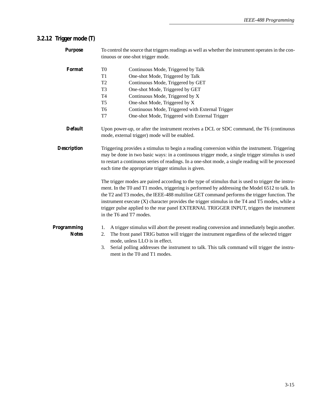# **3.2.12 Trigger mode (T)**

| <b>Purpose</b>              | To control the source that triggers readings as well as whether the instrument operates in the con-                                                                                                                                                                                                                                                                                                                                                                                                                          |                                                                                                                                                                                                                                                                                                                                                            |  |  |  |
|-----------------------------|------------------------------------------------------------------------------------------------------------------------------------------------------------------------------------------------------------------------------------------------------------------------------------------------------------------------------------------------------------------------------------------------------------------------------------------------------------------------------------------------------------------------------|------------------------------------------------------------------------------------------------------------------------------------------------------------------------------------------------------------------------------------------------------------------------------------------------------------------------------------------------------------|--|--|--|
|                             | tinuous or one-shot trigger mode.                                                                                                                                                                                                                                                                                                                                                                                                                                                                                            |                                                                                                                                                                                                                                                                                                                                                            |  |  |  |
| <b>Format</b>               | T <sub>0</sub>                                                                                                                                                                                                                                                                                                                                                                                                                                                                                                               | Continuous Mode, Triggered by Talk                                                                                                                                                                                                                                                                                                                         |  |  |  |
|                             | T <sub>1</sub>                                                                                                                                                                                                                                                                                                                                                                                                                                                                                                               | One-shot Mode, Triggered by Talk                                                                                                                                                                                                                                                                                                                           |  |  |  |
|                             | T <sub>2</sub>                                                                                                                                                                                                                                                                                                                                                                                                                                                                                                               | Continuous Mode, Triggered by GET                                                                                                                                                                                                                                                                                                                          |  |  |  |
|                             | T <sub>3</sub>                                                                                                                                                                                                                                                                                                                                                                                                                                                                                                               | One-shot Mode, Triggered by GET                                                                                                                                                                                                                                                                                                                            |  |  |  |
|                             | T <sub>4</sub>                                                                                                                                                                                                                                                                                                                                                                                                                                                                                                               | Continuous Mode, Triggered by X                                                                                                                                                                                                                                                                                                                            |  |  |  |
|                             | T <sub>5</sub>                                                                                                                                                                                                                                                                                                                                                                                                                                                                                                               | One-shot Mode, Triggered by X                                                                                                                                                                                                                                                                                                                              |  |  |  |
|                             | T <sub>6</sub>                                                                                                                                                                                                                                                                                                                                                                                                                                                                                                               | Continuous Mode, Triggered with External Trigger                                                                                                                                                                                                                                                                                                           |  |  |  |
|                             | T7                                                                                                                                                                                                                                                                                                                                                                                                                                                                                                                           | One-shot Mode, Triggered with External Trigger                                                                                                                                                                                                                                                                                                             |  |  |  |
| <b>Default</b>              | Upon power-up, or after the instrument receives a DCL or SDC command, the T6 (continuous<br>mode, external trigger) mode will be enabled.                                                                                                                                                                                                                                                                                                                                                                                    |                                                                                                                                                                                                                                                                                                                                                            |  |  |  |
| <b>Description</b>          | Triggering provides a stimulus to begin a reading conversion within the instrument. Triggering<br>may be done in two basic ways: in a continuous trigger mode, a single trigger stimulus is used<br>to restart a continuous series of readings. In a one-shot mode, a single reading will be processed<br>each time the appropriate trigger stimulus is given.                                                                                                                                                               |                                                                                                                                                                                                                                                                                                                                                            |  |  |  |
|                             | The trigger modes are paired according to the type of stimulus that is used to trigger the instru-<br>ment. In the T0 and T1 modes, triggering is performed by addressing the Model 6512 to talk. In<br>the T2 and T3 modes, the IEEE-488 multiline GET command performs the trigger function. The<br>instrument execute $(X)$ character provides the trigger stimulus in the T4 and T5 modes, while a<br>trigger pulse applied to the rear panel EXTERNAL TRIGGER INPUT, triggers the instrument<br>in the T6 and T7 modes. |                                                                                                                                                                                                                                                                                                                                                            |  |  |  |
| Programming<br><b>Notes</b> | 1.<br>2.<br>3.                                                                                                                                                                                                                                                                                                                                                                                                                                                                                                               | A trigger stimulus will abort the present reading conversion and immediately begin another.<br>The front panel TRIG button will trigger the instrument regardless of the selected trigger<br>mode, unless LLO is in effect.<br>Serial polling addresses the instrument to talk. This talk command will trigger the instru-<br>ment in the T0 and T1 modes. |  |  |  |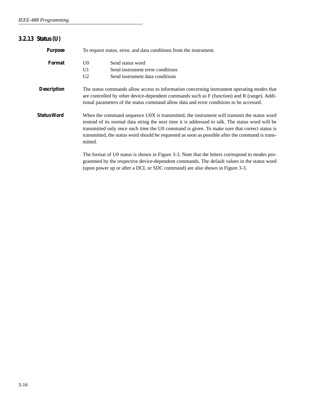# **3.2.13 Status (U)**

| <b>Purpose</b>     | To request status, error, and data conditions from the instrument.                                                                                                                                                                                                                                                                                                                                            |                                                                                                |  |  |  |
|--------------------|---------------------------------------------------------------------------------------------------------------------------------------------------------------------------------------------------------------------------------------------------------------------------------------------------------------------------------------------------------------------------------------------------------------|------------------------------------------------------------------------------------------------|--|--|--|
| Format             | U <sub>0</sub>                                                                                                                                                                                                                                                                                                                                                                                                | Send status word                                                                               |  |  |  |
|                    | U1                                                                                                                                                                                                                                                                                                                                                                                                            | Send instrument error conditions                                                               |  |  |  |
|                    | U <sub>2</sub>                                                                                                                                                                                                                                                                                                                                                                                                | Send instrument data conditions                                                                |  |  |  |
| <b>Description</b> | The status commands allow access to information concerning instrument operating modes that<br>are controlled by other device-dependent commands such as F (function) and R (range). Addi-<br>tional parameters of the status command allow data and error conditions to be accessed.                                                                                                                          |                                                                                                |  |  |  |
| Status Word        | When the command sequence UOX is transmitted, the instrument will transmit the status word<br>instead of its normal data string the next time it is addressed to talk. The status word will be<br>transmitted only once each time the U0 command is given. To make sure that correct status is<br>transmitted, the status word should be requested as soon as possible after the command is trans-<br>mitted. |                                                                                                |  |  |  |
|                    |                                                                                                                                                                                                                                                                                                                                                                                                               | The format of U0 status is shown in Figure 3-3. Note that the letters correspond to modes pro- |  |  |  |

grammed by the respective device-dependent commands. The default values in the status word (upon power up or after a DCL or SDC command) are also shown in Figure 3-3.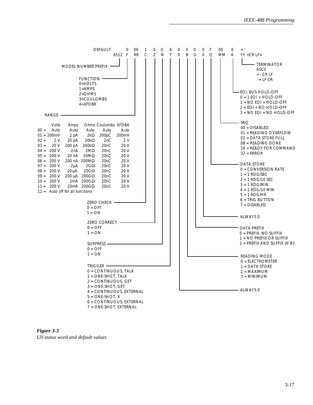

*Figure 3-3 U0 status word and default values*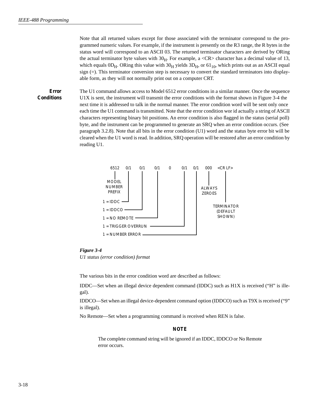Note that all returned values except for those associated with the terminator correspond to the programmed numeric values. For example, if the instrument is presently on the R3 range, the R bytes in the status word will correspond to an ASCII 03. The returned terminator characters are derived by ORing the actual terminator byte values with  $30<sub>H</sub>$ . For example, a <CR> character has a decimal value of 13, which equals  $0D_H$ . ORing this value with  $30_H$  yields  $3D_H$ , or 61<sub>10</sub>, which prints out as an ASCII equal sign (=). This terminator conversion step is necessary to convert the standard terminators into displayable form, as they will not normally print out on a computer CRT.

**Error** The U1 command allows access to Model 6512 error conditions in a similar manner. Once the sequence **Conditions** U1X is sent, the instrument will transmit the error conditions with the format shown in Figure 3-4 the next time it is addressed to talk in the normal manner. The error condition word will be sent only once each time the U1 command is transmitted. Note that the error condition wor id actually a string of ASCII characters representing binary bit positions. An error condition is also flagged in the status (serial poll) byte, and the instrument can be programmed to generate an SRQ when an error condition occurs. (See paragraph 3.2.8). Note that all bits in the error condition (U1) word and the status byte error bit will be cleared when the U1 word is read. In addition, SRQ operation will be restored after an error condition by reading U1.



#### *Figure 3-4*

*U1 status (error condition) format*

The various bits in the error condition word are described as follows:

IDDC—Set when an illegal device dependent command (IDDC) such as H1X is received ("H" is illegal).

IDDCO—Set when an illegal device-dependent command option (IDDCO) such as T9X is received ("9" is illegal).

No Remote—Set when a programming command is received when REN is false.

#### **NOTE**

The complete command string will be ignored if an IDDC, IDDCO or No Remote error occurs.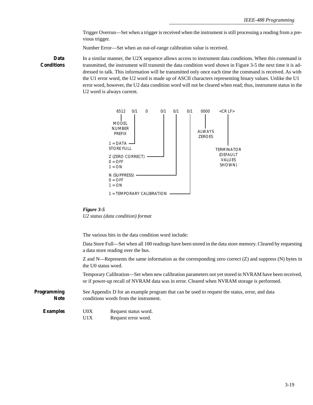Trigger Overrun—Set when a trigger is received when the instrument is still processing a reading from a previous trigger.

Number Error—Set when an out-of-range calibration value is received.

**Data** In a similar manner, the U2X sequence allows access to instrument data conditions. When this command is **Conditions** transmitted, the instrument will transmit the data condition word shown in Figure 3-5 the next time it is addressed to talk. This information will be transmitted only once each time the command is received. As with the U1 error word, the U2 word is made up of ASCII characters representing binary values. Unlike the U1 error word, however, the U2 data condition word will not be cleared when read; thus, instrument status in the U2 word is always current.



## *Figure 3-5*

*U2 status (data condition) format*

The various bits in the data condition word include:

Data Store Full—Set when all 100 readings have been stored in the data store memory. Cleared by requesting a data store reading over the bus.

Z and N—Represents the same information as the corresponding zero correct (Z) and suppress (N) bytes in the U0 status word.

Temporary Calibration—Set when new calibration parameters not yet stored in NVRAM have been received, or if power-up recall of NVRAM data was in error. Cleared when NVRAM storage is performed.

**Programming** See Appendix D for an example program that can be used to request the status, error, and data Note conditions words from the instrument.

**Examples** U0X Request status word. U1X Request error word.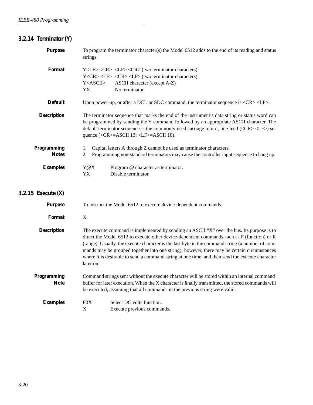# **3.2.14 Terminator (Y)**

| <b>Purpose</b>              | To program the terminator character(s) the Model 6512 adds to the end of its reading and status<br>strings.                                                                                                                                                                                                                                                                                                                                                                                                 |  |  |
|-----------------------------|-------------------------------------------------------------------------------------------------------------------------------------------------------------------------------------------------------------------------------------------------------------------------------------------------------------------------------------------------------------------------------------------------------------------------------------------------------------------------------------------------------------|--|--|
| <b>Format</b>               | $Y$ < $LF>$ (two terminator characters)<br>$Y < CR$ < $LF$ < $CR$ > < $LF$ > (two terminator characters)                                                                                                                                                                                                                                                                                                                                                                                                    |  |  |
|                             | Y <ascii><br/>ASCII character (except A-Z)<br/>YX<br/>No terminator</ascii>                                                                                                                                                                                                                                                                                                                                                                                                                                 |  |  |
| <b>Default</b>              | Upon power-up, or after a DCL or SDC command, the terminator sequence is $\langle CR \rangle \langle LF \rangle$ .                                                                                                                                                                                                                                                                                                                                                                                          |  |  |
| <b>Description</b>          | The terminator sequence that marks the end of the instrument's data string or status word can<br>be programmed by sending the Y command followed by an appropriate ASCII character. The<br>default terminator sequence is the commonly used carriage return, line feed $(<\!\!CR\!\!> <\!\!LF\!\!>)$ se-<br>quence ( $\langle$ CR>=ASCII 13; $\langle$ LF>=ASCII 10).                                                                                                                                       |  |  |
| Programming<br><b>Notes</b> | Capital letters A through Z cannot be used as terminator characters.<br>1.<br>Programming non-standard terminators may cause the controller input sequence to hang up.<br>2.                                                                                                                                                                                                                                                                                                                                |  |  |
| <b>Examples</b>             | Program @ character as terminator.<br>Y@X<br>YX<br>Disable terminator.                                                                                                                                                                                                                                                                                                                                                                                                                                      |  |  |
| $3.2.15$ Execute $(X)$      |                                                                                                                                                                                                                                                                                                                                                                                                                                                                                                             |  |  |
| <b>Purpose</b>              | To instruct the Model 6512 to execute device-dependent commands.                                                                                                                                                                                                                                                                                                                                                                                                                                            |  |  |
| Format                      | X                                                                                                                                                                                                                                                                                                                                                                                                                                                                                                           |  |  |
| <b>Description</b>          | The execute command is implemented by sending an ASCII "X" over the bus. Its purpose is to<br>direct the Model 6512 to execute other device-dependent commands such as F (function) or R<br>(range). Usually, the execute character is the last byte in the command string (a number of com-<br>mands may be grouped together into one string); however, there may be certain circumstances<br>where it is desirable to send a command string at one time, and then send the execute character<br>later on. |  |  |
| Programming<br><b>Note</b>  | Command strings sent without the execute character will be stored within an internal command<br>buffer for later execution. When the X character is finally transmitted, the stored commands will<br>be executed, assuming that all commands in the previous string were valid.                                                                                                                                                                                                                             |  |  |
| <b>Examples</b>             | F0X<br>Select DC volts function.<br>X<br>Execute previous commands.                                                                                                                                                                                                                                                                                                                                                                                                                                         |  |  |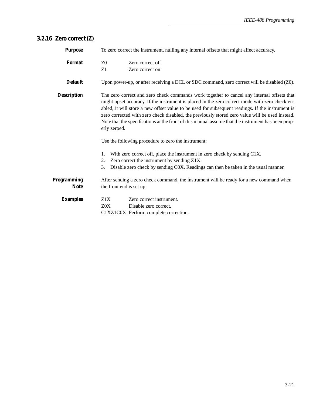# **3.2.16 Zero correct (Z)**

| <b>Purpose</b>             | To zero correct the instrument, nulling any internal offsets that might affect accuracy.                                                                                                                                                                                                                                                                                                                                                                                                                                  |  |  |
|----------------------------|---------------------------------------------------------------------------------------------------------------------------------------------------------------------------------------------------------------------------------------------------------------------------------------------------------------------------------------------------------------------------------------------------------------------------------------------------------------------------------------------------------------------------|--|--|
| <b>Format</b>              | Zero correct off<br>Z <sub>0</sub><br>Z1<br>Zero correct on                                                                                                                                                                                                                                                                                                                                                                                                                                                               |  |  |
| <b>Default</b>             | Upon power-up, or after receiving a DCL or SDC command, zero correct will be disabled (Z0).                                                                                                                                                                                                                                                                                                                                                                                                                               |  |  |
| <b>Description</b>         | The zero correct and zero check commands work together to cancel any internal offsets that<br>might upset accuracy. If the instrument is placed in the zero correct mode with zero check en-<br>abled, it will store a new offset value to be used for subsequent readings. If the instrument is<br>zero corrected with zero check disabled, the previously stored zero value will be used instead.<br>Note that the specifications at the front of this manual assume that the instrument has been prop-<br>erly zeroed. |  |  |
|                            | Use the following procedure to zero the instrument:                                                                                                                                                                                                                                                                                                                                                                                                                                                                       |  |  |
|                            | With zero correct off, place the instrument in zero check by sending C1X.<br>1.<br>Zero correct the instrument by sending Z1X.<br>2.<br>Disable zero check by sending C0X. Readings can then be taken in the usual manner.<br>3.                                                                                                                                                                                                                                                                                          |  |  |
| Programming<br><b>Note</b> | After sending a zero check command, the instrument will be ready for a new command when<br>the front end is set up.                                                                                                                                                                                                                                                                                                                                                                                                       |  |  |
| <b>Examples</b>            | Zero correct instrument.<br>Z1X<br>Z0X<br>Disable zero correct.<br>C1XZ1C0X Perform complete correction.                                                                                                                                                                                                                                                                                                                                                                                                                  |  |  |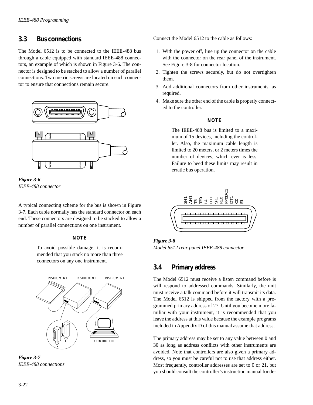# **3.3 Bus connections**

The Model 6512 is to be connected to the IEEE-488 bus through a cable equipped with standard IEEE-488 connectors, an example of which is shown in Figure 3-6. The connector is designed to be stacked to allow a number of parallel connections. Two metric screws are located on each connector to ensure that connections remain secure.





A typical connecting scheme for the bus is shown in Figure 3-7. Each cable normally has the standard connector on each end. These connectors are designed to be stacked to allow a number of parallel connections on one instrument.

## **NOTE**

To avoid possible damage, it is recommended that you stack no more than three connectors on any one instrument.



*Figure 3-7 IEEE-488 connections*

Connect the Model 6512 to the cable as follows:

- 1. With the power off, line up the connector on the cable with the connector on the rear panel of the instrument. See Figure 3-8 for connector location.
- 2. Tighten the screws securely, but do not overtighten them.
- 3. Add additional connectors from other instruments, as required.
- 4. Make sure the other end of the cable is properly connected to the controller.

#### **NOTE**

The IEEE-488 bus is limited to a maximum of 15 devices, including the controller. Also, the maximum cable length is limited to 20 meters, or 2 meters times the number of devices, which ever is less. Failure to heed these limits may result in erratic bus operation.



*Figure 3-8 Model 6512 rear panel IEEE-488 connector*

## **3.4 Primary address**

The Model 6512 must receive a listen command before is will respond to addressed commands. Similarly, the unit must receive a talk command before it will transmit its data. The Model 6512 is shipped from the factory with a programmed primary address of 27. Until you become more familiar with your instrument, it is recommended that you leave the address at this value because the example programs included in Appendix D of this manual assume that address. **For Example 2** Example 1 EXEC 2 Example 1 EXEC 2 EXEC 2 EXEC 2 EXEC 2 EXEC 2 EXEC 1 EXEC 1 EXEC 1 EXEC 1 AModel 6512 must receive a listen command before is will respond to a dedress the moment must receive a talk comman

The primary address may be set to any value between 0 and 30 as long as address conflicts with other instruments are avoided. Note that controllers are also given a primary address, so you must be careful not to use that address either. Most frequently, controller addresses are set to 0 or 21, but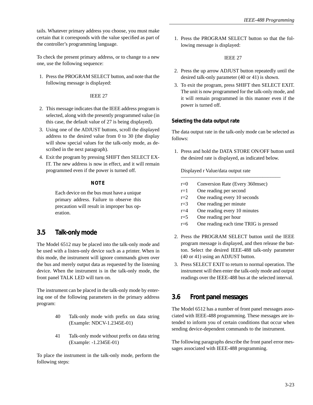tails. Whatever primary address you choose, you must make certain that it corresponds with the value specified as part of the controller's programming language.

To check the present primary address, or to change to a new one, use the following sequence:

1. Press the PROGRAM SELECT button, and note that the following message is displayed:

#### IEEE 27

- 2. This message indicates that the IEEE address program is selected, along with the presently programmed value (in this case, the default value of 27 is being displayed).
- 3. Using one of the ADJUST buttons, scroll the displayed address to the desired value from 0 to 30 (the display will show special values for the talk-only mode, as described in the next paragraph).
- 4. Exit the program by pressing SHIFT then SELECT EX-IT. The new address is now in effect, and it will remain programmed even if the power is turned off.

### **NOTE**

Each device on the bus must have a unique primary address. Failure to observe this precaution will result in improper bus operation.

# **3.5 Talk-only mode**

The Model 6512 may be placed into the talk-only mode and be used with a listen-only device such as a printer. When in this mode, the instrument will ignore commands given over the bus and merely output data as requested by the listening device. When the instrument is in the talk-only mode, the front panel TALK LED will turn on.

The instrument can be placed in the talk-only mode by entering one of the following parameters in the primary address program:

- 40 Talk-only mode with prefix on data string (Example: NDCV-1.2345E-01)
- 41 Talk-only mode without prefix on data string (Example: -1.2345E-01)

To place the instrument in the talk-only mode, perform the following steps:

1. Press the PROGRAM SELECT button so that the following message is displayed:

#### IEEE 27

- 2. Press the up arrow ADJUST button repeatedly until the desired talk-only parameter (40 or 41) is shown.
- 3. To exit the program, press SHIFT then SELECT EXIT. The unit is now programmed for the talk-only mode, and it will remain programmed in this manner even if the power is turned off.

## **Selecting the data output rate**

The data output rate in the talk-only mode can be selected as follows:

1. Press and hold the DATA STORE ON/OFF button until the desired rate is displayed, as indicated below.

Displayed r Value/data output rate \_\_\_\_\_\_\_\_\_\_\_\_\_\_\_\_\_\_\_\_\_\_\_\_\_\_\_\_\_\_\_\_\_\_\_\_\_\_\_

- r=0 Conversion Rate (Every 360msec)
- r=1 One reading per second
- r=2 One reading every 10 seconds
- r=3 One reading per minute
- r=4 One reading every 10 minutes
- r=5 One reading per hour
- r=6 One reading each time TRIG is pressed
- 2. Press the PROGRAM SELECT button until the IEEE program message is displayed, and then release the button. Select the desired IEEE-488 talk-only parameter (40 or 41) using an ADJUST button.
- 3. Press SELECT EXIT to return to normal operation. The instrument will then enter the talk-only mode and output readings over the IEEE-488 bus at the selected interval.

# **3.6 Front panel messages**

The Model 6512 has a number of front panel messages associated with IEEE-488 programming. These messages are intended to inform you of certain conditions that occur when sending device-dependent commands to the instrument.

The following paragraphs describe the front panel error messages associated with IEEE-488 programming.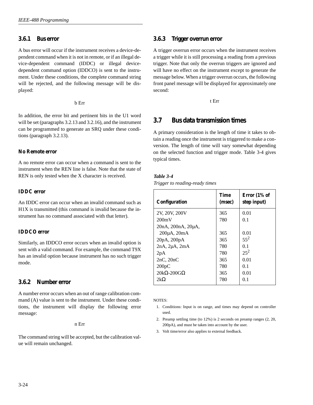## **3.6.1 Bus error**

A bus error will occur if the instrument receives a device-dependent command when it is not in remote, or if an illegal device-dependent command (IDDC) or illegal devicedependent command option (IDDCO) is sent to the instrument. Under these conditions, the complete command string will be rejected, and the following message will be displayed:

#### b Err

In addition, the error bit and pertinent bits in the U1 word will be set (paragraphs 3.2.13 and 3.2.16), and the instrument can be programmed to generate an SRQ under these conditions (paragraph 3.2.13).

### **No Remote error**

A no remote error can occur when a command is sent to the instrument when the REN line is false. Note that the state of REN is only tested when the X character is received.

#### **IDDC error**

An IDDC error can occur when an invalid command such as H1X is transmitted (this command is invalid because the instrument has no command associated with that letter).

## **IDDCO error**

Similarly, an IDDCO error occurs when an invalid option is sent with a valid command. For example, the command T9X has an invalid option because instrument has no such trigger mode.

## **3.6.2 Number error**

A number error occurs when an out of range calibration command (A) value is sent to the instrument. Under these conditions, the instrument will display the following error message:

#### n Err

The command string will be accepted, but the calibration value will remain unchanged.

## **3.6.3 Trigger overrun error**

A trigger overrun error occurs when the instrument receives a trigger while it is still processing a reading from a previous trigger. Note that only the overrun triggers are ignored and will have no effect on the instrument except to generate the message below. When a trigger overrun occurs, the following front panel message will be displayed for approximately one second:

t Err

# **3.7 Bus data transmission times**

A primary consideration is the length of time it takes to obtain a reading once the instrument is triggered to make a conversion. The length of time will vary somewhat depending on the selected function and trigger mode. Table 3-4 gives typical times.

### *Table 3-4*

*Trigger to reading-ready times*

| Configuration            | Time<br>(msec) | Error $(1\%$ of<br>step input) |
|--------------------------|----------------|--------------------------------|
| 2V, 20V, 200V            | 365            | 0.01                           |
| 200mV                    | 780            | 0.1                            |
| 20nA, 200nA, 20µA,       |                |                                |
| 200µA, 20mA              | 365            | 0.01                           |
| 20pA, 200pA              | 365            | $55^{2}$                       |
| $2nA$ , $2\mu A$ , $2mA$ | 780            | 0.1                            |
| 2pA                      | 780            | $25^2$                         |
| $2nC$ , $20nC$           | 365            | 0.01                           |
| 200pC                    | 780            | 0.1                            |
| $20k\Omega - 200G\Omega$ | 365            | 0.01                           |
| $2k\Omega$               | 780            | 0.1                            |
|                          |                |                                |

NOTES:

- 1. Conditions: Input is on range, and times may depend on controller used.
- 2. Preamp settling time (to 12%) is 2 seconds on preamp ranges (2, 20, 200pA), and must be taken into account by the user.
- 3. Volt time/error also applies to external feedback.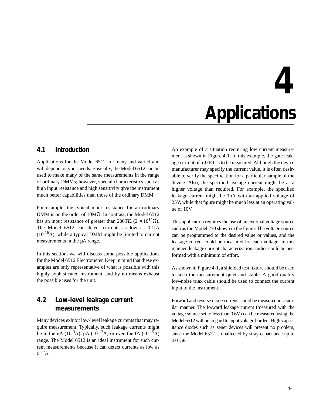# **4 Applications**

# **4.1 Introduction**

Applications for the Model 6512 are many and varied and will depend on your needs. Basically, the Model 6512 can be used to make many of the same measurements in the range of ordinary DMMs; however, special characteristics such as high input resistance and high sensitivity give the instrument much better capabilities than those of the ordinary DMM.

For example, the typical input resistance for an ordinary DMM is on the order of 10MΩ. In contrast, the Model 6512 has an input resistance of greater than 200T $\Omega$  (2 × 10<sup>14</sup> $\Omega$ ). The Model 6512 can detect currents as low as 0.1fA  $(10^{-16}A)$ , while a typical DMM might be limited to current measurements in the µA range.

In this section, we will discuss some possible applications for the Model 6512 Electrometer. Keep in mind that these examples are only representative of what is possible with this highly sophisticated instrument, and by no means exhaust the possible uses for the unit.

# **4.2 Low-level leakage current measurements**

Many devices exhibit low-level leakage currents that may require measurement. Typically, such leakage currents might lie in the nA (10<sup>-9</sup>A), pA (10<sup>-12</sup>A) or even the fA (10<sup>-15</sup>A) range. The Model 6512 is an ideal instrument for such current measurements because it can detect currents as low as 0.1fA.

An example of a situation requiring low current measurement is shown in Figure 4-1. In this example, the gate leakage current of a JFET is to be measured. Although the device manufacturer may specify the current value, it is often desirable to verify the specification for a particular sample of the device. Also, the specified leakage current might be at a higher voltage than required. For example, the specified leakage current might be 1nA with an applied voltage of 25V, while that figure might be much less at an operating value of 10V.

This application requires the use of an external voltage source such as the Model 230 shown in the figure. The voltage source can be programmed to the desired value or values, and the leakage current could be measured for each voltage. In this manner, leakage current characterization studies could be performed with a minimum of effort.

As shown in Figure 4-1, a shielded test fixture should be used to keep the measurement quiet and stable. A good quality low-noise triax cable should be used to connect the current input to the instrument.

Forward and reverse diode currents could be measured in a similar manner. The forward leakage current (measured with the voltage source set to less than 0.6V) can be measured using the Model 6512 without regard to input voltage burden. High-capacitance diodes such as zener devices will present no problem, since the Model 6512 is unaffected by stray capacitance up to 0.01µF.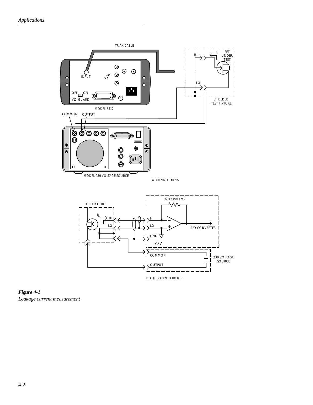*Applications*



B. EQUIVALENT CIRCUIT

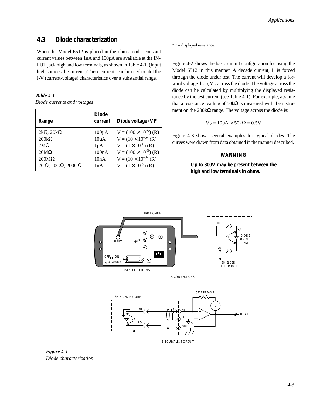# **4.3 Diode characterization**

When the Model 6512 is placed in the ohms mode, constant current values between 1nA and 100µA are available at the IN-PUT jack high and low terminals, as shown in Table 4-1. (Input high sources the current.) These currents can be used to plot the I-V (current-voltage) characteristics over a substantial range.

## *Table 4-1*

*Diode currents and voltages*

| Range                    | <b>Diode</b><br>current | Diode voltage $(V)^*$          |
|--------------------------|-------------------------|--------------------------------|
| $2k\Omega$ , $20k\Omega$ | $100\mu A$              | $V = (100 \times 10^{-6})$ (R) |
| $200k\Omega$             | $10\mu A$               | $V = (10 \times 10^{-6})$ (R)  |
| $2\text{M}\Omega$        | $1 \mu A$               | $V = (1 \times 10^{-6})$ (R)   |
| $20M\Omega$              | 100nA                   | $V = (100 \times 10^{-9})$ (R) |
| $200M\Omega$             | 10nA                    | $V = (10 \times 10^{-9})$ (R)  |
| $2GΩ$ , $20GΩ$ , $200GΩ$ | 1nA                     | $V = (1 \times 10^{-9})$ (R)   |

\*R = displayed resistance.

Figure 4-2 shows the basic circuit configuration for using the Model 6512 in this manner. A decade current, I, is forced through the diode under test. The current will develop a forward voltage drop,  $V_F$ , across the diode. The voltage across the diode can be calculated by multiplying the displayed resistance by the test current (see Table 4-1). For example, assume that a resistance reading of  $50$ kΩ is measured with the instrument on the  $200k\Omega$  range. The voltage across the diode is:

$$
V_F = 10\mu A \times 50k\Omega = 0.5V
$$

Figure 4-3 shows several examples for typical diodes. The curves were drawn from data obtained in the manner described.

## **WARNING**

**Up to 300V may be present between the high and low terminals in ohms.**



B. EQUIVALENT CIRCUIT

*Figure 4-1 Diode characterization*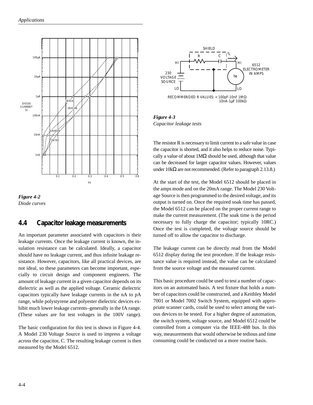



# **4.4 Capacitor leakage measurements**

An important parameter associated with capacitors is their leakage currents. Once the leakage current is known, the insulation resistance can be calculated. Ideally, a capacitor should have no leakage current, and thus infinite leakage resistance. However, capacitors, like all practical devices, are not ideal, so these parameters can become important, especially to circuit design and component engineers. The amount of leakage current in a given capacitor depends on its dielectric as well as the applied voltage. Ceramic dielectric capacitors typically have leakage currents in the nA to pA range, while polystyrene and polyester dielectric devices exhibit much lower leakage currents–generally in the fA range. (These values are for test voltages in the 100V range).

The basic configuration for this test is shown in Figure 4-4. A Model 230 Voltage Source is used to impress a voltage across the capacitor, C. The resulting leakage current is then measured by the Model 6512.



*Figure 4-3 Capacitor leakage tests*

The resistor R is necessary to limit current to a safe value in case the capacitor is shorted, and it also helps to reduce noise. Typically a value of about  $1\text{M}\Omega$  should be used, although that value can be decreased for larger capacitor values. However, values under 10kΩ are not recommended. (Refer to paragraph 2.13.8.)

At the start of the test, the Model 6512 should be placed in the amps mode and on the 20mA range. The Model 230 Voltage Source is then programmed to the desired voltage, and its output is turned on. Once the required soak time has passed, the Model 6512 can be placed on the proper current range to make the current measurement. (The soak time is the period necessary to fully charge the capacitor; typically 10RC.) Once the test is completed, the voltage source should be turned off to allow the capacitor to discharge.

The leakage current can be directly read from the Model 6512 display during the test procedure. If the leakage resistance value is required instead, the value can be calculated from the source voltage and the measured current.

This basic procedure could be used to test a number of capacitors on an automated basis. A test fixture that holds a number of capacitors could be constructed, and a Keithley Model 7001 or Model 7002 Switch System, equipped with appropriate scanner cards, could be used to select among the various devices to be tested. For a higher degree of automation, the switch system, voltage source, and Model 6512 could be controlled from a computer via the IEEE-488 bus. In this way, measurements that would otherwise be tedious and time consuming could be conducted on a more routine basis.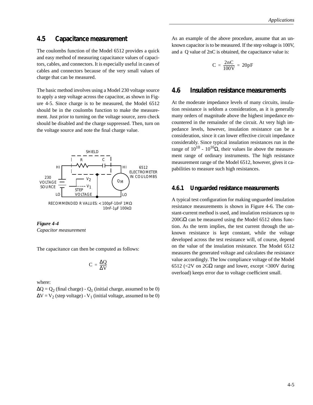## **4.5 Capacitance measurement**

The coulombs function of the Model 6512 provides a quick and easy method of measuring capacitance values of capacitors, cables, and connectors. It is especially useful in cases of cables and connectors because of the very small values of charge that can be measured.

The basic method involves using a Model 230 voltage source to apply a step voltage across the capacitor, as shown in Figure 4-5. Since charge is to be measured, the Model 6512 should be in the coulombs function to make the measurement. Just prior to turning on the voltage source, zero check should be disabled and the charge suppressed. Then, turn on the voltage source and note the final charge value.





The capacitance can then be computed as follows:

$$
C = \frac{\Delta Q}{\Delta V}
$$

where:

 $\Delta Q = Q_2$  (final charge) - Q<sub>1</sub> (initial charge, assumed to be 0)  $\Delta V = V_2$  (step voltage) - V<sub>1</sub> (initial voltage, assumed to be 0)

As an example of the above procedure, assume that an unknown capacitor is to be measured. If the step voltage is 100V, and a Q value of 2nC is obtained, the capacitance value is:

$$
C = \frac{2nC}{100V} = 20pF
$$

## **4.6 Insulation resistance measurements**

At the moderate impedance levels of many circuits, insulation resistance is seldom a consideration, as it is generally many orders of magnitude above the highest impedance encountered in the remainder of the circuit. At very high impedance levels, however, insulation resistance can be a consideration, since it can lower effective circuit impedance considerably. Since typical insulation resistances run in the range of  $10^{10}$  -  $10^{16}\Omega$ , their values lie above the measurement range of ordinary instruments. The high resistance measurement range of the Model 6512, however, gives it capabilities to measure such high resistances.

### **4.6.1 Unguarded resistance measurements**

A typical test configuration for making unguarded insulation resistance measurements is shown in Figure 4-6. The constant-current method is used, and insulation resistances up to 200G $\Omega$  can be measured using the Model 6512 ohms function. As the term implies, the test current through the unknown resistance is kept constant, while the voltage developed across the test resistance will, of course, depend on the value of the insulation resistance. The Model 6512 measures the generated voltage and calculates the resistance value accordingly. The low compliance voltage of the Model 6512 ( $\langle 2V \rangle$  on  $2G\Omega$  range and lower, except  $\langle 300V \rangle$  during overload) keeps error due to voltage coefficient small.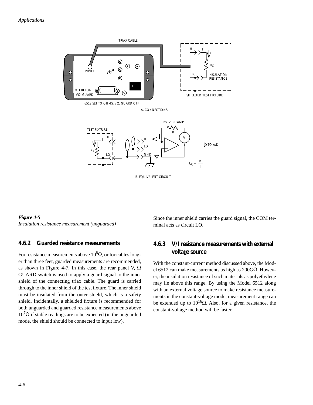



### **4.6.2 Guarded resistance measurements**

For resistance measurements above  $10^8 \Omega$ , or for cables longer than three feet, guarded measurements are recommended, as shown in Figure 4-7. In this case, the rear panel V,  $\Omega$ GUARD switch is used to apply a guard signal to the inner shield of the connecting triax cable. The guard is carried through to the inner shield of the test fixture. The inner shield must be insulated from the outer shield, which is a safety shield. Incidentally, a shielded fixture is recommended for both unguarded and guarded resistance measurements above  $10<sup>7</sup>Ω$  if stable readings are to be expected (in the unguarded mode, the shield should be connected to input low).

Since the inner shield carries the guard signal, the COM terminal acts as circuit LO.

## **4.6.3 V/I resistance measurements with external voltage source**

With the constant-current method discussed above, the Model 6512 can make measurements as high as 200GΩ. However, the insulation resistance of such materials as polyethylene may lie above this range. By using the Model 6512 along with an external voltage source to make resistance measurements in the constant-voltage mode, measurement range can be extended up to  $10^{16}\Omega$ . Also, for a given resistance, the constant-voltage method will be faster.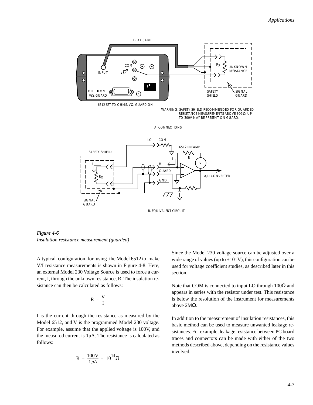

B. EQUIVALENT CIRCUIT



A typical configuration for using the Model 6512 to make V/I resistance measurements is shown in Figure 4-8. Here, an external Model 230 Voltage Source is used to force a current, I, through the unknown resistance, R. The insulation resistance can then be calculated as follows:

$$
R = \frac{V}{I}
$$

I is the current through the resistance as measured by the Model 6512, and V is the programmed Model 230 voltage. For example, assume that the applied voltage is 100V, and the measured current is 1pA. The resistance is calculated as follows:

$$
R = \frac{100V}{1pA} = 10^{14} \Omega
$$

Since the Model 230 voltage source can be adjusted over a wide range of values (up to  $\pm 101V$ ), this configuration can be used for voltage coefficient studies, as described later in this section.

Note that COM is connected to input LO through  $100\Omega$  and appears in series with the resistor under test. This resistance is below the resolution of the instrument for measurements above 2MΩ.

In addition to the measurement of insulation resistances, this basic method can be used to measure unwanted leakage resistances. For example, leakage resistance between PC board traces and connectors can be made with either of the two methods described above, depending on the resistance values involved.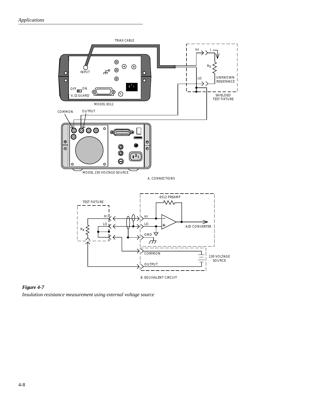



## *Figure 4-7*

*Insulation resistance measurement using external voltage source*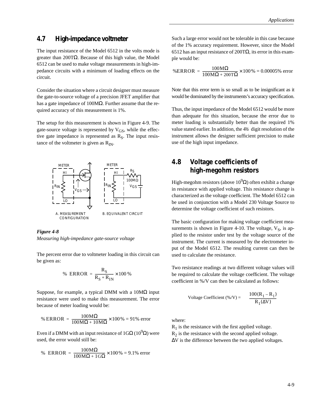# **4.7 High-impedance voltmeter**

The input resistance of the Model 6512 in the volts mode is greater than 200TΩ. Because of this high value, the Model 6512 can be used to make voltage measurements in high-impedance circuits with a minimum of loading effects on the circuit.

Consider the situation where a circuit designer must measure the gate-to-source voltage of a precision JFET amplifier that has a gate impedance of 100MΩ. Further assume that the required accuracy of this measurement is 1%.

The setup for this measurement is shown in Figure 4-9. The gate-source voltage is represented by  $V_{GS}$ , while the effective gate impedance is represented as  $R<sub>S</sub>$ . The input resistance of the voltmeter is given as  $R_{IN}$ .



*Figure 4-8*

*Measuring high-impedance gate-source voltage*

The percent error due to voltmeter loading in this circuit can be given as:

$$
\% \ \ \text{ERROR} = \frac{\text{R}_{\text{S}}}{\text{R}_{\text{S}} + \text{R}_{\text{IN}}} \times 100\%
$$

Suppose, for example, a typical DMM with a  $10M\Omega$  input resistance were used to make this measurement. The error because of meter loading would be:

% 
$$
\% \text{ERROR} = \frac{100 \text{M}\Omega}{100 \text{M}\Omega + 10 \text{M}\Omega} \times 100\% = 91\% \text{ error}
$$

Even if a DMM with an input resistance of  $1GΩ (10<sup>9</sup>Ω)$  were used, the error would still be:

% 
$$
ERROR = \frac{100M\Omega}{100M\Omega + 1G\Omega} \times 100\% = 9.1\%
$$
 error

Such a large error would not be tolerable in this case because of the 1% accuracy requirement. However, since the Model 6512 has an input resistance of 200TΩ, its error in this example would be:

%
$$
\% \text{ERROR} = \frac{100 \text{M}\Omega}{100 \text{M}\Omega + 200 \text{T}\Omega} \times 100\% = 0.00005\% \text{ error}
$$

Note that this error term is so small as to be insignificant as it would be dominated by the instruments's accuracy specification.

Thus, the input impedance of the Model 6512 would be more than adequate for this situation, because the error due to meter loading is substantially better than the required 1% value stated earlier. In addition, the 4½ digit resolution of the instrument allows the designer sufficient precision to make use of the high input impedance.

# **4.8 Voltage coefficients of high-megohm resistors**

High-megohm resistors (above  $10^9\Omega$ ) often exhibit a change in resistance with applied voltage. This resistance change is characterized as the voltage coefficient. The Model 6512 can be used in conjunction with a Model 230 Voltage Source to determine the voltage coefficient of such resistors.

The basic configuration for making voltage coefficient measurements is shown in Figure 4-10. The voltage,  $V_s$ , is applied to the resistor under test by the voltage source of the instrument. The current is measured by the electrometer input of the Model 6512. The resulting current can then be used to calculate the resistance.

Two resistance readings at two different voltage values will be required to calculate the voltage coefficient. The voltage coefficient in %/V can then be calculated as follows:

$$
\text{Voltage Coefficient } (\% / V) = \frac{100(R_1 - R_1)}{R_1(\Delta V)}
$$

where:

 $R_1$  is the resistance with the first applied voltage.

 $R<sub>2</sub>$  is the resistance with the second applied voltage.

∆V is the difference between the two applied voltages.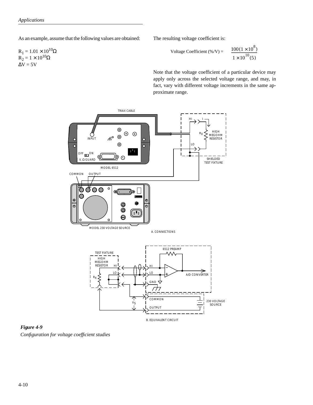As an example, assume that the following values are obtained:

 $R_1 = 1.01 \times 10^{10}$ Ω  $R_2 = 1 \times 10^{10} \Omega$  $\Delta V = 5V$ 

The resulting voltage coefficient is:

$$
\text{Voltage Coefficient } (\% / V) = \frac{100(1 \times 10^8)}{1 \times 10^{10} (5)}
$$

Note that the voltage coefficient of a particular device may apply only across the selected voltage range, and may, in fact, vary with different voltage increments in the same approximate range.



*Figure 4-9 Configuration for voltage coefficient studies*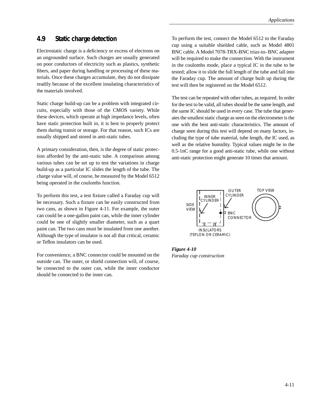# **4.9 Static charge detection**

Electrostatic charge is a deficiency or excess of electrons on an ungrounded surface. Such charges are usually generated on poor conductors of electricity such as plastics, synthetic fibers, and paper during handling or processing of these materials. Once these charges accumulate, they do not dissipate readily because of the excellent insulating characteristics of the materials involved.

Static charge build-up can be a problem with integrated circuits, especially with those of the CMOS variety. While these devices, which operate at high impedance levels, often have static protection built in, it is best to properly protect them during transit or storage. For that reason, such ICs are usually shipped and stored in anti-static tubes.

A primary consideration, then, is the degree of static protection afforded by the anti-static tube. A comparison among various tubes can be set up to test the variations in charge build-up as a particular IC slides the length of the tube. The charge value will, of course, be measured by the Model 6512 being operated in the coulombs function.

To perform this test, a test fixture called a Faraday cup will be necessary. Such a fixture can be easily constructed from two cans, as shown in Figure 4-11. For example, the outer can could be a one-gallon paint can, while the inner cylinder could be one of slightly smaller diameter, such as a quart paint can. The two cans must be insulated from one another. Although the type of insulator is not all that critical, ceramic or Teflon insulators can be used.

For convenience, a BNC connector could be mounted on the outside can. The outer, or shield connection will, of course, be connected to the outer can, while the inner conductor should be connected to the inner can.

To perform the test, connect the Model 6512 to the Faraday cup using a suitable shielded cable, such as Model 4801 BNC cable. A Model 7078-TRX-BNC triax-to- BNC adapter will be required to make the connection. With the instrument in the coulombs mode, place a typical IC in the tube to be tested; allow it to slide the full length of the tube and fall into the Faraday cup. The amount of charge built up during the test will then be registered on the Model 6512.

The test can be repeated with other tubes, as required. In order for the test to be valid, all tubes should be the same length, and the same IC should be used in every case. The tube that generates the smallest static charge as seen on the electrometer is the one with the best anti-static characteristics. The amount of charge seen during this test will depend on many factors, including the type of tube material, tube length, the IC used, as well as the relative humidity. Typical values might be in the 0.5-1nC range for a good anti-static tube, while one without anti-static protection might generate 10 times that amount.



*Figure 4-10 Faraday cup construction*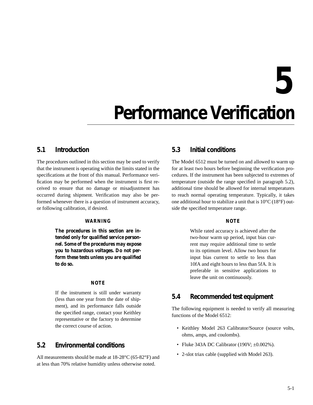# **5 Performance Verification**

# **5.1 Introduction**

The procedures outlined in this section may be used to verify that the instrument is operating within the limits stated in the specifications at the front of this manual. Performance verification may be performed when the instrument is first received to ensure that no damage or misadjustment has occurred during shipment. Verification may also be performed whenever there is a question of instrument accuracy, or following calibration, if desired.

#### **WARNING**

**The procedures in this section are intended only for qualified service personnel. Some of the procedures may expose you to hazardous voltages. Do not perform these tests unless you are qualified to do so.**

#### **NOTE**

If the instrument is still under warranty (less than one year from the date of shipment), and its performance falls outside the specified range, contact your Keithley representative or the factory to determine the correct course of action.

# **5.2 Environmental conditions**

All measurements should be made at 18-28°C (65-82°F) and at less than 70% relative humidity unless otherwise noted.

# **5.3 Initial conditions**

The Model 6512 must be turned on and allowed to warm up for at least two hours before beginning the verification procedures. If the instrument has been subjected to extremes of temperature (outside the range specified in paragraph 5.2), additional time should be allowed for internal temperatures to reach normal operating temperature. Typically, it takes one additional hour to stabilize a unit that is 10°C (18°F) outside the specified temperature range.

#### **NOTE**

While rated accuracy is achieved after the two-hour warm up period, input bias current may require additional time to settle to its optimum level. Allow two hours for input bias current to settle to less than 10fA and eight hours to less than 5fA. It is preferable in sensitive applications to leave the unit on continuously.

# **5.4 Recommended test equipment**

The following equipment is needed to verify all measuring functions of the Model 6512:

- Keithley Model 263 Calibrator/Source (source volts, ohms, amps, and coulombs).
- Fluke 343A DC Calibrator (190V;  $\pm 0.002\%$ ).
- 2-slot triax cable (supplied with Model 263).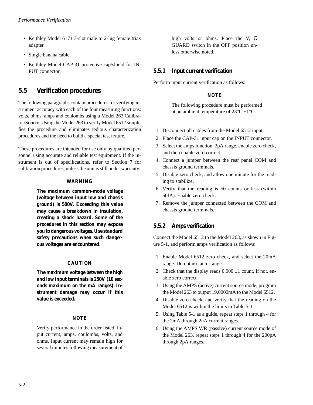- Keithley Model 6171 3-slot male to 2-lug female triax adapter.
- Single banana cable.
- Keithley Model CAP-31 protective cap/shield for IN-PUT connector.

# **5.5 Verification procedures**

The following paragraphs contain procedures for verifying instrument accuracy with each of the four measuring functions: volts, ohms, amps and coulombs using a Model 263 Calibrator/Source. Using the Model 263 to verify Model 6512 simplifies the procedure and eliminates tedious characterization procedures and the need to build a special test fixture.

These procedures are intended for use only by qualified personnel using accurate and reliable test equipment. If the instrument is out of specifications, refer to Section 7 for calibration procedures, unless the unit is still under warranty.

### **WARNING**

**The maximum common-mode voltage (voltage between input low and chassis ground) is 500V. Exceeding this value may cause a breakdown in insulation, creating a shock hazard. Some of the procedures in this section may expose you to dangerous voltages. Use standard safety precautions when such dangerous voltages are encountered.**

#### **CAUTION**

**The maximum voltage between the high and low input terminals is 250V (10 seconds maximum on the mA ranges). Instrument damage may occur if this value is exceeded.**

### **NOTE**

Verify performance in the order listed: input current, amps, coulombs, volts, and ohms. Input current may remain high for several minutes following measurement of

high volts or ohms. Place the V,  $\Omega$ GUARD switch in the OFF position unless otherwise noted.

## **5.5.1 Input current verification**

Perform input current verification as follows:

### **NOTE**

The following procedure must be performed at an ambient temperature of  $23^{\circ}C \pm 1^{\circ}C$ .

- 1. Disconnect all cables from the Model 6512 input.
- 2. Place the CAP-31 input cap on the INPUT connector.
- 3. Select the amps function, 2pA range, enable zero check, and then enable zero correct.
- 4. Connect a jumper between the rear panel COM and chassis ground terminals.
- 5. Disable zero check, and allow one minute for the reading to stabilize.
- 6. Verify that the reading is 50 counts or less (within 50fA). Enable zero check.
- 7. Remove the jumper connected between the COM and chassis ground terminals.

# **5.5.2 Amps verification**

Connect the Model 6512 to the Model 263, as shown in Figure 5-1, and perform amps verification as follows:

- 1. Enable Model 6512 zero check, and select the 20mA range. Do not use auto-range.
- 2. Check that the display reads  $0.000 \pm 1$  count. If not, enable zero correct.
- 3. Using the AMPS (active) current source mode, program the Model 263 to output 19.0000mA to the Model 6512.
- 4. Disable zero check, and verify that the reading on the Model 6512 is within the limits in Table 5-1.
- 5. Using Table 5-1 as a guide, repeat steps 1 through 4 for the 2mA through 2nA current ranges.
- 6. Using the AMPS V/R (passive) current source mode of the Model 263, repeat steps 1 through 4 for the 200pA through 2pA ranges.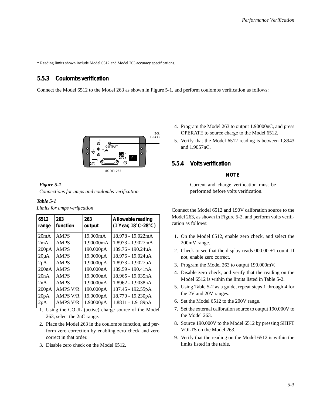\* Reading limits shown include Model 6512 and Model 263 accuracy specifications.

## **5.5.3 Coulombs verification**

Connect the Model 6512 to the Model 263 as shown in Figure 5-1, and perform coulombs verification as follows:



MODEL 263

#### *Figure 5-1*

*Connections for amps and coulombs verification*

#### *Table 5-1*

*Limits for amps verification*

| 6512<br>range | 263<br>function | 263<br>output | <b>Allowable reading</b><br>(1 Year, 18°C-28°C) |
|---------------|-----------------|---------------|-------------------------------------------------|
| 20mA          | <b>AMPS</b>     | 19.000mA      | 18.978 - 19.022mA                               |
| 2mA           | <b>AMPS</b>     | 1.90000mA     | $1.8973 - 1.9027mA$                             |
| $200\mu A$    | <b>AMPS</b>     | 190.000µA     | 189.76 - 190.24µA                               |
| $20\mu A$     | <b>AMPS</b>     | 19.0000µA     | 18.976 - 19.024µA                               |
| $2\mu A$      | <b>AMPS</b>     | 1.90000µA     | 1.8973 - 1.9027µA                               |
| 200nA         | <b>AMPS</b>     | 190.000nA     | 189.59 - 190.41nA                               |
| 20nA          | <b>AMPS</b>     | 19.0000nA     | 18.965 - 19.035nA                               |
| 2nA           | <b>AMPS</b>     | 1.90000nA     | 1.8962 - 1.9038nA                               |
| 200pA         | <b>AMPS V/R</b> | 190.000pA     | 187.45 - 192.55pA                               |
| 20pA          | <b>AMPS V/R</b> | 19.0000pA     | 18.770 - 19.230pA                               |
| 2pA           | <b>AMPS V/R</b> | 1.90000pA     | 1.8811 - 1.9189pA                               |

- 1. Using the COUL (active) charge source of the Model 263, select the 2nC range.
- 2. Place the Model 263 in the coulombs function, and perform zero correction by enabling zero check and zero correct in that order.
- 3. Disable zero check on the Model 6512.
- 4. Program the Model 263 to output 1.90000nC, and press OPERATE to source charge to the Model 6512.
- 5. Verify that the Model 6512 reading is between 1.8943 and 1.9057nC.

# **5.5.4 Volts verification**

## **NOTE**

Current and charge verification must be performed before volts verification.

Connect the Model 6512 and 190V calibration source to the Model 263, as shown in Figure 5-2, and perform volts verification as follows:

- 1. On the Model 6512, enable zero check, and select the 200mV range.
- 2. Check to see that the display reads  $000.00 \pm 1$  count. If not, enable zero correct.
- 3. Program the Model 263 to output 190.000mV.
- 4. Disable zero check, and verify that the reading on the Model 6512 is within the limits listed in Table 5-2.
- 5. Using Table 5-2 as a guide, repeat steps 1 through 4 for the 2V and 20V ranges.
- 6. Set the Model 6512 to the 200V range.
- 7. Set the external calibration source to output 190.000V to the Model 263.
- 8. Source 190.000V to the Model 6512 by pressing SHIFT VOLTS on the Model 263.
- 9. Verify that the reading on the Model 6512 is within the limits listed in the table.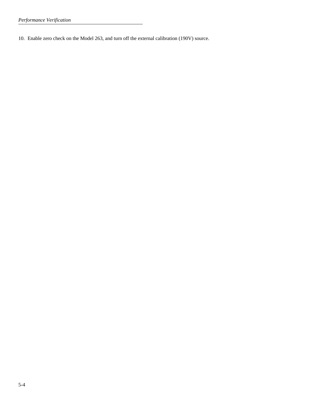10. Enable zero check on the Model 263, and turn off the external calibration (190V) source.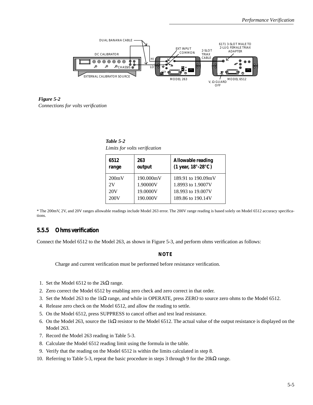

*Figure 5-2 Connections for volts verification*

| Table 5-2                     |
|-------------------------------|
| Limits for volts verification |

| 6512  | 263       | <b>Allowable reading</b>                             |
|-------|-----------|------------------------------------------------------|
| range | output    | $(1 \text{ year}, 18^{\circ} - 28^{\circ} \text{C})$ |
| 200mV | 190.000mV | 189.91 to 190.09mV                                   |
| 2V    | 1.90000V  | 1.8993 to 1.9007V                                    |
| 20V   | 19.0000V  | 18.993 to 19.007V                                    |
| 200V  | 190.000V  | 189.86 to 190.14V                                    |

\* The 200mV, 2V, and 20V ranges allowable readings include Model 263 error. The 200V range reading is based solely on Model 6512 accuracy specifications.

## **5.5.5 Ohms verification**

Connect the Model 6512 to the Model 263, as shown in Figure 5-3, and perform ohms verification as follows:

#### **NOTE**

Charge and current verification must be performed before resistance verification.

- 1. Set the Model 6512 to the  $2k\Omega$  range.
- 2. Zero correct the Model 6512 by enabling zero check and zero correct in that order.
- 3. Set the Model 263 to the 1kΩ range, and while in OPERATE, press ZERO to source zero ohms to the Model 6512.
- 4. Release zero check on the Model 6512, and allow the reading to settle.
- 5. On the Model 6512, press SUPPRESS to cancel offset and test lead resistance.
- 6. On the Model 263, source the 1kΩ resistor to the Model 6512. The actual value of the output resistance is displayed on the Model 263.
- 7. Record the Model 263 reading in Table 5-3.
- 8. Calculate the Model 6512 reading limit using the formula in the table.
- 9. Verify that the reading on the Model 6512 is within the limits calculated in step 8.
- 10. Referring to Table 5-3, repeat the basic procedure in steps 3 through 9 for the 20kΩ range.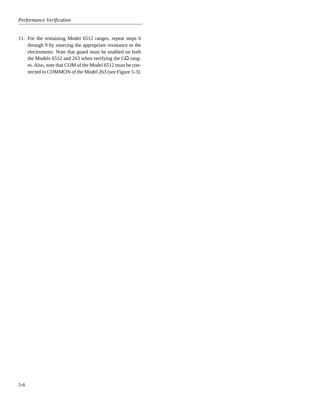11. For the remaining Model 6512 ranges, repeat steps 6 through 9 by sourcing the appropriate resistance to the electrometer. Note that guard must be enabled on both the Models 6512 and 263 when verifying the  $GΩ$  ranges. Also, note that COM of the Model 6512 must be connected to COMMON of the Model 263 (see Figure 5-3).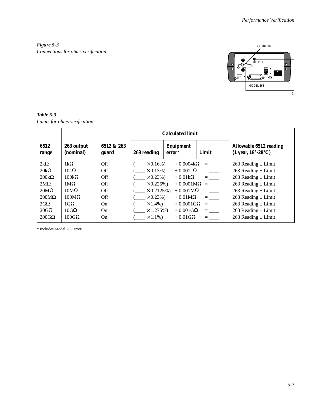# *Figure 5-3*

*Connections for ohms verification*



*Table 5-3 Limits for ohms verification*

|                      |                         |                     | <b>Calculated limit</b> |                        |                     |                                                                   |
|----------------------|-------------------------|---------------------|-------------------------|------------------------|---------------------|-------------------------------------------------------------------|
| 6512<br>range        | 263 output<br>(nominal) | 6512 & 263<br>guard | 263 reading             | Equipment<br>$error*$  | Limit               | Allowable 6512 reading<br>(1 year, $18^{\circ}$ -28 $^{\circ}$ C) |
| $2k\Omega$           | $1k\Omega$              | Off                 | $\times 0.16\%)$        | $+0.0004k\Omega$       | $=$                 | 263 Reading $\pm$ Limit                                           |
| $20k\Omega$          | $10k\Omega$             | Off                 | $\times 0.13\%$ )       | $+0.001k\Omega$        | $\equiv$ 100 $\pm$  | 263 Reading $\pm$ Limit                                           |
| $200k\Omega$         | $100k\Omega$            | Off                 | $\times 0.23\%$         | $+0.01k\Omega$         | $\equiv$ 100 $\pm$  | 263 Reading $\pm$ Limit                                           |
| $2\text{M}\Omega$    | $1\text{M}\Omega$       | Off                 | $\times 0.225\%)$       | $+0.0001M\Omega$       | $=$ $\frac{1}{2}$   | 263 Reading $\pm$ Limit                                           |
| $20M\Omega$          | $10\text{M}\Omega$      | Off                 | $\times 0.2125\%$       | $+0.001\text{M}\Omega$ | $\equiv$ 100 $\pm$  | 263 Reading $\pm$ Limit                                           |
| $200M\Omega$         | $100M\Omega$            | Off                 | $\times 0.23\%$ )       | $+0.01M\Omega$         | $\equiv$ 1000 $\pm$ | 263 Reading $\pm$ Limit                                           |
| $2G\Omega$           | $1G\Omega$              | On.                 | $\times$ 1.4%)          | $+0.0001$ G $\Omega$   | $\equiv$ 100 $\pm$  | 263 Reading $\pm$ Limit                                           |
| $20G\Omega$          | $10G\Omega$             | On.                 | $\times$ 1.275%)        | $+0.001$ G $\Omega$    | $\equiv$ 1000 $\pm$ | 263 Reading $\pm$ Limit                                           |
| $200 \text{G}\Omega$ | $100G\Omega$            | On.                 | $\times$ 1.1%)          | $+0.01$ G $\Omega$     | $\equiv$ 1000 $\pm$ | 263 Reading $\pm$ Limit                                           |

\* Includes Model 263 error.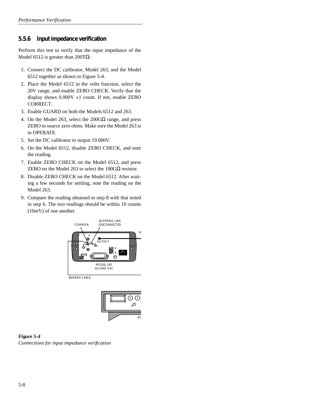# **5.5.6 Input impedance verification**

Perform this test to verify that the input impedance of the Model 6512 is greater than 200TΩ:

- 1. Connect the DC calibrator, Model 263, and the Model 6512 together as shown in Figure 5-4.
- 2. Place the Model 6512 in the volts function, select the 20V range, and enable ZERO CHECK. Verify that the display shows  $0.000V \pm 1$  count. If not, enable ZERO CORRECT.
- 3. Enable GUARD on both the Models 6512 and 263.
- 4. On the Model 263, select the 200GΩ range, and press ZERO to source zero ohms. Make sure the Model 263 is in OPERATE.
- 5. Set the DC calibrator to output 19.000V.
- 6. On the Model 6512, disable ZERO CHECK, and note the reading.
- 7. Enable ZERO CHECK on the Model 6512, and press ZERO on the Model 263 to select the 100GΩ resistor.
- 8. Disable ZERO CHECK on the Model 6512. After waiting a few seconds for settling, note the reading on the Model 263.
- 9. Compare the reading obtained in step 8 with that noted in step 6. The two readings should be within 10 counts (10mV) of one another.



BANANA CABLE



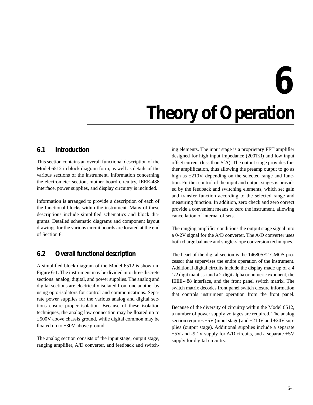# **6 Theory of Operation**

# **6.1 Introduction**

This section contains an overall functional description of the Model 6512 in block diagram form, as well as details of the various sections of the instrument. Information concerning the electrometer section, mother board circuitry, IEEE-488 interface, power supplies, and display circuitry is included.

Information is arranged to provide a description of each of the functional blocks within the instrument. Many of these descriptions include simplified schematics and block diagrams. Detailed schematic diagrams and component layout drawings for the various circuit boards are located at the end of Section 8.

# **6.2 Overall functional description**

A simplified block diagram of the Model 6512 is shown in Figure 6-1. The instrument may be divided into three discrete sections: analog, digital, and power supplies. The analog and digital sections are electrically isolated from one another by using opto-isolators for control and communications. Separate power supplies for the various analog and digital sections ensure proper isolation. Because of these isolation techniques, the analog low connection may be floated up to ±500V above chassis ground, while digital common may be floated up to ±30V above ground.

The analog section consists of the input stage, output stage, ranging amplifier, A/D converter, and feedback and switch-

ing elements. The input stage is a proprietary FET amplifier designed for high input impedance (200TΩ) and low input offset current (less than 5fA). The output stage provides further amplification, thus allowing the preamp output to go as high as  $\pm 210V$ , depending on the selected range and function. Further control of the input and output stages is provided by the feedback and switching elements, which set gain and transfer function according to the selected range and measuring function. In addition, zero check and zero correct provide a convenient means to zero the instrument, allowing cancellation of internal offsets.

The ranging amplifier conditions the output stage signal into a 0-2V signal for the A/D converter. The A/D converter uses both charge balance and single-slope conversion techniques.

The heart of the digital section is the 146805E2 CMOS processor that supervises the entire operation of the instrument. Additional digital circuits include the display made up of a 4 1/2 digit mantissa and a 2-digit alpha or numeric exponent, the IEEE-488 interface, and the front panel switch matrix. The switch matrix decodes front panel switch closure information that controls instrument operation from the front panel.

Because of the diversity of circuitry within the Model 6512, a number of power supply voltages are required. The analog section requires  $\pm 5V$  (input stage) and  $\pm 210V$  and  $\pm 24V$  supplies (output stage). Additional supplies include a separate +5V and -9.1V supply for A/D circuits, and a separate +5V supply for digital circuitry.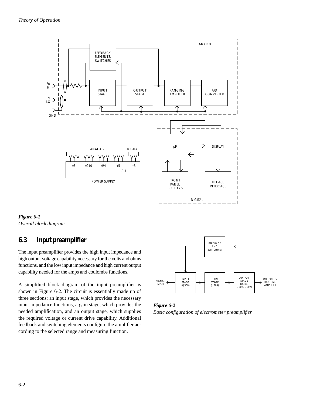

*Figure 6-1 Overall block diagram*

# **6.3 Input preamplifier**

The input preamplifier provides the high input impedance and high output voltage capability necessary for the volts and ohms functions, and the low input impedance and high current output capability needed for the amps and coulombs functions.

A simplified block diagram of the input preamplifier is shown in Figure 6-2. The circuit is essentially made up of three sections: an input stage, which provides the necessary input impedance functions, a gain stage, which provides the needed amplification, and an output stage, which supplies the required voltage or current drive capability. Additional feedback and switching elements configure the amplifier according to the selected range and measuring function.





*Basic configuration of electrometer preamplifier*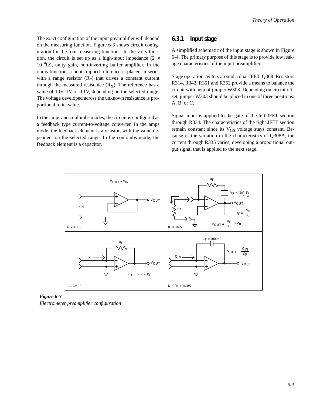The exact configuration of the input preamplifier will depend on the measuring function. Figure 6-3 shows circuit configuration for the four measuring functions. In the volts function, the circuit is set up as a high-input impedance  $(2 \times$  $10^{14}$ Ω), unity gain, non-inverting buffer amplifier. In the ohms function, a bootstrapped reference is placed in series with a range resistor  $(R_F)$  that drives a constant current through the measured resistance  $(R_X)$ . The reference has a value of 10V, 1V or 0.1V, depending on the selected range. The voltage developed across the unknown resistance is proportional to its value.

In the amps and coulombs modes, the circuit is configured as a feedback type current-to-voltage converter. In the amps mode, the feedback element is a resistor, with the value dependent on the selected range. In the coulombs mode, the feedback element is a capacitor.

## **6.3.1 Input stage**

A simplified schematic of the input stage is shown in Figure 6-4. The primary purpose of this stage is to provide low leakage characteristics of the input preamplifier.

Stage operation centers around a dual JFET, Q308. Resistors R314, R342, R351 and R352 provide a means to balance the circuit with help of jumper W303. Depending on circuit offset, jumper W303 should be placed in one of three positions: A, B, or C.

Signal input is applied to the gate of the left JFET section through R334. The characteristics of the right JFET section remain constant since its  $V_{GS}$  voltage stays constant. Because of the variation in the characteristics of Q308A, the current through R335 varies, developing a proportional output signal that is applied to the next stage.



*Figure 6-3 Electrometer preamplifier configuration*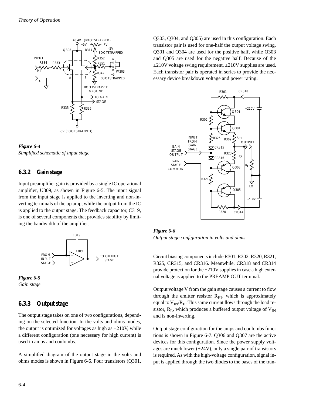



## **6.3.2 Gain stage**

Input preamplifier gain is provided by a single IC operational amplifier, U309, as shown in Figure 6-5. The input signal from the input stage is applied to the inverting and non-inverting terminals of the op amp, while the output from the IC is applied to the output stage. The feedback capacitor, C319, is one of several components that provides stability by limiting the bandwidth of the amplifier.





## **6.3.3 Output stage**

The output stage takes on one of two configurations, depending on the selected function. In the volts and ohms modes, the output is optimized for voltages as high as  $\pm 210V$ , while a different configuration (one necessary for high current) is used in amps and coulombs.

A simplified diagram of the output stage in the volts and ohms modes is shown in Figure 6-6. Four transistors (Q301, Q303, Q304, and Q305) are used in this configuration. Each transistor pair is used for one-half the output voltage swing. Q301 and Q304 are used for the positive half, while Q303 and Q305 are used for the negative half. Because of the  $\pm 210V$  voltage swing requirement,  $\pm 210V$  supplies are used. Each transistor pair is operated in series to provide the necessary device breakdown voltage and power rating.



*Figure 6-6 Output stage configuration in volts and ohms*

Circuit biasing components include R301, R302, R320, R321, R325, CR315, and CR316. Meanwhile, CR318 and CR314 provide protection for the  $\pm 210V$  supplies in case a high external voltage is applied to the PREAMP OUT terminal.

Output voltage V from the gain stage causes a current to flow through the emitter resistor  $R_{E1}$ , which is approximately equal to  $V_{IN}/R_E$ . This same current flows through the load resistor,  $R_L$ , which produces a buffered output voltage of  $V_{IN}$ and is non-inverting.

Output stage configuration for the amps and coulombs functions is shown in Figure 6-7. Q306 and Q307 are the active devices for this configuration. Since the power supply voltages are much lower  $(\pm 24V)$ , only a single pair of transistors is required. As with the high-voltage configuration, signal input is applied through the two diodes to the bases of the tran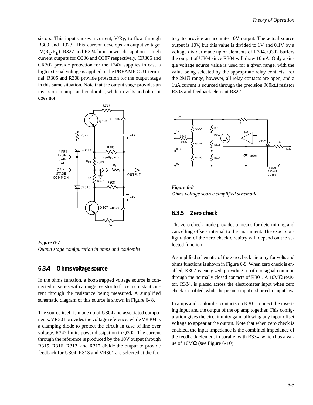sistors. This input causes a current,  $V/R<sub>E</sub>$ , to flow through R309 and R323. This current develops an output voltage:  $-V(R_L/R_E)$ . R327 and R324 limit power dissipation at high current outputs for Q306 and Q307 respectively. CR306 and CR307 provide protection for the  $\pm 24V$  supplies in case a high external voltage is applied to the PREAMP OUT terminal. R305 and R308 provide protection for the output stage in this same situation. Note that the output stage provides an inversion in amps and coulombs, while in volts and ohms it does not.



*Figure 6-7 Output stage configuration in amps and coulombs*

## **6.3.4 Ohms voltage source**

In the ohms function, a bootstrapped voltage source is connected in series with a range resistor to force a constant current through the resistance being measured. A simplified schematic diagram of this source is shown in Figure 6- 8.

The source itself is made up of U304 and associated components. VR301 provides the voltage reference, while VR304 is a clamping diode to protect the circuit in case of line over voltage. R347 limits power dissipation in Q302. The current through the reference is produced by the 10V output through R315. R316, R313, and R317 divide the output to provide feedback for U304. R313 and VR301 are selected at the factory to provide an accurate 10V output. The actual source output is 10V, but this value is divided to 1V and 0.1V by a voltage divider made up of elements of R304. Q302 buffers the output of U304 since R304 will draw 10mA. Only a single voltage source value is used for a given range, with the value being selected by the appropriate relay contacts. For the  $2M\Omega$  range, however, all relay contacts are open, and a 1µA current is sourced through the precision 900kΩ resistor R303 and feedback element R322.



*Figure 6-8 Ohms voltage source simplified schematic*

# **6.3.5 Zero check**

The zero check mode provides a means for determining and cancelling offsets internal to the instrument. The exact configuration of the zero check circuitry will depend on the selected function.

A simplified schematic of the zero check circuitry for volts and ohms functions is shown in Figure 6-9. When zero check is enabled, K307 is energized, providing a path to signal common through the normally closed contacts of K301. A  $10M\Omega$  resistor, R334, is placed across the electrometer input when zero check is enabled, while the preamp input is shorted to input low.

In amps and coulombs, contacts on K301 connect the inverting input and the output of the op amp together. This configuration gives the circuit unity gain, allowing any input offset voltage to appear at the output. Note that when zero check is enabled, the input impedance is the combined impedance of the feedback element in parallel with R334, which has a value of  $10MΩ$  (see Figure 6-10).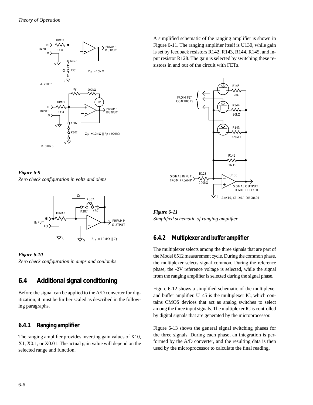





## *Figure 6-10*

*Zero check configuration in amps and coulombs*

# **6.4 Additional signal conditioning**

Before the signal can be applied to the A/D converter for digitization, it must be further scaled as described in the following paragraphs.

## **6.4.1 Ranging amplifier**

The ranging amplifier provides inverting gain values of X10, X1, X0.1, or X0.01. The actual gain value will depend on the selected range and function.

A simplified schematic of the ranging amplifier is shown in Figure 6-11. The ranging amplifier itself is U130, while gain is set by feedback resistors R142, R143, R144, R145, and input resistor R128. The gain is selected by switching these resistors in and out of the circuit with FETs.



*Figure 6-11 Simplified schematic of ranging amplifier*

# **6.4.2 Multiplexer and buffer amplifier**

The multiplexer selects among the three signals that are part of the Model 6512 measurement cycle. During the common phase, the multiplexer selects signal common. During the reference phase, the -2V reference voltage is selected, while the signal from the ranging amplifier is selected during the signal phase.

Figure 6-12 shows a simplified schematic of the multiplexer and buffer amplifier. U145 is the multiplexer IC, which contains CMOS devices that act as analog switches to select among the three input signals. The multiplexer IC is controlled by digital signals that are generated by the microprocessor.

Figure 6-13 shows the general signal switching phases for the three signals. During each phase, an integration is performed by the A/D converter, and the resulting data is then used by the microprocessor to calculate the final reading.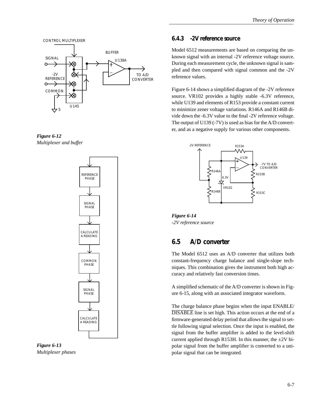

*Figure 6-12 Multiplexer and buffer*

S

↔

U145





## **6.4.3 -2V reference source**

Model 6512 measurements are based on comparing the unknown signal with an internal -2V reference voltage source. During each measurement cycle, the unknown signal is sampled and then compared with signal common and the -2V reference values.

Figure 6-14 shows a simplified diagram of the -2V reference source. VR102 provides a highly stable -6.3V reference, while U139 and elements of R153 provide a constant current to minimize zener voltage variations. R146A and R146B divide down the -6.3V value to the final -2V reference voltage. The output of U139 (-7V) is used as bias for the A/D converter, and as a negative supply for various other components.



*Figure 6-14 -2V reference source*

# **6.5 A/D converter**

The Model 6512 uses an A/D converter that utilizes both constant-frequency charge balance and single-slope techniques. This combination gives the instrument both high accuracy and relatively fast conversion times.

A simplified schematic of the A/D converter is shown in Figure 6-15, along with an associated integrator waveform.

The charge balance phase begins when the input ENABLE/ DISABLE line is set high. This action occurs at the end of a firmware-generated delay period that allows the signal to settle following signal selection. Once the input is enabled, the signal from the buffer amplifier is added to the level-shift current applied through R153H. In this manner, the  $\pm 2V$  bipolar signal from the buffer amplifier is converted to a unipolar signal that can be integrated.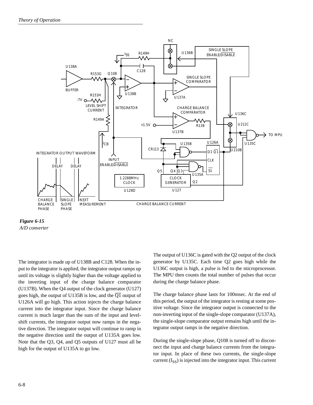



The integrator is made up of U138B and C128. When the input to the integrator is applied, the integrator output ramps up until its voltage is slightly higher than the voltage applied to the inverting input of the charge balance comparator (U137B). When the Q4 output of the clock generator (U127) goes high, the output of U135B is low, and the  $\overline{Q1}$  output of U126A will go high. This action injects the charge balance current into the integrator input. Since the charge balance current is much larger than the sum of the input and levelshift currents, the integrator output now ramps in the negative direction. The integrator output will continue to ramp in the negative direction until the output of U135A goes low. Note that the Q3, Q4, and Q5 outputs of U127 must all be high for the output of U135A to go low.

The output of U136C is gated with the Q2 output of the clock generator by U135C. Each time Q2 goes high while the U136C output is high, a pulse is fed to the microprocessor. The MPU then counts the total number of pulses that occur during the charge balance phase.

The charge balance phase lasts for 100msec. At the end of this period, the output of the integrator is resting at some positive voltage. Since the integrator output is connected to the non-inverting input of the single-slope comparator (U137A), the single-slope comparator output remains high until the integrator output ramps in the negative direction.

During the single-slope phase, Q108 is turned off to disconnect the input and charge balance currents from the integrator input. In place of these two currents, the single-slope current  $(I_{SS})$  is injected into the integrator input. This current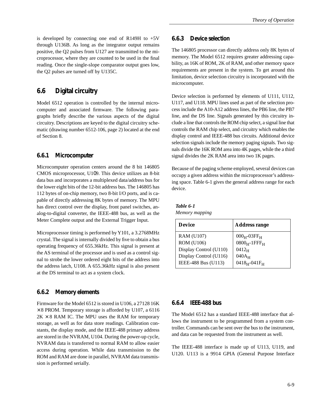is developed by connecting one end of R149H to  $+5V$ through U136B. As long as the integrator output remains positive, the Q2 pulses from U127 are transmitted to the microprocessor, where they are counted to be used in the final reading. Once the single-slope comparator output goes low, the Q2 pulses are turned off by U135C.

# **6.6 Digital circuitry**

Model 6512 operation is controlled by the internal microcomputer and associated firmware. The following paragraphs briefly describe the various aspects of the digital circuitry. Descriptions are keyed to the digital circuitry schematic (drawing number 6512-106, page 2) located at the end of Section 8.

## **6.6.1 Microcomputer**

Microcomputer operation centers around the 8 bit 146805 CMOS microprocessor, U109. This device utilizes an 8-bit data bus and incorporates a multiplexed data/address bus for the lower eight bits of the 12-bit address bus. The 146805 has 112 bytes of on-chip memory, two 8-bit I/O ports, and is capable of directly addressing 8K bytes of memory. The MPU has direct control over the display, front panel switches, analog-to-digital converter, the IEEE-488 bus, as well as the Meter Complete output and the External Trigger Input.

Microprocessor timing is performed by Y101, a 3.2768MHz crystal. The signal is internally divided by five to obtain a bus operating frequency of 655.36kHz. This signal is present at the AS terminal of the processor and is used as a control signal to strobe the lower ordered eight bits of the address into the address latch, U108. A 655.36kHz signal is also present at the DS terminal to act as a system clock.

# **6.6.2 Memory elements**

Firmware for the Model 6512 is stored in U106, a 27128 16K  $\times$  8 PROM. Temporary storage is afforded by U107, a 6116  $2K \times 8$  RAM IC. The MPU uses the RAM for temporary storage, as well as for data store readings. Calibration constants, the display mode, and the IEEE-488 primary address are stored in the NVRAM, U104. During the power-up cycle, NVRAM data is transferred to normal RAM to allow easier access during operation. While data transmission to the ROM and RAM are done in parallel, NVRAM data transmission is performed serially.

# **6.6.3 Device selection**

The 146805 processor can directly address only 8K bytes of memory. The Model 6512 requires greater addressing capability, as 16K of ROM, 2K of RAM, and other memory space requirements are present in the system. To get around this limitation, device selection circuitry is incorporated with the microcomputer.

Device selection is performed by elements of U111, U112, U117, and U118. MPU lines used as part of the selection process include the A10-A12 address lines, the PB6 line, the PB7 line, and the DS line. Signals generated by this circuitry include a line that controls the ROM chip select, a signal line that controls the RAM chip select, and circuitry which enables the display control and IEEE-488 bus circuits. Additional device selection signals include the memory paging signals. Two signals divide the 16K ROM area into 4K pages, while the a third signal divides the 2K RAM area into two 1K pages.

Because of the paging scheme employed, several devices can occupy a given address within the microprocessor's addressing space. Table 6-1 gives the general address range for each device.

*Table 6-1 Memory mapping*

| <b>Device</b>          | <b>Address range</b> |
|------------------------|----------------------|
| <b>RAM</b> (U107)      | $000_H - 03FF_H$     |
| <b>ROM</b> (U106)      | $0800_H$ -1FFF $_H$  |
| Display Control (U110) | $0412_H$             |
| Display Control (U116) | $040A_H$             |
| IEEE-488 Bus (U113)    | $0418_H - 041F_H$    |

# **6.6.4 IEEE-488 bus**

The Model 6512 has a standard IEEE-488 interface that allows the instrument to be programmed from a system controller. Commands can be sent over the bus to the instrument, and data can be requested from the instrument as well.

The IEEE-488 interface is made up of U113, U119, and U120. U113 is a 9914 GPIA (General Purpose Interface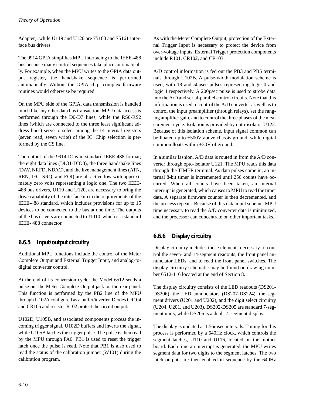Adapter), while U119 and U120 are 75160 and 75161 interface bus drivers.

The 9914 GPIA simplifies MPU interfacing to the IEEE-488 bus because many control sequences take place automatically. For example, when the MPU writes to the GPIA data output register, the handshake sequence is performed automatically. Without the GPIA chip, complex firmware routines would otherwise be required.

On the MPU side of the GPIA, data transmission is handled much like any other data bus transaction. MPU data access is performed through the D0-D7 lines, while the RS0-RS2 lines (which are connected to the three least significant address lines) serve to select among the 14 internal registers (seven read, seven write) of the IC. Chip selection is performed by the CS line.

The output of the 9914 IC is in standard IEEE-488 format; the eight data lines (DIO1-DIO8), the three handshake lines (DAV, NRFD, NDAC), and the five management lines (ATN, REN, IFC, SRQ, and EOI) are all active low with approximately zero volts representing a logic one. The two IEEE-488 bus drivers, U119 and U120, are necessary to bring the drive capability of the interface up to the requirements of the IEEE-488 standard, which includes provisions for up to 15 devices to be connected to the bus at one time. The outputs of the bus drivers are connected to J1010, which is a standard IEEE- 488 connector.

# **6.6.5 Input/output circuitry**

Additional MPU functions include the control of the Meter Complete Output and External Trigger Input, and analog-todigital converter control.

At the end of its conversion cycle, the Model 6512 sends a pulse out the Meter Complete Output jack on the rear panel. This function is performed by the PB2 line of the MPU through U102A configured as a buffer/inverter. Diodes CR104 and CR105 and resistor R102 protect the circuit output.

U102D, U105B, and associated components process the incoming trigger signal. U102D buffers and inverts the signal, while U105B latches the trigger pulse. The pulse is then read by the MPU through PA6. PB1 is used to reset the trigger latch once the pulse is read. Note that PB1 is also used to read the status of the calibration jumper (W101) during the calibration program.

As with the Meter Complete Output, protection of the External Trigger Input is necessary to protect the device from over-voltage inputs. External Trigger protection components include R101, CR102, and CR103.

A/D control information is fed out the PB3 and PB5 terminals through U102B. A pulse-width modulation scheme is used, with 18 and 50µsec pulses representing logic 0 and logic 1 respectively. A 200µsec pulse is used to strobe data into the A/D and serial-parallel control circuits. Note that this information is used to control the A/D converter as well as to control the input preamplifier (through relays), set the ranging amplifier gain, and to control the three phases of the measurement cycle. Isolation is provided by opto-isolator U122. Because of this isolation scheme, input signal common can be floated up to  $\pm 500V$  above chassis ground, while digital common floats within  $\pm 30V$  of ground.

In a similar fashion, A/D data is routed in from the A/D converter through opto-isolator U121. The MPU reads this data through the TIMER terminal. As data pulses come in, an internal 8-bit timer is incremented until 256 counts have occurred. When all counts have been taken, an internal interrupt is generated, which causes to MPU to read the timer data. A separate firmware counter is then decremented, and the process repeats. Because of this data input scheme, MPU time necessary to read the A/D converter data is minimized, and the processor can concentrate on other important tasks.

# **6.6.6 Display circuitry**

Display circuitry includes those elements necessary to control the seven- and 14-segment readouts, the front panel annunciator LEDs, and to read the front panel switches. The display circuitry schematic may be found on drawing number 6512-116 located at the end of Section 8.

The display circuitry consists of the LED readouts (DS201- DS206), the LED annunciators (DS207-DS224), the segment drivers (U201 and U202), and the digit select circuitry (U204, U201, and U203). DS202-DS205 are standard 7-segment units, while DS206 is a dual 14-segment display.

The display is updated at 1.56msec intervals. Timing for this process is performed by a 640Hz clock, which controls the segment latches, U110 and U116, located on the mother board. Each time an interrupt is generated, the MPU writes segment data for two digits to the segment latches. The two latch outputs are then enabled in sequence by the 640Hz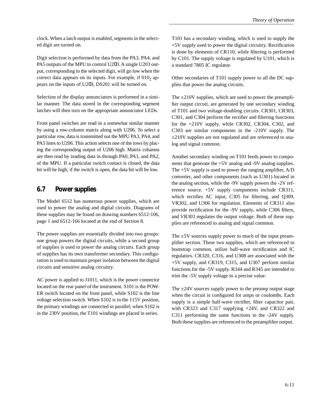clock. When a latch output is enabled, segments in the selected digit are turned on.

Digit selection is performed by data from the PA3, PA4, and PA5 outputs of the MPU to control U203. A single U203 output, corresponding to the selected digit, will go low when the correct data appears on its inputs. For example, if  $010<sub>2</sub>$  appears on the inputs of U203, DS201 will be turned on.

Selection of the display annunciators is performed in a similar manner. The data stored in the corresponding segment latches will then turn on the appropriate annunciator LEDs.

Front panel switches are read in a somewhat similar manner by using a row-column matrix along with U206. To select a particular row, data is transmitted out the MPU PA3, PA4, and PA5 lines to U206. This action selects one of the rows by placing the corresponding output of U206 high. Matrix columns are then read by reading data in through PA0, PA1, and PA2, of the MPU. If a particular switch contact is closed, the data bit will be high; if the switch is open, the data bit will be low.

# **6.7 Power supplies**

The Model 6512 has numerous power supplies, which are used to power the analog and digital circuits. Diagrams of these supplies may be found on drawing numbers 6512-106, page 1 and 6512-166 located at the end of Section 8.

The power supplies are essentially divided into two groups: one group powers the digital circuits, while a second group of supplies is used to power the analog circuits. Each group of supplies has its own transformer secondary. This configuration is used to maintain proper isolation between the digital circuits and sensitive analog circuitry.

AC power is applied to J1011, which is the power connector located on the rear panel of the instrument. S101 is the POW-ER switch located on the front panel, while S102 is the line voltage selection switch. When S102 is in the 115V position, the primary windings are connected in parallel; when S102 is in the 230V position, the T101 windings are placed in series.

T101 has a secondary winding, which is used to supply the +5V supply used to power the digital circuitry. Rectification is done by elements of CR110, while filtering is performed by C101. The supply voltage is regulated by U101, which is a standard 7805 IC regulator.

Other secondaries of T101 supply power to all the DC supplies that power the analog circuits.

The  $\pm 210V$  supplies, which are used to power the preamplifier output circuit, are generated by one secondary winding of T101 and two voltage-doubling circuits. CR301, CR303, C301, and C304 perform the rectifier and filtering functions for the +210V supply, while CR302, CR304, C302, and C303 are similar components in the -210V supply. The ±210V supplies are not regulated and are referenced to analog and signal common.

Another secondary winding on T101 feeds power to components that generate the +5V analog and -9V analog supplies. The +5V supply is used to power the ranging amplifier, A/D converter, and other components (such as U301) located in the analog section, while the -9V supply powers the -2V reference source. +5V supply components include CR311, which rectifies AC input, C305 for filtering, and Q309, VR302, and U306 for regulation. Elements of CR311 also provide rectification for the -9V supply, while C306 filters, and VR303 regulates the output voltage. Both of these supplies are referenced to analog and signal common.

The  $\pm$ 5V sources supply power to much of the input preamplifier section. These two supplies, which are referenced to bootstrap common, utilize half-wave rectification and IC regulators. CR320, C316, and U308 are associated with the +5V supply, and CR319, C315, and U307 perform similar functions for the -5V supply. R344 and R345 are intended to trim the -5V supply voltage to a precise value.

The  $\pm 24V$  sources supply power to the preamp output stage when the circuit is configured for amps or coulombs. Each supply is a simple half-wave rectifier, filter capacitor pair, with CR323 and C317 supplying +24V, and CR322 and C311 performing the same functions in the -24V supply. Both these supplies are referenced to the preamplifier output.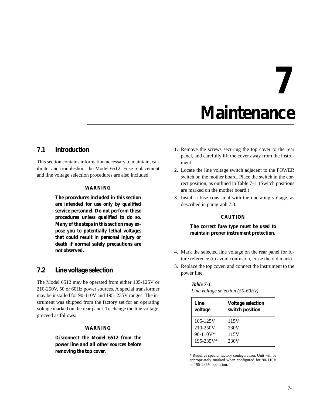### **7 Maintenance**

#### **7.1 Introduction**

This section contains information necessary to maintain, calibrate, and troubleshoot the Model 6512. Fuse replacement and line voltage selection procedures are also included.

#### **WARNING**

**The procedures included in this section are intended for use only by qualified service personnel. Do not perform these procedures unless qualified to do so. Many of the steps in this section may expose you to potentially lethal voltages that could result in personal injury or death if normal safety precautions are not observed.** 

#### **7.2 Line voltage selection**

The Model 6512 may be operated from either 105-125V or 210-250V, 50 or 60Hz power sources. A special transformer may be installed for 90-110V and 195- 235V ranges. The instrument was shipped from the factory set for an operating voltage marked on the rear panel. To change the line voltage, proceed as follows:

#### **WARNING**

**Disconnect the Model 6512 from the power line and all other sources before removing the top cover.** 

- 1. Remove the screws securing the top cover to the rear panel, and carefully lift the cover away from the instrument.
- 2. Locate the line voltage switch adjacent to the POWER switch on the mother board. Place the switch in the correct position, as outlined in Table 7-1. (Switch positions are marked on the mother board.)
- 3. Install a fuse consistent with the operating voltage, as described in paragraph 7.3.

#### **CAUTION**

#### **The correct fuse type must be used to maintain proper instrument protection.**

- 4. Mark the selected line voltage on the rear panel for future reference (to avoid confusion, erase the old mark).
- 5. Replace the top cover, and connect the instrument to the power line.

#### *Table 7-1*

*Line voltage selection (50-60Hz)*

| Line<br>voltage | <b>Voltage selection</b><br>switch position |
|-----------------|---------------------------------------------|
| $105 - 125V$    | 115V                                        |
| 210-250V        | 230V                                        |
| $90 - 110V^*$   | 115V                                        |
| 195-235V*       | 230V                                        |

\* Requires special factory configuration. Unit will be appropriately marked when configured for 90-110V or 195-235V operation.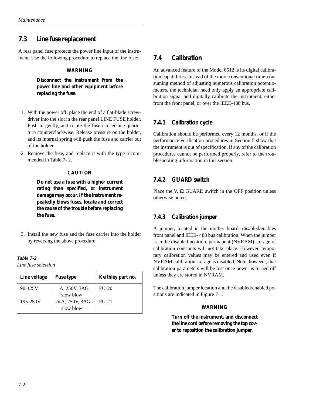#### **7.3 Line fuse replacement**

A rear panel fuse protects the power line input of the instrument. Use the following procedure to replace the line fuse:

#### **WARNING**

**Disconnect the instrument from the power line and other equipment before replacing the fuse.** 

- 1. With the power off, place the end of a flat-blade screwdriver into the slot in the rear panel LINE FUSE holder. Push in gently, and rotate the fuse carrier one-quarter turn counterclockwise. Release pressure on the holder, and its internal spring will push the fuse and carrier out of the holder.
- 2. Remove the fuse, and replace it with the type recommended in Table 7- 2.

#### **CAUTION**

**Do not use a fuse with a higher current rating than specified, or instrument damage may occur. If the instrument repeatedly blows fuses, locate and correct the cause of the trouble before replacing the fuse.** 

3. Install the new fuse and the fuse carrier into the holder by reversing the above procedure.

#### *Table 7-2*

*Line fuse selection*

| Line voltage | <b>Fuse type</b>                          | Keithley part no. |
|--------------|-------------------------------------------|-------------------|
| $90 - 125V$  | A, 250V, 3AG,<br>slow blow                | $FU-20$           |
| 195-250V     | $\frac{1}{16}$ A, 250V, 3AG,<br>slow blow | $FIJ-21$          |

#### **7.4 Calibration**

An advanced feature of the Model 6512 is its digital calibration capabilities. Instead of the more conventional time-consuming method of adjusting numerous calibration potentiometers, the technician need only apply an appropriate calibration signal and digitally calibrate the instrument, either from the front panel, or over the IEEE-488 bus.

#### **7.4.1 Calibration cycle**

Calibration should be performed every 12 months, or if the performance verification procedures in Section 5 show that the instrument is out of specification. If any of the calibration procedures cannot be performed properly, refer to the troubleshooting information in this section.

#### **7.4.2 GUARD switch**

Place the V,  $\Omega$  GUARD switch in the OFF position unless otherwise noted.

#### **7.4.3 Calibration jumper**

A jumper, located in the mother board, disabled/enables front panel and IEEE- 488 bus calibration. When the jumper is in the disabled position, permanent (NVRAM) storage of calibration constants will not take place. However, temporary calibration values may be entered and used even if NVRAM calibration storage is disabled. Note, however, that calibration parameters will be lost once power is turned off unless they are stored in NVRAM.

The calibration jumper location and the disabled/enabled positions are indicated in Figure 7-1.

#### **WARNING**

**Turn off the instrument, and disconnect the line cord before removing the top cover to reposition the calibration jumper.**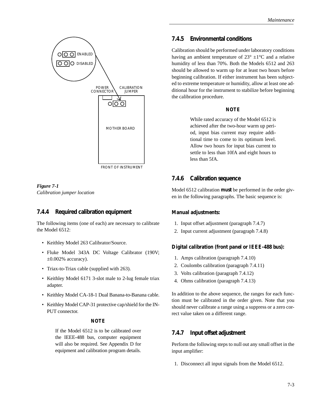

FRONT OF INSTRUMENT

#### *Figure 7-1*

*Calibration jumper location*

#### **7.4.4 Required calibration equipment**

The following items (one of each) are necessary to calibrate the Model 6512:

- Keithley Model 263 Calibrator/Source.
- Fluke Model 343A DC Voltage Calibrator (190V;  $\pm 0.002\%$  accuracy).
- Triax-to-Triax cable (supplied with 263).
- Keithley Model 6171 3-slot male to 2-lug female triax adapter.
- Keithley Model CA-18-1 Dual Banana-to-Banana cable.
- Keithley Model CAP-31 protective cap/shield for the IN-PUT connector.

#### **NOTE**

If the Model 6512 is to be calibrated over the IEEE-488 bus, computer equipment will also be required. See Appendix D for equipment and calibration program details.

#### **7.4.5 Environmental conditions**

Calibration should be performed under laboratory conditions having an ambient temperature of  $23^{\circ} \pm 1^{\circ}$ C and a relative humidity of less than 70%. Both the Models 6512 and 263 should be allowed to warm up for at least two hours before beginning calibration. If either instrument has been subjected to extreme temperature or humidity, allow at least one additional hour for the instrument to stabilize before beginning the calibration procedure.

#### **NOTE**

While rated accuracy of the Model 6512 is achieved after the two-hour warm up period, input bias current may require additional time to come to its optimum level. Allow two hours for input bias current to settle to less than 10fA and eight hours to less than 5fA.

#### **7.4.6 Calibration sequence**

Model 6512 calibration **must** be performed in the order given in the following paragraphs. The basic sequence is:

#### **Manual adjustments:**

- 1. Input offset adjustment (paragraph 7.4.7)
- 2. Input current adjustment (paragraph 7.4.8)

#### **Digital calibration (front panel or IEEE-488 bus):**

- 1. Amps calibration (paragraph 7.4.10)
- 2. Coulombs calibration (paragraph 7.4.11)
- 3. Volts calibration (paragraph 7.4.12)
- 4. Ohms calibration (paragraph 7.4.13)

In addition to the above sequence, the ranges for each function must be calibrated in the order given. Note that you should never calibrate a range using a suppress or a zero correct value taken on a different range.

#### **7.4.7 Input offset adjustment**

Perform the following steps to null out any small offset in the input amplifier:

1. Disconnect all input signals from the Model 6512.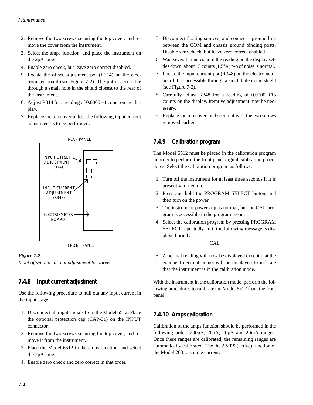- 2. Remove the two screws securing the top cover, and remove the cover from the instrument.
- 3. Select the amps function, and place the instrument on the 2pA range.
- 4. Enable zero check, but leave zero correct disabled.
- 5. Locate the offset adjustment pot (R314) on the electrometer board (see Figure 7-2). The pot is accessible through a small hole in the shield closest to the rear of the instrument.
- 6. Adjust R314 for a reading of  $0.0000 \pm 1$  count on the display.
- 7. Replace the top cover unless the following input current adjustment is to be performed.



FRONT PANEL

#### *Figure 7-2*

*Input offset and current adjustment locations*

#### **7.4.8 Input current adjustment**

Use the following procedure to null out any input current in the input stage:

- 1. Disconnect all input signals from the Model 6512. Place the optional protection cap (CAP-31) on the INPUT connector.
- 2. Remove the two screws securing the top cover, and remove it from the instrument.
- 3. Place the Model 6512 in the amps function, and select the 2pA range.
- 4. Enable zero check and zero correct in that order.
- 5. Disconnect floating sources, and connect a ground link between the COM and chassis ground binding posts. Disable zero check, but leave zero correct enabled.
- 6. Wait several minutes until the reading on the display settles down; about 15 counts (1.5fA) p-p of noise is normal.
- 7. Locate the input current pot (R348) on the electrometer board. It is accessible through a small hole in the shield (see Figure 7-2).
- 8. Carefully adjust R348 for a reading of  $0.0000 \pm 15$ counts on the display. Iterative adjustment may be necessary.
- 9. Replace the top cover, and secure it with the two screws removed earlier.

#### **7.4.9 Calibration program**

The Model 6512 must be placed in the calibration program in order to perform the front panel digital calibration procedures. Select the calibration program as follows:

- 1. Turn off the instrument for at least three seconds if it is presently turned on.
- 2. Press and hold the PROGRAM SELECT button, and then turn on the power.
- 3. The instrument powers up as normal, but the CAL program is accessible in the program menu.
- 4. Select the calibration program by pressing PROGRAM SELECT repeatedly until the following message is displayed briefly:

**CAL** 

5. A normal reading will now be displayed except that the exponent decimal points will be displayed to indicate that the instrument is in the calibration mode.

With the instrument in the calibration mode, perform the following procedures to calibrate the Model 6512 from the front panel.

#### **7.4.10 Amps calibration**

Calibration of the amps function should be performed in the following order: 200pA, 20nA, 20µA and 20mA ranges. Once these ranges are calibrated, the remaining ranges are automatically calibrated. Use the AMPS (active) function of the Model 263 to source current.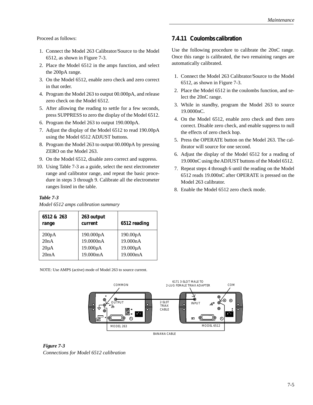Proceed as follows:

- 1. Connect the Model 263 Calibrator/Source to the Model 6512, as shown in Figure 7-3.
- 2. Place the Model 6512 in the amps function, and select the 200pA range.
- 3. On the Model 6512, enable zero check and zero correct in that order.
- 4. Program the Model 263 to output 00.000pA, and release zero check on the Model 6512.
- 5. After allowing the reading to settle for a few seconds, press SUPPRESS to zero the display of the Model 6512.
- 6. Program the Model 263 to output 190.000pA.
- 7. Adjust the display of the Model 6512 to read 190.00pA using the Model 6512 ADJUST buttons.
- 8. Program the Model 263 to output 00.000pA by pressing ZERO on the Model 263.
- 9. On the Model 6512, disable zero correct and suppress.
- 10. Using Table 7-3 as a guide, select the next electrometer range and calibrator range, and repeat the basic procedure in steps 3 through 9. Calibrate all the electrometer ranges listed in the table.

#### *Table 7-3*

| Model 6512 amps calibration summary |  |  |
|-------------------------------------|--|--|
|-------------------------------------|--|--|

| 6512 & 263<br>range | 263 output<br>current | 6512 reading |
|---------------------|-----------------------|--------------|
| 200pA               | 190.000pA             | 190.00pA     |
| 20nA                | 19.0000nA             | 19.000nA     |
| $20\mu A$           | 19.000µA              | 19.000µA     |
| 20mA                | 19.000mA              | 19.000mA     |

NOTE: Use AMPS (active) mode of Model 263 to source current.

#### **7.4.11 Coulombs calibration**

Use the following procedure to calibrate the 20nC range. Once this range is calibrated, the two remaining ranges are automatically calibrated.

- 1. Connect the Model 263 Calibrator/Source to the Model 6512, as shown in Figure 7-3.
- 2. Place the Model 6512 in the coulombs function, and select the 20nC range.
- 3. While in standby, program the Model 263 to source 19.0000nC.
- 4. On the Model 6512, enable zero check and then zero correct. Disable zero check, and enable suppress to null the effects of zero check hop.
- 5. Press the OPERATE button on the Model 263. The calibrator will source for one second.
- 6. Adjust the display of the Model 6512 for a reading of 19.000nC using the ADJUST buttons of the Model 6512.
- 7. Repeat steps 4 through 6 until the reading on the Model 6512 reads 19.000nC after OPERATE is pressed on the Model 263 calibrator.
- 8. Enable the Model 6512 zero check mode.



*Figure 7-3 Connections for Model 6512 calibration*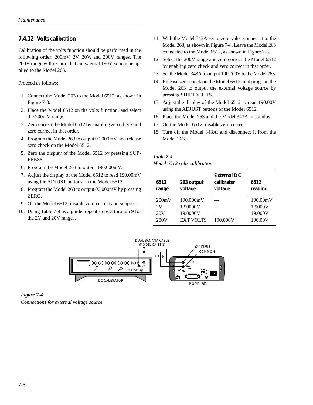#### **7.4.12 Volts calibration**

Calibration of the volts function should be performed in the following order: 200mV, 2V, 20V, and 200V ranges. The 200V range will require that an external 190V source be applied to the Model 263.

Proceed as follows:

- 1. Connect the Model 263 to the Model 6512, as shown in Figure 7-3.
- 2. Place the Model 6512 on the volts function, and select the 200mV range.
- 3. Zero correct the Model 6512 by enabling zero check and zero correct in that order.
- 4. Program the Model 263 to output 00.000mV, and release zero check on the Model 6512.
- 5. Zero the display of the Model 6512 by pressing SUP-PRESS.
- 6. Program the Model 263 to output 190.000mV.
- 7. Adjust the display of the Model 6512 to read 190.00mV using the ADJUST buttons on the Model 6512.
- 8. Program the Model 263 to output 00.000mV by pressing ZERO.
- 9. On the Model 6512, disable zero correct and suppress.
- 10. Using Table 7-4 as a guide, repeat steps 3 through 9 for the 2V and 20V ranges.
- 11. With the Model 343A set to zero volts, connect it to the Model 263, as shown in Figure 7-4. Leave the Model 263 connected to the Model 6512, as shown in Figure 7-3.
- 12. Select the 200V range and zero correct the Model 6512 by enabling zero check and zero correct in that order.
- 13. Set the Model 343A to output 190.000V to the Model 263.
- 14. Release zero check on the Model 6512, and program the Model 263 to output the external voltage source by pressing SHIFT VOLTS.
- 15. Adjust the display of the Model 6512 to read 190.00V using the ADJUST buttons of the Model 6512.
- 16. Place the Model 263 and the Model 343A in standby.
- 17. On the Model 6512, disable zero correct.
- 18. Turn off the Model 343A, and disconnect it from the Model 263.

*Table 7-4 Model 6512 volts calibration*

| 6512<br>range | 263 output<br>voltage | <b>External DC</b><br>calibrator<br>voltage | 6512<br>reading |
|---------------|-----------------------|---------------------------------------------|-----------------|
| 200mV         | 190.000mV             |                                             | 190.00mV        |
| 2V            | 1.90000V              |                                             | 1.9000V         |
| 20V           | 19.0000V              |                                             | 19.000V         |
| 200V          | <b>EXT VOLTS</b>      | 190.000V                                    | 190.00V         |





*Connections for external voltage source*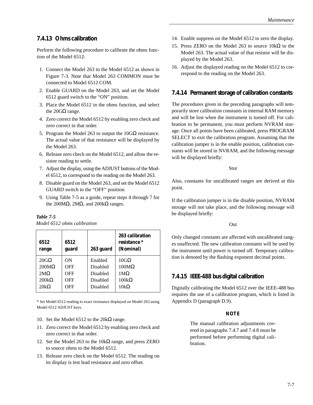#### **7.4.13 Ohms calibration**

Perform the following procedure to calibrate the ohms function of the Model 6512:

- 1. Connect the Model 263 to the Model 6512 as shown in Figure 7-3. Note that Model 263 COMMON must be connected to Model 6512 COM.
- 2. Enable GUARD on the Model 263, and set the Model 6512 guard switch to the "ON" position.
- 3. Place the Model 6512 in the ohms function, and select the 20GΩ range.
- 4. Zero correct the Model 6512 by enabling zero check and zero correct in that order.
- 5. Program the Model 263 to output the  $10\text{G}\Omega$  resistance. The actual value of that resistance will be displayed by the Model 263.
- 6. Release zero check on the Model 6512, and allow the resistor reading to settle.
- 7. Adjust the display, using the ADJUST buttons of the Model 6512, to correspond to the reading on the Model 263.
- 8. Disable guard on the Model 263, and set the Model 6512 GUARD switch to the "OFF" position.
- 9. Using Table 7-5 as a guide, repeat steps 4 through 7 for the 200MΩ, 2MΩ, and 200kΩ ranges.

#### *Table 7-5*

*Model 6512 ohms calibration*

| 6512<br>range       | 6512<br>guard | 263 guard | 263 calibration<br>resistance *<br>(Nominal) |
|---------------------|---------------|-----------|----------------------------------------------|
| $20G\Omega$         | ON            | Enabled   | $10G\Omega$                                  |
| $200M\Omega$        | OFF           | Disabled  | $100M\Omega$                                 |
| $2\mathbf{M}\Omega$ | OFF           | Disabled  | $1\text{M}\Omega$                            |
| $200k\Omega$        | OFF           | Disabled  | $100k\Omega$                                 |
| $20k\Omega$         | OFF           | Disabled  | $10k\Omega$                                  |

\* Set Model 6512 reading to exact resistance displayed on Model 263 using Model 6512 ADJUST keys.

- 10. Set the Model 6512 to the 20 $k\Omega$  range.
- 11. Zero correct the Model 6512 by enabling zero check and zero correct in that order.
- 12. Set the Model 263 to the  $10kΩ$  range, and press ZERO to source ohms to the Model 6512.
- 13. Release zero check on the Model 6512. The reading on its display is test lead resistance and zero offset.
- 14. Enable suppress on the Model 6512 to zero the display.
- 15. Press ZERO on the Model 263 to source  $10kΩ$  to the Model 263. The actual value of that resistor will be displayed by the Model 263.
- 16. Adjust the displayed reading on the Model 6512 to correspond to the reading on the Model 263.

#### **7.4.14 Permanent storage of calibration constants**

The procedures given in the preceding paragraphs will temporarily store calibration constants in internal RAM memory and will be lost when the instrument is turned off. For calibration to be permanent, you must perform NVRAM storage. Once all points have been calibrated, press PROGRAM SELECT to exit the calibration program. Assuming that the calibration jumper is in the enable position, calibration constants will be stored in NVRAM, and the following message will be displayed briefly:

Stor

Also, constants for uncalibrated ranges are derived at this point.

If the calibration jumper is in the disable position, NVRAM storage will not take place, and the following message will be displayed briefly:

Out

Only changed constants are affected with uncalibrated ranges unaffected. The new calibration constants will be used by the instrument until power is turned off. Temporary calibration is denoted by the flashing exponent decimal points.

#### **7.4.15 IEEE-488 bus digital calibration**

Digitally calibrating the Model 6512 over the IEEE-488 bus requires the use of a calibration program, which is listed in Appendix D (paragraph D.9).

#### **NOTE**

The manual calibration adjustments covered in paragraphs 7.4.7 and 7.4.8 must be performed before performing digital calibration.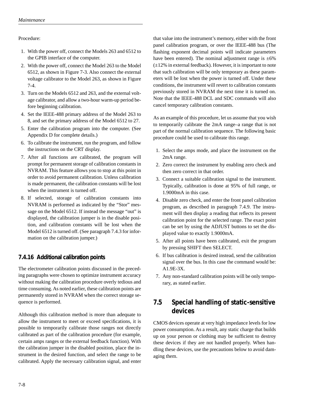#### Procedure:

- 1. With the power off, connect the Models 263 and 6512 to the GPIB interface of the computer.
- 2. With the power off, connect the Model 263 to the Model 6512, as shown in Figure 7-3. Also connect the external voltage calibrator to the Model 263, as shown in Figure 7-4.
- 3. Turn on the Models 6512 and 263, and the external voltage calibrator, and allow a two-hour warm-up period before beginning calibration.
- 4. Set the IEEE-488 primary address of the Model 263 to 8, and set the primary address of the Model 6512 to 27.
- 5. Enter the calibration program into the computer. (See Appendix D for complete details.)
- 6. To calibrate the instrument, run the program, and follow the instructions on the CRT display.
- 7. After all functions are calibrated, the program will prompt for permanent storage of calibration constants in NVRAM. This feature allows you to stop at this point in order to avoid permanent calibration. Unless calibration is made permanent, the calibration constants will be lost when the instrument is turned off.
- 8. If selected, storage of calibration constants into NVRAM is performed as indicated by the "Stor" message on the Model 6512. If instead the message "out" is displayed, the calibration jumper is in the disable position, and calibration constants will be lost when the Model 6512 is turned off. (See paragraph 7.4.3 for information on the calibration jumper.)

#### **7.4.16 Additional calibration points**

The electrometer calibration points discussed in the preceding paragraphs were chosen to optimize instrument accuracy without making the calibration procedure overly tedious and time consuming. As noted earlier, these calibration points are permanently stored in NVRAM when the correct storage sequence is performed.

Although this calibration method is more than adequate to allow the instrument to meet or exceed specifications, it is possible to temporarily calibrate those ranges not directly calibrated as part of the calibration procedure (for example, certain amps ranges or the external feedback function). With the calibration jumper in the disabled position, place the instrument in the desired function, and select the range to be calibrated. Apply the necessary calibration signal, and enter

that value into the instrument's memory, either with the front panel calibration program, or over the IEEE-488 bus (The flashing exponent decimal points will indicate parameters have been entered). The nominal adjustment range is  $\pm 6\%$  $(\pm 12\%$  in external feedback). However, it is important to note that such calibration will be only temporary as these parameters will be lost when the power is turned off. Under these conditions, the instrument will revert to calibration constants previously stored in NVRAM the next time it is turned on. Note that the IEEE-488 DCL and SDC commands will also cancel temporary calibration constants.

As an example of this procedure, let us assume that you wish to temporarily calibrate the 2mA range–a range that is not part of the normal calibration sequence. The following basic procedure could be used to calibrate this range.

- 1. Select the amps mode, and place the instrument on the 2mA range.
- 2. Zero correct the instrument by enabling zero check and then zero correct in that order.
- 3. Connect a suitable calibration signal to the instrument. Typically, calibration is done at 95% of full range, or 1.9000mA in this case.
- 4. Disable zero check, and enter the front panel calibration program, as described in paragraph 7.4.9. The instrument will then display a reading that reflects its present calibration point for the selected range. The exact point can be set by using the ADJUST buttons to set the displayed value to exactly 1.9000mA.
- 5. After all points have been calibrated, exit the program by pressing SHIFT then SELECT.
- 6. If bus calibration is desired instead, send the calibration signal over the bus. In this case the command would be: A1.9E-3X.
- 7. Any non-standard calibration points will be only temporary, as stated earlier.

#### **7.5 Special handling of static-sensitive devices**

CMOS devices operate at very high impedance levels for low power consumption. As a result, any static charge that builds up on your person or clothing may be sufficient to destroy these devices if they are not handled properly. When handling these devices, use the precautions below to avoid damaging them.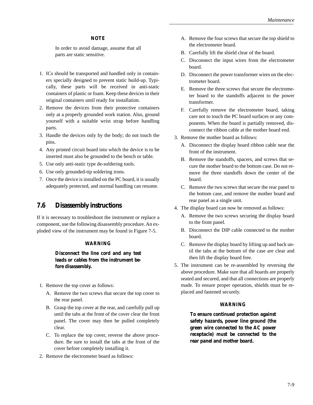#### **NOTE**

In order to avoid damage, assume that all parts are static sensitive.

- 1. ICs should be transported and handled only in containers specially designed to prevent static build-up. Typically, these parts will be received in anti-static containers of plastic or foam. Keep these devices in their original containers until ready for installation.
- 2. Remove the devices from their protective containers only at a properly grounded work station. Also, ground yourself with a suitable wrist strap before handling parts.
- 3. Handle the devices only by the body; do not touch the pins.
- 4. Any printed circuit board into which the device is to be inserted must also be grounded to the bench or table.
- 5. Use only anti-static type de-soldering tools.
- 6. Use only grounded-tip soldering irons.
- 7. Once the device is installed on the PC board, it is usually adequately protected, and normal handling can resume.

#### **7.6 Disassembly instructions**

If it is necessary to troubleshoot the instrument or replace a component, use the following disassembly procedure. An exploded view of the instrument may be found in Figure 7-5.

#### **WARNING**

**Disconnect the line cord and any test leads or cables from the instrument before disassembly.**

- 1. Remove the top cover as follows:
	- A. Remove the two screws that secure the top cover to the rear panel.
	- B. Grasp the top cover at the rear, and carefully pull up until the tabs at the front of the cover clear the front panel. The cover may then be pulled completely clear.
	- C. To replace the top cover, reverse the above procedure. Be sure to install the tabs at the front of the cover before completely installing it.
- 2. Remove the electrometer board as follows:
- A. Remove the four screws that secure the top shield to the electrometer board.
- B. Carefully lift the shield clear of the board.
- C. Disconnect the input wires from the electrometer board.
- D. Disconnect the power transformer wires on the electrometer board.
- E. Remove the three screws that secure the electrometer board to the standoffs adjacent to the power transformer.
- F. Carefully remove the electrometer board, taking care not to touch the PC board surfaces or any components. When the board is partially removed, disconnect the ribbon cable at the mother board end.
- 3. Remove the mother board as follows:
	- A. Disconnect the display board ribbon cable near the front of the instrument.
	- B. Remove the standoffs, spacers, and screws that secure the mother board to the bottom case. Do not remove the three standoffs down the center of the board.
	- C. Remove the two screws that secure the rear panel to the bottom case, and remove the mother board and rear panel as a single unit.
- 4. The display board can now be removed as follows:
	- A. Remove the two screws securing the display board to the front panel.
	- B. Disconnect the DIP cable connected to the mother board.
	- C. Remove the display board by lifting up and back until the tabs at the bottom of the case are clear and then lift the display board free.
- 5. The instrument can be re-assembled by reversing the above procedure. Make sure that all boards are properly seated and secured, and that all connections are properly made. To ensure proper operation, shields must be replaced and fastened securely.

#### **WARNING**

**To ensure continued protection against safety hazards, power line ground (the green wire connected to the AC power receptacle) must be connected to the rear panel and mother board.**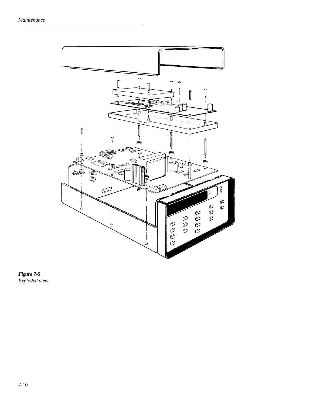

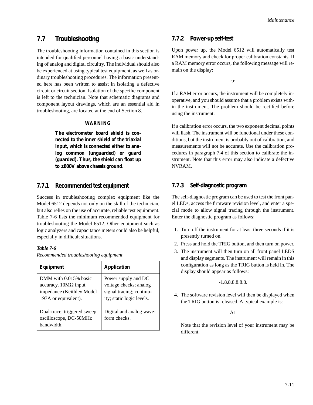#### **7.7 Troubleshooting**

The troubleshooting information contained in this section is intended for qualified personnel having a basic understanding of analog and digital circuitry. The individual should also be experienced at using typical test equipment, as well as ordinary troubleshooting procedures. The information presented here has been written to assist in isolating a defective circuit or circuit section. Isolation of the specific component is left to the technician. Note that schematic diagrams and component layout drawings, which are an essential aid in troubleshooting, are located at the end of Section 8.

#### **WARNING**

**The electrometer board shield is connected to the inner shield of the triaxial input, which is connected either to analog common (unguarded) or guard (guarded). Thus, the shield can float up to ±800V above chassis ground.**

#### **7.7.1 Recommended test equipment**

Success in troubleshooting complex equipment like the Model 6512 depends not only on the skill of the technician, but also relies on the use of accurate, reliable test equipment. Table 7-6 lists the minimum recommended equipment for troubleshooting the Model 6512. Other equipment such as logic analyzers and capacitance meters could also be helpful, especially in difficult situations.

#### *Table 7-6*

| <b>Equipment</b>                                                                                          | <b>Application</b>                                                                                     |
|-----------------------------------------------------------------------------------------------------------|--------------------------------------------------------------------------------------------------------|
| DMM with 0.015% basic<br>accuracy, $10M\Omega$ input<br>impedance (Keithley Model<br>197A or equivalent). | Power supply and DC<br>voltage checks; analog<br>signal tracing; continu-<br>ity; static logic levels. |
| Dual-trace, triggered sweep<br>oscilloscope, DC-50MHz<br>bandwidth.                                       | Digital and analog wave-<br>form checks.                                                               |

*Recommended troubleshooting equipment*

#### **7.7.2 Power-up self-test**

Upon power up, the Model 6512 will automatically test RAM memory and check for proper calibration constants. If a RAM memory error occurs, the following message will remain on the display:

r.r.

If a RAM error occurs, the instrument will be completely inoperative, and you should assume that a problem exists within the instrument. The problem should be rectified before using the instrument.

If a calibration error occurs, the two exponent decimal points will flash. The instrument will be functional under these conditions, but the instrument is probably out of calibration, and measurements will not be accurate. Use the calibration procedures in paragraph 7.4 of this section to calibrate the instrument. Note that this error may also indicate a defective NVRAM.

#### **7.7.3 Self-diagnostic program**

The self-diagnostic program can be used to test the front panel LEDs, access the firmware revision level, and enter a special mode to allow signal tracing through the instrument. Enter the diagnostic program as follows:

- 1. Turn off the instrument for at least three seconds if it is presently turned on.
- 2. Press and hold the TRIG button, and then turn on power.
- 3. The instrument will then turn on all front panel LEDS and display segments. The instrument will remain in this configuration as long as the TRIG button is held in. The display should appear as follows:

-1.8.8.8.8.8.8.

4. The software revision level will then be displayed when the TRIG button is released. A typical example is:

#### $A<sub>1</sub>$

Note that the revision level of your instrument may be different.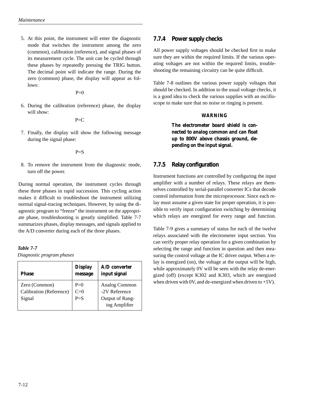5. At this point, the instrument will enter the diagnostic mode that switches the instrument among the zero (common), calibration (reference), and signal phases of its measurement cycle. The unit can be cycled through these phases by repeatedly pressing the TRIG button. The decimal point will indicate the range. During the zero (common) phase, the display will appear as follows:

 $P=0$ 

6. During the calibration (reference) phase, the display will show:

 $P=C$ 

7. Finally, the display will show the following message during the signal phase:

#### $P = S$

8. To remove the instrument from the diagnostic mode, turn off the power.

During normal operation, the instrument cycles through these three phases in rapid succession. This cycling action makes it difficult to troubleshoot the instrument utilizing normal signal-tracing techniques. However, by using the diagnostic program to "freeze" the instrument on the appropriate phase, troubleshooting is greatly simplified. Table 7-7 summarizes phases, display messages, and signals applied to the A/D converter during each of the three phases.

#### *Table 7-7*

*Diagnostic program phases*

| Phase                                    | <b>Display</b><br>message | A/D converter<br>input signal  |
|------------------------------------------|---------------------------|--------------------------------|
| Zero (Common)<br>Calibration (Reference) | $P=0$<br>$C=0$            | Analog Common<br>-2V Reference |
| Signal                                   | $P = S$                   | Output of Rang-                |
|                                          |                           | ing Amplifier                  |

#### **7.7.4 Power supply checks**

All power supply voltages should be checked first to make sure they are within the required limits. If the various operating voltages are not within the required limits, troubleshooting the remaining circuitry can be quite difficult.

Table 7-8 outlines the various power supply voltages that should be checked. In addition to the usual voltage checks, it is a good idea to check the various supplies with an oscilloscope to make sure that no noise or ringing is present.

#### **WARNING**

**The electrometer board shield is connected to analog common and can float up to 800V above chassis ground, depending on the input signal.**

#### **7.7.5 Relay configuration**

Instrument functions are controlled by configuring the input amplifier with a number of relays. These relays are themselves controlled by serial-parallel converter ICs that decode control information from the microprocessor. Since each relay must assume a given state for proper operation, it is possible to verify input configuration switching by determining which relays are energized for every range and function.

Table 7-9 gives a summary of status for each of the twelve relays associated with the electrometer input section. You can verify proper relay operation for a given combination by selecting the range and function in question and then measuring the control voltage at the IC driver output. When a relay is energized (on), the voltage at the output will be high, while approximately 0V will be seen with the relay de-energized (off) (except K302 and K303, which are energized when driven with 0V, and de-energized when driven to  $+5V$ ).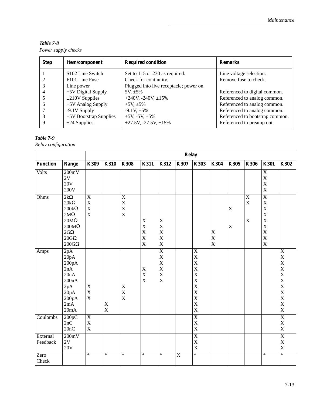| Table 7-8           |
|---------------------|
| Power supply checks |

| <b>Step</b> | Item/component               | <b>Required condition</b>               | <b>Remarks</b>                  |
|-------------|------------------------------|-----------------------------------------|---------------------------------|
|             | S <sub>102</sub> Line Switch | Set to 115 or 230 as required.          | Line voltage selection.         |
|             | F101 Line Fuse               | Check for continuity.                   | Remove fuse to check.           |
|             | Line power                   | Plugged into live receptacle; power on. |                                 |
|             | +5V Digital Supply           | 5V, $\pm$ 5%                            | Referenced to digital common.   |
|             | $\pm 210V$ Supplies          | +240V, -240V, $\pm 15\%$                | Referenced to analog common.    |
| 6           | +5V Analog Supply            | $+5V_1 \pm 5\%$                         | Referenced to analog common.    |
|             | $-9.1V$ Supply               | $-9.1V, \pm 5\%$                        | Referenced to analog common.    |
| 8           | $\pm$ 5V Bootstrap Supplies  | $+5V, -5V, \pm 5\%$                     | Referenced to bootstrap common. |
|             | $\pm 24$ Supplies            | $+27.5V, -27.5V, \pm 15%$               | Referenced to preamp out.       |

#### *Table 7-9*

*Relay configuration*

|                      |                                                                                                                                                      | <b>Relay</b>                                                     |                            |                                                                |                                                        |                                                                                      |                       |                                                                                                                                                                                                |                                                     |                            |                                                   |                                                                                                                                                                                     |                                                                                                                                                                                    |
|----------------------|------------------------------------------------------------------------------------------------------------------------------------------------------|------------------------------------------------------------------|----------------------------|----------------------------------------------------------------|--------------------------------------------------------|--------------------------------------------------------------------------------------|-----------------------|------------------------------------------------------------------------------------------------------------------------------------------------------------------------------------------------|-----------------------------------------------------|----------------------------|---------------------------------------------------|-------------------------------------------------------------------------------------------------------------------------------------------------------------------------------------|------------------------------------------------------------------------------------------------------------------------------------------------------------------------------------|
| <b>Function</b>      | Range                                                                                                                                                | <b>K309</b>                                                      | <b>K310</b>                | <b>K308</b>                                                    | <b>K311</b>                                            | K312                                                                                 | <b>K307</b>           | <b>K303</b>                                                                                                                                                                                    | <b>K304</b>                                         | <b>K305</b>                | <b>K306</b>                                       | <b>K301</b>                                                                                                                                                                         | <b>K302</b>                                                                                                                                                                        |
| <b>Volts</b>         | 200mV<br>$2\mathrm{V}$<br>20V<br>200V                                                                                                                |                                                                  |                            |                                                                |                                                        |                                                                                      |                       |                                                                                                                                                                                                |                                                     |                            |                                                   | $\overline{\mathbf{X}}$<br>$\mathbf X$<br>$\mathbf X$<br>$\mathbf X$                                                                                                                |                                                                                                                                                                                    |
| Ohms                 | $2k\Omega$<br>$20k\Omega$<br>$200k\Omega$<br>$2M\Omega$<br>$20M\Omega$<br>$200M\Omega$<br>$2G\Omega$<br>$20\mathrm{G}\Omega$<br>$200 \text{G}\Omega$ | $\overline{\text{X}}$<br>$\mathbf X$<br>$\mathbf X$<br>$\bar{X}$ |                            | $\overline{\text{X}}$<br>$\bar{X}$<br>$\mathbf X$<br>$\bar{X}$ | $\mathbf X$<br>$\overline{X}$<br>X<br>X<br>$\mathbf X$ | $\mathbf X$<br>$\overline{X}$<br>$\mathbf X$<br>$\mathbf X$<br>$\mathbf X$           |                       |                                                                                                                                                                                                | $\mathbf X$<br>$\overline{\text{X}}$<br>$\mathbf X$ | $\mathbf X$<br>$\mathbf X$ | $\overline{\text{X}}$<br>$\bar{X}$<br>$\mathbf X$ | $\overline{\mathbf{X}}$<br>$\mathbf X$<br>$\mathbf X$<br>$\overline{\text{X}}$<br>$\mathbf X$<br>$\begin{array}{c} \mathbf{X} \\ \mathbf{X} \\ \mathbf{X} \end{array}$<br>$\bar{X}$ |                                                                                                                                                                                    |
| Amps                 | 2pA<br>20pA<br>200pA<br>2nA<br>20nA<br>200nA<br>$2\mu A$<br>$20\mu A$<br>$200\mu A$<br>2mA<br>20mA                                                   | $\mathbf X$<br>$\overline{\textbf{X}}$<br>$\overline{X}$         | $\mathbf X$<br>$\mathbf X$ | $\mathbf X$<br>$\mathbf X$<br>$\bar{X}$                        | X<br>$\overline{X}$<br>$\mathbf X$                     | $\overline{\text{X}}$<br>$\mathbf X$<br>$\mathbf X$<br>X<br>$\bar{X}$<br>$\mathbf X$ |                       | $\overline{X}$<br>X<br>X<br>$\begin{array}{c} \mathbf{X} \\ \mathbf{X} \\ \mathbf{X} \end{array}$<br>$\bar{X}$<br>$\overline{\textbf{X}}$<br>$\mathbf X$<br>$\overline{\text{X}}$<br>$\bar{X}$ |                                                     |                            |                                                   |                                                                                                                                                                                     | $\overline{X}$<br>$\mathbf X$<br>$\bar{X}$<br>$\bar{X}$<br>$\bar{X}$<br>$\overline{\mathbf{x}}$<br>$\bar{X}$<br>$\overline{\text{X}}$<br>$\mathbf X$<br>$\mathbf X$<br>$\mathbf X$ |
| Coulombs             | 200pC<br>2nC<br>20nC                                                                                                                                 | $\overline{\mathbf{X}}$<br>$\mathbf X$<br>$\mathbf X$            |                            |                                                                |                                                        |                                                                                      |                       | $\overline{\text{X}}$<br>$\mathbf X$<br>$\bar{X}$                                                                                                                                              |                                                     |                            |                                                   |                                                                                                                                                                                     | $\overline{X}$<br>$\mathbf X$<br>$\mathbf X$                                                                                                                                       |
| External<br>Feedback | 200mV<br>2V<br>20V                                                                                                                                   |                                                                  |                            |                                                                |                                                        |                                                                                      |                       | $\overline{\mathbf{X}}$<br>$\bar{X}$<br>$\bar{X}$                                                                                                                                              |                                                     |                            |                                                   |                                                                                                                                                                                     | $\overline{\textbf{X}}$<br>$\mathbf X$<br>$\mathbf X$                                                                                                                              |
| Zero<br>Check        |                                                                                                                                                      | $\ast$                                                           | $\ast$                     | $\ast$                                                         | $\ast$                                                 | $\ast$                                                                               | $\overline{\text{X}}$ | $\ast$                                                                                                                                                                                         |                                                     |                            |                                                   | $\ast$                                                                                                                                                                              | $\overline{\ast}$                                                                                                                                                                  |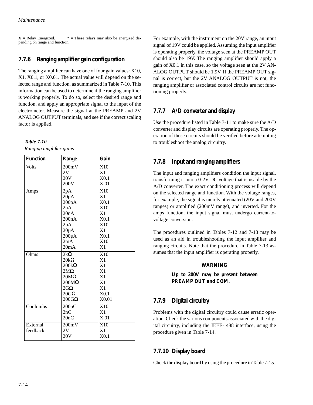$X =$  Relay Energized.  $* =$  These relays may also be energized depending on range and function.

#### **7.7.6 Ranging amplifier gain configuration**

The ranging amplifier can have one of four gain values: X10, X1, X0.1, or X0.01. The actual value will depend on the selected range and function, as summarized in Table 7-10. This information can be used to determine if the ranging amplifier is working properly. To do so, select the desired range and function, and apply an appropriate signal to the input of the electrometer. Measure the signal at the PREAMP and 2V ANALOG OUTPUT terminals, and see if the correct scaling factor is applied.

#### *Table 7-10*

*Ranging amplifier gains*

| <b>Function</b> | Range             | Gain             |
|-----------------|-------------------|------------------|
| <b>Volts</b>    | 200mV             | $\overline{X10}$ |
|                 | 2V                | X1               |
|                 | 20V               | X <sub>0.1</sub> |
|                 | 200V              | X.01             |
| Amps            | $2p\overline{A}$  | $\overline{X10}$ |
|                 | 20pA              | X1               |
|                 | 200pA             | X <sub>0.1</sub> |
|                 | 2nA               | X10              |
|                 | 20nA              | X1               |
|                 | 200nA             | X0.1             |
|                 | $2\mu A$          | X10              |
|                 | $20\mu A$         | X1               |
|                 | $200\mu A$        | X <sub>0.1</sub> |
|                 | 2mA               | X10              |
|                 | 20mA              | X1               |
| Ohms            | $2k\Omega$        | $\overline{X10}$ |
|                 | $20k\Omega$       | X1               |
|                 | $200k\Omega$      | X1               |
|                 | $2\text{M}\Omega$ | X1               |
|                 | $20M\Omega$       | X1               |
|                 | $200M\Omega$      | X1               |
|                 | $2G\Omega$        | X1               |
|                 | $20G\Omega$       | X <sub>0.1</sub> |
|                 | $200G\Omega$      | X0.01            |
| Coulombs        | 200pC             | $\overline{X10}$ |
|                 | 2nC               | X1               |
|                 | 20nC              | X.01             |
| External        | 200mV             | X10              |
| feedback        | 2V                | X1               |
|                 | 20V               | X <sub>0.1</sub> |

For example, with the instrument on the 20V range, an input signal of 19V could be applied. Assuming the input amplifier is operating properly, the voltage seen at the PREAMP OUT should also be 19V. The ranging amplifier should apply a gain of X0.1 in this case, so the voltage seen at the 2V AN-ALOG OUTPUT should be 1.9V. If the PREAMP OUT signal is correct, but the 2V ANALOG OUTPUT is not, the ranging amplifier or associated control circuits are not functioning properly.

#### **7.7.7 A/D converter and display**

Use the procedure listed in Table 7-11 to make sure the A/D converter and display circuits are operating properly. The operation of these circuits should be verified before attempting to troubleshoot the analog circuitry.

#### **7.7.8 Input and ranging amplifiers**

The input and ranging amplifiers condition the input signal, transforming it into a 0-2V DC voltage that is usable by the A/D converter. The exact conditioning process will depend on the selected range and function. With the voltage ranges, for example, the signal is merely attenuated (20V and 200V ranges) or amplified (200mV range), and inverted. For the amps function, the input signal must undergo current-tovoltage conversion.

The procedures outlined in Tables 7-12 and 7-13 may be used as an aid in troubleshooting the input amplifier and ranging circuits. Note that the procedure in Table 7-13 assumes that the input amplifier is operating properly.

#### **WARNING**

#### **Up to 300V may be present between PREAMP OUT and COM.**

#### **7.7.9 Digital circuitry**

Problems with the digital circuitry could cause erratic operation. Check the various components associated with the digital circuitry, including the IEEE- 488 interface, using the procedure given in Table 7-14.

#### **7.7.10 Display board**

Check the display board by using the procedure in Table 7-15.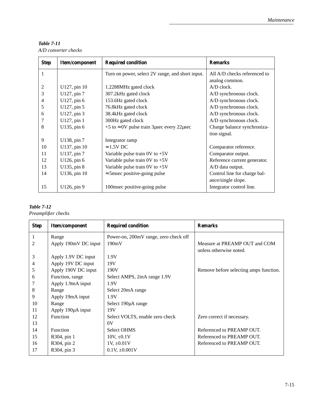| <b>Table 7-11</b>    |
|----------------------|
| A/D converter checks |

| <b>Step</b> | Item/component | <b>Required condition</b>                             | <b>Remarks</b>               |
|-------------|----------------|-------------------------------------------------------|------------------------------|
| 1           |                | Turn on power, select 2V range, and short input.      | All A/D checks referenced to |
|             |                |                                                       | analog common.               |
| 2           | U127, pin 10   | 1.2288MHz gated clock                                 | A/D clock.                   |
| 3           | U127, pin 7    | 307.2kHz gated clock                                  | A/D synchronous clock.       |
| 4           | U127, pin 6    | 153.6Hz gated clock                                   | A/D synchronous clock.       |
| 5           | U127, pin 5    | 76.8kHz gated clock                                   | A/D synchronous clock.       |
| 6           | U127, pin 3    | 38.4kHz gated clock                                   | A/D synchronous clock.       |
|             | U127, pin 1    | 300Hz gated clock                                     | A/D synchronous clock.       |
| 8           | U135, pin 6    | $+5$ to $\approx$ 0V pulse train 3 usec every 22 usec | Charge balance synchroniza-  |
|             |                |                                                       | tion signal.                 |
| 9           | U138, pin 7    | Integrator ramp                                       |                              |
| 10          | U137, pin 10   | $\approx 1.5V$ DC                                     | Comparator reference.        |
| 11          | U137, pin 7    | Variable pulse train $0V$ to $+5V$                    | Comparator output.           |
| 12          | U126, pin 6    | Variable pulse train 0V to $+5V$                      | Reference current generator. |
| 13          | U135, pin 8    | Variable pulse train 0V to $+5V$                      | A/D data output.             |
| 14          | U136, pin 10   | $\approx$ 5 msec positive-going pulse                 | Control line for charge bal- |
|             |                |                                                       | ance/single slope.           |
| 15          | U126, pin 9    | 100 msec positive-going pulse                         | Integrator control line.     |

#### *Table 7-12*

*Preamplifier checks*

| <b>Step</b> | Item/component       | <b>Required condition</b>             | <b>Remarks</b>                         |
|-------------|----------------------|---------------------------------------|----------------------------------------|
| 1           | Range                | Power-on, 200mV range, zero check off |                                        |
| 2           | Apply 190mV DC input | 190mV                                 | Measure at PREAMP OUT and COM          |
|             |                      |                                       | unless otherwise noted.                |
| 3           | Apply 1.9V DC input  | 1.9V                                  |                                        |
| 4           | Apply 19V DC input   | 19V                                   |                                        |
| 5           | Apply 190V DC input  | 190V                                  | Remove before selecting amps function. |
| 6           | Function, range      | Select AMPS, 2mA range 1.9V           |                                        |
|             | Apply 1.9mA input    | 1.9V                                  |                                        |
| 8           | Range                | Select 20mA range                     |                                        |
| 9           | Apply 19mA input     | 1.9V                                  |                                        |
| 10          | Range                | Select 190µA range                    |                                        |
| 11          | Apply 190µA input    | 19V                                   |                                        |
| 12          | <b>Function</b>      | Select VOLTS, enable zero check       | Zero correct if necessary.             |
| 13          |                      | 0V                                    |                                        |
| 14          | Function             | <b>Select OHMS</b>                    | Referenced to PREAMP OUT.              |
| 15          | R304, pin 1          | $10V, \pm 0.1V$                       | Referenced to PREAMP OUT.              |
| 16          | R304, pin 2          | $1V, \pm 0.01V$                       | Referenced to PREAMP OUT.              |
| 17          | R304, pin 3          | $0.1V, \pm 0.001V$                    |                                        |
|             |                      |                                       |                                        |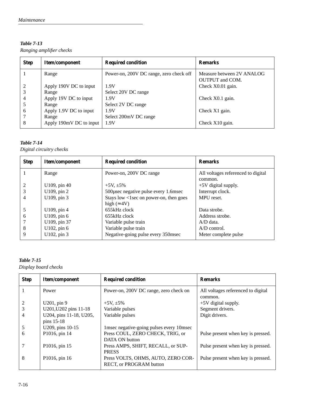#### *Table 7-13*

*Ranging amplifier checks*

| <b>Step</b> | Item/component          | <b>Required condition</b>               | <b>Remarks</b>                                      |
|-------------|-------------------------|-----------------------------------------|-----------------------------------------------------|
|             | Range                   | Power-on, 200V DC range, zero check off | Measure between 2V ANALOG<br><b>OUTPUT</b> and COM. |
| 2           | Apply 190V DC to input  | 1.9V                                    | Check X0.01 gain.                                   |
| 3           | Range                   | Select 20V DC range                     |                                                     |
| 4           | Apply 19V DC to input   | 1.9V                                    | Check X0.1 gain.                                    |
|             | Range                   | Select 2V DC range                      |                                                     |
| 6           | Apply 1.9V DC to input  | 1.9V                                    | Check X1 gain.                                      |
|             | Range                   | Select 200mV DC range                   |                                                     |
| 8           | Apply 190mV DC to input | 1.9V                                    | Check $X10$ gain.                                   |

#### *Table 7-14*

*Digital circuitry checks*

| <b>Step</b> | Item/component | <b>Required condition</b>              | <b>Remarks</b>                                |
|-------------|----------------|----------------------------------------|-----------------------------------------------|
|             | Range          | Power-on, 200V DC range                | All voltages referenced to digital<br>common. |
|             | U109, pin 40   | $+5V_1 \pm 5\%$                        | $+5V$ digital supply.                         |
| 3           | U109, pin 2    | 500 usec negative pulse every 1.6 msec | Interrupt clock.                              |
|             | U109, pin 3    | Stays low <1sec on power-on, then goes | MPU reset.                                    |
|             |                | high ( $\approx$ 4V)                   |                                               |
|             | $U109$ , pin 4 | 655kHz clock                           | Data strobe.                                  |
| 6           | U109, pin 6    | 655kHz clock                           | Address strobe.                               |
|             | U109, pin 37   | Variable pulse train                   | $A/D$ data.                                   |
| 8           | U102, pin 6    | Variable pulse train                   | $A/D$ control.                                |
| 9           | $U102$ , pin 3 | Negative-going pulse every 350msec     | Meter complete pulse                          |

#### *Table 7-15*

*Display board checks*

| <b>Step</b> | Item/component                        | <b>Required condition</b>                                     | <b>Remarks</b>                                |
|-------------|---------------------------------------|---------------------------------------------------------------|-----------------------------------------------|
|             | Power                                 | Power-on, 200V DC range, zero check on                        | All voltages referenced to digital<br>common. |
|             | U201, pin 9                           | $+5V_1 \pm 5\%$                                               | $+5V$ digital supply.                         |
|             | U201, U202 pins 11-18                 | Variable pulses                                               | Segment drivers.                              |
| 4           | U204, pins 11-18, U205,<br>pins 15-18 | Variable pulses                                               | Digit drivers.                                |
| 5           | U209, pins 10-15                      | 1 msec negative-going pulses every 10 msec                    |                                               |
| 6           | P1016, pin 14                         | Press COUL, ZERO CHECK, TRIG, or<br>DATA ON button            | Pulse present when key is pressed.            |
|             | P1016, pin 15                         | Press AMPS, SHIFT, RECALL, or SUP-<br><b>PRESS</b>            | Pulse present when key is pressed.            |
| 8           | P1016, pin 16                         | Press VOLTS, OHMS, AUTO, ZERO COR-<br>RECT, or PROGRAM button | Pulse present when key is pressed.            |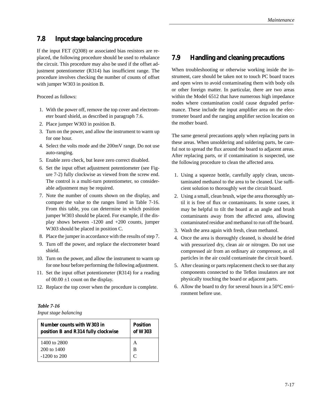#### **7.8 Input stage balancing procedure**

If the input FET (Q308) or associated bias resistors are replaced, the following procedure should be used to rebalance the circuit. This procedure may also be used if the offset adjustment potentiometer (R314) has insufficient range. The procedure involves checking the number of counts of offset with jumper W303 in position B.

Proceed as follows:

- 1. With the power off, remove the top cover and electrometer board shield, as described in paragraph 7.6.
- 2. Place jumper W303 in position B.
- 3. Turn on the power, and allow the instrument to warm up for one hour.
- 4. Select the volts mode and the 200mV range. Do not use auto-ranging.
- 5. Enable zero check, but leave zero correct disabled.
- 6. Set the input offset adjustment potentiometer (see Figure 7-2) fully clockwise as viewed from the screw end. The control is a multi-turn potentiometer, so considerable adjustment may be required.
- 7. Note the number of counts shown on the display, and compare the value to the ranges listed in Table 7-16. From this table, you can determine in which position jumper W303 should be placed. For example, if the display shows between -1200 and +200 counts, jumper W303 should be placed in position C.
- 8. Place the jumper in accordance with the results of step 7.
- 9. Turn off the power, and replace the electrometer board shield.
- 10. Turn on the power, and allow the instrument to warm up for one hour before performing the following adjustment.
- 11. Set the input offset potentiometer (R314) for a reading of  $00.00 \pm 1$  count on the display.
- 12. Replace the top cover when the procedure is complete.

#### *Table 7-16*

*Input stage balancing*

| Number counts with W303 in<br>position B and R314 fully clockwise | <b>Position</b><br>of W303  |
|-------------------------------------------------------------------|-----------------------------|
| 1400 to 2800                                                      | А                           |
| 200 to 1400                                                       | В                           |
| $-1200$ to 200                                                    | $\mathcal{C}_{\mathcal{C}}$ |

#### **7.9 Handling and cleaning precautions**

When troubleshooting or otherwise working inside the instrument, care should be taken not to touch PC board traces and open wires to avoid contaminating them with body oils or other foreign matter. In particular, there are two areas within the Model 6512 that have numerous high impedance nodes where contamination could cause degraded performance. These include the input amplifier area on the electrometer board and the ranging amplifier section location on the mother board.

The same general precautions apply when replacing parts in these areas. When unsoldering and soldering parts, be careful not to spread the flux around the board to adjacent areas. After replacing parts, or if contamination is suspected, use the following procedure to clean the affected area.

- 1. Using a squeeze bottle, carefully apply clean, uncontaminated methanol to the area to be cleaned. Use sufficient solution to thoroughly wet the circuit board.
- 2. Using a small, clean brush, wipe the area thoroughly until it is free of flux or contaminants. In some cases, it may be helpful to tilt the board at an angle and brush contaminants away from the affected area, allowing contaminated residue and methanol to run off the board.
- 3. Wash the area again with fresh, clean methanol.
- 4. Once the area is thoroughly cleaned, is should be dried with pressurized dry, clean air or nitrogen. Do not use compressed air from an ordinary air compressor, as oil particles in the air could contaminate the circuit board.
- 5. After cleaning or parts replacement check to see that any components connected to the Teflon insulators are not physically touching the board or adjacent parts.
- 6. Allow the board to dry for several hours in a 50°C environment before use.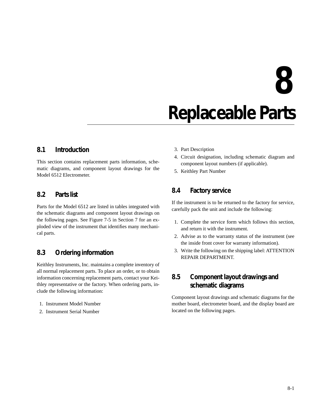## **8 Replaceable Parts**

#### **8.1 Introduction**

This section contains replacement parts information, schematic diagrams, and component layout drawings for the Model 6512 Electrometer.

#### **8.2 Parts list**

Parts for the Model 6512 are listed in tables integrated with the schematic diagrams and component layout drawings on the following pages. See Figure 7-5 in Section 7 for an exploded view of the instrument that identifies many mechanical parts.

#### **8.3 Ordering information**

Keithley Instruments, Inc. maintains a complete inventory of all normal replacement parts. To place an order, or to obtain information concerning replacement parts, contact your Keithley representative or the factory. When ordering parts, include the following information:

- 1. Instrument Model Number
- 2. Instrument Serial Number
- 3. Part Description
- 4. Circuit designation, including schematic diagram and component layout numbers (if applicable).
- 5. Keithley Part Number

#### **8.4 Factory service**

If the instrument is to be returned to the factory for service, carefully pack the unit and include the following:

- 1. Complete the service form which follows this section, and return it with the instrument.
- 2. Advise as to the warranty status of the instrument (see the inside front cover for warranty information).
- 3. Write the following on the shipping label: ATTENTION REPAIR DEPARTMENT.

#### **8.5 Component layout drawings and schematic diagrams**

Component layout drawings and schematic diagrams for the mother board, electrometer board, and the display board are located on the following pages.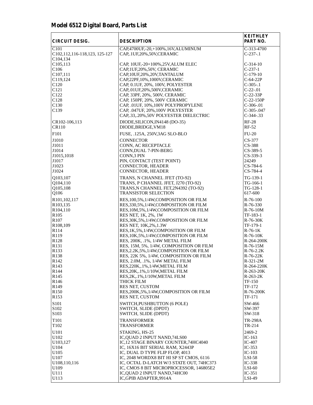#### **Model 6512 Digital Board, Parts List**

| <b>CIRCUIT DESIG.</b>                | <b>DESCRIPTION</b>                                                                  | <b>KEITHLEY</b><br>PART NO. |
|--------------------------------------|-------------------------------------------------------------------------------------|-----------------------------|
| C101                                 | CAP,4700UF,-20,+100%,16V,ALUMINUM                                                   | $C-313-4700$                |
| C102,112,116-118,123, 125-127        | CAP, 1UF, 20%, 50V, CERAMIC                                                         | $C-237-1$                   |
| C104,134                             |                                                                                     |                             |
| C105,113                             | CAP, 10UF,-20+100%,25V,ALUM ELEC                                                    | $C-314-10$                  |
| C106                                 | CAP, 1UF, 20%, 50V, CERAMIC                                                         | $C-237-1$                   |
| C107,111                             | CAP, 10UF, 20%, 20V, TANTALUM                                                       | $C-179-10$                  |
| C119,124                             | CAP,22PF,10%,1000V,CERAMIC                                                          | $C-64-22P$                  |
| C120                                 | CAP, 0.1UF, 20%, 100V, POLYESTER                                                    | $C-305-1$                   |
| C <sub>121</sub>                     | CAP, 01UF, 20%, 500V, CERAMIC                                                       | $C-22-01$                   |
| C122<br>C128                         | CAP, 33PF, 20%, 500V, CERAMIC<br>CAP, 150PF, 20%, 500V CERAMIC                      | $C-22-33P$<br>$C-22-150P$   |
| C130                                 | CAP, .01UF, 10%, 100V POLYPROPYLENE                                                 | $C-306-01$                  |
| C <sub>139</sub>                     | CAP, .047UF, 20%, 100V POLYESTER                                                    | $C-305-.047$                |
|                                      | CAP, 33, 20%, 50V POLYESTER DIELECTRIC                                              | $C-344-33$                  |
| CR102-106,113                        | DIODE, SILICON, IN4148 (DO-35)                                                      | <b>RF-28</b>                |
| <b>CR110</b>                         | DIODE, BRIDGE, VM18                                                                 | <b>RF-52</b>                |
| F101                                 | FUSE, .125A, 250V, 3AG SLO-BLO                                                      | $FU-20$                     |
| J1010                                | <b>CONNECTOR</b>                                                                    | CS-377                      |
| J1011                                | CONN, AC RECEPTACLE                                                                 | CS-388                      |
| J1014                                | CONN, DUAL 7-PIN-BERG                                                               | CS-389-5                    |
| J1015,1018                           | CONN, 3 PIN                                                                         | $CS-339-3$                  |
| J1017<br>J1023                       | PIN, CONTACT (TEST POINT)<br>CONNECTOR, HEADER                                      | 24249<br>CS-784-6           |
| J1024                                | CONNECTOR, HEADER                                                                   | CS-784-4                    |
| Q103,107                             | TRANS, N CHANNEL JFET (TO-92)                                                       | TG-139-1                    |
| Q104,110                             | TRANS, P CHANNEL JFET, J270 (TO-92)                                                 | TG-166-1                    |
| Q105,108                             | TRANS, N CHANNEL FET, 2N4392 (TO-92)                                                | TG-128-1                    |
| Q106                                 | <b>TRANSISTOR SELECTION</b>                                                         | 617-600                     |
| R101,102,117                         | RES, 100,5%, 1/4W, COMPOSITION OR FILM                                              | $R-76-100$                  |
| R103,135                             | RES, 330, 5%, 1/4W, COMPOSITION OR FILM                                             | R-76-330                    |
| R104,110                             | RES, 10M, 5%, 1/4W, COMPOSITION OR FILM                                             | $R-76-10M$                  |
| R <sub>105</sub>                     | RES NET, 1K, 2%, 1W                                                                 | TF-183-1                    |
| R <sub>107</sub>                     | RES, 30K, 5%, 1/4W, COMPOSITION OR FILM                                             | $R-76-30K$                  |
| R108,109                             | RES NET, 10K, 2%, 1.3W                                                              | TF-179-1                    |
| R114                                 | RES, 1K, 5%, 1/4W, COMPOSITION OR FILM                                              | $R-76-1K$                   |
| R119<br>R128                         | RES, 10K, 5%, 1/4W, COMPOSITION OR FILM                                             | $R-76-10K$<br>R-264-200K    |
| R131                                 | RES, 200K, .1%, 1/4W METAL FILM<br>RES, 15M, 5%, 1/4W, COMPOSITION OR FILM          | $R-76-15M$                  |
| R133                                 | RES, 2.2K, 5%, 1/4W, COMPOSITION OR FILM                                            | $R-76-2.2K$                 |
| R138                                 | RES, 22K 5%, 1/4W, COMPOSITION OR FILM                                              | $R-76-22K$                  |
| R <sub>142</sub>                     | RES. 2.0M. .1%. 1/4W METAL FILM                                                     | $R-321-2M$                  |
| R <sub>143</sub>                     | RES, 220K, 1%, 1/4W, METAL FILM                                                     | R-264-220K                  |
| R <sub>144</sub>                     | RES, 20K, 1%, 1/10W, METAL FILM                                                     | $R-263-20K$                 |
| R145                                 | RES, 2K, 1%, 1/10W, METAL FILM                                                      | $R-263-2K$                  |
| R <sub>146</sub>                     | THICK FILM                                                                          | TF-150                      |
| R <sub>149</sub><br>R <sub>150</sub> | RES NET, CUSTOM<br>RES, 200K, 5%, 1/4W, COMPOSITION OR FILM                         | TF-172<br>R-76-200K         |
| R <sub>153</sub>                     | RES NET, CUSTOM                                                                     | TF-171                      |
| S101                                 | SWITCH, PUSHBUTTON (6 POLE)                                                         | SW-466                      |
| S102                                 | SWITCH, SLIDE (DPDT)                                                                | SW-397                      |
| S103                                 | SWITCH, SLIDE (DPDT)                                                                | SW-318                      |
| T <sub>101</sub><br>T <sub>102</sub> | <b>TRANSFORMER</b><br><b>TRANSFORMER</b>                                            | <b>TR-298A</b><br>TR-214    |
| U101                                 | STAKING, HS-25                                                                      | 2469-2                      |
| U102                                 | IC, QUAD 2 INPUT NAND, 74LS00                                                       | $IC-163$                    |
| U103,127                             | IC,12 STAGE BINARY COUNTER,74HC4040                                                 | $IC-407$                    |
| U104                                 | IC, 16X16 BIT SERIAL RAM, X2443P                                                    | $IC-353$                    |
| U105                                 | IC, DUAL D TYPE FLIP FLOP, 4013                                                     | $IC-103$                    |
| U107                                 | IC, 2048 WORDX8 BIT HI SP ST CMOS, 6116                                             | $LSI-58$                    |
| U108,110,116<br>U109                 | IC, OCTAL D-LATCH W/3 STATE OUT, 74HC373<br>IC, CMOS 8 BIT MICROPROCESSOR, 146805E2 | $IC-338$<br>$LSI-60$        |
| U111                                 | IC, QUAD 2 INPUT NAND, 74HC00                                                       | $IC-351$                    |
| U113                                 | IC, GPIB ADAPTER, 9914A                                                             | LSI-49                      |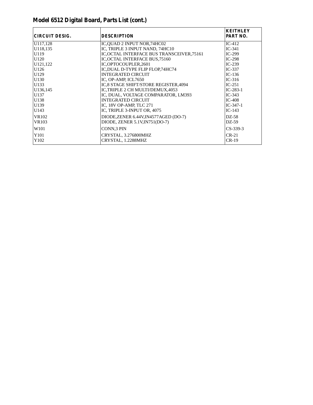#### **Model 6512 Digital Board, Parts List (cont.)**

| <b>CIRCUIT DESIG.</b> | <b>DESCRIPTION</b>                         | <b>KEITHLEY</b><br>PART NO. |
|-----------------------|--------------------------------------------|-----------------------------|
| U <sub>117,128</sub>  | IC, QUAD 2 INPUT NOR, 74HC02               | $IC-412$                    |
| U118,135              | IC, TRIPLE 3 INPUT NAND, 74HC10            | $IC-341$                    |
| U119                  | IC, OCTAL INTERFACE BUS TRANSCEIVER, 75161 | $IC-299$                    |
| U <sub>120</sub>      | IC, OCTAL INTERFACE BUS, 75160             | $IC-298$                    |
| U121.122              | IC.OPTOCOUPLER.2601                        | $IC-239$                    |
| U126                  | IC, DUAL D-TYPE FLIP FLOP, 74HC74          | $IC-337$                    |
| U129                  | <b>INTEGRATED CIRCUIT</b>                  | $IC-136$                    |
| U130                  | IC, OP-AMP, ICL7650                        | $IC-316$                    |
| U133                  | IC.8 STAGE SHIFT/STORE REGISTER, 4094      | $IC-251$                    |
| U <sub>136,145</sub>  | IC, TRIPLE 2 CH MULTI/DEMUX, 4053          | $IC-283-1$                  |
| U <sub>137</sub>      | IC, DUAL, VOLTAGE COMPARATOR, LM393        | $IC-343$                    |
| U138                  | <b>INTEGRATED CIRCUIT</b>                  | $IC-408$                    |
| U139                  | IC, 18V OP-AMP, TLC 271                    | $IC-347-1$                  |
| U <sub>143</sub>      | IC, TRIPLE 3-INPUT OR, 4075                | $IC-143$                    |
| VR102                 | DIODE, ZENER 6.44V, IN4577AGED (DO-7)      | DZ-58                       |
| <b>VR103</b>          | DIODE, ZENER 5.1V, IN751(DO-7)             | DZ-59                       |
| W <sub>101</sub>      | CONN.3 PIN                                 | $CS-339-3$                  |
| Y101                  | CRYSTAL, 3.276800MHZ                       | $CR-21$                     |
| Y102                  | CRYSTAL, 1.2288MHZ                         | $CR-19$                     |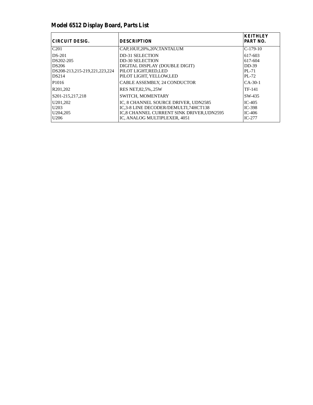#### **Model 6512 Display Board, Parts List**

| <b>CIRCUIT DESIG.</b>                                                                       | <b>DESCRIPTION</b>                                                                                                                                        | <b>KEITHLEY</b><br>PART NO.                       |
|---------------------------------------------------------------------------------------------|-----------------------------------------------------------------------------------------------------------------------------------------------------------|---------------------------------------------------|
| C <sub>201</sub>                                                                            | CAP, 10UF, 20%, 20V, TANTALUM                                                                                                                             | $C-179-10$                                        |
| <b>DS-201</b><br>DS202-205<br><b>DS206</b><br>DS208-213,215-219,221,223,224<br><b>DS214</b> | <b>DD-31 SELECTION</b><br><b>DD-30 SELECTION</b><br>DIGITAL DISPLAY (DOUBLE DIGIT)<br>PILOT LIGHT.RED.LED<br>PILOT LIGHT, YELLOW,LED                      | 617-603<br>617-604<br>DD-39<br>$PL-71$<br>$PL-72$ |
| P <sub>1016</sub>                                                                           | CABLE ASSEMBLY, 24 CONDUCTOR                                                                                                                              | $CA-30-1$                                         |
| R <sub>201.202</sub>                                                                        | RES NET, 82, 5%, .25W                                                                                                                                     | TF-141                                            |
| S201-215,217,218                                                                            | <b>SWITCH, MOMENTARY</b>                                                                                                                                  | $SW-435$                                          |
| U <sub>201.202</sub><br>U203<br>U <sub>204.205</sub><br>U <sub>206</sub>                    | IC, 8 CHANNEL SOURCE DRIVER, UDN2585<br>IC.3-8 LINE DECODER/DEMULTI.74HCT138<br>IC.8 CHANNEL CURRENT SINK DRIVER, UDN2595<br>IC. ANALOG MULTIPLEXER, 4051 | $IC-405$<br>$IC-398$<br>$IC-406$<br>$IC-277$      |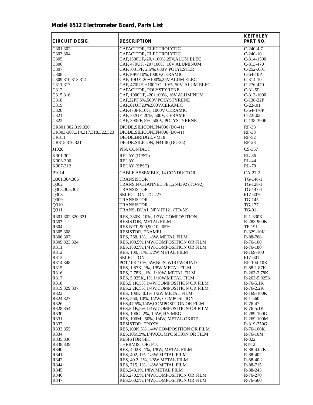#### **Model 6512 Electrometer Board, Parts List**

| <b>CIRCUIT DESIG.</b>         | <b>DESCRIPTION</b>                                                       | <b>KEITHLEY</b><br>PART NO. |
|-------------------------------|--------------------------------------------------------------------------|-----------------------------|
| C301,302                      | CAPACITOR, ELECTROLYTIC                                                  | $C-240-4.7$                 |
| C303,304                      | CAPACITOR, ELECTROLYTIC                                                  | $C-240-10$                  |
| C305                          | CAP,1500UF,-20,+100%,25V,ALUM ELEC                                       | $C-314-1500$                |
| C306                          | CAP, 470UF, -20+100%, 16V ALUMINUM                                       | $C-313-470$                 |
| C307                          | CAP, .001PF, 2.5%, 630V POLYESTER                                        | $C-252-001$                 |
| C308                          | CAP, 10PF, 10%, 1000V, CERAMIC                                           | $C-64-10P$                  |
| C309,310,313,314              | CAP, 10UF,-20+100%,25V,ALUM ELEC                                         | $C-314-10$                  |
| C311.317                      | CAP, 470UF, +100 TO -10%, 50V, ALUM ELEC                                 | $C-276-470$                 |
| C312                          | CAPACITOR, POLYSTYRENE                                                   | $C-31-5P$                   |
| C315,316                      | CAP, 1000UF, -20+100%, 16V ALUMINUM                                      | $C-313-1000$                |
| C318                          | CAP,22PF,5%,500V,POLYSTYRENE                                             | $C-138-22P$                 |
| C319                          | CAP, 01UF, 20%, 500V, CERAMIC                                            | $C-22-01$                   |
| C320                          | CAP,470PF,10%, 1000V CERAMIC                                             | C-64-470P                   |
| C321                          | CAP, .02UF, 20%, 500V, CERAMIC                                           | $C-22-.02$                  |
| C322                          | CAP, 390PF, 5%, 500V, POLYSTYRENE                                        | C-138-390P                  |
|                               |                                                                          |                             |
| CR301,302,319,320             | DIODE, SILICON, IN4006 (D0-41)                                           | <b>RF-38</b>                |
| CR303-307,314,317,318,322,323 | DIODE, SILICON, IN4006 (D0-41)                                           | <b>RF-38</b>                |
| CR311                         | DIODE, BRIDGE, VM18                                                      | RF-52                       |
| CR315,316,321                 | DIODE, SILICON, IN4148 (DO-35)                                           | <b>RF-28</b>                |
| J1020                         | PIN, CONTACT                                                             | CS-357                      |
| K301,302                      | RELAY (DPST)                                                             | <b>RL-86</b>                |
| K303-306                      | <b>RELAY</b>                                                             | <b>RL-44</b>                |
| K307-312                      | RELAY (SPST)                                                             | <b>RL-70</b>                |
| P1014                         | CABLE ASSEMBLY, 14 CONDUCTOR                                             | CA-27-2                     |
| Q301,304,306                  | <b>TRANSISTOR</b>                                                        | TG-146-1                    |
| Q302                          | TRANS, N CHANNEL FET, 2N4392 (TO-92)                                     | TG-128-1                    |
| Q303,305,307                  | <b>TRANSISTOR</b>                                                        | $TG-147-1$                  |
| Q308                          | SELECTION, TG-227                                                        | 617-607C                    |
| Q309                          | <b>TRANSISTOR</b>                                                        | TG-145                      |
| Q310                          | <b>TRANSISTOR</b>                                                        | TG-177                      |
| Q311                          | TRANS, DUAL NPN IT121 (TO-52)                                            | <b>TG-91</b>                |
| R301,302,320,321              | RES, 330K, 10%, 1/2W, COMPOSITION                                        | $R-1-330K$                  |
| R303                          | RESISTOR, METAL FILM                                                     | R-283-900K                  |
| R304                          | RES NET, 900,90,10, .05%                                                 | TF-191                      |
| R305.308                      | RESISTOR, ENAMEL                                                         | R-329-10K<br>R-88-768       |
| R306,307<br>R309,323,324      | RES, 768, 1%, 1/8W, METAL FILM<br>RES, 100,5%, 1/4W, COMPOSITION OR FILM | $R-76-100$                  |
| R311                          | RES, 180,5%, 1/4W, COMPOSITION OR FILM                                   | $R-76-180$                  |
| R312                          | RES, 100, .1%, 1/2W METAL FILM                                           | R-169-100                   |
| R313                          | <b>SELECTION</b>                                                         | 617-601                     |
| R314,348                      | POT, 10K, 10%, .5W, NON-WIREWOUND                                        | RP-104-10K                  |
| R315                          | RES, 1.87K, 1%, 1/8W METAL FILM                                          | R-88-1.87K                  |
| R316                          | RES, 2.78K, .1%, 1/10W, METAL FILM                                       | R-263-2.78K                 |
| R317                          | RES, 5.025K, 1%, 1/10W, METAL FILM                                       | R-263-5.025K                |
| R318                          | RES, 5.1K, 5%, 1/4W, COMPOSITION OR FILM                                 | $R-76-5.1K$                 |
| R319,329,337                  | RES, 2.2K, 5%, 1/4W, COMPOSITION OR FILM                                 | $R-76-2.2K$                 |
| R322                          | RES, 100K, 0.1% 1/2W METAL FILM                                          | R-169-100K                  |
| R324,327                      | RES, 560, 10%, 1/2W, COMPOSITION                                         | $R-1-560$                   |
| R326                          | RES,47,5%,1/4W,COMPOSITION OR FILM                                       | R-76-47                     |
| R328,354                      | RES, 5.1K, 5%, 1/4W, COMPOSITION OR FILM                                 | $R-76-5.1K$                 |
| R330                          | RES, 100G, 2%, 1.5W, HY MEG                                              | R-289-100G                  |
| R331                          | RES, 100M, .50%, 1/4W, METAL OXIDE                                       | $R-269-100M$                |
| R332                          | <b>RESISTOR, EPOXY</b>                                                   | R-319-250G                  |
| R333,355                      | RES, 100K, 5%, 1/4W, COMPOSITION OR FILM                                 | R-76-100K                   |
| R334<br>R335,336              | RES, 10M, 5%, 1/4W, COMPOSITION OR FILM<br><b>RESISTOR SET</b>           | $R-76-10M$<br>R-322         |
| R338,339                      | THERMISTOR, PTC                                                          | $RT-12$                     |
| R340                          | RES, 4.02K, 1%, 1/8W, METAL FILM                                         | $R-88-4.02K$                |
| R341                          | RES, 402, 1%, 1/8W METAL FILM                                            | R-88-402                    |
| R342                          | RES, 40.2, 1%, 1/8W METAL FILM                                           | R-88-40.2                   |
| R344                          | RES, 715, 1%, 1/8W METAL FILM                                            | R-88-715                    |
| R345                          | RES, 243, 1%, 1/8W, METAL FILM                                           | R-88-243                    |
| R346                          | RES, 270, 5%, 1/4W, COMPOSITION OR FILM                                  | R-76-270                    |
| R347                          | RES, 560, 5%, 1/4W, COMPOSITION OR FILM                                  | R-76-560                    |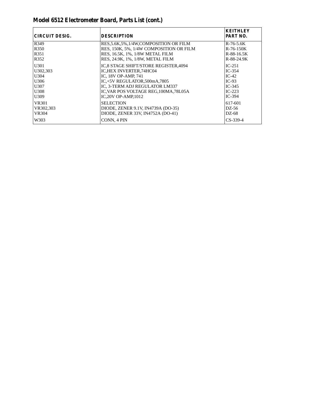#### **Model 6512 Electrometer Board, Parts List (cont.)**

| CIRCUIT DESIG. | <b>DESCRIPTION</b>                       | <b>KEITHLEY</b><br>PART NO. |
|----------------|------------------------------------------|-----------------------------|
| R349           | RES, 5.6K, 5%, 1/4W, COMPOSITION OR FILM | $R-76-5.6K$                 |
| R350           | RES, 150K, 5%, 1/4W COMPOSITION OR FILM  | R-76-150K                   |
| R351           | RES, 16.5K, 1%, 1/8W METAL FILM          | $R-88-16.5K$                |
| R352           | RES, 24.9K, 1%, 1/8W, METAL FILM         | R-88-24.9K                  |
| U301           | IC.8 STAGE SHIFT/STORE REGISTER.4094     | $IC-251$                    |
| U302.303       | IC.HEX INVERTER.74HC04                   | $IC-354$                    |
| U304           | IC, 18V OP-AMP, 741                      | $IC-42$                     |
| U306           | IC <sub>,+5</sub> V REGULATOR,500mA,7805 | $IC-93$                     |
| U307           | IC, 3-TERM ADJ REGULATOR LM337           | $IC-345$                    |
| U308           | IC, VAR POS VOLTAGE REG, 100MA, 78L05A   | $IC-223$                    |
| U309           | IC.20V OP-AMP.1012                       | $IC-394$                    |
| <b>VR301</b>   | <b>SELECTION</b>                         | 617-601                     |
| VR302.303      | DIODE, ZENER 9.1V, IN4739A (DO-35)       | DZ-56                       |
| <b>VR304</b>   | DIODE, ZENER 33V, IN4752A (DO-41)        | DZ-68                       |
| W303           | CONN, 4 PIN                              | $CS-339-4$                  |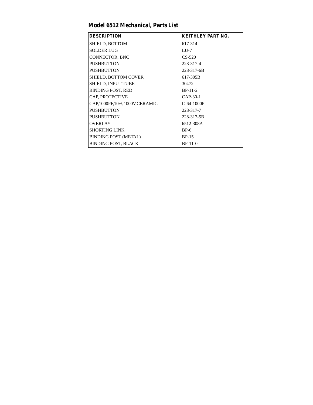|  | <b>Model 6512 Mechanical, Parts List</b> |  |
|--|------------------------------------------|--|
|--|------------------------------------------|--|

| <b>DESCRIPTION</b>               | <b>KEITHLEY PART NO.</b> |
|----------------------------------|--------------------------|
| SHIELD, BOTTOM                   | 617-314                  |
| <b>SOLDER LUG</b>                | $LIJ-7$                  |
| CONNECTOR, BNC                   | $CS-520$                 |
| <b>PUSHBUTTON</b>                | 228-317-4                |
| <b>PUSHBUTTON</b>                | 228-317-6B               |
| <b>SHIELD, BOTTOM COVER</b>      | 617-305B                 |
| <b>SHIELD, INPUT TUBE</b>        | 30472                    |
| <b>BINDING POST, RED</b>         | $BP-11-2$                |
| CAP, PROTECTIVE                  | $CAP-30-1$               |
| CAP, 1000PF, 10%, 1000V, CERAMIC | $C-64-1000P$             |
| <b>PUSHBUTTON</b>                | 228-317-7                |
| <b>PUSHBUTTON</b>                | 228-317-5B               |
| <b>OVERLAY</b>                   | 6512-308A                |
| <b>SHORTING LINK</b>             | $BP-6$                   |
| <b>BINDING POST (METAL)</b>      | <b>BP-15</b>             |
| <b>BINDING POST, BLACK</b>       | $BP-11-0$                |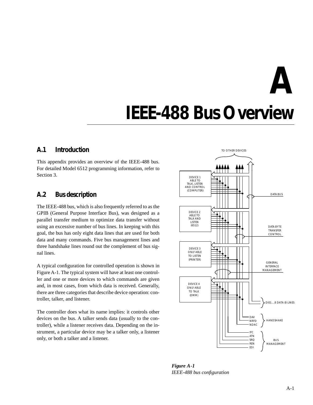### **A IEEE-488 Bus Overview**

#### **A.1 Introduction**

This appendix provides an overview of the IEEE-488 bus. For detailed Model 6512 programming information, refer to Section 3.

#### **A.2 Bus description**

The IEEE-488 bus, which is also frequently referred to as the GPIB (General Purpose Interface Bus), was designed as a parallel transfer medium to optimize data transfer without using an excessive number of bus lines. In keeping with this goal, the bus has only eight data lines that are used for both data and many commands. Five bus management lines and three handshake lines round out the complement of bus signal lines.

A typical configuration for controlled operation is shown in Figure A-1. The typical system will have at least one controller and one or more devices to which commands are given and, in most cases, from which data is received. Generally, there are three categories that describe device operation: controller, talker, and listener.

The controller does what its name implies: it controls other devices on the bus. A talker sends data (usually to the controller), while a listener receives data. Depending on the instrument, a particular device may be a talker only, a listener only, or both a talker and a listener.



*Figure A-1 IEEE-488 bus configuration*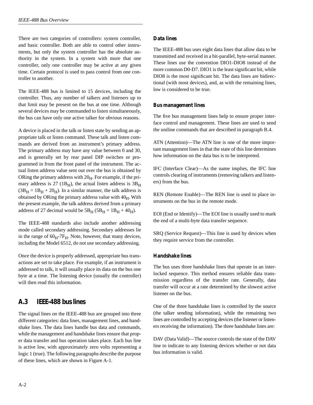There are two categories of controllers: system controller, and basic controller. Both are able to control other instruments, but only the system controller has the absolute authority in the system. In a system with more that one controller, only one controller may be active at any given time. Certain protocol is used to pass control from one controller to another.

The IEEE-488 bus is limited to 15 devices, including the controller. Thus, any number of talkers and listeners up to that limit may be present on the bus at one time. Although several devices may be commanded to listen simultaneously, the bus can have only one active talker for obvious reasons.

A device is placed in the talk or listen state by sending an appropriate talk or listen command. These talk and listen commands are derived from an instrument's primary address. The primary address may have any value between 0 and 30, and is generally set by rear panel DIP switches or programmed in from the front panel of the instrument. The actual listen address value sent out over the bus is obtained by ORing the primary address with  $20<sub>H</sub>$ . For example, if the primary address is 27 (1B<sub>H</sub>), the actual listen address is  $3B_H$  $(3B_H = 1B_H + 20_H)$ . In a similar manner, the talk address is obtained by ORing the primary address value with  $40<sub>H</sub>$ . With the present example, the talk address derived from a primary address of 27 decimal would be  $5B_H (5B_H = 1B_H + 40_H)$ .

The IEEE-488 standards also include another addressing mode called secondary addressing. Secondary addresses lie in the range of  $60<sub>H</sub>$ -7F<sub>H</sub>. Note, however, that many devices, including the Model 6512, do not use secondary addressing.

Once the device is properly addressed, appropriate bus transactions are set to take place. For example, if an instrument is addressed to talk, it will usually place its data on the bus one byte at a time. The listening device (usually the controller) will then read this information.

#### **A.3 IEEE-488 bus lines**

The signal lines on the IEEE-488 bus are grouped into three different categories: data lines, management lines, and handshake lines. The data lines handle bus data and commands, while the management and handshake lines ensure that proper data transfer and bus operation takes place. Each bus line is active low, with approximately zero volts representing a logic 1 (true). The following paragraphs describe the purpose of these lines, which are shown in Figure A-1.

#### **Data lines**

The IEEE-488 bus uses eight data lines that allow data to be transmitted and received in a bit-parallel, byte-serial manner. These lines use the convention DIO1-DIO8 instead of the more common D0-D7. DIO1 is the least significant bit, while DIO8 is the most significant bit. The data lines are bidirectional (with most devices), and, as with the remaining lines, low is considered to be true.

#### **Bus management lines**

The five bus management lines help to ensure proper interface control and management. These lines are used to send the uniline commands that are described in paragraph B.4.

ATN (Attention)—The ATN line is one of the more important management lines in that the state of this line determines how information on the data bus is to be interpreted.

IFC (Interface Clear)—As the name implies, the IFC line controls clearing of instruments (removing talkers and listeners) from the bus.

REN (Remote Enable)—The REN line is used to place instruments on the bus in the remote mode.

EOI (End or Identify)—The EOI line is usually used to mark the end of a multi-byte data transfer sequence.

SRQ (Service Request)—This line is used by devices when they require service from the controller.

#### **Handshake lines**

The bus uses three handshake lines that operate in an interlocked sequence. This method ensures reliable data transmission regardless of the transfer rate. Generally, data transfer will occur at a rate determined by the slowest active listener on the bus.

One of the three handshake lines is controlled by the source (the talker sending information), while the remaining two lines are controlled by accepting devices (the listener or listeners receiving the information). The three handshake lines are:

DAV (Data Valid)—The source controls the state of the DAV line to indicate to any listening devices whether or not data bus information is valid.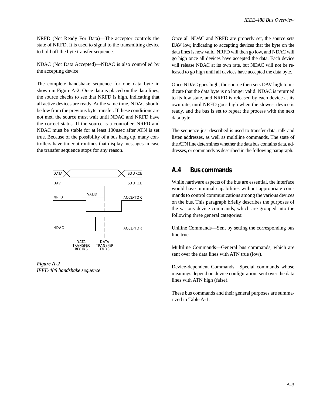NRFD (Not Ready For Data)—The acceptor controls the state of NRFD. It is used to signal to the transmitting device to hold off the byte transfer sequence.

NDAC (Not Data Accepted)—NDAC is also controlled by the accepting device.

The complete handshake sequence for one data byte in shown in Figure A-2. Once data is placed on the data lines, the source checks to see that NRFD is high, indicating that all active devices are ready. At the same time, NDAC should be low from the previous byte transfer. If these conditions are not met, the source must wait until NDAC and NRFD have the correct status. If the source is a controller, NRFD and NDAC must be stable for at least 100nsec after ATN is set true. Because of the possibility of a bus hang up, many controllers have timeout routines that display messages in case the transfer sequence stops for any reason.



*Figure A-2 IEEE-488 handshake sequence*

Once all NDAC and NRFD are properly set, the source sets DAV low, indicating to accepting devices that the byte on the data lines is now valid. NRFD will then go low, and NDAC will go high once all devices have accepted the data. Each device will release NDAC at its own rate, but NDAC will not be released to go high until all devices have accepted the data byte.

Once NDAC goes high, the source then sets DAV high to indicate that the data byte is no longer valid. NDAC is returned to its low state, and NRFD is released by each device at its own rate, until NRFD goes high when the slowest device is ready, and the bus is set to repeat the process with the next data byte.

The sequence just described is used to transfer data, talk and listen addresses, as well as multiline commands. The state of the ATN line determines whether the data bus contains data, addresses, or commands as described in the following paragraph.

#### **A.4 Bus commands**

While hardware aspects of the bus are essential, the interface would have minimal capabilities without appropriate commands to control communications among the various devices on the bus. This paragraph briefly describes the purposes of the various device commands, which are grouped into the following three general categories:

Uniline Commands—Sent by setting the corresponding bus line true.

Multiline Commands—General bus commands, which are sent over the data lines with ATN true (low).

Device-dependent Commands—Special commands whose meanings depend on device configuration; sent over the data lines with ATN high (false).

These bus commands and their general purposes are summarized in Table A-1.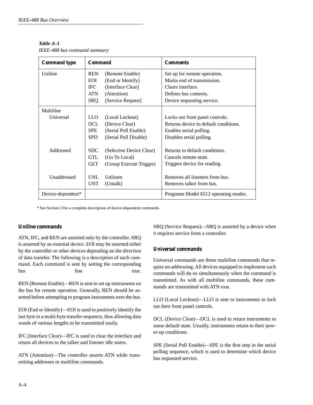#### *Table A-1*

| <b>Command type</b> | Command    |                          | Comments                              |
|---------------------|------------|--------------------------|---------------------------------------|
| Uniline             | <b>REN</b> | (Remote Enable)          | Set up for remote operation.          |
|                     | <b>EOI</b> | (End or Identify)        | Marks end of transmission.            |
|                     | <b>IFC</b> | (Interface Clear)        | Clears interface.                     |
|                     | <b>ATN</b> | (Attention)              | Defines bus contents.                 |
|                     | <b>SRQ</b> | (Service Request)        | Device requesting service.            |
| Multiline           |            |                          |                                       |
| Universal           | <b>LLO</b> | (Local Lockout)          | Locks out front panel controls.       |
|                     | <b>DCL</b> | (Device Clear)           | Returns device to default conditions. |
|                     | <b>SPE</b> | (Serial Poll Enable)     | Enables serial polling.               |
|                     | <b>SPD</b> | (Serial Poll Disable)    | Disables serial polling.              |
|                     |            |                          |                                       |
| Addressed           | <b>SDC</b> | (Selective Device Clear) | Returns to default conditions.        |
|                     | <b>GTL</b> | (Go To Local)            | Cancels remote state.                 |
|                     | <b>GET</b> | (Group Execute Trigger)  | Triggers device for reading.          |
|                     |            |                          |                                       |
| <b>Unaddressed</b>  | UNL        | Unlisten                 | Removes all listeners from bus.       |
|                     | <b>UNT</b> | (Untalk)                 | Removes talker from bus.              |
| Device-dependent*   |            |                          | Programs Model 6512 operating modes.  |

*IEEE-488 bus command summary*

\* See Section 3 for a complete description of device-dependent commands.

#### **Uniline commands**

ATN, IFC, and REN are asserted only by the controller. SRQ is asserted by an external device. EOI may be asserted either by the controller or other devices depending on the direction of data transfer. The following is a description of each command. Each command is sent by setting the corresponding bus line true.

REN (Remote Enable)—REN is sent to set up instruments on the bus for remote operation. Generally, REN should be asserted before attempting to program instruments over the bus.

EOI (End or Identify)—EOI is used to positively identify the last byte in a multi-byte transfer sequence, thus allowing data words of various lengths to be transmitted easily.

IFC (Interface Clear)—IFC is used to clear the interface and return all devices to the talker and listener idle states.

ATN (Attention)—The controller asserts ATN while transmitting addresses or multiline commands.

SRQ (Service Request)—SRQ is asserted by a device when it requires service from a controller.

#### **Universal commands**

Universal commands are those multiline commands that require no addressing. All devices equipped to implement such commands will do so simultaneously when the command is transmitted. As with all multiline commands, these commands are transmitted with ATN true.

LLO (Local Lockout)—LLO is sent to instruments to lock out their front panel controls.

DCL (Device Clear)—DCL is used to return instruments to some default state. Usually, instruments return to their power-up conditions.

SPE (Serial Poll Enable)—SPE is the first step in the serial polling sequence, which is used to determine which device has requested service.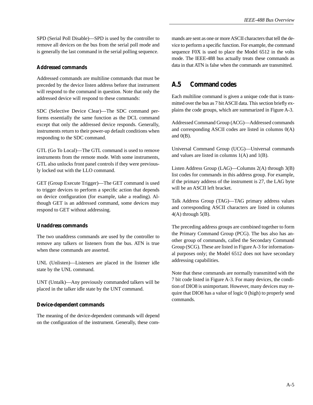SPD (Serial Poll Disable)—SPD is used by the controller to remove all devices on the bus from the serial poll mode and is generally the last command in the serial polling sequence.

#### **Addressed commands**

Addressed commands are multiline commands that must be preceded by the device listen address before that instrument will respond to the command in question. Note that only the addressed device will respond to these commands:

SDC (Selective Device Clear)—The SDC command performs essentially the same function as the DCL command except that only the addressed device responds. Generally, instruments return to their power-up default conditions when responding to the SDC command.

GTL (Go To Local)—The GTL command is used to remove instruments from the remote mode. With some instruments, GTL also unlocks front panel controls if they were previously locked out with the LLO command.

GET (Group Execute Trigger)—The GET command is used to trigger devices to perform a specific action that depends on device configuration (for example, take a reading). Although GET is an addressed command, some devices may respond to GET without addressing.

#### **Unaddress commands**

The two unaddress commands are used by the controller to remove any talkers or listeners from the bus. ATN is true when these commands are asserted.

UNL (Unlisten)—Listeners are placed in the listener idle state by the UNL command.

UNT (Untalk)—Any previously commanded talkers will be placed in the talker idle state by the UNT command.

#### **Device-dependent commands**

The meaning of the device-dependent commands will depend on the configuration of the instrument. Generally, these commands are sent as one or more ASCII characters that tell the device to perform a specific function. For example, the command sequence F0X is used to place the Model 6512 in the volts mode. The IEEE-488 bus actually treats these commands as data in that ATN is false when the commands are transmitted.

#### **A.5 Command codes**

Each multiline command is given a unique code that is transmitted over the bus as 7 bit ASCII data. This section briefly explains the code groups, which are summarized in Figure A-3.

Addressed Command Group (ACG)—Addressed commands and corresponding ASCII codes are listed in columns 0(A) and  $0(B)$ .

Universal Command Group (UCG)—Universal commands and values are listed in columns 1(A) and 1(B).

Listen Address Group (LAG)—Columns 2(A) through 3(B) list codes for commands in this address group. For example, if the primary address of the instrument is 27, the LAG byte will be an ASCII left bracket.

Talk Address Group (TAG)—TAG primary address values and corresponding ASCII characters are listed in columns  $4(A)$  through  $5(B)$ .

The preceding address groups are combined together to form the Primary Command Group (PCG). The bus also has another group of commands, called the Secondary Command Group (SCG). These are listed in Figure A-3 for informational purposes only; the Model 6512 does not have secondary addressing capabilities.

Note that these commands are normally transmitted with the 7 bit code listed in Figure A-3. For many devices, the condition of DIO8 is unimportant. However, many devices may require that DIO8 has a value of logic 0 (high) to properly send commands.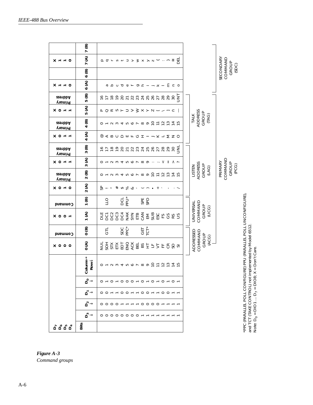|                                 | $\sqrt{1}$ (B)                  |                         |                                                                                                                                                                                                                                                                                                                                                                                                                                                                                            |             |                                                                                            |  |                                                   |                                 |        |  |
|---------------------------------|---------------------------------|-------------------------|--------------------------------------------------------------------------------------------------------------------------------------------------------------------------------------------------------------------------------------------------------------------------------------------------------------------------------------------------------------------------------------------------------------------------------------------------------------------------------------------|-------------|--------------------------------------------------------------------------------------------|--|---------------------------------------------------|---------------------------------|--------|--|
| $\times - - \circ$              | 7(A)                            |                         | $\mathfrak{Q} \sigma \vdash \mathfrak{A} + \mathfrak{I} \geq \mathfrak{Z} \times \mathfrak{A} \mathfrak{A} \hookrightarrow \cdots \hookrightarrow \mathbb{H}$                                                                                                                                                                                                                                                                                                                              |             |                                                                                            |  |                                                   |                                 |        |  |
|                                 | 6(B)                            |                         |                                                                                                                                                                                                                                                                                                                                                                                                                                                                                            |             |                                                                                            |  |                                                   |                                 |        |  |
| $\times$ – – 0                  | 6(4)                            |                         | ¤ Q U U ⊕ ← D Q ← D → W → E C O                                                                                                                                                                                                                                                                                                                                                                                                                                                            |             |                                                                                            |  |                                                   |                                 |        |  |
| <b>a</b> condbA<br>Primary      | 5 (B)                           |                         |                                                                                                                                                                                                                                                                                                                                                                                                                                                                                            |             |                                                                                            |  |                                                   |                                 |        |  |
| $\times$ 0 $ -$                 | 5(A)                            |                         | $\begin{tabular}{l} $\mathbb{L} \cup \mathbb{R} \cup \mathbb{R} \cup \mathbb{R} \cup \mathbb{R} \cup \mathbb{R} \cup \mathbb{R} \cup \mathbb{R} \cup \mathbb{R} \cup \mathbb{R} \cup \mathbb{R} \cup \mathbb{R} \cup \mathbb{R} \cup \mathbb{R} \cup \mathbb{R} \cup \mathbb{R} \cup \mathbb{R} \cup \mathbb{R} \cup \mathbb{R} \cup \mathbb{R} \cup \mathbb{R} \cup \mathbb{R} \cup \mathbb{R} \cup \mathbb{R} \cup \mathbb{R} \cup \mathbb{R} \cup \mathbb{$                             |             |                                                                                            |  |                                                   |                                 |        |  |
| <b>Address</b><br>Primary       | 4 (B)                           |                         | o - 23456789 2 1 2 2 1 2 1                                                                                                                                                                                                                                                                                                                                                                                                                                                                 |             |                                                                                            |  |                                                   |                                 |        |  |
| $\times$ 0 $ -$                 | 4(A)                            |                         | $@$ $Q$ $@$ $Q$ $@$ $Q$ $@$ $Q$ $@$ $T$ $  \leq$ $ \geq$ $\geq$ $C$                                                                                                                                                                                                                                                                                                                                                                                                                        |             |                                                                                            |  |                                                   |                                 |        |  |
| <b>a</b> condbA<br>Primary      | 3 (B)                           |                         | $\begin{array}{l} \mathcal{L}\mathrel{\dot{P}}\mathrel{\dot{P}}\mathrel{\dot{P}}\mathrel{\dot{P}}\mathrel{\dot{P}}\mathrel{\dot{P}}\mathrel{\dot{P}}\mathrel{\dot{P}}\mathrel{\dot{P}}\mathrel{\dot{P}}\mathrel{\dot{P}}\mathrel{\dot{P}}\mathrel{\dot{P}}\mathrel{\dot{P}}\mathrel{\dot{P}}\mathrel{\dot{P}}\mathrel{\dot{P}}\mathrel{\dot{P}}\mathrel{\dot{P}}\mathrel{\dot{P}}\mathrel{\dot{P}}\mathrel{\dot{P}}\mathrel{\dot{P}}\mathrel{\dot{P}}\mathrel{\dot{P}}\mathrel{\dot{P}}$   |             |                                                                                            |  |                                                   |                                 |        |  |
| $\times$ 0 $ -$                 | 3(A)                            |                         | $O \leftarrow$ $O \leftarrow$ $O \leftarrow$ $O \leftarrow$ $O \leftarrow$ $O \leftarrow$ $O \leftarrow$ $O \leftarrow$ $O \leftarrow$ $O \leftarrow$ $O \leftarrow$ $O \leftarrow$ $O \leftarrow$ $O \leftarrow$ $O \leftarrow$ $O \leftarrow$ $O \leftarrow$ $O \leftarrow$ $O \leftarrow$ $O \leftarrow$ $O \leftarrow$ $O \leftarrow$ $O \leftarrow$ $O \leftarrow$ $O \leftarrow$ $O \leftarrow$ $O \leftarrow$ $O \leftarrow$ $O \leftarrow$ $O \leftarrow$ $O \leftarrow$ $O \left$ |             |                                                                                            |  |                                                   |                                 |        |  |
| <b>Address</b><br>Primary       | 2(B)                            |                         | O - 2 m 4 m 6 L 8 0 5 L 5 15 H 5                                                                                                                                                                                                                                                                                                                                                                                                                                                           |             |                                                                                            |  |                                                   |                                 |        |  |
| $\times$ $\circ$ $\sim$ $\circ$ | 2(A)                            |                         | 5 - - * * 6 % & .                                                                                                                                                                                                                                                                                                                                                                                                                                                                          |             |                                                                                            |  |                                                   |                                 |        |  |
| Command                         | 1(B)                            |                         | $\Xi$                                                                                                                                                                                                                                                                                                                                                                                                                                                                                      |             |                                                                                            |  |                                                   |                                 |        |  |
| $\times$ 0 0 $-$                | 1(A)                            |                         | H5883XKKBRSESS8888                                                                                                                                                                                                                                                                                                                                                                                                                                                                         |             |                                                                                            |  |                                                   |                                 |        |  |
| Command                         | (8)                             |                         | GTL                                                                                                                                                                                                                                                                                                                                                                                                                                                                                        |             | $\begin{array}{cc} \text{SDC}^* & \text{GFT}^* \\ \text{DFC}^* & \text{GFT}^* \end{array}$ |  |                                                   |                                 |        |  |
| $\times$ 0 0 0                  | $\mathfrak{a}$                  |                         | S S C S S S S B B F F P F & 8 a                                                                                                                                                                                                                                                                                                                                                                                                                                                            |             |                                                                                            |  |                                                   |                                 |        |  |
|                                 | Column-><br>Row                 |                         | $\cdot$ $\alpha$ $\alpha$ $\alpha$ $\alpha$ $\alpha$ $\alpha$ $\alpha$ $\beta$ $\alpha$ $\beta$ $\gamma$ $\alpha$ $\beta$ $\gamma$ $\gamma$ $\beta$                                                                                                                                                                                                                                                                                                                                        |             |                                                                                            |  |                                                   |                                 |        |  |
|                                 | റ് <sup>→</sup>                 |                         | - - - - - - - - - - - - - - - -                                                                                                                                                                                                                                                                                                                                                                                                                                                            |             |                                                                                            |  |                                                   |                                 |        |  |
|                                 | $\overline{\Omega} \rightarrow$ | $\circ$ $\circ$ $\circ$ |                                                                                                                                                                                                                                                                                                                                                                                                                                                                                            | $O$ $O$ $r$ |                                                                                            |  | $\overline{\phantom{0}}$ $\overline{\phantom{0}}$ |                                 | $-001$ |  |
|                                 | പ്~                             |                         | $\circ$ $\circ$ $\circ$ $\circ$                                                                                                                                                                                                                                                                                                                                                                                                                                                            |             |                                                                                            |  |                                                   | $\circ$ $\circ$ $\circ$ $\circ$ |        |  |
|                                 | പ്~                             |                         | 0 0 0 0 0 0 0 0                                                                                                                                                                                                                                                                                                                                                                                                                                                                            |             |                                                                                            |  |                                                   |                                 |        |  |
| <b>1</b> 1 1 1                  | Bits                            |                         |                                                                                                                                                                                                                                                                                                                                                                                                                                                                                            |             |                                                                                            |  |                                                   |                                 |        |  |

| *PPC (PARALLEL POLL CONFIGURE) PPU (PARALLEL POLL UNCONFIGURE), | and TCT (TAKE CONTROL) not implemented by Model 6512 | Note: $D_0 = DIO1$ $D_7 = DIO8$ ; $X = D0n'1$ C. |
|-----------------------------------------------------------------|------------------------------------------------------|--------------------------------------------------|
|                                                                 |                                                      |                                                  |

| <b>Figure A-3</b> |
|-------------------|
| Command groups    |

ADDRESSED COMMAND GROUP (ACG)

UNIVERSAL COMMAND GROUP (UCG)

LISTEN GROUP (LAG) ADDRESS

PRIMARY COMMAND GROUP (PCG)

SECONDARY COMMAND GROUP (SDC)

TALK<br>GROUP<br>(TAG)<br>(TAG) ADDRESS

*IEEE-488 Bus Overview*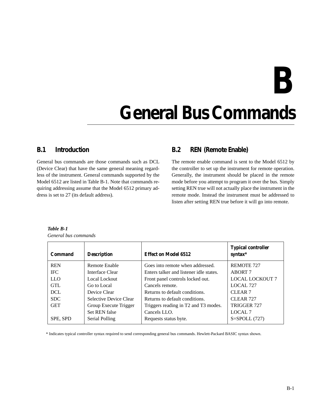# **B**

### **General Bus Commands**

#### **B.1 Introduction**

General bus commands are those commands such as DCL (Device Clear) that have the same general meaning regardless of the instrument. General commands supported by the Model 6512 are listed in Table B-1. Note that commands requiring addressing assume that the Model 6512 primary address is set to 27 (its default address).

#### **B.2 REN (Remote Enable)**

The remote enable command is sent to the Model 6512 by the controller to set up the instrument for remote operation. Generally, the instrument should be placed in the remote mode before you attempt to program it over the bus. Simply setting REN true will not actually place the instrument in the remote mode. Instead the instrument must be addressed to listen after setting REN true before it will go into remote.

*Table B-1 General bus commands*

| <b>Command</b>  | <b>Description</b>     | <b>Effect on Model 6512</b>             | <b>Typical controller</b><br>syntax* |
|-----------------|------------------------|-----------------------------------------|--------------------------------------|
| <b>REN</b>      | Remote Enable          | Goes into remote when addressed.        | REMOTE 727                           |
| <b>IFC</b>      | Interface Clear        | Enters talker and listener idle states. | ABORT 7                              |
| LLO <sub></sub> | Local Lockout          | Front panel controls locked out.        | <b>LOCAL LOCKOUT 7</b>               |
| <b>GTL</b>      | Go to Local            | Cancels remote.                         | LOCAL <sub>727</sub>                 |
| <b>DCL</b>      | Device Clear           | Returns to default conditions.          | CLEAR <sub>7</sub>                   |
| <b>SDC</b>      | Selective Device Clear | Returns to default conditions.          | CLEAR <sub>727</sub>                 |
| <b>GET</b>      | Group Execute Trigger  | Triggers reading in T2 and T3 modes.    | TRIGGER 727                          |
|                 | <b>Set REN false</b>   | Cancels LLO.                            | LOCAL <sub>7</sub>                   |
| SPE, SPD        | Serial Polling         | Requests status byte.                   | $S = SPOLL(727)$                     |

\* Indicates typical controller syntax required to send corresponding general bus commands. Hewlett-Packard BASIC syntax shown.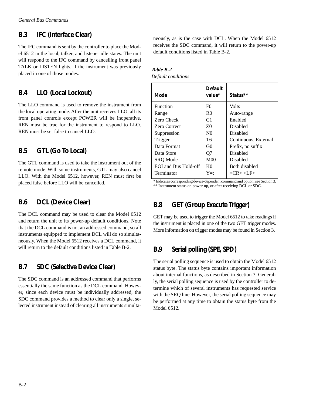#### **B.3 IFC (Interface Clear)**

The IFC command is sent by the controller to place the Model 6512 in the local, talker, and listener idle states. The unit will respond to the IFC command by cancelling front panel TALK or LISTEN lights, if the instrument was previously placed in one of those modes.

#### **B.4 LLO (Local Lockout)**

The LLO command is used to remove the instrument from the local operating mode. After the unit receives LLO, all its front panel controls except POWER will be inoperative. REN must be true for the instrument to respond to LLO. REN must be set false to cancel LLO.

#### **B.5 GTL (Go To Local)**

The GTL command is used to take the instrument out of the remote mode. With some instruments, GTL may also cancel LLO. With the Model 6512, however, REN must first be placed false before LLO will be cancelled.

#### **B.6 DCL (Device CIear)**

The DCL command may be used to clear the Model 6512 and return the unit to its power-up default conditions. Note that the DCL command is not an addressed command, so all instruments equipped to implement DCL will do so simultaneously. When the Model 6512 receives a DCL command, it will return to the default conditions listed in Table B-2.

#### **B.7 SDC (Selective Device Clear)**

The SDC command is an addressed command that performs essentially the same function as the DCL command. However, since each device must be individually addressed, the SDC command provides a method to clear only a single, selected instrument instead of clearing all instruments simultaneously, as is the case with DCL. When the Model 6512 receives the SDC command, it will return to the power-up default conditions listed in Table B-2.

#### *Table B-2*

*Default conditions*

| Mode                 | <b>Default</b><br>value* | Status**             |
|----------------------|--------------------------|----------------------|
| Function             | F <sub>0</sub>           | Volts                |
| Range                | R0                       | Auto-range           |
| Zero Check           | C <sub>1</sub>           | Enabled              |
| Zero Correct         | Z0                       | Disabled             |
| Suppression          | N <sub>0</sub>           | Disabled             |
| Trigger              | T6                       | Continuous, External |
| Data Format          | G0                       | Prefix, no suffix    |
| Data Store           | Q7                       | Disabled             |
| SRQ Mode             | M <sub>00</sub>          | Disabled             |
| EOI and Bus Hold-off | K <sub>0</sub>           | <b>Both disabled</b> |
| Terminator           | $Y =:$                   | $<$ CR> <lf></lf>    |

\* Indicates corresponding device-dependent command and option; see Section 3. \*\* Instrument status on power-up, or after receiving DCL or SDC.

#### **B.8 GET (Group Execute Trigger)**

GET may be used to trigger the Model 6512 to take readings if the instrument is placed in one of the two GET trigger modes. More information on trigger modes may be found in Section 3.

#### **B.9 Serial polling (SPE, SPD)**

The serial polling sequence is used to obtain the Model 6512 status byte. The status byte contains important information about internal functions, as described in Section 3. Generally, the serial polling sequence is used by the controller to determine which of several instruments has requested service with the SRQ line. However, the serial polling sequence may be performed at any time to obtain the status byte from the Model 6512.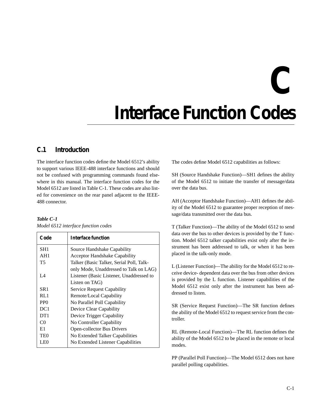## **C Interface Function Codes**

#### **C.1 Introduction**

The interface function codes define the Model 6512's ability to support various IEEE-488 interface functions and should not be confused with programming commands found elsewhere in this manual. The interface function codes for the Model 6512 are listed in Table C-1. These codes are also listed for convenience on the rear panel adjacent to the IEEE-488 connector.

#### *Table C-1*

| Model 6512 interface function codes |  |  |  |
|-------------------------------------|--|--|--|
|-------------------------------------|--|--|--|

| Code            | <b>Interface function</b>                |
|-----------------|------------------------------------------|
| SH1             | Source Handshake Capability              |
| AH1             | <b>Acceptor Handshake Capability</b>     |
| <b>T5</b>       | Talker (Basic Talker, Serial Poll, Talk- |
|                 | only Mode, Unaddressed to Talk on LAG)   |
| IA              | Listener (Basic Listener, Unaddressed to |
|                 | Listen on TAG)                           |
| SR <sub>1</sub> | Service Request Capability               |
| RI <sub>1</sub> | Remote/Local Capability                  |
| PP <sub>0</sub> | No Parallel Poll Capability              |
| DC <sub>1</sub> | Device Clear Capability                  |
| D <sub>T1</sub> | Device Trigger Capability                |
| C <sub>0</sub>  | No Controller Capability                 |
| E1              | <b>Open-collector Bus Drivers</b>        |
| TE <sub>0</sub> | No Extended Talker Capabilities          |
| LE <sub>0</sub> | No Extended Listener Capabilities        |

The codes define Model 6512 capabilities as follows:

SH (Source Handshake Function)—SH1 defines the ability of the Model 6512 to initiate the transfer of message/data over the data bus.

AH (Acceptor Handshake Function)—AH1 defines the ability of the Model 6512 to guarantee proper reception of message/data transmitted over the data bus.

T (Talker Function)—The ability of the Model 6512 to send data over the bus to other devices is provided by the T function. Model 6512 talker capabilities exist only after the instrument has been addressed to talk, or when it has been placed in the talk-only mode.

L (Listener Function)—The ability for the Model 6512 to receive device- dependent data over the bus from other devices is provided by the L function. Listener capabilities of the Model 6512 exist only after the instrument has been addressed to listen.

SR (Service Request Function)—The SR function defines the ability of the Model 6512 to request service from the controller.

RL (Remote-Local Function)—The RL function defines the ability of the Model 6512 to be placed in the remote or local modes.

PP (Parallel Poll Function)—The Model 6512 does not have parallel polling capabilities.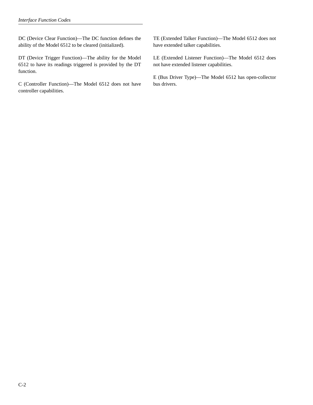DC (Device Clear Function)—The DC function defines the ability of the Model 6512 to be cleared (initialized).

DT (Device Trigger Function)—The ability for the Model 6512 to have its readings triggered is provided by the DT function.

C (Controller Function)—The Model 6512 does not have controller capabilities.

TE (Extended Talker Function)—The Model 6512 does not have extended talker capabilities.

LE (Extended Listener Function)—The Model 6512 does not have extended listener capabilities.

E (Bus Driver Type)—The Model 6512 has open-collector bus drivers.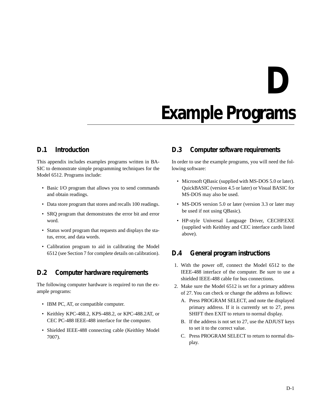# **D**

### **Example Programs**

#### **D.1 Introduction**

This appendix includes examples programs written in BA-SIC to demonstrate simple programming techniques for the Model 6512. Programs include:

- Basic I/O program that allows you to send commands and obtain readings.
- Data store program that stores and recalls 100 readings.
- SRQ program that demonstrates the error bit and error word.
- Status word program that requests and displays the status, error, and data words.
- Calibration program to aid in calibrating the Model 6512 (see Section 7 for complete details on calibration).

#### **D.2 Computer hardware requirements**

The following computer hardware is required to run the example programs:

- IBM PC, AT, or compatible computer.
- Keithley KPC-488.2, KPS-488.2, or KPC-488.2AT, or CEC PC-488 IEEE-488 interface for the computer.
- Shielded IEEE-488 connecting cable (Keithley Model 7007).

#### **D.3 Computer software requirements**

In order to use the example programs, you will need the following software:

- Microsoft QBasic (supplied with MS-DOS 5.0 or later). QuickBASIC (version 4.5 or later) or Visual BASIC for MS-DOS may also be used.
- MS-DOS version 5.0 or later (version 3.3 or later may be used if not using QBasic).
- HP-style Universal Language Driver, CECHP.EXE (supplied with Keithley and CEC interface cards listed above).

#### **D.4 General program instructions**

- 1. With the power off, connect the Model 6512 to the IEEE-488 interface of the computer. Be sure to use a shielded IEEE-488 cable for bus connections.
- 2. Make sure the Model 6512 is set for a primary address of 27. You can check or change the address as follows:
	- A. Press PROGRAM SELECT, and note the displayed primary address. If it is currently set to 27, press SHIFT then EXIT to return to normal display.
	- B. If the address is not set to 27, use the ADJUST keys to set it to the correct value.
	- C. Press PROGRAM SELECT to return to normal display.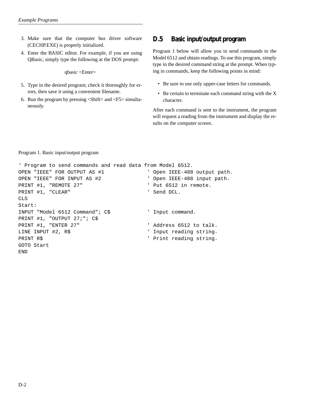- <span id="page-144-0"></span>3. Make sure that the computer bus driver software (CECHP.EXE) is properly initialized.
- 4. Enter the BASIC editor. For example, if you are using QBasic, simply type the following at the DOS prompt:

qbasic <Enter>

- 5. Type in the desired program; check it thoroughly for errors, then save it using a convenient filename.
- 6. Run the program by pressing <Shift> and <F5> simultaneously.

### **D.5 Basic input/output program**

Program 1 below will allow you to send commands to the Model 6512 and obtain readings. To use this program, simply type in the desired command string at the prompt. When typing in commands, keep the following points in mind:

- Be sure to use only upper-case letters for commands.
- Be certain to terminate each command string with the X character.

After each command is sent to the instrument, the program will request a reading from the instrument and display the results on the computer screen.

#### Program 1. Basic input/output program

| ' Program to send commands and read data from Model 6512. |                            |
|-----------------------------------------------------------|----------------------------|
| OPEN "IEEE" FOR OUTPUT AS #1                              | Open IEEE-488 output path. |
| OPEN "IEEE" FOR INPUT AS #2                               | Open IEEE-488 input path.  |
| PRINT #1, "REMOTE 27"                                     | ' Put 6512 in remote.      |
| PRINT #1, "CLEAR"                                         | ' Send DCL.                |
| CLS                                                       |                            |
| Start:                                                    |                            |
| INPUT "Model 6512 Command"; C\$                           | ' Input command.           |
| PRINT #1, "OUTPUT 27;"; C\$                               |                            |
| PRINT #1, "ENTER 27"                                      | ' Address 6512 to talk.    |
| LINE INPUT #2, R\$                                        | Input reading string.      |
| PRINT R\$                                                 | ' Print reading string.    |
| GOTO Start                                                |                            |
| END                                                       |                            |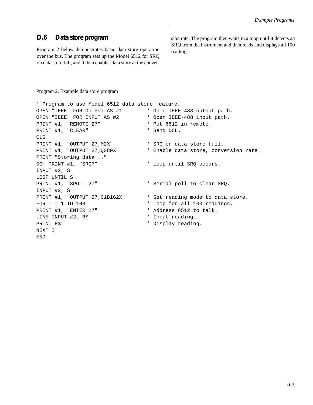#### <span id="page-145-0"></span>**D.6 Data store program**

Program 2 below demonstrates basic data store operation over the bus. The program sets up the Model 6512 for SRQ on data store full, and it then enables data store at the conversion rate. The program then waits in a loop until it detects an SRQ from the instrument and then reads and displays all 100 readings.

#### Program 2. Example data store program

```
' Program to use Model 6512 data store feature. 
OPEN "IEEE" FOR OUTPUT AS #1 ' Open IEEE-488 output path. 
OPEN "IEEE" FOR INPUT AS #2 ' Open IEEE-488 input path. 
PRINT #1, "REMOTE 27" 		 ' Put 6512 in remote.
PRINT #1, "CLEAR" ' Send DCL.
CLS 
PRINT #1, "OUTPUT 27; M2X" ' SRQ on data store full.
PRINT #1, "OUTPUT 27;Q0C0X" | Enable data store, conversion rate.
PRINT "Storing data..." 
DO: PRINT #1, "SRQ?" ' Loop until SRQ occurs.
INPUT #2, S 
LOOP UNTIL S 
PRINT #1, "SPOLL 27" ' Serial poll to clear SRQ.
INPUT #2, S 
PRINT #1, "OUTPUT 27; C1B1G2X" ' Set reading mode to data store.
FOR I = 1 TO 100 TO CONTA TO THE V Loop for all 100 readings.
PRINT #1, "ENTER 27" Address 6512 to talk.
LINE INPUT #2, R$ The Property Line of the Manuscript Contractor Contractor Contractor Contractor Contractor C
PRINT R$ \qquad \qquad ' Display reading.
NEXT I 
END
```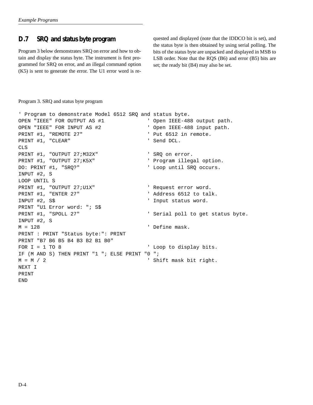#### <span id="page-146-0"></span>**D.7 SRQ and status byte program**

Program 3 below demonstrates SRQ on error and how to obtain and display the status byte. The instrument is first programmed for SRQ on error, and an illegal command option (K5) is sent to generate the error. The U1 error word is re-

quested and displayed (note that the IDDCO bit is set), and the status byte is then obtained by using serial polling. The bits of the status byte are unpacked and displayed in MSB to LSB order. Note that the RQS (B6) and error (B5) bits are set; the ready bit (B4) may also be set.

#### Program 3. SRQ and status byte program

```
' Program to demonstrate Model 6512 SRQ and status byte. 
OPEN "IEEE" FOR OUTPUT AS #1 ' Open IEEE-488 output path. 
OPEN "IEEE" FOR INPUT AS #2 ' Open IEEE-488 input path. 
PRINT #1, "REMOTE 27" ' Put 6512 in remote. 
PRINT #1, "CLEAR" ' Send DCL.
CLS 
PRINT #1, "OUTPUT 27; M32X" ' SRQ on error.
PRINT #1, "OUTPUT 27; K5X" Program illegal option.
DO: PRINT #1, "SRQ?" ' Loop until SRQ occurs. 
INPUT #2, S 
LOOP UNTIL S 
PRINT #1, "OUTPUT 27;U1X" | Request error word.
PRINT #1, "ENTER 27" (and the Manus of Address 6512 to talk.
INPUT #2, S$ ' Input status word. 
PRINT "U1 Error word: "; S$ 
PRINT #1, "SPOLL 27" Serial poll to get status byte.
INPUT #2, S 
M = 128 \blacksquarePRINT : PRINT "Status byte:": PRINT 
PRINT "B7 B6 B5 B4 B3 B2 B1 B0" 
FOR I = 1 TO 8 \qquad \qquad ' Loop to display bits.
IF (M AND S) THEN PRINT "1 "; ELSE PRINT "0 "; 
M = M / 2 \blacksquareNEXT I 
PRINT 
END
```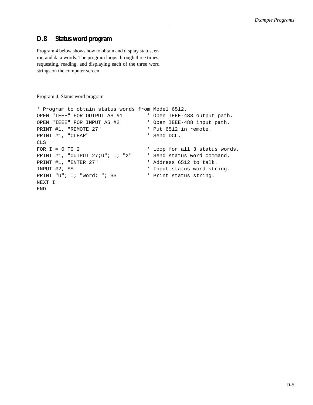# <span id="page-147-0"></span>**D.8 Status word program**

Program 4 below shows how to obtain and display status, error, and data words. The program loops through three times, requesting, reading, and displaying each of the three word strings on the computer screen.

Program 4. Status word program

```
' Program to obtain status words from Model 6512. 
OPEN "IEEE" FOR OUTPUT AS #1 ' Open IEEE-488 output path. 
OPEN "IEEE" FOR INPUT AS #2 ' Open IEEE-488 input path. 
PRINT #1, "REMOTE 27" 		 ' Put 6512 in remote.
PRINT #1, "CLEAR" ' Send DCL.
CLS 
FOR I = 0 TO 2 \qquad ' Loop for all 3 status words.
PRINT #1, "OUTPUT 27;U"; I; "X" ' Send status word command.
PRINT #1, "ENTER 27" | Address 6512 to talk.
INPUT #2, S$ ' Input status word string. 
PRINT "U"; I; "word: "; S$ ' Print status string.
NEXT I 
END
```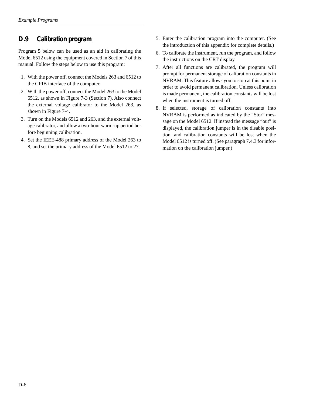# <span id="page-148-0"></span>**D.9 Calibration program**

Program 5 below can be used as an aid in calibrating the Model 6512 using the equipment covered in Section 7 of this manual. Follow the steps below to use this program:

- 1. With the power off, connect the Models 263 and 6512 to the GPIB interface of the computer.
- 2. With the power off, connect the Model 263 to the Model 6512, as shown in Figure 7-3 (Section 7). Also connect the external voltage calibrator to the Model 263, as shown in Figure 7-4.
- 3. Turn on the Models 6512 and 263, and the external voltage calibrator, and allow a two-hour warm-up period before beginning calibration.
- 4. Set the IEEE-488 primary address of the Model 263 to 8, and set the primary address of the Model 6512 to 27.
- 5. Enter the calibration program into the computer. (See the introduction of this appendix for complete details.)
- 6. To calibrate the instrument, run the program, and follow the instructions on the CRT display.
- 7. After all functions are calibrated, the program will prompt for permanent storage of calibration constants in NVRAM. This feature allows you to stop at this point in order to avoid permanent calibration. Unless calibration is made permanent, the calibration constants will be lost when the instrument is turned off.
- 8. If selected, storage of calibration constants into NVRAM is performed as indicated by the "Stor" message on the Model 6512. If instead the message "out" is displayed, the calibration jumper is in the disable position, and calibration constants will be lost when the Model 6512 is turned off. (See paragraph 7.4.3 for information on the calibration jumper.)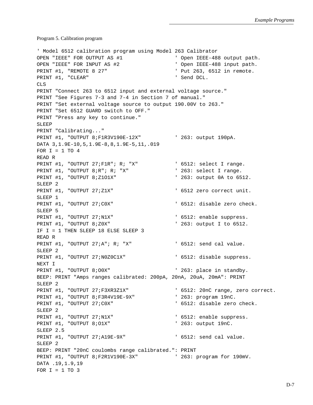Program 5. Calibration program

```
' Model 6512 calibration program using Model 263 Calibrator 
OPEN "IEEE" FOR OUTPUT AS #1 ' Open IEEE-488 output path. 
OPEN "IEEE" FOR INPUT AS #2 ' Open IEEE-488 input path. 
PRINT #1, "REMOTE 8 27" ' Put 263, 6512 in remote. 
PRINT #1, "CLEAR" ' Send DCL.
CLS 
PRINT "Connect 263 to 6512 input and external voltage source." 
PRINT "See Figures 7-3 and 7-4 in Section 7 of manual." 
PRINT "Set external voltage source to output 190.00V to 263." 
PRINT "Set 6512 GUARD switch to OFF." 
PRINT "Press any key to continue." 
SLEEP 
PRINT "Calibrating..." 
PRINT #1, "OUTPUT 8;F1R3V190E-12X" ' 263: output 190pA. 
DATA 3,1.9E-10,5,1.9E-8,8,1.9E-5,11,.019 
FOR I = 1 TO 4READ R 
PRINT #1, "OUTPUT 27; F1R"; R; "X" ' 6512: select I range.
PRINT #1, "OUTPUT 8;R"; R; "X" ' 263: select I range.
PRINT #1, "OUTPUT 8; Z1O1X" ' 263: output 0A to 6512.
SLEEP 2 
PRINT #1, "OUTPUT 27; Z1X" <br>
'6512 zero correct unit.
SLEEP 1 
PRINT #1, "OUTPUT 27;C0X" (6512: disable zero check.
SLEEP 5 
PRINT #1, "OUTPUT 27; N1X" \qquad \qquad ' 6512: enable suppress.
PRINT #1, "OUTPUT 8;Z0X" ' 263: output I to 6512. 
IF I = 1 THEN SLEEP 18 ELSE SLEEP 3 
READ R 
PRINT #1, "OUTPUT 27;A"; R; "X" | 6512: send cal value.
SLEEP 2 
PRINT #1, "OUTPUT 27;N0Z0C1X" ' 6512: disable suppress.
NEXT I 
PRINT #1, "OUTPUT 8;O0X" ' 263: place in standby. 
BEEP: PRINT "Amps ranges calibrated: 200pA, 20nA, 20uA, 20mA": PRINT 
SLEEP 2 
PRINT #1, "OUTPUT 27;F3XR3Z1X" | 6512: 20nC range, zero correct.
PRINT #1, "OUTPUT 8;F3R4V19E-9X" | 263: program 19nC.
PRINT #1, "OUTPUT 27;C0X" (6512: disable zero check.
SLEEP 2 
PRINT #1, "OUTPUT 27; N1X" \qquad \qquad ' 6512: enable suppress.
PRINT #1, "OUTPUT 8;O1X" ' 263: output 19nC. 
SLEEP 2.5 
PRINT #1, "OUTPUT 27;A19E-9X" (6512: send cal value.
SLEEP 2 
BEEP: PRINT "20nC coulombs range calibrated.": PRINT 
PRINT #1, "OUTPUT 8;F2R1V190E-3X" | 263: program for 190mV.
DATA .19,1.9,19 
FOR I = 1 TO 3
```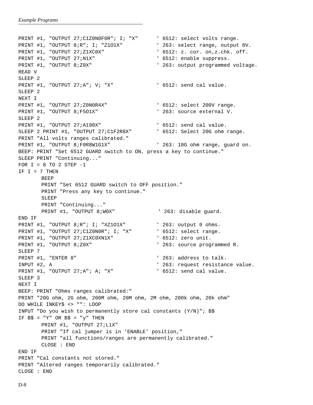PRINT #1, "OUTPUT 27;C1Z0N0F0R"; I; "X" | 6512: select volts range. PRINT #1, "OUTPUT 8;R"; I; "Z1O1X" ' 263: select range, output 0V. PRINT #1, "OUTPUT 27;Z1XC0X" (6512: z. cor. on,z.chk. off. PRINT #1, "OUTPUT 27; N1X" (6512: enable suppress. PRINT #1, "OUTPUT 8; ZOX"  $\qquad$  ' 263: output programmed voltage. READ V SLEEP 2 PRINT #1, "OUTPUT 27;A"; V; "X" ' 6512: send cal value. SLEEP 2 NEXT I PRINT #1, "OUTPUT 27;Z0N0R4X" ' 6512: select 200V range. PRINT #1, "OUTPUT 8;F5O1X" ' 263: source external V. SLEEP 2 PRINT #1, "OUTPUT 27;A190X" | 6512: send cal value. SLEEP 2 PRINT #1, "OUTPUT 27;C1F2R8X" ' 6512: Select 20G ohm range. PRINT "All volts ranges calibrated." PRINT #1, "OUTPUT 8;F0R8W1G1X" ' 263: 10G ohm range, guard on. BEEP: PRINT "Set 6512 GUARD switch to ON, press a key to continue." SLEEP PRINT "Continuing..." FOR  $I = 8$  TO 2 STEP  $-1$ IF  $I = 7$  THEN BEEP PRINT "Set 6512 GUARD switch to OFF position." PRINT "Press any key to continue." SLEEP PRINT "Continuing..." PRINT #1, "OUTPUT 8;WOX" ' 263: disable guard. END IF PRINT #1, "OUTPUT 8;R"; I; "XZ1O1X" ' 263: output 0 ohms. PRINT #1, "OUTPUT 27;C1Z0NOR"; I; "X" ' 6512: select range. PRINT #1, "OUTPUT 27; Z1XC0XN1X" | 6512: zero unit. PRINT #1, "OUTPUT 8;Z0X" | 263: source programmed R. SLEEP 7 PRINT #1, "ENTER 8"  $\qquad$  ' 263: address to talk. INPUT #2, A ' 263: request resistance value. PRINT #1, "OUTPUT 27;A"; A; "X" ' 6512: send cal value. SLEEP 3 NEXT I BEEP: PRINT "Ohms ranges calibrated:" PRINT "20G ohm, 2G ohm, 200M ohm, 20M ohm, 2M ohm, 200k ohm, 20k ohm" DO WHILE INKEY\$ <> "": LOOP INPUT "Do you wish to permanently store cal constants (Y/N)"; B\$ IF  $B\$  = "Y" OR  $B\$  = "y" THEN PRINT #1, "OUTPUT 27;L1X" PRINT "If cal jumper is in 'ENABLE' position," PRINT "all functions/ranges are permanently calibrated." CLOSE : END END IF PRINT "Cal constants not stored." PRINT "Altered ranges temporarily calibrated." CLOSE : END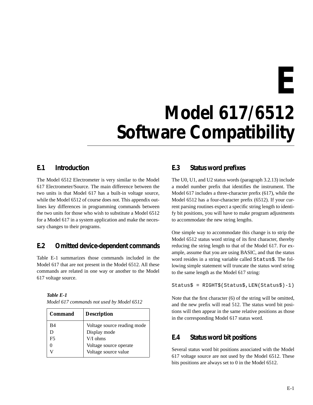# <span id="page-151-0"></span>**E Model 617/6512 Software Compatibility**

#### **E.1 Introduction**

The Model 6512 Electrometer is very similar to the Model 617 Electrometer/Source. The main difference between the two units is that Model 617 has a built-in voltage source, while the Model 6512 of course does not. This appendix outlines key differences in programming commands between the two units for those who wish to substitute a Model 6512 for a Model 617 in a system application and make the necessary changes to their programs.

### **E.2 Omitted device-dependent commands**

Table E-1 summarizes those commands included in the Model 617 that are not present in the Model 6512. All these commands are related in one way or another to the Model 617 voltage source.

*Table E-1*

| Model 617 commands not used by Model 6512 |  |
|-------------------------------------------|--|
|-------------------------------------------|--|

| Command | <b>Description</b>          |
|---------|-----------------------------|
| B4      | Voltage source reading mode |
| D       | Display mode                |
| F5      | $V/I$ ohms                  |
|         | Voltage source operate      |
|         | Voltage source value        |

# **E.3 Status word prefixes**

The U0, U1, and U2 status words (paragraph 3.2.13) include a model number prefix that identifies the instrument. The Model 617 includes a three-character prefix (617), while the Model 6512 has a four-character prefix (6512). If your current parsing routines expect a specific string length to identify bit positions, you will have to make program adjustments to accommodate the new string lengths.

One simple way to accommodate this change is to strip the Model 6512 status word string of its first character, thereby reducing the string length to that of the Model 617. For example, assume that you are using BASIC, and that the status word resides in a string variable called Status\$. The following simple statement will truncate the status word string to the same length as the Model 617 string:

Status\$ = RIGHT\$(Status\$,LEN(Status\$)-1)

Note that the first character (6) of the string will be omitted, and the new prefix will read 512. The status word bit positions will then appear in the same relative positions as those in the corresponding Model 617 status word.

#### **E.4 Status word bit positions**

Several status word bit positions associated with the Model 617 voltage source are not used by the Model 6512. These bits positions are always set to 0 in the Model 6512.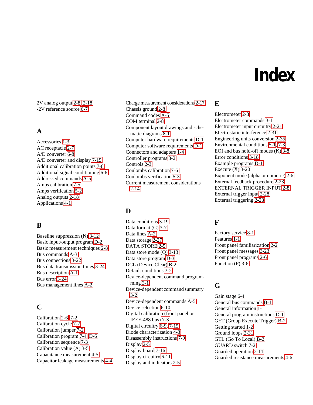# **Index**

2V analog output [2-8,](#page-26-0) [2-18](#page-36-0) -2V reference source [6-7](#page-103-0)

#### **A**

Accessories [1-3](#page-17-0) AC receptacle [2-7](#page-25-0) A/D converter [6-8](#page-104-0) A/D converter and display [7-15](#page-122-0) Additional calibration points [7-8](#page-115-0) Additional signal conditioning [6-6](#page-102-0) Addressed commands [A-5](#page-137-0) Amps calibration [7-5](#page-112-0) Amps verification [5-2](#page-90-0) Analog outputs [2-18](#page-36-0) Applications [4-1](#page-78-0)

#### **B**

Baseline suppression (N) [3-12](#page-65-0) Basic input/output program [D-2](#page-144-0) Basic measurement techniques [2-8](#page-26-0) Bus commands [A-3](#page-135-0) Bus connections [3-22](#page-75-0) Bus data transmission times [3-24](#page-77-0) Bus description [A-1](#page-133-0) Bus error [3-24](#page-77-0) Bus management lines [A-2](#page-134-0)

# **C**

Calibration [2-6,](#page-24-0) [7-2](#page-109-0) Calibration cycle [7-2](#page-109-0) Calibration jumper [7-2](#page-109-0) Calibration program [7-4,](#page-111-0) [D-6](#page-148-0) Calibration sequence [7-3](#page-110-0) Calibration value (A) [3-5](#page-58-0) Capacitance measurement [4-5](#page-82-0) Capacitor leakage measurements [4-4](#page-81-0)

Charge measurement consideration[s 2-17](#page-35-0) Chassis ground [2-8](#page-26-0) Command codes [A-5](#page-137-0) COM terminal [2-8](#page-26-0) Component layout drawings and schematic diagrams [8-1](#page-125-0) Computer hardware requirements [D-1](#page-143-0) Computer software requirements [D-1](#page-143-0) Connectors and adapters [1-4](#page-18-0) Controller programs [3-2](#page-55-0) Controls [2-3](#page-21-0) Coulombs calibration [7-6](#page-113-0) Coulombs verification [5-3](#page-91-0) Current measurement considerations [2-14](#page-32-0)

# **D**

Data conditions [3-19](#page-72-0) Data format (G) [3-7](#page-60-0) Data lines [A-2](#page-134-0) Data storage [2-27](#page-45-0) DATA STORE [2-5](#page-23-0) Data store mode (Q) [3-13](#page-66-0) Data store program [D-3](#page-145-0) DCL (Device Clear) [B-2](#page-140-0) Default conditions [3-2](#page-55-0) Device-dependent command programming [3-1](#page-54-0) Device-dependent command summary [3-2](#page-55-0) Device-dependent commands [A-5](#page-137-0) Device selection [6-10](#page-106-0) Digital calibration (front panel or IEEE-488 bus) [7-3](#page-110-0) Digital circuitry [6-9,](#page-105-0) [7-15](#page-122-0) Diode characterization [4-3](#page-80-0) Disassembly instructions [7-9](#page-116-0) Display [2-5](#page-23-0) Display board [7-16](#page-123-0) Display circuitry [6-11](#page-107-0) Display and indicators [2-5](#page-23-0)

# **E**

Electrometer [2-3](#page-21-0) Electrometer commands [3-1](#page-54-0) Electrometer input circuitry [2-21](#page-39-0) EIectrostatic interference [2-31](#page-49-0) Engineering units conversion [2-35](#page-53-0) Environmental conditions [5-1,](#page-89-0) [7-3](#page-110-0) EOI and bus hold-off modes (K) [3-8](#page-61-0) Error conditions [3-18](#page-71-0) Example programs [D-1](#page-143-0) Execute  $(X)$  [3-20](#page-73-0) Exponent mode (alpha or numeric) [2-6](#page-24-0) External feedback procedure [2-23](#page-41-0) EXTERNAL TRIGGER INPUT [2-8](#page-26-0) External trigger input [2-28](#page-46-0) External triggering [2-28](#page-46-0)

# **F**

Factory service [8-1](#page-125-0) Features [1-1](#page-15-0) Front panel familiarization [2-2](#page-20-0) Front panel messages [3-23](#page-76-0) Front panel programs [2-6](#page-24-0) Function (F) [3-6](#page-59-0)

# **G**

Gain stage [6-4](#page-100-0) General bus commands [B-1](#page-139-0) General information [1-1](#page-15-0) General program instructions [D-1](#page-143-0) GET (Group Execute Trigger) [B-2](#page-140-0) Getting started [1-2](#page-16-0) Ground loops [2-31](#page-49-0) GTL (Go To Local) [B-2](#page-140-0) GUARD switch [7-2](#page-109-0) Guarded operation [2-11](#page-29-0) Guarded resistance measurements [4-6](#page-83-0)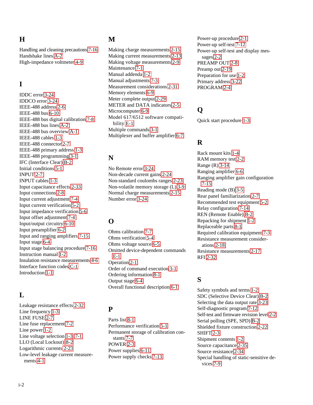# **H**

Handling and cleaning precautions [7-16](#page-123-0) Handshake lines [A-2](#page-134-0) High-impedance voltmeter [4-9](#page-86-0)

# **I**

IDDC error [3-24](#page-77-0) IDDCO error [3-24](#page-77-0) IEEE-488 address [2-6](#page-24-0) IEEE-488 bus [6-10](#page-106-0) IEEE-488 bus digital calibration [7-8](#page-115-0) IEEE-488 bus lines [A-2](#page-134-0) IEEE-488 bus overview [A-1](#page-133-0) IEEE-488 cables [1-3](#page-17-0) IEEE-488 connector [2-7](#page-25-0) IEEE-488 primary address [1-3](#page-17-0) IEEE-488 programming [3-1](#page-54-0) IFC (Interface Clear) [B-2](#page-140-0) Initial conditions [5-1](#page-89-0) INPUT [2-7](#page-25-0) INPUT cables [1-3](#page-17-0) Input capacitance effects [2-33](#page-51-0) Input connections [2-8](#page-26-0) Input current adjustment [7-4](#page-111-0) Input current verification [5-2](#page-90-0) Input impedance verification [5-6](#page-94-0) Input offset adjustment [7-4](#page-111-0) Input/output circuitry [6-10](#page-106-0) Input preamplifier [6-2](#page-98-0) Input and ranging amplifiers [7-15](#page-122-0) Input stage [6-4](#page-100-0) Input stage balancing procedure [7-16](#page-123-0) Instruction manual [1-2](#page-16-0) Insulation resistance measurements [4-6](#page-83-0) Interface function codes [C-1](#page-141-0) Introduction [1-1](#page-15-0)

# **L**

Leakage resistance effects [2-32](#page-50-0) Line frequency [1-3](#page-17-0) LINE FUSE [2-7](#page-25-0) Line fuse replacement [7-2](#page-109-0) Line power [1-2](#page-16-0) Line voltage selection [1-3,](#page-17-0) [7-1](#page-108-0) LLO (Local Lockout) [B-2](#page-140-0) Logarithmic currents [2-23](#page-41-0) Low-level leakage current measurements [4-1](#page-78-0)

# **M**

Making charge measurements [2-15](#page-33-0) Making current measurements [2-13](#page-31-0) Making voltage measurements [2-9](#page-27-0) Maintenance [7-1](#page-108-0) Manual addenda [1-2](#page-16-0) Manual adjustments [7-3](#page-110-0) Measurement considerations [2-31](#page-49-0) Memory elements [6-9](#page-105-0) Meter complete output [2-29](#page-47-0) METER and DATA indicators [2-5](#page-23-0) Microcomputer [6-9](#page-105-0) Model 617/6512 software compatibility [E-1](#page-151-0) Multiple commands [3-1](#page-54-0) Multiplexer and buffer amplifier [6-7](#page-103-0)

# **N**

No Remote error [3-24](#page-77-0) Non-decade current gains [2-24](#page-42-0) Non-standard coulombs ranges [2-23](#page-41-0) Non-volatile memory storage (L) [3-9](#page-62-0) Normal charge measurements [2-15](#page-33-0) Number error [3-24](#page-77-0)

# **O**

Ohms calibration [7-7](#page-114-0) Ohms verification [5-4](#page-92-0) Ohms voltage source [6-5](#page-101-0) Omitted device-dependent commands [E-1](#page-151-0) Operation [2-1](#page-19-0) Order of command execution [3-1](#page-54-0) Ordering information [8-1](#page-125-0) Output stage [6-4](#page-100-0) Overall functional description [6-1](#page-97-0)

# **P**

Parts list [8-1](#page-125-0) Performance verification [5-1](#page-89-0) Permanent storage of calibration constants [7-7](#page-114-0) POWER [2-3](#page-21-0) Power supplies [6-11](#page-107-0) Power supply checks [7-13](#page-120-0)

Power-up procedure [2-1](#page-19-0) Power-up self-test [7-12](#page-119-0) Power-up self-test and display messages [2-2](#page-20-0) PREAMP OUT [2-8](#page-26-0) Preamp out [2-19](#page-37-0) Preparation for use [1-2](#page-16-0) Primary address [3-22](#page-75-0) PROGRAM [2-4](#page-22-0)

# **Q**

Quick start procedure [1-3](#page-17-0)

# **R**

Rack mount kits [1-4](#page-18-0) RAM memory test [2-2](#page-20-0) Range (R) [3-14](#page-67-0) Ranging amplifier [6-6](#page-102-0) Ranging amplifier gain configuration [7-15](#page-122-0) Reading mode (B) [3-5](#page-58-0) Rear panel familiarization [2-7](#page-25-0) Recommended test equipment [5-2](#page-90-0) Relay configuration [7-14](#page-121-0) REN (Remote Enable) [B-2](#page-140-0) Repacking for shipment [1-2](#page-16-0) Replaceable parts [8-1](#page-125-0) Required calibration equipment [7-3](#page-110-0) Resistance measurement considerations [2-18](#page-36-0) Resistance measurements [2-17](#page-35-0) RFI [2-32](#page-50-0)

# **S**

Safety symbols and terms [1-2](#page-16-0) SDC (Selective Device Clear) [B-2](#page-140-0) Selecting the data output rate [3-23](#page-76-0) Self-diagnostic program [7-12](#page-119-0) Self-test and firmware revision level [2-2](#page-20-0) Serial polling (SPE, SPD) [B-2](#page-140-0) Shielded fixture construction [2-22](#page-40-0) SHIFT [2-3](#page-21-0) Shipment contents [1-2](#page-16-0) Source capacitance [2-35](#page-53-0) Source resistance [2-34](#page-52-0) Special handling of static-sensitive devices [7-9](#page-116-0)